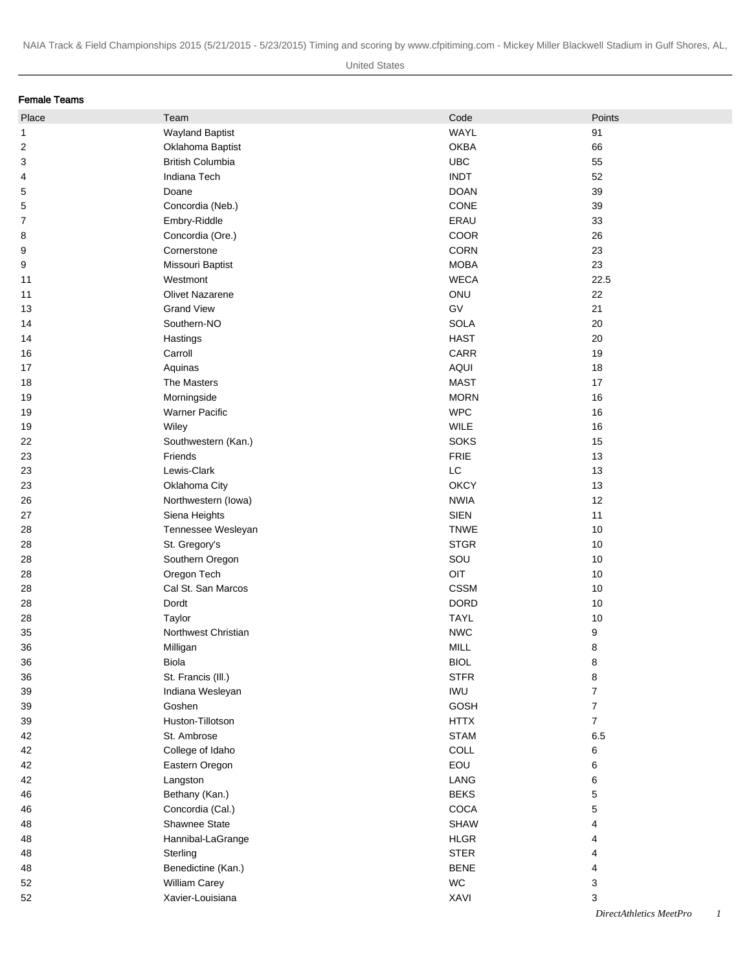| Female Teams   |                                   |             |                         |
|----------------|-----------------------------------|-------------|-------------------------|
| Place          | Team                              | Code        | Points                  |
| 1              | <b>Wayland Baptist</b>            | WAYL        | 91                      |
| 2              | Oklahoma Baptist                  | <b>OKBA</b> | 66                      |
| 3              | <b>British Columbia</b>           | <b>UBC</b>  | 55                      |
| 4              | Indiana Tech                      | <b>INDT</b> | 52                      |
| 5              | Doane                             | <b>DOAN</b> | 39                      |
| 5              | Concordia (Neb.)                  | CONE        | 39                      |
| $\overline{7}$ | Embry-Riddle                      | ERAU        | 33                      |
| 8              | Concordia (Ore.)                  | COOR        | 26                      |
| 9              | Cornerstone                       | CORN        | 23                      |
| 9              | Missouri Baptist                  | <b>MOBA</b> | 23                      |
| 11             | Westmont                          | <b>WECA</b> | 22.5                    |
| 11             | Olivet Nazarene                   | ONU         | 22                      |
| 13             | <b>Grand View</b>                 | GV          | 21                      |
| 14             | Southern-NO                       | <b>SOLA</b> | 20                      |
| 14             | Hastings                          | <b>HAST</b> | 20                      |
| 16             | Carroll                           | CARR        | 19                      |
| 17             | Aquinas                           | AQUI        | 18                      |
| 18             | The Masters                       | <b>MAST</b> | 17                      |
| 19             | Morningside                       | <b>MORN</b> | 16                      |
| 19             | <b>Warner Pacific</b>             | <b>WPC</b>  | 16                      |
| 19             | Wiley                             | WILE        | 16                      |
| 22             | Southwestern (Kan.)               | <b>SOKS</b> | 15                      |
| 23             | Friends                           | FRIE        | 13                      |
| 23             | Lewis-Clark                       | LC          | 13                      |
| 23             | Oklahoma City                     | <b>OKCY</b> | 13                      |
| 26             | Northwestern (lowa)               | <b>NWIA</b> | 12                      |
| 27             | Siena Heights                     | <b>SIEN</b> | 11                      |
| 28             | Tennessee Wesleyan                | <b>TNWE</b> | 10                      |
| 28             | St. Gregory's                     | <b>STGR</b> | 10                      |
|                |                                   | SOU         |                         |
| 28             | Southern Oregon                   | OIT         | 10                      |
| 28             | Oregon Tech<br>Cal St. San Marcos | <b>CSSM</b> | 10                      |
| 28             |                                   | <b>DORD</b> | 10                      |
| 28             | Dordt                             | <b>TAYL</b> | 10                      |
| 28             | Taylor                            |             | $10$                    |
| 35             | Northwest Christian               | <b>NWC</b>  | 9                       |
| 36             | Milligan                          | MILL        | 8                       |
| 36             | Biola                             | <b>BIOL</b> | 8                       |
| 36             | St. Francis (III.)                | <b>STFR</b> | 8                       |
| 39             | Indiana Wesleyan                  | <b>IWU</b>  | $\overline{7}$          |
| 39             | Goshen                            | GOSH        | $\overline{7}$          |
| 39             | Huston-Tillotson                  | <b>HTTX</b> | $\overline{7}$          |
| 42             | St. Ambrose                       | <b>STAM</b> | 6.5                     |
| 42             | College of Idaho                  | COLL        | 6                       |
| 42             | Eastern Oregon                    | EOU         | 6                       |
| 42             | Langston                          | LANG        | 6                       |
| 46             | Bethany (Kan.)                    | <b>BEKS</b> | 5                       |
| 46             | Concordia (Cal.)                  | COCA        | 5                       |
| 48             | Shawnee State                     | <b>SHAW</b> | 4                       |
| 48             | Hannibal-LaGrange                 | <b>HLGR</b> | 4                       |
| 48             | Sterling                          | <b>STER</b> | 4                       |
| 48             | Benedictine (Kan.)                | <b>BENE</b> | 4                       |
| 52             | <b>William Carey</b>              | WC          | 3                       |
| 52             | Xavier-Louisiana                  | XAVI        | 3                       |
|                |                                   |             | DirectAthletics MeetPro |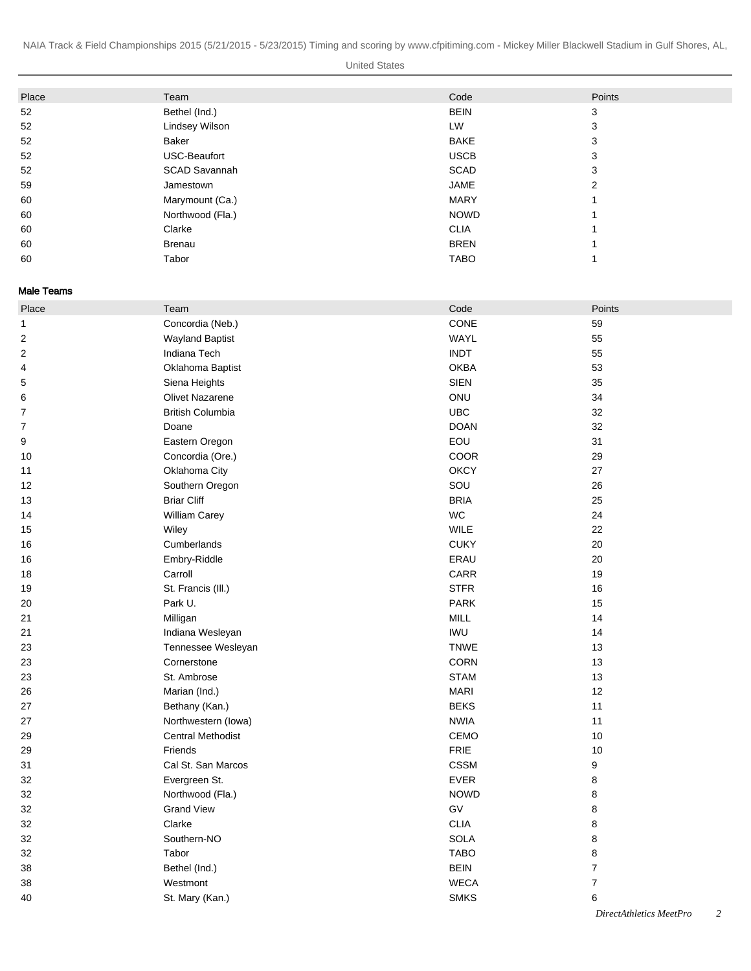United States

| Place | Team                 | Code        | Points |
|-------|----------------------|-------------|--------|
| 52    | Bethel (Ind.)        | <b>BEIN</b> | 3      |
| 52    | Lindsey Wilson       | LW          | 3      |
| 52    | Baker                | <b>BAKE</b> | 3      |
| 52    | USC-Beaufort         | <b>USCB</b> | 3      |
| 52    | <b>SCAD Savannah</b> | <b>SCAD</b> | 3      |
| 59    | Jamestown            | JAME        | 2      |
| 60    | Marymount (Ca.)      | <b>MARY</b> |        |
| 60    | Northwood (Fla.)     | <b>NOWD</b> |        |
| 60    | Clarke               | <b>CLIA</b> |        |
| 60    | Brenau               | <b>BREN</b> |        |
| 60    | Tabor                | <b>TABO</b> |        |

Male Teams

| Place        | Team                     | Code        | Points                                                 |
|--------------|--------------------------|-------------|--------------------------------------------------------|
| $\mathbf{1}$ | Concordia (Neb.)         | CONE        | 59                                                     |
| 2            | <b>Wayland Baptist</b>   | WAYL        | 55                                                     |
| 2            | Indiana Tech             | <b>INDT</b> | 55                                                     |
| 4            | Oklahoma Baptist         | <b>OKBA</b> | 53                                                     |
| 5            | Siena Heights            | <b>SIEN</b> | 35                                                     |
| 6            | Olivet Nazarene          | ONU         | 34                                                     |
| 7            | <b>British Columbia</b>  | <b>UBC</b>  | 32                                                     |
| 7            | Doane                    | <b>DOAN</b> | 32                                                     |
| 9            | Eastern Oregon           | EOU         | 31                                                     |
| 10           | Concordia (Ore.)         | COOR        | 29                                                     |
| 11           | Oklahoma City            | <b>OKCY</b> | 27                                                     |
| 12           | Southern Oregon          | SOU         | 26                                                     |
| 13           | <b>Briar Cliff</b>       | <b>BRIA</b> | 25                                                     |
| 14           | <b>William Carey</b>     | <b>WC</b>   | 24                                                     |
| 15           | Wiley                    | WILE        | 22                                                     |
| 16           | Cumberlands              | <b>CUKY</b> | 20                                                     |
| 16           | Embry-Riddle             | ERAU        | 20                                                     |
| 18           | Carroll                  | <b>CARR</b> | 19                                                     |
| 19           | St. Francis (III.)       | <b>STFR</b> | 16                                                     |
| 20           | Park U.                  | <b>PARK</b> | 15                                                     |
| 21           | Milligan                 | MILL        | 14                                                     |
| 21           | Indiana Wesleyan         | <b>IWU</b>  | 14                                                     |
| 23           | Tennessee Wesleyan       | <b>TNWE</b> | 13                                                     |
| 23           | Cornerstone              | <b>CORN</b> | 13                                                     |
| 23           | St. Ambrose              | <b>STAM</b> | 13                                                     |
| 26           | Marian (Ind.)            | <b>MARI</b> | 12                                                     |
| 27           | Bethany (Kan.)           | <b>BEKS</b> | 11                                                     |
| 27           | Northwestern (lowa)      | <b>NWIA</b> | 11                                                     |
| 29           | <b>Central Methodist</b> | CEMO        | 10                                                     |
| 29           | Friends                  | <b>FRIE</b> | 10                                                     |
| 31           | Cal St. San Marcos       | <b>CSSM</b> | 9                                                      |
| 32           | Evergreen St.            | EVER        | 8                                                      |
| 32           | Northwood (Fla.)         | <b>NOWD</b> | 8                                                      |
| 32           | <b>Grand View</b>        | GV          | 8                                                      |
| 32           | Clarke                   | <b>CLIA</b> | 8                                                      |
| 32           | Southern-NO              | <b>SOLA</b> | 8                                                      |
| 32           | Tabor                    | <b>TABO</b> | 8                                                      |
| 38           | Bethel (Ind.)            | <b>BEIN</b> | $\overline{7}$                                         |
| 38           | Westmont                 | <b>WECA</b> | $\boldsymbol{7}$                                       |
| 40           | St. Mary (Kan.)          | <b>SMKS</b> | 6                                                      |
|              |                          |             | $1.4.11 \tcdot 1.1.11 \tcdot 1.1.11$<br>$\mathbf{r}$ . |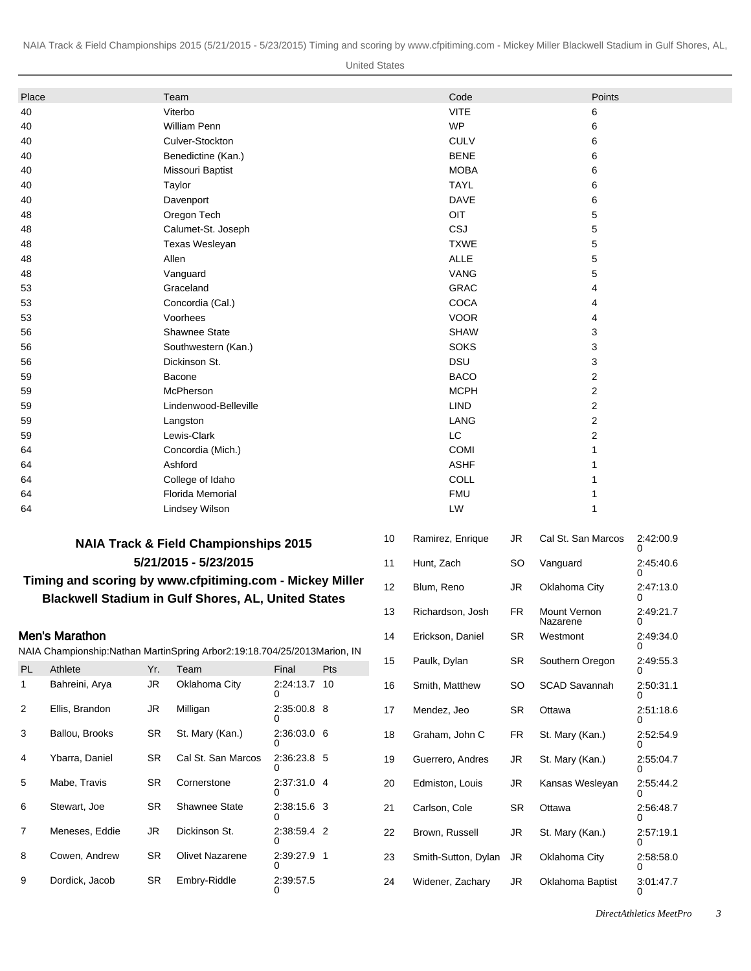United States

| Place              |                           |                               | Team                                                                          |                       |     |    | Code                              |           | Points                   |                |  |
|--------------------|---------------------------|-------------------------------|-------------------------------------------------------------------------------|-----------------------|-----|----|-----------------------------------|-----------|--------------------------|----------------|--|
| 40                 |                           |                               | Viterbo                                                                       |                       |     |    | <b>VITE</b>                       |           | 6                        |                |  |
| 40                 |                           |                               | <b>William Penn</b>                                                           |                       |     |    | <b>WP</b>                         |           | 6                        |                |  |
| 40                 |                           |                               | Culver-Stockton                                                               |                       |     |    | <b>CULV</b>                       |           | 6                        |                |  |
| 40                 |                           |                               | Benedictine (Kan.)                                                            |                       |     |    | <b>BENE</b>                       |           | 6                        |                |  |
| 40                 |                           |                               | Missouri Baptist                                                              |                       |     |    | <b>MOBA</b>                       |           | 6                        |                |  |
| 40                 |                           |                               | Taylor                                                                        |                       |     |    | <b>TAYL</b>                       |           | 6                        |                |  |
| 40                 |                           |                               | Davenport                                                                     |                       |     |    | <b>DAVE</b>                       |           | 6                        |                |  |
| 48                 |                           |                               | Oregon Tech                                                                   |                       |     |    | OIT                               |           | 5                        |                |  |
| 48                 |                           |                               | Calumet-St. Joseph                                                            |                       |     |    | CSJ                               |           | 5                        |                |  |
| 48                 |                           |                               | Texas Wesleyan                                                                |                       |     |    | <b>TXWE</b>                       |           | 5                        |                |  |
| 48                 |                           |                               | Allen                                                                         |                       |     |    | <b>ALLE</b>                       |           | 5                        |                |  |
| 48                 |                           |                               | Vanguard                                                                      |                       |     |    | <b>VANG</b>                       |           | 5                        |                |  |
| 53                 |                           |                               | Graceland                                                                     |                       |     |    | <b>GRAC</b>                       |           | 4                        |                |  |
| 53                 |                           |                               | Concordia (Cal.)                                                              |                       |     |    | <b>COCA</b>                       |           | 4                        |                |  |
| 53                 |                           |                               | Voorhees                                                                      |                       |     |    | <b>VOOR</b>                       |           | 4                        |                |  |
| 56                 |                           |                               | Shawnee State                                                                 |                       |     |    | <b>SHAW</b>                       |           | 3                        |                |  |
| 56                 |                           |                               | Southwestern (Kan.)                                                           |                       |     |    | <b>SOKS</b>                       |           | 3                        |                |  |
| 56                 |                           |                               | Dickinson St.                                                                 |                       |     |    | <b>DSU</b>                        |           | 3                        |                |  |
| 59                 |                           |                               | Bacone                                                                        |                       |     |    | <b>BACO</b>                       |           | 2                        |                |  |
| 59                 |                           |                               | McPherson                                                                     |                       |     |    | <b>MCPH</b>                       |           | 2                        |                |  |
| 59                 |                           |                               | Lindenwood-Belleville                                                         |                       |     |    | <b>LIND</b>                       |           | 2                        |                |  |
| 59                 |                           |                               | Langston<br>Lewis-Clark                                                       |                       |     |    | LANG<br>2<br>LC<br>$\overline{2}$ |           |                          |                |  |
| 59<br>64           |                           |                               | Concordia (Mich.)                                                             |                       |     |    | <b>COMI</b><br>1                  |           |                          |                |  |
| 64                 |                           |                               | Ashford                                                                       |                       |     |    | <b>ASHF</b><br>1                  |           |                          |                |  |
| 64                 |                           |                               | College of Idaho                                                              |                       |     |    | COLL<br>1                         |           |                          |                |  |
| 64                 |                           |                               | Florida Memorial                                                              |                       |     |    | <b>FMU</b>                        |           |                          | 1              |  |
| 64                 |                           |                               | <b>Lindsey Wilson</b>                                                         |                       |     |    | LW                                |           | 1                        |                |  |
|                    |                           |                               |                                                                               |                       |     |    |                                   |           |                          |                |  |
|                    |                           |                               | <b>NAIA Track &amp; Field Championships 2015</b>                              |                       |     | 10 | Ramirez, Enrique                  | JR        | Cal St. San Marcos       | 2:42:00.9<br>0 |  |
|                    |                           |                               | 5/21/2015 - 5/23/2015                                                         |                       |     | 11 | Hunt, Zach                        | SO        | Vanguard                 | 2:45:40.6      |  |
|                    |                           |                               | Timing and scoring by www.cfpitiming.com - Mickey Miller                      |                       |     | 12 | Blum, Reno                        | JR        | Oklahoma City            | 0<br>2:47:13.0 |  |
|                    |                           |                               | <b>Blackwell Stadium in Gulf Shores, AL, United States</b>                    |                       |     |    |                                   |           |                          | $\Omega$       |  |
|                    |                           |                               |                                                                               |                       |     | 13 | Richardson, Josh                  | FR        | Mount Vernon<br>Nazarene | 2:49:21.7<br>0 |  |
|                    | Men's Marathon            |                               | NAIA Championship: Nathan Martin Spring Arbor 2:19:18.70 4/25/2013 Marion, IN |                       |     | 14 | Erickson, Daniel                  | <b>SR</b> | Westmont                 | 2:49:34.0<br>U |  |
|                    |                           |                               |                                                                               |                       |     | 15 | Paulk, Dylan                      | <b>SR</b> | Southern Oregon          | 2:49:55.3      |  |
| PL<br>$\mathbf{1}$ | Athlete<br>Bahreini, Arya | Yr.<br>$\mathsf{J}\mathsf{R}$ | Team<br>Oklahoma City                                                         | Final<br>2:24:13.7 10 | Pts | 16 | Smith, Matthew                    | <b>SO</b> | SCAD Savannah            | 0<br>2:50:31.1 |  |
| 2                  | Ellis, Brandon            | JR                            | Milligan                                                                      | 2:35:00.8 8           |     | 17 | Mendez, Jeo                       | <b>SR</b> | Ottawa                   | 0<br>2:51:18.6 |  |
| 3                  | Ballou, Brooks            | <b>SR</b>                     | St. Mary (Kan.)                                                               | 0<br>2:36:03.0 6      |     |    |                                   | <b>FR</b> | St. Mary (Kan.)          | ŋ<br>2:52:54.9 |  |
|                    |                           |                               |                                                                               |                       |     | 18 | Graham, John C                    |           |                          | 0              |  |
| 4                  | Ybarra, Daniel            | SR                            | Cal St. San Marcos                                                            | 2:36:23.8 5           |     | 19 | Guerrero, Andres                  | JR        | St. Mary (Kan.)          | 2:55:04.7      |  |
| 5                  | Mabe, Travis              | <b>SR</b>                     | Cornerstone                                                                   | 2:37:31.0 4<br>0      |     | 20 | Edmiston, Louis                   | JR        | Kansas Wesleyan          | 2:55:44.2<br>0 |  |
| 6                  | Stewart, Joe              | <b>SR</b>                     | Shawnee State                                                                 | 2:38:15.6 3           |     | 21 | Carlson, Cole                     | <b>SR</b> | Ottawa                   | 2:56:48.7<br>0 |  |
| $\overline{7}$     | Meneses, Eddie            | <b>JR</b>                     | Dickinson St.                                                                 | 2:38:59.4 2           |     | 22 | Brown, Russell                    | <b>JR</b> | St. Mary (Kan.)          | 2:57:19.1<br>0 |  |
| 8                  | Cowen, Andrew             | <b>SR</b>                     | Olivet Nazarene                                                               | 2:39:27.9 1<br>0      |     | 23 | Smith-Sutton, Dylan               | JR        | Oklahoma City            | 2:58:58.0<br>0 |  |

 $2:39:57.5$ 

9 Dordick, Jacob SR Embry-Riddle

 $3:01:47.7$ 

24 Widener, Zachary JR Oklahoma Baptist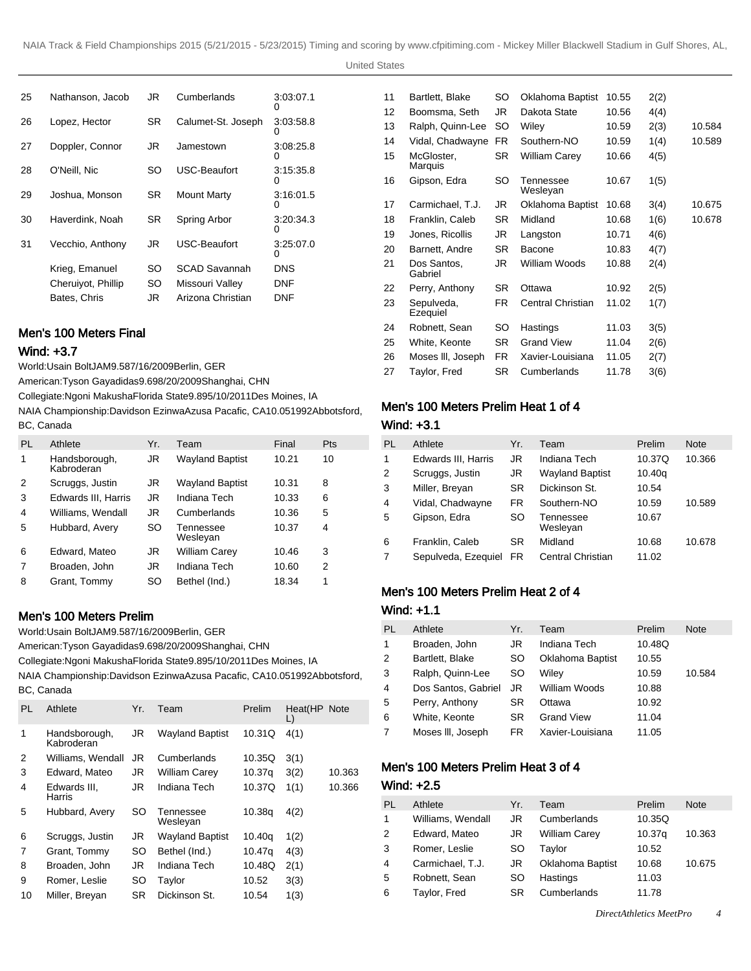| 25 | Nathanson, Jacob   | JR. | Cumberlands          | 3:03:07.1      |
|----|--------------------|-----|----------------------|----------------|
| 26 | Lopez, Hector      | SR  | Calumet-St. Joseph   | 3:03:58.8      |
| 27 | Doppler, Connor    | JR  | Jamestown            | 3:08:25.8      |
| 28 | O'Neill, Nic       | SO  | USC-Beaufort         | 3:15:35.8      |
| 29 | Joshua, Monson     | SR  | <b>Mount Marty</b>   | 3:16:01.5      |
| 30 | Haverdink. Noah    | SR. | Spring Arbor         | 3.20.34.3<br>O |
| 31 | Vecchio, Anthony   | JR  | USC-Beaufort         | 3.25.07.0<br>0 |
|    | Krieg, Emanuel     | SO  | <b>SCAD Savannah</b> | DNS            |
|    | Cheruiyot, Phillip | SO  | Missouri Valley      | DNF            |
|    | Bates, Chris       | JR  | Arizona Christian    | DNF            |
|    |                    |     |                      |                |

### Men's 100 Meters Final

### Wind: +3.7

World: Usain Bolt JAM 9.58 7/16/2009 Berlin, GER

American: Tyson Gay adidas 9.69 8/20/2009 Shanghai, CHN

Collegiate: Ngoni Makusha Florida State 9.89 5/10/2011 Des Moines, IA

NAIA Championship: Davidson Ezinwa Azusa Pacafic, CA 10.05 1992Abbotsford, BC, Canada

| PL | Athlete                     | Yr. | Team                   | Final | <b>Pts</b> |
|----|-----------------------------|-----|------------------------|-------|------------|
| 1  | Handsborough,<br>Kabroderan | JR. | <b>Wayland Baptist</b> | 10.21 | 10         |
| 2  | Scruggs, Justin             | JR. | <b>Wayland Baptist</b> | 10.31 | 8          |
| 3  | Edwards III, Harris         | JR. | Indiana Tech           | 10.33 | 6          |
| 4  | Williams, Wendall           | JR. | Cumberlands            | 10.36 | 5          |
| 5  | Hubbard, Avery              | SO  | Tennessee<br>Wesleyan  | 10.37 | 4          |
| 6  | Edward, Mateo               | JR  | William Carey          | 10.46 | 3          |
| 7  | Broaden, John               | JR. | Indiana Tech           | 10.60 | 2          |
| 8  | Grant, Tommy                | SO  | Bethel (Ind.)          | 18.34 | 1          |

### Men's 100 Meters Prelim

World: Usain Bolt JAM 9.58 7/16/2009 Berlin, GER

American: Tyson Gay adidas 9.69 8/20/2009 Shanghai, CHN

Collegiate: Ngoni Makusha Florida State 9.89 5/10/2011 Des Moines, IA

NAIA Championship: Davidson Ezinwa Azusa Pacafic, CA 10.05 1992Abbotsford, BC, Canada

| PL | Athlete                     | Yr.       | Team                   | Prelim | Heat(HP Note<br>L) |        |
|----|-----------------------------|-----------|------------------------|--------|--------------------|--------|
| 1  | Handsborough,<br>Kabroderan | JR        | <b>Wayland Baptist</b> | 10.31Q | 4(1)               |        |
| 2  | Williams, Wendall           | JR        | Cumberlands            | 10.35Q | 3(1)               |        |
| 3  | Edward, Mateo               | JR.       | William Carey          | 10.37g | 3(2)               | 10.363 |
| 4  | Edwards III.<br>Harris      | JR.       | Indiana Tech           | 10.37Q | 1(1)               | 10.366 |
| 5  | Hubbard, Avery              | SO        | Tennessee<br>Wesleyan  | 10.38g | 4(2)               |        |
| 6  | Scruggs, Justin             | JR.       | <b>Wayland Baptist</b> | 10.40g | 1(2)               |        |
| 7  | Grant, Tommy                | <b>SO</b> | Bethel (Ind.)          | 10.47g | 4(3)               |        |
| 8  | Broaden, John               | JR.       | Indiana Tech           | 10.48Q | 2(1)               |        |
| 9  | Romer, Leslie               | <b>SO</b> | Taylor                 | 10.52  | 3(3)               |        |
| 10 | Miller, Breyan              | <b>SR</b> | Dickinson St.          | 10.54  | 1(3)               |        |

| 11 | Bartlett, Blake        | SO        | Oklahoma Baptist      | 10.55 | 2(2) |        |
|----|------------------------|-----------|-----------------------|-------|------|--------|
| 12 | Boomsma, Seth          | JR        | Dakota State          | 10.56 | 4(4) |        |
| 13 | Ralph, Quinn-Lee       | SO        | Wiley                 | 10.59 | 2(3) | 10.584 |
| 14 | Vidal, Chadwayne       | FR.       | Southern-NO           | 10.59 | 1(4) | 10.589 |
| 15 | McGloster,<br>Marquis  | SR.       | William Carey         | 10.66 | 4(5) |        |
| 16 | Gipson, Edra           | SO        | Tennessee<br>Wesleyan | 10.67 | 1(5) |        |
| 17 | Carmichael, T.J.       | JR        | Oklahoma Baptist      | 10.68 | 3(4) | 10.675 |
| 18 | Franklin, Caleb        | SR.       | Midland               | 10.68 | 1(6) | 10.678 |
| 19 | Jones, Ricollis        | JR        | Langston              | 10.71 | 4(6) |        |
| 20 | Barnett, Andre         | SR.       | Bacone                | 10.83 | 4(7) |        |
| 21 | Dos Santos,<br>Gabriel | JR        | William Woods         | 10.88 | 2(4) |        |
| 22 | Perry, Anthony         | SR.       | Ottawa                | 10.92 | 2(5) |        |
| 23 | Sepulveda,<br>Ezequiel | FR.       | Central Christian     | 11.02 | 1(7) |        |
| 24 | Robnett, Sean          | SO        | Hastings              | 11.03 | 3(5) |        |
| 25 | White, Keonte          | SR.       | Grand View            | 11.04 | 2(6) |        |
| 26 | Moses III, Joseph      | <b>FR</b> | Xavier-Louisiana      | 11.05 | 2(7) |        |
| 27 | Taylor, Fred           | SR        | Cumberlands           | 11.78 | 3(6) |        |
|    |                        |           |                       |       |      |        |

# Men's 100 Meters Prelim Heat 1 of 4

#### Wind: +3.1

| PL | Athlete             | Yr.       | Team                   | Prelim | <b>Note</b> |
|----|---------------------|-----------|------------------------|--------|-------------|
| 1  | Edwards III, Harris | JR        | Indiana Tech           | 10.37Q | 10.366      |
| 2  | Scruggs, Justin     | JR        | <b>Wayland Baptist</b> | 10.40q |             |
| 3  | Miller, Breyan      | <b>SR</b> | Dickinson St.          | 10.54  |             |
| 4  | Vidal, Chadwayne    | FR.       | Southern-NO            | 10.59  | 10.589      |
| 5  | Gipson, Edra        | SO        | Tennessee<br>Wesleyan  | 10.67  |             |
| 6  | Franklin, Caleb     | <b>SR</b> | Midland                | 10.68  | 10.678      |
| 7  | Sepulveda, Ezequiel | FR.       | Central Christian      | 11.02  |             |

#### Men's 100 Meters Prelim Heat 2 of 4

#### Wind: +1.1

| PL             | Athlete             | Yr. | Team              | Prelim | <b>Note</b> |
|----------------|---------------------|-----|-------------------|--------|-------------|
| $\mathbf{1}$   | Broaden, John       | JR  | Indiana Tech      | 10.48Q |             |
| 2              | Bartlett, Blake     | SO. | Oklahoma Baptist  | 10.55  |             |
| 3              | Ralph, Quinn-Lee    | SO. | Wiley             | 10.59  | 10.584      |
| $\overline{4}$ | Dos Santos, Gabriel | JR  | William Woods     | 10.88  |             |
| 5              | Perry, Anthony      | SR  | Ottawa            | 10.92  |             |
| 6              | White, Keonte       | SR. | <b>Grand View</b> | 11.04  |             |
| 7              | Moses III, Joseph   | FR  | Xavier-Louisiana  | 11.05  |             |

# Men's 100 Meters Prelim Heat 3 of 4 Wind: +2.5

| PL             | Athlete           | Yr. | Team                 | Prelim | <b>Note</b> |
|----------------|-------------------|-----|----------------------|--------|-------------|
| 1              | Williams, Wendall | JR  | Cumberlands          | 10.35Q |             |
| 2              | Edward, Mateo     | JR  | <b>William Carey</b> | 10.37g | 10.363      |
| 3              | Romer, Leslie     | SO. | Taylor               | 10.52  |             |
| $\overline{4}$ | Carmichael, T.J.  | JR  | Oklahoma Baptist     | 10.68  | 10.675      |
| 5              | Robnett, Sean     | SO  | Hastings             | 11.03  |             |
| 6              | Taylor, Fred      | SR  | Cumberlands          | 11.78  |             |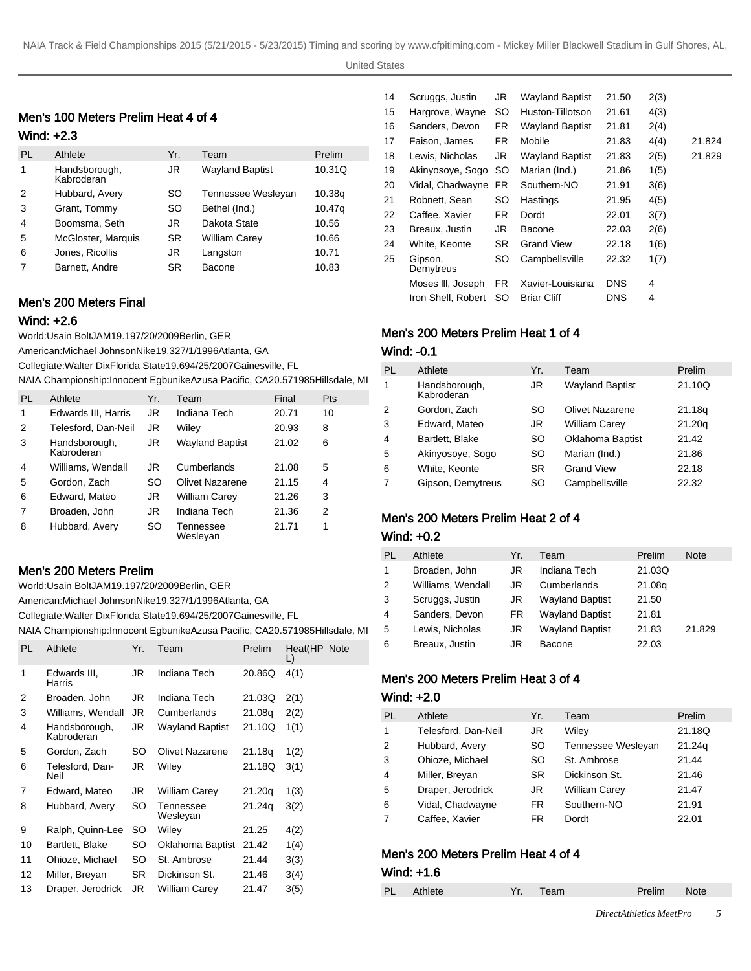United States

# Men's 100 Meters Prelim Heat 4 of 4

### Wind: +2.3

| PL | Athlete                     | Yr.       | Team                   | Prelim |
|----|-----------------------------|-----------|------------------------|--------|
| 1  | Handsborough,<br>Kabroderan | JR        | <b>Wayland Baptist</b> | 10.31Q |
| 2  | Hubbard, Avery              | SO.       | Tennessee Wesleyan     | 10.38g |
| 3  | Grant, Tommy                | <b>SO</b> | Bethel (Ind.)          | 10.47g |
| 4  | Boomsma, Seth               | JR        | Dakota State           | 10.56  |
| 5  | McGloster, Marquis          | <b>SR</b> | <b>William Carey</b>   | 10.66  |
| 6  | Jones, Ricollis             | JR        | Langston               | 10.71  |
| 7  | Barnett, Andre              | SR        | Bacone                 | 10.83  |

# Men's 200 Meters Final

#### Wind: +2.6

World: Usain Bolt JAM 19.19 7/20/2009 Berlin, GER

American: Michael Johnson Nike 19.32 7/1/1996 Atlanta, GA

Collegiate: Walter Dix Florida State 19.69 4/25/2007 Gainesville, FL

|  | NAIA Championship: Innocent Egbunike Azusa Pacific, CA 20.57 1985Hillsdale, MI |  |  |
|--|--------------------------------------------------------------------------------|--|--|
|  |                                                                                |  |  |

| PL             | Athlete                     | Yr. | Team                   | Final | Pts |
|----------------|-----------------------------|-----|------------------------|-------|-----|
| 1              | Edwards III, Harris         | JR. | Indiana Tech           | 20.71 | 10  |
| 2              | Telesford, Dan-Neil         | JR  | Wiley                  | 20.93 | 8   |
| 3              | Handsborough,<br>Kabroderan | JR  | <b>Wayland Baptist</b> | 21.02 | 6   |
| $\overline{4}$ | Williams, Wendall           | JR  | Cumberlands            | 21.08 | 5   |
| 5              | Gordon, Zach                | SO  | Olivet Nazarene        | 21.15 | 4   |
| 6              | Edward, Mateo               | JR  | William Carey          | 21.26 | 3   |
| 7              | Broaden, John               | JR  | Indiana Tech           | 21.36 | 2   |
| 8              | Hubbard, Avery              | SO  | Tennessee<br>Wesleyan  | 21.71 | 1   |

### Men's 200 Meters Prelim

World: Usain Bolt JAM 19.19 7/20/2009 Berlin, GER

American: Michael Johnson Nike 19.32 7/1/1996 Atlanta, GA

Collegiate: Walter Dix Florida State 19.69 4/25/2007 Gainesville, FL

NAIA Championship: Innocent Egbunike Azusa Pacific, CA 20.57 1985Hillsdale, MI

| PL. | Athlete                     | Yr. | Team                  | Prelim | Heat(HP Note<br>L) |
|-----|-----------------------------|-----|-----------------------|--------|--------------------|
| 1   | Edwards III,<br>Harris      | JR. | Indiana Tech          | 20.86Q | 4(1)               |
| 2   | Broaden, John               | JR  | Indiana Tech          | 21.03Q | 2(1)               |
| 3   | Williams, Wendall           | JR. | Cumberlands           | 21.08g | 2(2)               |
| 4   | Handsborough,<br>Kabroderan | JR  | Wayland Baptist       | 21.10Q | 1(1)               |
| 5   | Gordon, Zach                | SO  | Olivet Nazarene       | 21.18g | 1(2)               |
| 6   | Telesford, Dan-<br>Neil     | JR. | Wiley                 | 21.18Q | 3(1)               |
| 7   | Edward, Mateo               | JR  | William Carey         | 21.20q | 1(3)               |
| 8   | Hubbard, Avery              | SO  | Tennessee<br>Wesleyan | 21.24q | 3(2)               |
| 9   | Ralph, Quinn-Lee            | SO  | Wiley                 | 21.25  | 4(2)               |
| 10  | Bartlett, Blake             | SO  | Oklahoma Baptist      | 21.42  | 1(4)               |
| 11  | Ohioze, Michael             | SO. | St. Ambrose           | 21.44  | 3(3)               |
| 12  | Miller, Breyan              | SR  | Dickinson St.         | 21.46  | 3(4)               |
| 13  | Draper, Jerodrick           | JR. | William Carey         | 21.47  | 3(5)               |
|     |                             |     |                       |        |                    |

| 14 | Scruggs, Justin      | JR        | <b>Wayland Baptist</b> | 21.50      | 2(3) |        |
|----|----------------------|-----------|------------------------|------------|------|--------|
| 15 | Hargrove, Wayne      | SO        | Huston-Tillotson       | 21.61      | 4(3) |        |
| 16 | Sanders, Devon       | FR.       | <b>Wayland Baptist</b> | 21.81      | 2(4) |        |
| 17 | Faison, James        | FR.       | Mobile                 | 21.83      | 4(4) | 21.824 |
| 18 | Lewis, Nicholas      | JR        | <b>Wayland Baptist</b> | 21.83      | 2(5) | 21.829 |
| 19 | Akinyosove, Sogo     | SO.       | Marian (Ind.)          | 21.86      | 1(5) |        |
| 20 | Vidal, Chadwayne     | FR.       | Southern-NO            | 21.91      | 3(6) |        |
| 21 | Robnett, Sean        | SO        | Hastings               | 21.95      | 4(5) |        |
| 22 | Caffee. Xavier       | FR.       | Dordt                  | 22.01      | 3(7) |        |
| 23 | Breaux, Justin       | JR        | Bacone                 | 22.03      | 2(6) |        |
| 24 | White, Keonte        | <b>SR</b> | <b>Grand View</b>      | 22.18      | 1(6) |        |
| 25 | Gipson,<br>Demytreus | SO        | Campbellsville         | 22.32      | 1(7) |        |
|    | Moses III, Joseph    | <b>FR</b> | Xavier-Louisiana       | <b>DNS</b> | 4    |        |
|    | Iron Shell. Robert   | SO        | <b>Briar Cliff</b>     | DNS        | 4    |        |
|    |                      |           |                        |            |      |        |

## Men's 200 Meters Prelim Heat 1 of 4

### Wind: -0.1

| PL | Athlete                     | Yr.       | Team                   | Prelim |
|----|-----------------------------|-----------|------------------------|--------|
| 1  | Handsborough,<br>Kabroderan | JR.       | <b>Wayland Baptist</b> | 21.10Q |
| 2  | Gordon, Zach                | SO        | Olivet Nazarene        | 21.18g |
| 3  | Edward, Mateo               | JR.       | <b>William Carey</b>   | 21.20q |
| 4  | Bartlett, Blake             | SO        | Oklahoma Baptist       | 21.42  |
| 5  | Akinyosove, Sogo            | SO        | Marian (Ind.)          | 21.86  |
| 6  | White, Keonte               | <b>SR</b> | <b>Grand View</b>      | 22.18  |
| 7  | Gipson, Demytreus           | SO        | Campbellsville         | 22.32  |

### Men's 200 Meters Prelim Heat 2 of 4

#### Wind: +0.2

| PL | Athlete           | Yr. | Team                   | Prelim | <b>Note</b> |
|----|-------------------|-----|------------------------|--------|-------------|
| 1  | Broaden, John     | JR  | Indiana Tech           | 21.03Q |             |
| 2  | Williams, Wendall | JR  | Cumberlands            | 21.08g |             |
| 3  | Scruggs, Justin   | JR  | <b>Wayland Baptist</b> | 21.50  |             |
| 4  | Sanders, Devon    | FR. | <b>Wayland Baptist</b> | 21.81  |             |
| 5  | Lewis, Nicholas   | JR  | <b>Wayland Baptist</b> | 21.83  | 21.829      |
| 6  | Breaux, Justin    | JR  | Bacone                 | 22.03  |             |

### Men's 200 Meters Prelim Heat 3 of 4

#### Wind: +2.0

| PL | Athlete             | Yr.       | Team                 | Prelim |
|----|---------------------|-----------|----------------------|--------|
| 1  | Telesford, Dan-Neil | JR        | Wilev                | 21.18Q |
| 2  | Hubbard, Avery      | SO.       | Tennessee Wesleyan   | 21.24g |
| 3  | Ohioze, Michael     | SO        | St. Ambrose          | 21.44  |
| 4  | Miller, Breyan      | <b>SR</b> | Dickinson St.        | 21.46  |
| 5  | Draper, Jerodrick   | JR        | <b>William Carey</b> | 21.47  |
| 6  | Vidal, Chadwayne    | FR.       | Southern-NO          | 21.91  |
|    | Caffee, Xavier      | FR        | Dordt                | 22.01  |

# Men's 200 Meters Prelim Heat 4 of 4

### Wind: +1.6

| PL Athlete | Yr. Team | Prelim Note |  |
|------------|----------|-------------|--|
|            |          |             |  |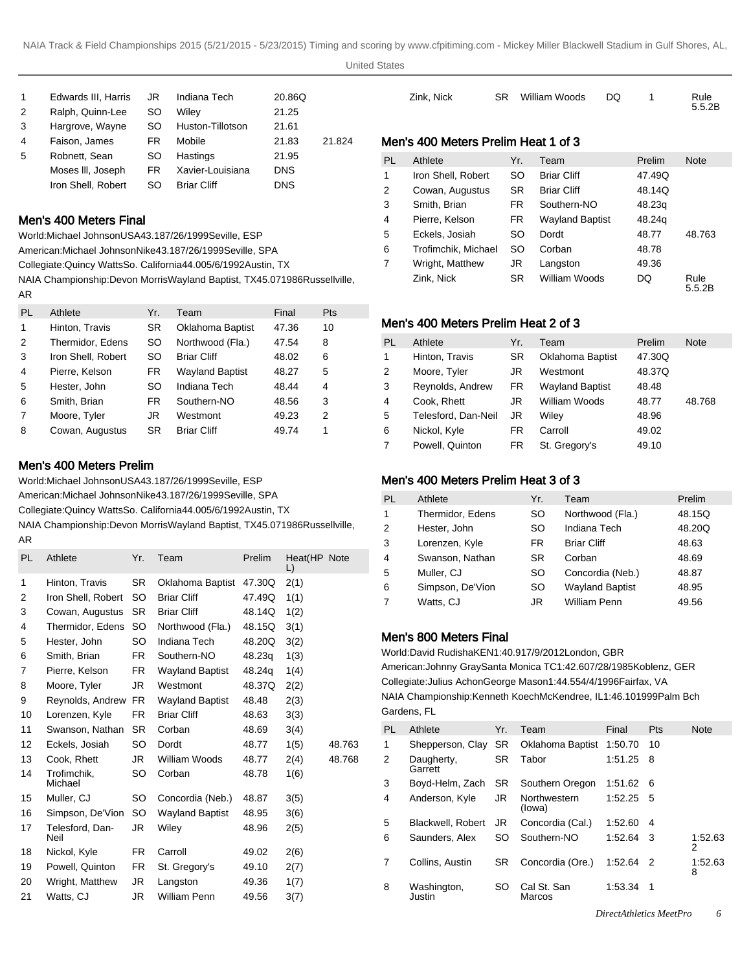| 1 | Edwards III, Harris | JR | Indiana Tech       | 20.86Q     |        |
|---|---------------------|----|--------------------|------------|--------|
| 2 | Ralph, Quinn-Lee    | SO | Wilev              | 21.25      |        |
| 3 | Hargrove, Wayne     | SO | Huston-Tillotson   | 21.61      |        |
| 4 | Faison, James       | FR | Mobile             | 21.83      | 21.824 |
| 5 | Robnett, Sean       | SO | Hastings           | 21.95      |        |
|   | Moses III, Joseph   | FR | Xavier-Louisiana   | <b>DNS</b> |        |
|   | Iron Shell, Robert  | SO | <b>Briar Cliff</b> | <b>DNS</b> |        |
|   |                     |    |                    |            |        |

#### Men's 400 Meters Final

World: Michael Johnson USA 43.18 7/26/1999 Seville, ESP

American: Michael Johnson Nike 43.18 7/26/1999 Seville, SPA

Collegiate: Quincy Watts So. California 44.00 5/6/1992 Austin, TX

NAIA Championship: Devon Morris Wayland Baptist, TX 45.07 1986Russellville, AR

| PL | Athlete            | Yr.       | Team                   | Final | Pts |
|----|--------------------|-----------|------------------------|-------|-----|
| 1  | Hinton, Travis     | <b>SR</b> | Oklahoma Baptist       | 47.36 | 10  |
| 2  | Thermidor, Edens   | SO        | Northwood (Fla.)       | 47.54 | 8   |
| 3  | Iron Shell, Robert | SO        | <b>Briar Cliff</b>     | 48.02 | 6   |
| 4  | Pierre, Kelson     | FR        | <b>Wayland Baptist</b> | 48.27 | 5   |
| 5  | Hester, John       | <b>SO</b> | Indiana Tech           | 48.44 | 4   |
| 6  | Smith, Brian       | <b>FR</b> | Southern-NO            | 48.56 | 3   |
| 7  | Moore, Tyler       | JR        | Westmont               | 49.23 | 2   |
| 8  | Cowan, Augustus    | SR        | <b>Briar Cliff</b>     | 49.74 | 1   |

#### Men's 400 Meters Prelim

World: Michael Johnson USA 43.18 7/26/1999 Seville, ESP

American: Michael Johnson Nike 43.18 7/26/1999 Seville, SPA

Collegiate: Quincy Watts So. California 44.00 5/6/1992 Austin, TX

NAIA Championship: Devon Morris Wayland Baptist, TX 45.07 1986Russellville, AR

| <b>PL</b> | Athlete                 | Yr.       | Team                   | Prelim | Heat(HP Note<br>L) |        |
|-----------|-------------------------|-----------|------------------------|--------|--------------------|--------|
| 1         | Hinton, Travis          | SR.       | Oklahoma Baptist       | 47.30Q | 2(1)               |        |
| 2         | Iron Shell, Robert      | SO        | <b>Briar Cliff</b>     | 47.49Q | 1(1)               |        |
| 3         | Cowan, Augustus         | <b>SR</b> | <b>Briar Cliff</b>     | 48.14Q | 1(2)               |        |
| 4         | Thermidor, Edens        | SO.       | Northwood (Fla.)       | 48.15Q | 3(1)               |        |
| 5         | Hester, John            | SO.       | Indiana Tech           | 48.20Q | 3(2)               |        |
| 6         | Smith, Brian            | FR.       | Southern-NO            | 48.23q | 1(3)               |        |
| 7         | Pierre, Kelson          | FR.       | <b>Wayland Baptist</b> | 48.24g | 1(4)               |        |
| 8         | Moore, Tyler            | JR        | Westmont               | 48.37Q | 2(2)               |        |
| 9         | Reynolds, Andrew        | <b>FR</b> | <b>Wayland Baptist</b> | 48.48  | 2(3)               |        |
| 10        | Lorenzen, Kyle          | FR.       | <b>Briar Cliff</b>     | 48.63  | 3(3)               |        |
| 11        | Swanson, Nathan         | <b>SR</b> | Corban                 | 48.69  | 3(4)               |        |
| 12        | Eckels, Josiah          | <b>SO</b> | Dordt                  | 48.77  | 1(5)               | 48.763 |
| 13        | Cook. Rhett             | JR        | William Woods          | 48.77  | 2(4)               | 48.768 |
| 14        | Trofimchik,<br>Michael  | SO        | Corban                 | 48.78  | 1(6)               |        |
| 15        | Muller, CJ              | SO        | Concordia (Neb.)       | 48.87  | 3(5)               |        |
| 16        | Simpson, De'Vion        | SO        | <b>Wayland Baptist</b> | 48.95  | 3(6)               |        |
| 17        | Telesford, Dan-<br>Neil | JR        | Wiley                  | 48.96  | 2(5)               |        |
| 18        | Nickol, Kyle            | FR.       | Carroll                | 49.02  | 2(6)               |        |
| 19        | Powell, Quinton         | FR.       | St. Gregory's          | 49.10  | 2(7)               |        |
| 20        | Wright, Matthew         | JR        | Langston               | 49.36  | 1(7)               |        |
| 21        | Watts, CJ               | JR        | William Penn           | 49.56  | 3(7)               |        |
|           |                         |           |                        |        |                    |        |

|           | Zink, Nick                          | <b>SR</b> | William Woods          | DQ | 1      | Rule<br>5.5.2B |
|-----------|-------------------------------------|-----------|------------------------|----|--------|----------------|
|           | Men's 400 Meters Prelim Heat 1 of 3 |           |                        |    |        |                |
| <b>PL</b> | Athlete                             | Yr.       | Team                   |    | Prelim | <b>Note</b>    |
| 1         | Iron Shell, Robert                  | <b>SO</b> | <b>Briar Cliff</b>     |    | 47.49Q |                |
| 2         | Cowan, Augustus                     | <b>SR</b> | <b>Briar Cliff</b>     |    | 48.14Q |                |
| 3         | Smith, Brian                        | FR.       | Southern-NO            |    | 48.23q |                |
| 4         | Pierre, Kelson                      | FR.       | <b>Wayland Baptist</b> |    | 48.24g |                |
| 5         | Eckels, Josiah                      | <b>SO</b> | Dordt                  |    | 48.77  | 48.763         |
| 6         | Trofimchik, Michael                 | <b>SO</b> | Corban                 |    | 48.78  |                |
| 7         | Wright, Matthew                     | JR        | Langston               |    | 49.36  |                |
|           | Zink, Nick                          | <b>SR</b> | William Woods          |    | DQ     | Rule<br>5.5.2B |

### Men's 400 Meters Prelim Heat 2 of 3

| PL | Athlete             | Yr.       | Team                   | Prelim | <b>Note</b> |
|----|---------------------|-----------|------------------------|--------|-------------|
| 1  | Hinton, Travis      | SR        | Oklahoma Baptist       | 47.30Q |             |
| 2  | Moore, Tyler        | JR        | Westmont               | 48.37Q |             |
| 3  | Reynolds, Andrew    | <b>FR</b> | <b>Wayland Baptist</b> | 48.48  |             |
| 4  | Cook, Rhett         | JR        | William Woods          | 48.77  | 48.768      |
| 5  | Telesford, Dan-Neil | JR        | Wiley                  | 48.96  |             |
| 6  | Nickol, Kyle        | FR.       | Carroll                | 49.02  |             |
| 7  | Powell, Quinton     | FR        | St. Gregory's          | 49.10  |             |

# Men's 400 Meters Prelim Heat 3 of 3

| PL | Athlete          | Yr.       | Team                   | Prelim |
|----|------------------|-----------|------------------------|--------|
| 1  | Thermidor, Edens | SO        | Northwood (Fla.)       | 48.15Q |
| 2  | Hester, John     | SO        | Indiana Tech           | 48.20Q |
| 3  | Lorenzen, Kyle   | FR.       | <b>Briar Cliff</b>     | 48.63  |
| 4  | Swanson, Nathan  | <b>SR</b> | Corban                 | 48.69  |
| 5  | Muller, CJ       | SO        | Concordia (Neb.)       | 48.87  |
| 6  | Simpson, De'Vion | SO        | <b>Wayland Baptist</b> | 48.95  |
| 7  | Watts, CJ        | JR        | <b>William Penn</b>    | 49.56  |

#### Men's 800 Meters Final

World: David Rudisha KEN 1:40.91 7/9/2012 London, GBR American: Johnny Gray Santa Monica TC 1:42.60 7/28/1985 Koblenz, GER Collegiate: Julius Achon George Mason 1:44.55 4/4/1996 Fairfax, VA NAIA Championship: Kenneth Koech McKendree, IL 1:46.10 1999Palm Bch Gardens, FL

| PL | Athlete               | Yr.       | Team                   | Final   | <b>Pts</b> | <b>Note</b>  |
|----|-----------------------|-----------|------------------------|---------|------------|--------------|
| 1  | Shepperson, Clay      | <b>SR</b> | Oklahoma Baptist       | 1:50.70 | 10         |              |
| 2  | Daugherty,<br>Garrett | <b>SR</b> | Tabor                  | 1:51.25 | 8          |              |
| 3  | Boyd-Helm, Zach       | SR.       | Southern Oregon        | 1:51.62 | 6          |              |
| 4  | Anderson, Kyle        | JR.       | Northwestern<br>(lowa) | 1:52.25 | 5          |              |
| 5  | Blackwell, Robert     | JR        | Concordia (Cal.)       | 1:52.60 | 4          |              |
| 6  | Saunders, Alex        | SO.       | Southern-NO            | 1:52.64 | 3          | 1:52.63<br>2 |
| 7  | Collins, Austin       | SR.       | Concordia (Ore.)       | 1:52.64 | - 2        | 1:52.63<br>8 |
| 8  | Washington,<br>Justin | SO        | Cal St. San<br>Marcos  | 1:53.34 | -1         |              |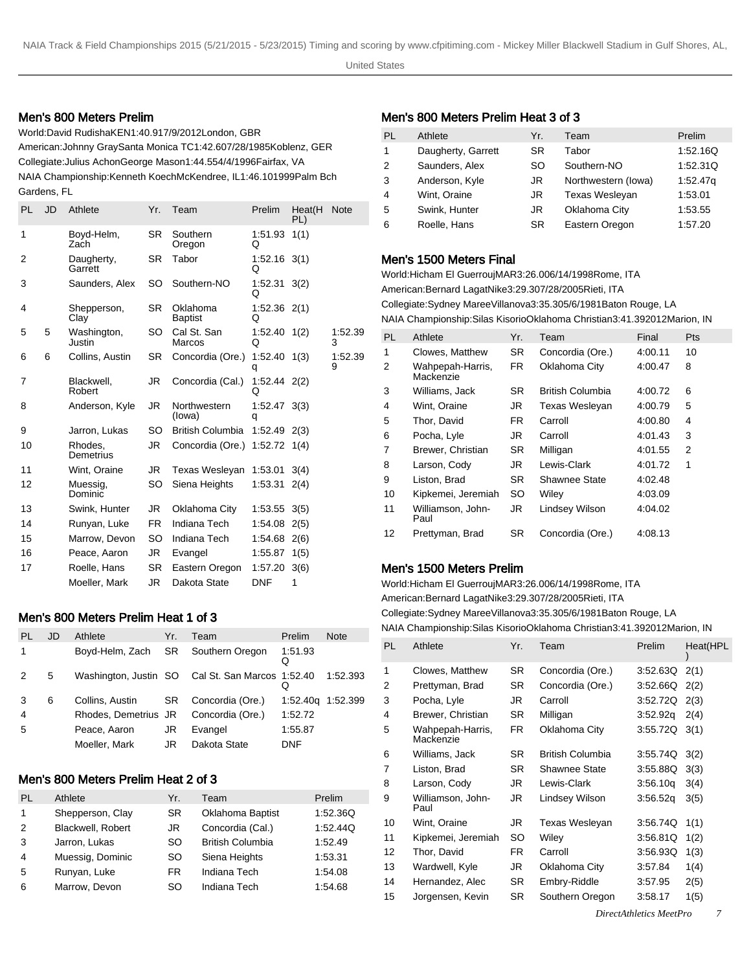#### Men's 800 Meters Prelim

World: David Rudisha KEN 1:40.91 7/9/2012 London, GBR American: Johnny Gray Santa Monica TC 1:42.60 7/28/1985 Koblenz, GER Collegiate: Julius Achon George Mason 1:44.55 4/4/1996 Fairfax, VA NAIA Championship: Kenneth Koech McKendree, IL 1:46.10 1999Palm Bch Gardens, FL

| JD | Athlete                   | Yr.       | Team                       | Prelim       | Heat(H<br>PL) | <b>Note</b>                                                                                                                            |
|----|---------------------------|-----------|----------------------------|--------------|---------------|----------------------------------------------------------------------------------------------------------------------------------------|
|    | Boyd-Helm,<br><b>Zach</b> | <b>SR</b> | Southern<br>Oregon         | 1:51.93<br>Q | 1(1)          |                                                                                                                                        |
|    | Daugherty,<br>Garrett     | SR.       | Tabor                      | Q            |               |                                                                                                                                        |
|    | Saunders, Alex            | SO.       | Southern-NO                | Q            | 3(2)          |                                                                                                                                        |
|    | Shepperson,<br>Clay       | SR.       | Oklahoma<br><b>Baptist</b> | Q            |               |                                                                                                                                        |
| 5  | Washington,<br>Justin     | SO.       | Cal St. San<br>Marcos      | Q            |               | 1:52.39<br>3                                                                                                                           |
| 6  | Collins, Austin           | SR.       | Concordia (Ore.)           | 1:52.40<br>q | 1(3)          | 1:52.39<br>9                                                                                                                           |
|    | Blackwell,<br>Robert      | JR        | Concordia (Cal.)           | Q            |               |                                                                                                                                        |
|    | Anderson, Kyle            | JR        | Northwestern<br>(lowa)     | q            |               |                                                                                                                                        |
|    | Jarron, Lukas             | SO.       | <b>British Columbia</b>    |              | 2(3)          |                                                                                                                                        |
|    | Rhodes,<br>Demetrius      | JR        | Concordia (Ore.)           |              | 1(4)          |                                                                                                                                        |
|    | Wint, Oraine              | JR        | Texas Wesleyan             |              | 3(4)          |                                                                                                                                        |
|    | Muessig,<br>Dominic       | SO        | Siena Heights              | 1:53.31      | 2(4)          |                                                                                                                                        |
|    | Swink, Hunter             | JR        | Oklahoma City              | 1:53.55      | 3(5)          |                                                                                                                                        |
|    | Runyan, Luke              | <b>FR</b> | Indiana Tech               | 1.54.08      | 2(5)          |                                                                                                                                        |
|    | Marrow, Devon             | SO        | Indiana Tech               | 1:54.68      | 2(6)          |                                                                                                                                        |
|    | Peace, Aaron              | JR        | Evangel                    | 1:55.87      | 1(5)          |                                                                                                                                        |
|    | Roelle, Hans              | SR.       | Eastern Oregon             | 1:57.20      | 3(6)          |                                                                                                                                        |
|    | Moeller, Mark             | JR.       | Dakota State               | <b>DNF</b>   | 1             |                                                                                                                                        |
|    |                           |           |                            |              |               | $1:52.16$ 3(1)<br>1:52.31<br>$1:52.36$ 2(1)<br>$1:52.40$ $1(2)$<br>$1:52.44$ $2(2)$<br>$1:52.47$ 3(3)<br>1.52.49<br>1:52.72<br>1:53.01 |

### Men's 800 Meters Prelim Heat 1 of 3

| PL             | JD | Athlete              | Yr. | Team                                             | Prelim       | <b>Note</b> |
|----------------|----|----------------------|-----|--------------------------------------------------|--------------|-------------|
| 1              |    | Boyd-Helm, Zach      | SR. | Southern Oregon                                  | 1:51.93<br>Q |             |
|                | 5  |                      |     | Washington, Justin SO Cal St. San Marcos 1:52.40 |              | 1:52.393    |
| 3              | 6  | Collins, Austin      | SR. | Concordia (Ore.)                                 | 1:52.40g     | 1:52.399    |
| $\overline{4}$ |    | Rhodes, Demetrius JR |     | Concordia (Ore.)                                 | 1:52.72      |             |
| 5              |    | Peace, Aaron         | JR  | Evangel                                          | 1:55.87      |             |
|                |    | Moeller, Mark        | JR  | Dakota State                                     | <b>DNF</b>   |             |

### Men's 800 Meters Prelim Heat 2 of 3

| PL            | Athlete           | Yr.       | Team                    | Prelim   |
|---------------|-------------------|-----------|-------------------------|----------|
| 1             | Shepperson, Clay  | <b>SR</b> | <b>Oklahoma Baptist</b> | 1:52.36Q |
| $\mathcal{P}$ | Blackwell, Robert | JR        | Concordia (Cal.)        | 1:52.44Q |
| 3             | Jarron, Lukas     | SO        | <b>British Columbia</b> | 1:52.49  |
| 4             | Muessig, Dominic  | SO        | Siena Heights           | 1:53.31  |
| 5             | Runyan, Luke      | FR.       | Indiana Tech            | 1:54.08  |
| 6             | Marrow, Devon     | SO        | Indiana Tech            | 1:54.68  |

# Men's 800 Meters Prelim Heat 3 of 3

| Athlete            | Yr.       | Team                  | Prelim   |
|--------------------|-----------|-----------------------|----------|
| Daugherty, Garrett | <b>SR</b> | Tabor                 | 1:52.16Q |
| Saunders, Alex     | SO        | Southern-NO           | 1:52.31Q |
| Anderson, Kyle     | JR        | Northwestern (lowa)   | 1:52.47q |
| Wint, Oraine       | JR        | <b>Texas Wesleyan</b> | 1:53.01  |
| Swink, Hunter      | JR        | Oklahoma City         | 1:53.55  |
| Roelle, Hans       | SR        | Eastern Oregon        | 1:57.20  |
|                    |           |                       |          |

#### Men's 1500 Meters Final

World: Hicham El Guerrouj MAR 3:26.00 6/14/1998 Rome, ITA American: Bernard Lagat Nike 3:29.30 7/28/2005 Rieti, ITA Collegiate: Sydney Maree Villanova 3:35.30 5/6/1981 Baton Rouge, LA NAIA Championship: Silas Kisorio Oklahoma Christian 3:41.39 2012Marion, IN

| <b>PL</b> | Athlete                       | Yr. | Team                    | Final   | <b>Pts</b> |
|-----------|-------------------------------|-----|-------------------------|---------|------------|
| 1         | Clowes, Matthew               | SR. | Concordia (Ore.)        | 4:00.11 | 10         |
| 2         | Wahpepah-Harris,<br>Mackenzie | FR  | Oklahoma City           | 4:00.47 | 8          |
| 3         | Williams, Jack                | SR. | <b>British Columbia</b> | 4:00.72 | 6          |
| 4         | Wint, Oraine                  | JR  | <b>Texas Wesleyan</b>   | 4:00.79 | 5          |
| 5         | Thor, David                   | FR  | Carroll                 | 4:00.80 | 4          |
| 6         | Pocha, Lyle                   | JR  | Carroll                 | 4:01.43 | 3          |
| 7         | Brewer, Christian             | SR. | Milligan                | 4:01.55 | 2          |
| 8         | Larson, Cody                  | JR  | Lewis-Clark             | 4:01.72 | 1          |
| 9         | Liston, Brad                  | SR. | Shawnee State           | 4:02.48 |            |
| 10        | Kipkemei, Jeremiah            | SO. | Wiley                   | 4:03.09 |            |
| 11        | Williamson, John-<br>Paul     | JR  | Lindsey Wilson          | 4:04.02 |            |
| 12        | Prettyman, Brad               | SR  | Concordia (Ore.)        | 4:08.13 |            |

### Men's 1500 Meters Prelim

World: Hicham El Guerrouj MAR 3:26.00 6/14/1998 Rome, ITA American: Bernard Lagat Nike 3:29.30 7/28/2005 Rieti, ITA Collegiate: Sydney Maree Villanova 3:35.30 5/6/1981 Baton Rouge, LA NAIA Championship: Silas Kisorio Oklahoma Christian 3:41.39 2012Marion, IN

| <b>PL</b> | Athlete                       | Yr. | Team                    | Prelim   | Heat(HPL |
|-----------|-------------------------------|-----|-------------------------|----------|----------|
| 1         | Clowes, Matthew               | SR. | Concordia (Ore.)        | 3.52.63Q | 2(1)     |
| 2         | Prettyman, Brad               | SR. | Concordia (Ore.)        | 3:52.66Q | 2(2)     |
| 3         | Pocha, Lyle                   | JR. | Carroll                 | 3:52.72Q | 2(3)     |
| 4         | Brewer, Christian             | SR. | Milligan                | 3:52.92q | 2(4)     |
| 5         | Wahpepah-Harris,<br>Mackenzie | FR. | Oklahoma City           | 3:55.72Q | 3(1)     |
| 6         | Williams, Jack                | SR. | <b>British Columbia</b> | 3.55.74Q | 3(2)     |
| 7         | Liston, Brad                  | SR. | <b>Shawnee State</b>    | 3.55.88Q | 3(3)     |
| 8         | Larson, Cody                  | JR. | Lewis-Clark             | 3:56.10q | 3(4)     |
| 9         | Williamson, John-<br>Paul     | JR. | Lindsey Wilson          | 3:56.52q | 3(5)     |
| 10        | Wint, Oraine                  | JR  | Texas Wesleyan          | 3:56.74Q | 1(1)     |
| 11        | Kipkemei, Jeremiah            | SO  | Wiley                   | 3:56.81Q | 1(2)     |
| 12        | Thor, David                   | FR. | Carroll                 | 3:56.93Q | 1(3)     |
| 13        | Wardwell, Kyle                | JR  | Oklahoma City           | 3:57.84  | 1(4)     |
| 14        | Hernandez, Alec               | SR. | Embry-Riddle            | 3:57.95  | 2(5)     |
| 15        | Jorgensen, Kevin              | SR. | Southern Oregon         | 3:58.17  | 1(5)     |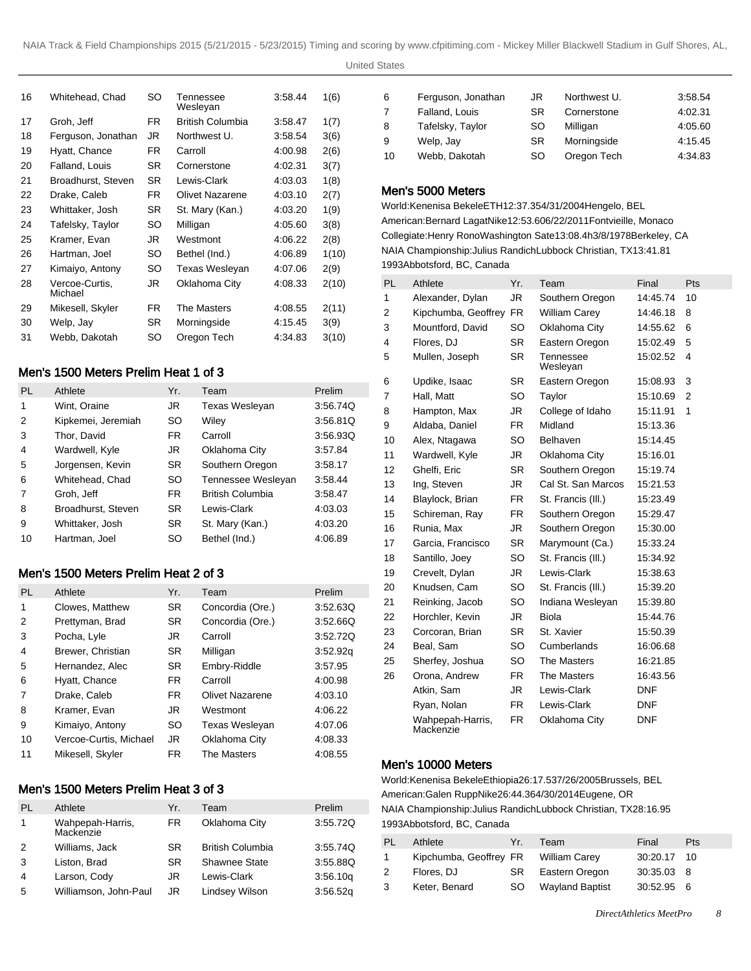| 16 | Whitehead, Chad           | SO        | Tennessee<br>Wesleyan | 3:58.44 | 1(6)  |
|----|---------------------------|-----------|-----------------------|---------|-------|
| 17 | Groh, Jeff                | FR.       | British Columbia      | 3:58.47 | 1(7)  |
| 18 | Ferguson, Jonathan        | JR        | Northwest U.          | 3:58.54 | 3(6)  |
| 19 | Hyatt, Chance             | FR.       | Carroll               | 4:00.98 | 2(6)  |
| 20 | Falland, Louis            | SR.       | Cornerstone           | 4:02.31 | 3(7)  |
| 21 | Broadhurst, Steven        | SR.       | Lewis-Clark           | 4:03.03 | 1(8)  |
| 22 | Drake, Caleb              | FR.       | Olivet Nazarene       | 4:03.10 | 2(7)  |
| 23 | Whittaker, Josh           | SR.       | St. Mary (Kan.)       | 4:03.20 | 1(9)  |
| 24 | Tafelsky, Taylor          | SO        | Milligan              | 4:05.60 | 3(8)  |
| 25 | Kramer, Evan              | JR        | Westmont              | 4:06.22 | 2(8)  |
| 26 | Hartman, Joel             | SO        | Bethel (Ind.)         | 4:06.89 | 1(10) |
| 27 | Kimaiyo, Antony           | SO        | Texas Wesleyan        | 4:07.06 | 2(9)  |
| 28 | Vercoe-Curtis.<br>Michael | JR        | Oklahoma City         | 4.08.33 | 2(10) |
| 29 | Mikesell, Skyler          | FR.       | The Masters           | 4:08.55 | 2(11) |
| 30 | Welp, Jay                 | <b>SR</b> | Morningside           | 4:15.45 | 3(9)  |
| 31 | Webb. Dakotah             | SO        | Oregon Tech           | 4:34.83 | 3(10) |
|    |                           |           |                       |         |       |

# Men's 1500 Meters Prelim Heat 1 of 3

| PL | Athlete            | Yr.       | Team                    | Prelim   |
|----|--------------------|-----------|-------------------------|----------|
| 1  | Wint, Oraine       | JR.       | <b>Texas Wesleyan</b>   | 3:56.74Q |
| 2  | Kipkemei, Jeremiah | SO        | Wiley                   | 3:56.81Q |
| 3  | Thor, David        | FR.       | Carroll                 | 3:56.93Q |
| 4  | Wardwell, Kyle     | JR.       | Oklahoma City           | 3:57.84  |
| 5  | Jorgensen, Kevin   | <b>SR</b> | Southern Oregon         | 3:58.17  |
| 6  | Whitehead, Chad    | <b>SO</b> | Tennessee Wesleyan      | 3:58.44  |
| 7  | Groh, Jeff         | FR.       | <b>British Columbia</b> | 3:58.47  |
| 8  | Broadhurst, Steven | <b>SR</b> | Lewis-Clark             | 4:03.03  |
| 9  | Whittaker, Josh    | <b>SR</b> | St. Mary (Kan.)         | 4:03.20  |
| 10 | Hartman, Joel      | SO        | Bethel (Ind.)           | 4:06.89  |

# Men's 1500 Meters Prelim Heat 2 of 3

| PL             | Athlete                | Yr.       | Team                   | Prelim   |
|----------------|------------------------|-----------|------------------------|----------|
| 1              | Clowes, Matthew        | SR.       | Concordia (Ore.)       | 3:52.63Q |
| $\overline{2}$ | Prettyman, Brad        | <b>SR</b> | Concordia (Ore.)       | 3:52.66Q |
| 3              | Pocha, Lyle            | JR.       | Carroll                | 3:52.72Q |
| 4              | Brewer, Christian      | <b>SR</b> | Milligan               | 3.52.92q |
| 5              | Hernandez, Alec        | <b>SR</b> | Embry-Riddle           | 3:57.95  |
| 6              | Hyatt, Chance          | FR.       | Carroll                | 4:00.98  |
| 7              | Drake, Caleb           | FR.       | <b>Olivet Nazarene</b> | 4:03.10  |
| 8              | Kramer, Evan           | JR.       | Westmont               | 4:06.22  |
| 9              | Kimaiyo, Antony        | SO        | <b>Texas Wesleyan</b>  | 4:07.06  |
| 10             | Vercoe-Curtis, Michael | JR.       | Oklahoma City          | 4:08.33  |
| 11             | Mikesell, Skyler       | FR.       | The Masters            | 4:08.55  |

# Men's 1500 Meters Prelim Heat 3 of 3

| PL          | Athlete                       | Yr. | Team                    | Prelim   |
|-------------|-------------------------------|-----|-------------------------|----------|
| $\mathbf 1$ | Wahpepah-Harris,<br>Mackenzie | FR. | Oklahoma City           | 3:55.72Q |
| 2           | Williams, Jack                | SR  | <b>British Columbia</b> | 3:55.74Q |
| 3           | Liston, Brad                  | SR. | <b>Shawnee State</b>    | 3:55.88Q |
| 4           | Larson, Cody                  | JR  | Lewis-Clark             | 3.56.10q |
| 5           | Williamson, John-Paul         | JR  | Lindsey Wilson          | 3:56.52q |

| 6  | Ferguson, Jonathan | JR  | Northwest U. | 3:58.54 |
|----|--------------------|-----|--------------|---------|
| 7  | Falland, Louis     | SR  | Cornerstone  | 4:02.31 |
| 8  | Tafelsky, Taylor   | SO. | Milligan     | 4:05.60 |
| 9  | Welp, Jay          | SR  | Morningside  | 4:15.45 |
| 10 | Webb, Dakotah      | SO. | Oregon Tech  | 4:34.83 |

# Men's 5000 Meters

World: Kenenisa Bekele ETH 12:37.35 4/31/2004 Hengelo, BEL American: Bernard Lagat Nike 12:53.60 6/22/2011 Fontvieille, Monaco Collegiate: Henry Rono Washington Sate 13:08.4h 3/8/1978 Berkeley, CA NAIA Championship: Julius Randich Lubbock Christian, TX 13:41.81 1993Abbotsford, BC, Canada

| <b>PL</b> | Athlete                       | Yr.       | Team                  | Final      | Pts            |
|-----------|-------------------------------|-----------|-----------------------|------------|----------------|
| 1         | Alexander, Dylan              | JR.       | Southern Oregon       | 14:45.74   | 10             |
| 2         | Kipchumba, Geoffrey           | <b>FR</b> | <b>William Carey</b>  | 14:46.18   | 8              |
| 3         | Mountford, David              | SO        | Oklahoma City         | 14:55.62   | 6              |
| 4         | Flores, DJ                    | <b>SR</b> | Eastern Oregon        | 15:02.49   | 5              |
| 5         | Mullen, Joseph                | <b>SR</b> | Tennessee<br>Wesleyan | 15:02.52   | 4              |
| 6         | Updike, Isaac                 | <b>SR</b> | Eastern Oregon        | 15:08.93   | 3              |
| 7         | Hall, Matt                    | <b>SO</b> | Taylor                | 15:10.69   | $\overline{2}$ |
| 8         | Hampton, Max                  | JR        | College of Idaho      | 15:11.91   | 1              |
| 9         | Aldaba, Daniel                | <b>FR</b> | Midland               | 15:13.36   |                |
| 10        | Alex, Ntagawa                 | <b>SO</b> | Belhaven              | 15:14.45   |                |
| 11        | Wardwell, Kyle                | JR        | Oklahoma City         | 15:16.01   |                |
| 12        | Ghelfi, Eric                  | <b>SR</b> | Southern Oregon       | 15:19.74   |                |
| 13        | Ing. Steven                   | JR        | Cal St. San Marcos    | 15:21.53   |                |
| 14        | Blaylock, Brian               | <b>FR</b> | St. Francis (III.)    | 15:23.49   |                |
| 15        | Schireman, Ray                | <b>FR</b> | Southern Oregon       | 15:29.47   |                |
| 16        | Runia, Max                    | JR        | Southern Oregon       | 15:30.00   |                |
| 17        | Garcia, Francisco             | <b>SR</b> | Marymount (Ca.)       | 15:33.24   |                |
| 18        | Santillo, Joey                | <b>SO</b> | St. Francis (III.)    | 15:34.92   |                |
| 19        | Crevelt, Dylan                | JR        | Lewis-Clark           | 15:38.63   |                |
| 20        | Knudsen, Cam                  | SO        | St. Francis (III.)    | 15:39.20   |                |
| 21        | Reinking, Jacob               | SO        | Indiana Wesleyan      | 15:39.80   |                |
| 22        | Horchler, Kevin               | JR.       | Biola                 | 15:44.76   |                |
| 23        | Corcoran, Brian               | <b>SR</b> | St. Xavier            | 15:50.39   |                |
| 24        | Beal, Sam                     | <b>SO</b> | Cumberlands           | 16:06.68   |                |
| 25        | Sherfey, Joshua               | SO        | The Masters           | 16:21.85   |                |
| 26        | Orona, Andrew                 | <b>FR</b> | <b>The Masters</b>    | 16:43.56   |                |
|           | Atkin, Sam                    | JR.       | Lewis-Clark           | DNF        |                |
|           | Ryan, Nolan                   | FR        | Lewis-Clark           | DNF        |                |
|           | Wahpepah-Harris,<br>Mackenzie | FR.       | Oklahoma City         | <b>DNF</b> |                |

#### Men's 10000 Meters

World: Kenenisa Bekele Ethiopia 26:17.53 7/26/2005 Brussels, BEL American: Galen Rupp Nike 26:44.36 4/30/2014 Eugene, OR NAIA Championship: Julius Randich Lubbock Christian, TX 28:16.95 1993Abbotsford, BC, Canada

| PL. | Athlete                              | Yr. | Team                   | Final       | Pts |
|-----|--------------------------------------|-----|------------------------|-------------|-----|
| 1   | Kipchumba, Geoffrey FR William Carey |     |                        | 30:20.17 10 |     |
| 2   | Flores, DJ                           |     | SR Eastern Oregon      | 30:35.03 8  |     |
| 3   | Keter, Benard                        | SO. | <b>Wayland Baptist</b> | 30.52.95 6  |     |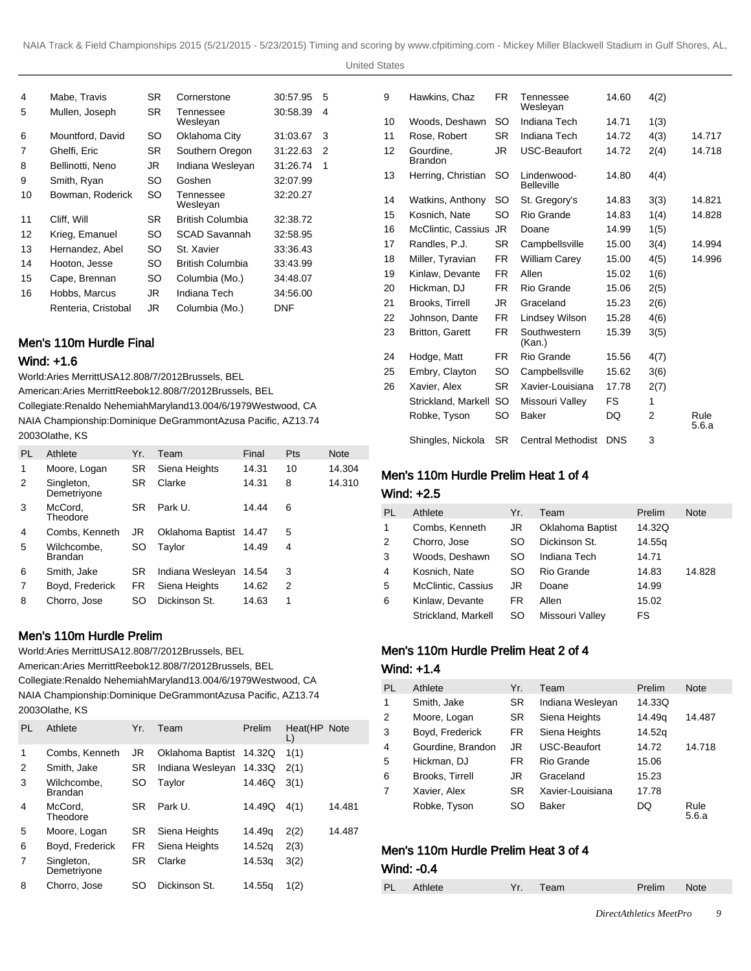United States

| 4  | Mabe, Travis        | SR. | Cornerstone           | 30:57.95   | 5 |
|----|---------------------|-----|-----------------------|------------|---|
| 5  | Mullen, Joseph      | SR. | Tennessee<br>Wesleyan | 30:58.39   | 4 |
| 6  | Mountford, David    | SO  | Oklahoma City         | 31:03.67   | 3 |
| 7  | Ghelfi, Eric        | SR. | Southern Oregon       | 31:22.63   | 2 |
| 8  | Bellinotti, Neno    | JR. | Indiana Wesleyan      | 31:26.74   | 1 |
| 9  | Smith, Ryan         | SO  | Goshen                | 32:07.99   |   |
| 10 | Bowman, Roderick    | SO  | Tennessee<br>Wesleyan | 32:20.27   |   |
| 11 | Cliff, Will         | SR. | British Columbia      | 32:38.72   |   |
| 12 | Krieg, Emanuel      | SO  | <b>SCAD Savannah</b>  | 32:58.95   |   |
| 13 | Hernandez, Abel     | SO  | St. Xavier            | 33:36.43   |   |
| 14 | Hooton, Jesse       | SO. | British Columbia      | 33:43.99   |   |
| 15 | Cape, Brennan       | SO  | Columbia (Mo.)        | 34:48.07   |   |
| 16 | Hobbs, Marcus       | JR. | Indiana Tech          | 34:56.00   |   |
|    | Renteria, Cristobal | JR. | Columbia (Mo.)        | <b>DNF</b> |   |

# Men's 110m Hurdle Final

#### Wind: +1.6

World: Aries Merritt USA 12.80 8/7/2012 Brussels, BEL American: Aries Merritt Reebok 12.80 8/7/2012 Brussels, BEL

Collegiate: Renaldo Nehemiah Maryland 13.00 4/6/1979 Westwood, CA NAIA Championship: Dominique DeGrammont Azusa Pacific, AZ 13.74 2003Olathe, KS

| PL | Athlete                   | Yr.       | Team             | Final | Pts | <b>Note</b> |
|----|---------------------------|-----------|------------------|-------|-----|-------------|
| 1  | Moore, Logan              | SR.       | Siena Heights    | 14.31 | 10  | 14.304      |
| 2  | Singleton,<br>Demetriyone | <b>SR</b> | Clarke           | 14.31 | 8   | 14.310      |
| 3  | McCord,<br>Theodore       | <b>SR</b> | Park U.          | 14.44 | 6   |             |
| 4  | Combs, Kenneth            | JR        | Oklahoma Baptist | 14.47 | 5   |             |
| 5  | Wilchcombe.<br>Brandan    | SO        | Tavlor           | 14.49 | 4   |             |
| 6  | Smith, Jake               | SR        | Indiana Wesleyan | 14.54 | 3   |             |
| 7  | Boyd, Frederick           | FR.       | Siena Heights    | 14.62 | 2   |             |
| 8  | Chorro, Jose              | SO        | Dickinson St.    | 14.63 | 1   |             |

# Men's 110m Hurdle Prelim

World: Aries Merritt USA 12.80 8/7/2012 Brussels, BEL American: Aries Merritt Reebok 12.80 8/7/2012 Brussels, BEL Collegiate: Renaldo Nehemiah Maryland 13.00 4/6/1979 Westwood, CA NAIA Championship: Dominique DeGrammont Azusa Pacific, AZ 13.74 2003Olathe, KS

| PI. | Athlete                       | Yr. | Team             | Prelim | Heat(HP Note<br>L) |        |
|-----|-------------------------------|-----|------------------|--------|--------------------|--------|
| 1   | Combs, Kenneth                | JR  | Oklahoma Baptist | 14.32Q | 1(1)               |        |
| 2   | Smith, Jake                   | SR  | Indiana Wesleyan | 14.33Q | 2(1)               |        |
| 3   | Wilchcombe.<br><b>Brandan</b> | SO  | Taylor           | 14.46Q | 3(1)               |        |
| 4   | McCord.<br>Theodore           | SR. | Park U.          | 14.49Q | 4(1)               | 14.481 |
| 5   | Moore, Logan                  | SR  | Siena Heights    | 14.49g | 2(2)               | 14.487 |
| 6   | Boyd, Frederick               | FR. | Siena Heights    | 14.52g | 2(3)               |        |
| 7   | Singleton,<br>Demetriyone     | SR  | Clarke           | 14.53a | 3(2)               |        |
| 8   | Chorro, Jose                  | SO  | Dickinson St.    | 14.55a | 1(2)               |        |

| 9  | Hawkins, Chaz               | FR.       | Tennessee<br>Wesleyan            | 14.60      | 4(2) |               |
|----|-----------------------------|-----------|----------------------------------|------------|------|---------------|
| 10 | Woods, Deshawn              | SO        | Indiana Tech                     | 14.71      | 1(3) |               |
| 11 | Rose, Robert                | SR.       | Indiana Tech                     | 14.72      | 4(3) | 14.717        |
| 12 | Gourdine.<br><b>Brandon</b> | JR        | <b>USC-Beaufort</b>              | 14.72      | 2(4) | 14.718        |
| 13 | Herring, Christian          | SO        | Lindenwood-<br><b>Belleville</b> | 14.80      | 4(4) |               |
| 14 | Watkins, Anthony            | SO        | St. Gregory's                    | 14.83      | 3(3) | 14.821        |
| 15 | Kosnich, Nate               | SO        | Rio Grande                       | 14.83      | 1(4) | 14.828        |
| 16 | McClintic, Cassius          | JR.       | Doane                            | 14.99      | 1(5) |               |
| 17 | Randles, P.J.               | <b>SR</b> | Campbellsville                   | 15.00      | 3(4) | 14.994        |
| 18 | Miller, Tyravian            | FR.       | <b>William Carey</b>             | 15.00      | 4(5) | 14.996        |
| 19 | Kinlaw. Devante             | FR.       | Allen                            | 15.02      | 1(6) |               |
| 20 | Hickman, DJ                 | FR.       | Rio Grande                       | 15.06      | 2(5) |               |
| 21 | Brooks, Tirrell             | JR        | Graceland                        | 15.23      | 2(6) |               |
| 22 | Johnson, Dante              | FR.       | Lindsey Wilson                   | 15.28      | 4(6) |               |
| 23 | <b>Britton, Garett</b>      | FR.       | Southwestern<br>(Kan.)           | 15.39      | 3(5) |               |
| 24 | Hodge, Matt                 | FR.       | Rio Grande                       | 15.56      | 4(7) |               |
| 25 | Embry, Clayton              | SO        | Campbellsville                   | 15.62      | 3(6) |               |
| 26 | Xavier, Alex                | SR.       | Xavier-Louisiana                 | 17.78      | 2(7) |               |
|    | Strickland, Markell         | SO.       | Missouri Valley                  | FS.        | 1    |               |
|    | Robke, Tyson                | SO        | <b>Baker</b>                     | DQ         | 2    | Rule<br>5.6.a |
|    | Shingles, Nickola           | <b>SR</b> | <b>Central Methodist</b>         | <b>DNS</b> | 3    |               |

# Men's 110m Hurdle Prelim Heat 1 of 4

# Wind: +2.5

| PL | Athlete             | Yr. | Team                    | Prelim | Note   |
|----|---------------------|-----|-------------------------|--------|--------|
| 1  | Combs, Kenneth      | JR  | <b>Oklahoma Baptist</b> | 14.32Q |        |
| 2  | Chorro, Jose        | SO  | Dickinson St.           | 14.55g |        |
| 3  | Woods, Deshawn      | SO  | Indiana Tech            | 14.71  |        |
| 4  | Kosnich, Nate       | SO  | Rio Grande              | 14.83  | 14.828 |
| 5  | McClintic, Cassius  | JR  | Doane                   | 14.99  |        |
| 6  | Kinlaw, Devante     | FR  | Allen                   | 15.02  |        |
|    | Strickland, Markell | SO  | Missouri Valley         | FS     |        |

# Men's 110m Hurdle Prelim Heat 2 of 4

#### Wind: +1.4

| <b>PL</b>      | Athlete           | Yr.       | Team             | Prelim | <b>Note</b>   |
|----------------|-------------------|-----------|------------------|--------|---------------|
| 1              | Smith, Jake       | SR.       | Indiana Wesleyan | 14.33Q |               |
| 2              | Moore, Logan      | SR        | Siena Heights    | 14.49q | 14.487        |
| 3              | Boyd, Frederick   | <b>FR</b> | Siena Heights    | 14.52g |               |
| $\overline{4}$ | Gourdine, Brandon | JR.       | USC-Beaufort     | 14.72  | 14.718        |
| 5              | Hickman, DJ       | FR.       | Rio Grande       | 15.06  |               |
| 6              | Brooks, Tirrell   | JR.       | Graceland        | 15.23  |               |
| 7              | Xavier, Alex      | <b>SR</b> | Xavier-Louisiana | 17.78  |               |
|                | Robke, Tyson      | SO        | Baker            | DQ     | Rule<br>5.6.a |

# Men's 110m Hurdle Prelim Heat 3 of 4

#### Wind: -0.4

| <b>PL</b> | Athlete | . Team | Prelim | Note |
|-----------|---------|--------|--------|------|
|           |         |        |        |      |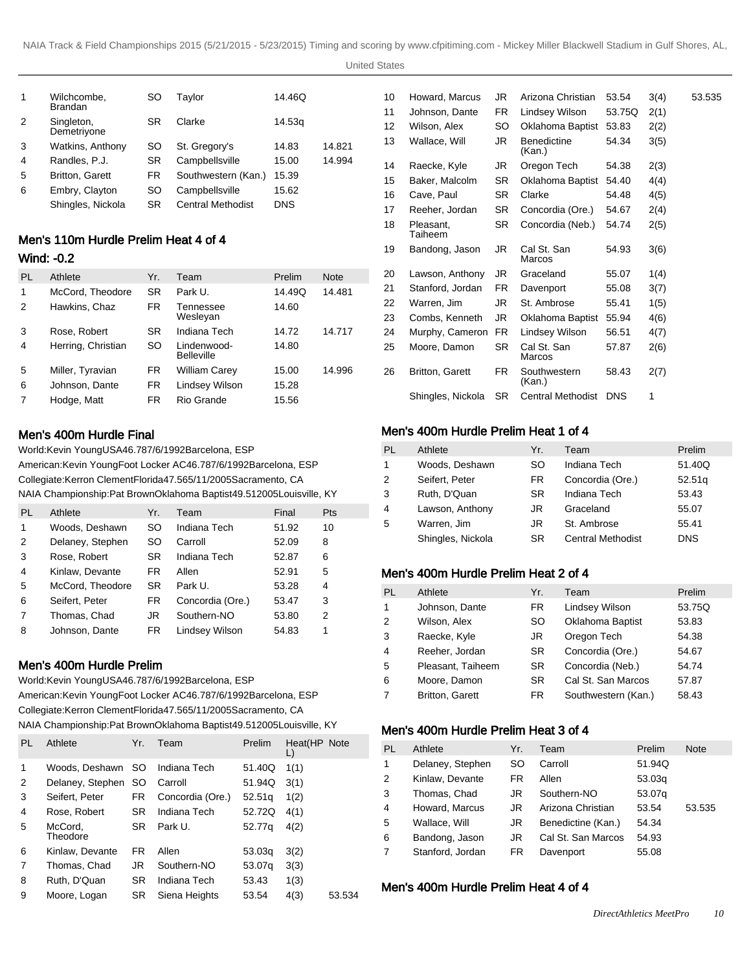United States

| 1 | Wilchcombe,<br><b>Brandan</b> | SO  | Taylor                   | 14.46Q     |        |
|---|-------------------------------|-----|--------------------------|------------|--------|
| 2 | Singleton,<br>Demetriyone     | SR  | Clarke                   | 14.53g     |        |
| 3 | Watkins, Anthony              | SO. | St. Gregory's            | 14.83      | 14.821 |
| 4 | Randles, P.J.                 | SR  | Campbellsville           | 15.00      | 14.994 |
| 5 | <b>Britton, Garett</b>        | FR  | Southwestern (Kan.)      | 15.39      |        |
| 6 | Embry, Clayton                | SO  | Campbellsville           | 15.62      |        |
|   | Shingles, Nickola             | SR  | <b>Central Methodist</b> | <b>DNS</b> |        |

# Men's 110m Hurdle Prelim Heat 4 of 4

# Wind: -0.2

| PL             | Athlete            | Yr.       | Team                             | Prelim | <b>Note</b> |
|----------------|--------------------|-----------|----------------------------------|--------|-------------|
| 1              | McCord, Theodore   | SR.       | Park U.                          | 14.49Q | 14.481      |
| 2              | Hawkins, Chaz      | <b>FR</b> | Tennessee<br>Wesleyan            | 14.60  |             |
| 3              | Rose, Robert       | SR        | Indiana Tech                     | 14.72  | 14.717      |
| 4              | Herring, Christian | SO        | Lindenwood-<br><b>Belleville</b> | 14.80  |             |
| 5              | Miller, Tyravian   | FR        | William Carey                    | 15.00  | 14.996      |
| 6              | Johnson, Dante     | <b>FR</b> | Lindsey Wilson                   | 15.28  |             |
| $\overline{7}$ | Hodge, Matt        | <b>FR</b> | Rio Grande                       | 15.56  |             |

# Men's 400m Hurdle Final

World: Kevin Young USA 46.78 7/6/1992 Barcelona, ESP American: Kevin Young Foot Locker AC 46.78 7/6/1992 Barcelona, ESP Collegiate: Kerron Clement Florida 47.56 5/11/2005 Sacramento, CA NAIA Championship: Pat Brown Oklahoma Baptist 49.51 2005Louisville, KY

| PL             | Athlete          | Yr.       | Team             | Final | Pts |
|----------------|------------------|-----------|------------------|-------|-----|
| 1              | Woods, Deshawn   | SO        | Indiana Tech     | 51.92 | 10  |
| 2              | Delaney, Stephen | SO        | Carroll          | 52.09 | 8   |
| 3              | Rose, Robert     | <b>SR</b> | Indiana Tech     | 52.87 | 6   |
| $\overline{4}$ | Kinlaw, Devante  | FR        | Allen            | 52.91 | 5   |
| 5              | McCord, Theodore | SR.       | Park U.          | 53.28 | 4   |
| 6              | Seifert, Peter   | FR        | Concordia (Ore.) | 53.47 | 3   |
| 7              | Thomas, Chad     | JR        | Southern-NO      | 53.80 | 2   |
| 8              | Johnson, Dante   | FR        | Lindsey Wilson   | 54.83 | 1   |

### Men's 400m Hurdle Prelim

World: Kevin Young USA 46.78 7/6/1992 Barcelona, ESP American: Kevin Young Foot Locker AC 46.78 7/6/1992 Barcelona, ESP Collegiate: Kerron Clement Florida 47.56 5/11/2005 Sacramento, CA NAIA Championship: Pat Brown Oklahoma Baptist 49.51 2005Louisville, KY

| <b>PL</b> | Athlete             | Yr.       | Team             | Prelim | Heat(HP Note<br>L) |        |
|-----------|---------------------|-----------|------------------|--------|--------------------|--------|
| 1         | Woods, Deshawn SO   |           | Indiana Tech     | 51.40Q | 1(1)               |        |
| 2         | Delaney, Stephen    | SO.       | Carroll          | 51.94Q | 3(1)               |        |
| 3         | Seifert, Peter      | FR.       | Concordia (Ore.) | 52.51q | 1(2)               |        |
| 4         | Rose, Robert        | SR.       | Indiana Tech     | 52.72Q | 4(1)               |        |
| 5         | McCord,<br>Theodore | <b>SR</b> | Park U.          | 52.77g | 4(2)               |        |
| 6         | Kinlaw, Devante     | FR.       | Allen            | 53.03g | 3(2)               |        |
| 7         | Thomas, Chad        | JR        | Southern-NO      | 53.07g | 3(3)               |        |
| 8         | Ruth, D'Quan        | SR.       | Indiana Tech     | 53.43  | 1(3)               |        |
| 9         | Moore, Logan        | SR        | Siena Heights    | 53.54  | 4(3)               | 53.534 |

| 10 | Howard, Marcus         | JR        | Arizona Christian        | 53.54      | 3(4) | 53.535 |
|----|------------------------|-----------|--------------------------|------------|------|--------|
| 11 | Johnson, Dante         | FR        | Lindsey Wilson           | 53.75Q     | 2(1) |        |
| 12 | Wilson, Alex           | SO        | Oklahoma Baptist         | 53.83      | 2(2) |        |
| 13 | Wallace, Will          | JR        | Benedictine<br>(Kan.)    | 54.34      | 3(5) |        |
| 14 | Raecke, Kyle           | JR        | Oregon Tech              | 54.38      | 2(3) |        |
| 15 | Baker, Malcolm         | SR        | Oklahoma Baptist         | 54.40      | 4(4) |        |
| 16 | Cave, Paul             | SR.       | Clarke                   | 54.48      | 4(5) |        |
| 17 | Reeher, Jordan         | SR        | Concordia (Ore.)         | 54.67      | 2(4) |        |
| 18 | Pleasant.<br>Taiheem   | SR        | Concordia (Neb.)         | 54.74      | 2(5) |        |
| 19 | Bandong, Jason         | JR        | Cal St. San<br>Marcos    | 54.93      | 3(6) |        |
| 20 | Lawson, Anthony        | JR        | Graceland                | 55.07      | 1(4) |        |
| 21 | Stanford, Jordan       | FR        | Davenport                | 55.08      | 3(7) |        |
| 22 | Warren, Jim            | JR.       | St. Ambrose              | 55.41      | 1(5) |        |
| 23 | Combs, Kenneth         | JR.       | Oklahoma Baptist         | 55.94      | 4(6) |        |
| 24 | Murphy, Cameron        | FR.       | Lindsey Wilson           | 56.51      | 4(7) |        |
| 25 | Moore, Damon           | <b>SR</b> | Cal St. San<br>Marcos    | 57.87      | 2(6) |        |
| 26 | <b>Britton, Garett</b> | FR.       | Southwestern<br>(Kan.)   | 58.43      | 2(7) |        |
|    | Shingles, Nickola      | <b>SR</b> | <b>Central Methodist</b> | <b>DNS</b> | 1    |        |
|    |                        |           |                          |            |      |        |

# Men's 400m Hurdle Prelim Heat 1 of 4

| PL           | Athlete           | Yr.       | Team                     | Prelim     |
|--------------|-------------------|-----------|--------------------------|------------|
| $\mathbf{1}$ | Woods, Deshawn    | SO.       | Indiana Tech             | 51.40Q     |
| 2            | Seifert, Peter    | FR.       | Concordia (Ore.)         | 52.51q     |
| 3            | Ruth, D'Quan      | <b>SR</b> | Indiana Tech             | 53.43      |
| 4            | Lawson, Anthony   | JR        | Graceland                | 55.07      |
| 5            | Warren, Jim       | JR        | St. Ambrose              | 55.41      |
|              | Shingles, Nickola | <b>SR</b> | <b>Central Methodist</b> | <b>DNS</b> |

### Men's 400m Hurdle Prelim Heat 2 of 4

| PL             | Athlete                | Yr.       | Team                | Prelim |
|----------------|------------------------|-----------|---------------------|--------|
| 1              | Johnson, Dante         | <b>FR</b> | Lindsey Wilson      | 53.75Q |
| $\mathfrak{p}$ | Wilson, Alex           | SO.       | Oklahoma Baptist    | 53.83  |
| 3              | Raecke, Kyle           | JR        | Oregon Tech         | 54.38  |
| $\overline{4}$ | Reeher, Jordan         | <b>SR</b> | Concordia (Ore.)    | 54.67  |
| -5             | Pleasant, Taiheem      | SR.       | Concordia (Neb.)    | 54.74  |
| 6              | Moore, Damon           | <b>SR</b> | Cal St. San Marcos  | 57.87  |
| 7              | <b>Britton, Garett</b> | FR.       | Southwestern (Kan.) | 58.43  |

#### Men's 400m Hurdle Prelim Heat 3 of 4

| PL | Athlete          | Yr. | Team               | Prelim | Note   |
|----|------------------|-----|--------------------|--------|--------|
| 1  | Delaney, Stephen | SO  | Carroll            | 51.94Q |        |
| 2  | Kinlaw, Devante  | FR. | Allen              | 53.03q |        |
| 3  | Thomas, Chad     | JR  | Southern-NO        | 53.07g |        |
| 4  | Howard, Marcus   | JR  | Arizona Christian  | 53.54  | 53.535 |
| 5  | Wallace, Will    | JR  | Benedictine (Kan.) | 54.34  |        |
| 6  | Bandong, Jason   | JR  | Cal St. San Marcos | 54.93  |        |
| 7  | Stanford, Jordan | FR  | Davenport          | 55.08  |        |

## Men's 400m Hurdle Prelim Heat 4 of 4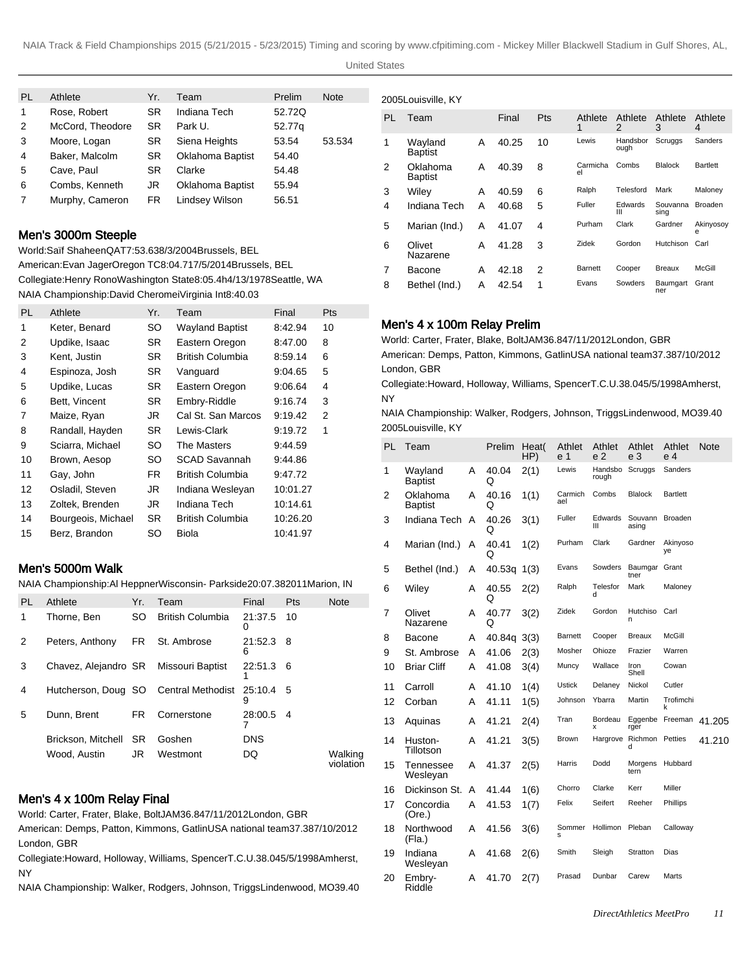#### United States

| <b>PL</b> | Athlete          | Yr.       | Team                  | Prelim | <b>Note</b> |
|-----------|------------------|-----------|-----------------------|--------|-------------|
| 1         | Rose, Robert     | <b>SR</b> | Indiana Tech          | 52.72Q |             |
| 2         | McCord, Theodore | <b>SR</b> | Park U.               | 52.77g |             |
| 3         | Moore, Logan     | SR        | Siena Heights         | 53.54  | 53.534      |
| 4         | Baker, Malcolm   | SR        | Oklahoma Baptist      | 54.40  |             |
| 5         | Cave, Paul       | SR        | Clarke                | 54.48  |             |
| 6         | Combs, Kenneth   | JR        | Oklahoma Baptist      | 55.94  |             |
| 7         | Murphy, Cameron  | <b>FR</b> | <b>Lindsey Wilson</b> | 56.51  |             |

# Men's 3000m Steeple

World: Saïf Shaheen QAT 7:53.63 8/3/2004 Brussels, BEL American: Evan Jager Oregon TC 8:04.71 7/5/2014 Brussels, BEL Collegiate: Henry Rono Washington State 8:05.4h 4/13/1978 Seattle, WA NAIA Championship: David Cheromei Virginia Int 8:40.03

| PL. | Athlete            | Yr. | Team                    | Final    | Pts |
|-----|--------------------|-----|-------------------------|----------|-----|
| 1   | Keter, Benard      | SO  | <b>Wayland Baptist</b>  | 8:42.94  | 10  |
| 2   | Updike, Isaac      | SR. | Eastern Oregon          | 8:47.00  | 8   |
| 3   | Kent, Justin       | SR. | British Columbia        | 8:59.14  | 6   |
| 4   | Espinoza, Josh     | SR. | Vanguard                | 9:04.65  | 5   |
| 5   | Updike, Lucas      | SR. | Eastern Oregon          | 9:06.64  | 4   |
| 6   | Bett, Vincent      | SR. | Embry-Riddle            | 9:16.74  | 3   |
| 7   | Maize, Ryan        | JR  | Cal St. San Marcos      | 9:19.42  | 2   |
| 8   | Randall, Hayden    | SR. | Lewis-Clark             | 9:19.72  | 1   |
| 9   | Sciarra, Michael   | SO. | The Masters             | 9:44.59  |     |
| 10  | Brown, Aesop       | SO  | <b>SCAD Savannah</b>    | 9:44.86  |     |
| 11  | Gay, John          | FR  | British Columbia        | 9:47.72  |     |
| 12  | Osladil, Steven    | JR  | Indiana Wesleyan        | 10:01.27 |     |
| 13  | Zoltek, Brenden    | JR  | Indiana Tech            | 10:14.61 |     |
| 14  | Bourgeois, Michael | SR. | <b>British Columbia</b> | 10:26.20 |     |
| 15  | Berz, Brandon      | SO  | <b>Biola</b>            | 10:41.97 |     |

# Men's 5000m Walk

NAIA Championship: Al Heppner Wisconsin- Parkside 20:07.38 2011Marion, IN

| <b>PL</b> | Athlete               | Yr.  | Team                                            | Final        | <b>Pts</b> | <b>Note</b>          |
|-----------|-----------------------|------|-------------------------------------------------|--------------|------------|----------------------|
| 1         | Thorne, Ben           | SO.  | <b>British Columbia</b>                         | 21:37.5<br>O | 10         |                      |
| 2         | Peters, Anthony       | FR 1 | St. Ambrose                                     | 21:52.3<br>6 | -8         |                      |
| 3         | Chavez, Alejandro SR  |      | Missouri Baptist                                | 22:51.3<br>1 | - 6        |                      |
| 4         |                       |      | Hutcherson, Doug SO Central Methodist 25:10.4 5 | 9            |            |                      |
| 5         | Dunn, Brent           | FR.  | Cornerstone                                     | 28:00.5      | -4         |                      |
|           | Brickson, Mitchell SR |      | Goshen                                          | <b>DNS</b>   |            |                      |
|           | Wood. Austin          | JR   | Westmont                                        | DQ           |            | Walking<br>violation |

# Men's 4 x 100m Relay Final

World: Carter, Frater, Blake, Bolt JAM 36.84 7/11/2012 London, GBR

American: Demps, Patton, Kimmons, Gatlin USA national team 37.38 7/10/2012 London, GBR

Collegiate: Howard, Holloway, Williams, Spencer T.C.U. 38.04 5/5/1998 Amherst, NY

NAIA Championship: Walker, Rodgers, Johnson, Triggs Lindenwood, MO 39.40

|    | 2005Louisville, KY         |   |       |     |                |                  |                  |                 |  |
|----|----------------------------|---|-------|-----|----------------|------------------|------------------|-----------------|--|
| PL | Team                       |   | Final | Pts | Athlete<br>1   | Athlete<br>2     | Athlete<br>3     | Athlete<br>4    |  |
| 1  | Wayland<br><b>Baptist</b>  | A | 40.25 | 10  | Lewis          | Handsbor<br>ough | Scruggs          | Sanders         |  |
| 2  | Oklahoma<br><b>Baptist</b> | A | 40.39 | 8   | Carmicha<br>el | Combs            | <b>Blalock</b>   | <b>Bartlett</b> |  |
| 3  | Wiley                      | Α | 40.59 | 6   | Ralph          | Telesford        | Mark             | Maloney         |  |
| 4  | Indiana Tech               | Α | 40.68 | 5   | Fuller         | Edwards<br>Ш     | Souvanna<br>sing | <b>Broaden</b>  |  |
| 5  | Marian (Ind.)              | A | 41.07 | 4   | Purham         | Clark            | Gardner          | Akinyosoy<br>e  |  |
| 6  | Olivet<br>Nazarene         | A | 41.28 | 3   | Zidek          | Gordon           | Hutchison        | Carl            |  |
| 7  | Bacone                     | A | 42.18 | 2   | <b>Barnett</b> | Cooper           | <b>Breaux</b>    | McGill          |  |
| 8  | Bethel (Ind.)              | A | 42.54 | 1   | Evans          | Sowders          | Baumgart<br>ner  | Grant           |  |

# Men's 4 x 100m Relay Prelim

World: Carter, Frater, Blake, Bolt JAM 36.84 7/11/2012 London, GBR American: Demps, Patton, Kimmons, Gatlin USA national team 37.38 7/10/2012 London, GBR

Collegiate: Howard, Holloway, Williams, Spencer T.C.U. 38.04 5/5/1998 Amherst, NY

NAIA Championship: Walker, Rodgers, Johnson, Triggs Lindenwood, MO 39.40 2005Louisville, KY

| PL | Team                       |   | Prelim     | Heat(<br>HP) | Athlet<br>e 1  | Athlet<br>e <sub>2</sub> | Athlet<br>e 3               | Athlet<br>e 4   | <b>Note</b> |
|----|----------------------------|---|------------|--------------|----------------|--------------------------|-----------------------------|-----------------|-------------|
| 1  | Wayland<br><b>Baptist</b>  | A | 40.04<br>O | 2(1)         | Lewis          | Handsbo<br>rough         | Scruggs                     | Sanders         |             |
| 2  | Oklahoma<br><b>Baptist</b> | A | 40.16<br>Q | 1(1)         | Carmich<br>ael | Combs                    | <b>Blalock</b>              | <b>Bartlett</b> |             |
| 3  | Indiana Tech               | A | 40.26<br>Q | 3(1)         | Fuller         | Edwards<br>Ш             | Souvann<br>asing            | <b>Broaden</b>  |             |
| 4  | Marian (Ind.)              | A | 40.41<br>O | 1(2)         | Purham         | Clark                    | Gardner                     | Akinyoso<br>ye  |             |
| 5  | Bethel (Ind.)              | A | 40.53q     | 1(3)         | Evans          | Sowders                  | Baumgar<br>tner             | Grant           |             |
| 6  | Wiley                      | A | 40.55<br>Q | 2(2)         | Ralph          | Telesfor<br>d            | Mark                        | Maloney         |             |
| 7  | Olivet<br>Nazarene         | A | 40.77<br>Q | 3(2)         | Zidek          | Gordon                   | Hutchiso<br>n               | Carl            |             |
| 8  | Bacone                     | A | 40.84g     | 3(3)         | <b>Barnett</b> | Cooper                   | <b>Breaux</b>               | McGill          |             |
| 9  | St. Ambrose                | A | 41.06      | 2(3)         | Mosher         | Ohioze                   | Frazier                     | Warren          |             |
| 10 | <b>Briar Cliff</b>         | A | 41.08      | 3(4)         | Muncy          | Wallace                  | Iron<br>Shell               | Cowan           |             |
| 11 | Carroll                    | A | 41.10      | 1(4)         | <b>Ustick</b>  | Delaney                  | Nickol                      | Cutler          |             |
| 12 | Corban                     | A | 41.11      | 1(5)         | Johnson        | Ybarra                   | Martin                      | Trofimchi<br>k  |             |
| 13 | Aquinas                    | A | 41.21      | 2(4)         | Tran           | Bordeau<br>x             | Eggenbe<br>rger             | Freeman         | 41.205      |
| 14 | Huston-<br>Tillotson       | A | 41.21      | 3(5)         | <b>Brown</b>   | Hargrove                 | <b>Richmon Petties</b><br>d |                 | 41.210      |
| 15 | Tennessee<br>Wesleyan      | A | 41.37      | 2(5)         | Harris         | Dodd                     | Morgens<br>tern             | Hubbard         |             |
| 16 | Dickinson St.              | A | 41.44      | 1(6)         | Chorro         | Clarke                   | Kerr                        | Miller          |             |
| 17 | Concordia<br>(Ore.)        | A | 41.53      | 1(7)         | Felix          | Seifert                  | Reeher                      | Phillips        |             |
| 18 | Northwood<br>(Fla.)        | Α | 41.56      | 3(6)         | Sommer<br>s    | Hollimon                 | Pleban                      | Calloway        |             |
| 19 | Indiana<br>Wesleyan        | Α | 41.68      | 2(6)         | Smith          | Sleigh                   | Stratton                    | Dias            |             |
| 20 | Embry-<br>Riddle           | Α | 41.70      | 2(7)         | Prasad         | Dunbar                   | Carew                       | Marts           |             |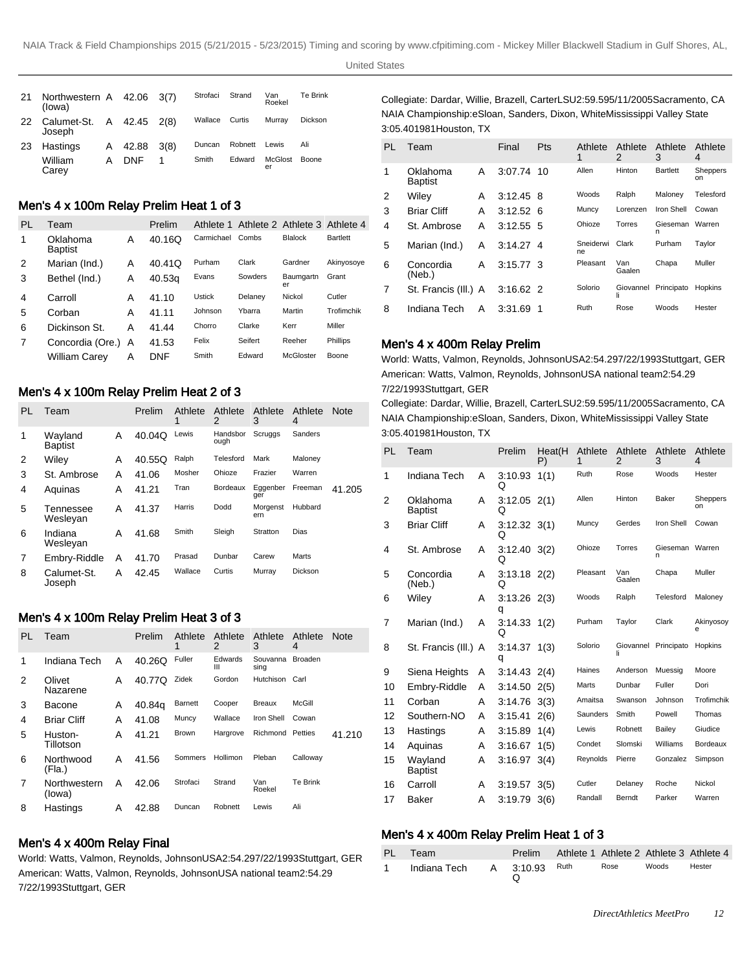| 21 | Northwestern A 42.06<br>(lowa) |   |            | 3(7) | Strofaci | Strand  | Van<br>Roekel | Te Brink       |
|----|--------------------------------|---|------------|------|----------|---------|---------------|----------------|
| 22 | Calumet-St. A 42.45<br>Joseph  |   |            | 2(8) | Wallace  | Curtis  | Murrav        | <b>Dickson</b> |
| 23 | Hastings                       | A | 42.88      | 3(8) | Duncan   | Robnett | Lewis         | Ali            |
|    | William<br>Carev               | А | <b>DNF</b> |      | Smith    | Edward  | McGlost<br>er | Boone          |

# Men's 4 x 100m Relay Prelim Heat 1 of 3

| PL | Team                       |   | Prelim |               | Athlete 1 Athlete 2 Athlete 3 Athlete 4 |                 |                 |
|----|----------------------------|---|--------|---------------|-----------------------------------------|-----------------|-----------------|
| 1  | Oklahoma<br><b>Baptist</b> | Α | 40.16Q | Carmichael    | Combs                                   | <b>Blalock</b>  | <b>Bartlett</b> |
| 2  | Marian (Ind.)              | Α | 40.41Q | Purham        | Clark                                   | Gardner         | Akinyosoye      |
| 3  | Bethel (Ind.)              | Α | 40.53g | Evans         | Sowders                                 | Baumgartn<br>er | Grant           |
| 4  | Carroll                    | А | 41.10  | <b>Ustick</b> | Delaney                                 | Nickol          | Cutler          |
| 5  | Corban                     | Α | 41.11  | Johnson       | Ybarra                                  | Martin          | Trofimchik      |
| 6  | Dickinson St.              | A | 41.44  | Chorro        | Clarke                                  | Kerr            | Miller          |
| 7  | Concordia (Ore.)           | A | 41.53  | Felix         | Seifert                                 | Reeher          | <b>Phillips</b> |
|    | William Carev              | A | DNF    | Smith         | Edward                                  | McGloster       | Boone           |

### Men's 4 x 100m Relay Prelim Heat 2 of 3

| PL | Team                      |   | Prelim | Athlete<br>1 | Athlete<br>2     | Athlete<br>3    | Athlete<br>4 | <b>Note</b> |
|----|---------------------------|---|--------|--------------|------------------|-----------------|--------------|-------------|
| 1  | Wayland<br><b>Baptist</b> | A | 40.04Q | Lewis        | Handsbor<br>ough | Scruggs         | Sanders      |             |
| 2  | Wiley                     | A | 40.55Q | Ralph        | Telesford        | Mark            | Maloney      |             |
| 3  | St. Ambrose               | A | 41.06  | Mosher       | Ohioze           | Frazier         | Warren       |             |
| 4  | Aquinas                   | Α | 41.21  | Tran         | Bordeaux         | Eggenber<br>ger | Freeman      | 41.205      |
| 5  | Tennessee<br>Wesleyan     | А | 41.37  | Harris       | Dodd             | Morgenst<br>ern | Hubbard      |             |
| 6  | Indiana<br>Wesleyan       | Α | 41.68  | Smith        | Sleigh           | Stratton        | Dias         |             |
| 7  | Embry-Riddle              | Α | 41.70  | Prasad       | Dunbar           | Carew           | Marts        |             |
| 8  | Calumet-St.<br>Joseph     | Α | 42.45  | Wallace      | Curtis           | Murray          | Dickson      |             |

### Men's 4 x 100m Relay Prelim Heat 3 of 3

| PL | Team                   |   | Prelim | Athlete<br>1   | Athlete<br>2    | Athlete<br>3            | Athlete<br>4   | <b>Note</b> |
|----|------------------------|---|--------|----------------|-----------------|-------------------------|----------------|-------------|
| 1  | Indiana Tech           | A | 40.26Q | Fuller         | Edwards<br>Ш    | Souvanna<br>sing        | <b>Broaden</b> |             |
| 2  | Olivet<br>Nazarene     | A | 40.77Q | Zidek          | Gordon          | Hutchison Carl          |                |             |
| 3  | Bacone                 | A | 40.84g | <b>Barnett</b> | Cooper          | <b>Breaux</b>           | McGill         |             |
| 4  | <b>Briar Cliff</b>     | A | 41.08  | Muncy          | Wallace         | Iron Shell              | Cowan          |             |
| 5  | Huston-<br>Tillotson   | А | 41.21  | <b>Brown</b>   | Hargrove        | <b>Richmond Petties</b> |                | 41.210      |
| 6  | Northwood<br>(Fla.)    | А | 41.56  | Sommers        | <b>Hollimon</b> | Pleban                  | Calloway       |             |
| 7  | Northwestern<br>(lowa) | A | 42.06  | Strofaci       | Strand          | Van<br>Roekel           | Te Brink       |             |
| 8  | Hastings               | A | 42.88  | Duncan         | Robnett         | Lewis                   | Ali            |             |

# Men's 4 x 400m Relay Final

World: Watts, Valmon, Reynolds, Johnson USA 2:54.29 7/22/1993 Stuttgart, GER American: Watts, Valmon, Reynolds, Johnson USA national team 2:54.29 7/22/1993 Stuttgart, GER

Collegiate: Dardar, Willie, Brazell, Carter LSU 2:59.59 5/11/2005 Sacramento, CA NAIA Championship: eSloan, Sanders, Dixon, White Mississippi Valley State 3:05.40 1981Houston, TX

| PL | Team                       |   | Final       | Pts | Athlete<br>1    | Athlete<br>2    | Athlete<br>3    | Athlete<br>4   |
|----|----------------------------|---|-------------|-----|-----------------|-----------------|-----------------|----------------|
| 1  | Oklahoma<br><b>Baptist</b> | A | 3:07.74     | 10  | Allen           | Hinton          | <b>Bartlett</b> | Sheppers<br>on |
| 2  | Wiley                      | A | 3:12.45     | -8  | Woods           | Ralph           | Malonev         | Telesford      |
| 3  | <b>Briar Cliff</b>         | А | 3:12.52     | - 6 | Muncy           | Lorenzen        | Iron Shell      | Cowan          |
| 4  | St. Ambrose                | A | $3:12.55$ 5 |     | Ohioze          | Torres          | Gieseman<br>n   | Warren         |
| 5  | Marian (Ind.)              | A | $3.14.27$ 4 |     | Sneiderwi<br>ne | Clark           | Purham          | Taylor         |
| 6  | Concordia<br>(Neb.)        | Α | $3.15.77$ 3 |     | Pleasant        | Van<br>Gaalen   | Chapa           | Muller         |
| 7  | St. Francis (III.) A       |   | $3:16.62$ 2 |     | Solorio         | Giovannel<br>Ιi | Principato      | Hopkins        |
| 8  | Indiana Tech               | A | 3:31.69     | 1   | Ruth            | Rose            | Woods           | Hester         |

#### Men's 4 x 400m Relay Prelim

World: Watts, Valmon, Reynolds, Johnson USA 2:54.29 7/22/1993 Stuttgart, GER American: Watts, Valmon, Reynolds, Johnson USA national team 2:54.29 7/22/1993 Stuttgart, GER

Collegiate: Dardar, Willie, Brazell, Carter LSU 2:59.59 5/11/2005 Sacramento, CA NAIA Championship: eSloan, Sanders, Dixon, White Mississippi Valley State 3:05.40 1981Houston, TX

| PL | Team                       |   | Prelim                | Heat(H<br>P) | Athlete<br>1 | Athlete<br>$\mathfrak{p}$ | Athlete<br>3         | Athlete<br>4          |
|----|----------------------------|---|-----------------------|--------------|--------------|---------------------------|----------------------|-----------------------|
| 1  | Indiana Tech               | A | 3:10.93<br>Q          | 1(1)         | Ruth         | Rose                      | Woods                | Hester                |
| 2  | Oklahoma<br><b>Baptist</b> | A | $3:12.05$ 2(1)<br>Q   |              | Allen        | Hinton                    | Baker                | <b>Sheppers</b><br>on |
| 3  | <b>Briar Cliff</b>         | A | $3:12.32$ $3(1)$<br>Q |              | Muncy        | Gerdes                    | <b>Iron Shell</b>    | Cowan                 |
| 4  | St. Ambrose                | A | $3:12.40$ $3(2)$<br>Q |              | Ohioze       | Torres                    | Gieseman Warren<br>n |                       |
| 5  | Concordia<br>(Neb.)        | A | $3:13.18$ 2(2)<br>Q   |              | Pleasant     | Van<br>Gaalen             | Chapa                | Muller                |
| 6  | Wiley                      | A | $3:13.26$ $2(3)$<br>q |              | Woods        | Ralph                     | Telesford            | Maloney               |
| 7  | Marian (Ind.)              | A | $3:14.33$ $1(2)$<br>Q |              | Purham       | Taylor                    | Clark                | Akinyosoy<br>e        |
| 8  | St. Francis (III.) A       |   | 3:14.37<br>q          | 1(3)         | Solorio      | Giovannel Principato      |                      | Hopkins               |
| 9  | Siena Heights              | A | $3:14.43$ 2(4)        |              | Haines       | Anderson                  | Muessig              | Moore                 |
| 10 | Embry-Riddle               | A | 3:14.50               | 2(5)         | Marts        | Dunbar                    | Fuller               | Dori                  |
| 11 | Corban                     | А | 3:14.76               | 3(3)         | Amaitsa      | Swanson                   | Johnson              | Trofimchik            |
| 12 | Southern-NO                | A | 3:15.41               | 2(6)         | Saunders     | Smith                     | Powell               | Thomas                |
| 13 | Hastings                   | A | 3:15.89               | 1(4)         | Lewis        | Robnett                   | Bailey               | Giudice               |
| 14 | Aquinas                    | A | 3:16.67               | 1(5)         | Condet       | Slomski                   | Williams             | Bordeaux              |
| 15 | Wayland<br><b>Baptist</b>  | A | 3.16.97               | 3(4)         | Reynolds     | Pierre                    | Gonzalez             | Simpson               |
| 16 | Carroll                    | A | 3:19.57               | 3(5)         | Cutler       | Delaney                   | Roche                | Nickol                |
| 17 | <b>Baker</b>               | Α | 3:19.79               | 3(6)         | Randall      | Berndt                    | Parker               | Warren                |

#### Men's 4 x 400m Relay Prelim Heat 1 of 3

| PL Team                            |  |      |       | Prelim Athlete 1 Athlete 2 Athlete 3 Athlete 4 |
|------------------------------------|--|------|-------|------------------------------------------------|
| <b>Indiana Tech A 3:10.93</b> Ruth |  | Rose | Woods | Hester                                         |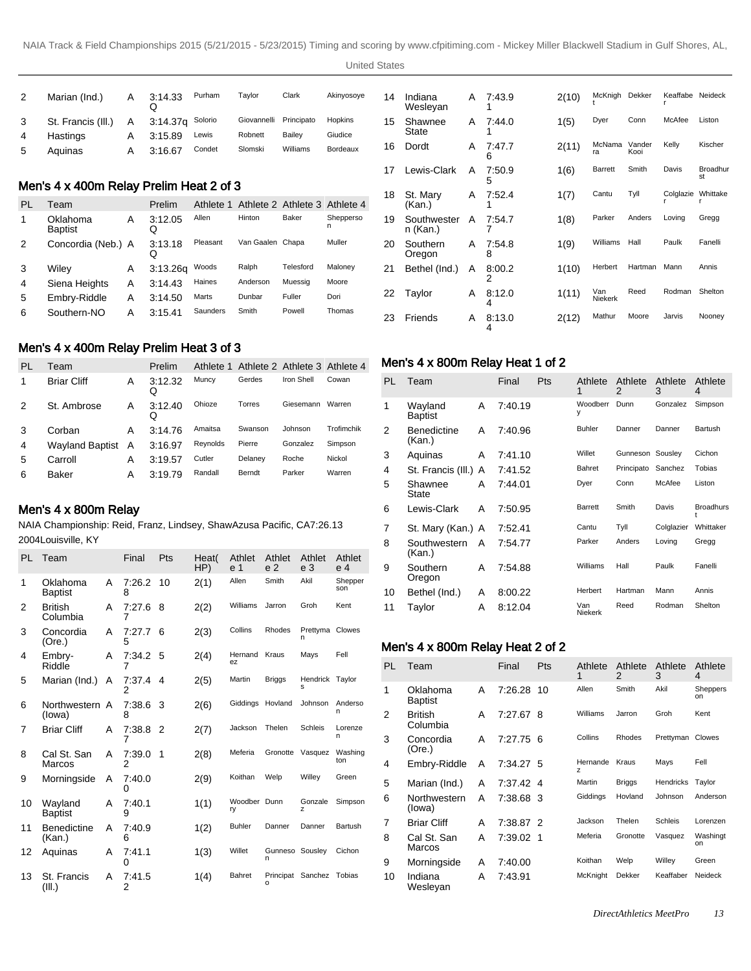```
United States
```

|   | Marian (Ind.)        | A | 3:14.33          | Purham | Tavlor      | Clark      | Akinyosoye |
|---|----------------------|---|------------------|--------|-------------|------------|------------|
| 3 | St. Francis (III.) A |   | 3:14.37a Solorio |        | Giovannelli | Principato | Hopkins    |
| 4 | Hastings             | А | 3:15.89          | Lewis  | Robnett     | Bailev     | Giudice    |
| 5 | Aguinas              | А | 3:16.67          | Condet | Slomski     | Williams   | Bordeaux   |

# Men's 4 x 400m Relay Prelim Heat 2 of 3

| PL | Team                       |   | Prelim       | Athlete 1 | Athlete 2 Athlete 3 Athlete 4 |           |                |
|----|----------------------------|---|--------------|-----------|-------------------------------|-----------|----------------|
| 1  | Oklahoma<br><b>Baptist</b> | Α | 3:12.05<br>Q | Allen     | Hinton                        | Baker     | Shepperso<br>n |
| 2  | Concordia (Neb.) A         |   | 3:13.18<br>Q | Pleasant  | Van Gaalen Chapa              |           | Muller         |
| 3  | Wiley                      | Α | 3:13.26q     | Woods     | Ralph                         | Telesford | Maloney        |
| 4  | Siena Heights              | Α | 3:14.43      | Haines    | Anderson                      | Muessia   | Moore          |
| 5  | Embry-Riddle               | А | 3:14.50      | Marts     | Dunbar                        | Fuller    | Dori           |
| 6  | Southern-NO                | А | 3:15.41      | Saunders  | Smith                         | Powell    | Thomas         |

# Men's 4 x 400m Relay Prelim Heat 3 of 3

| PL | Team               |              | Prelim       |          | Athlete 1 Athlete 2 Athlete 3 Athlete 4 |            |            |
|----|--------------------|--------------|--------------|----------|-----------------------------------------|------------|------------|
|    | <b>Briar Cliff</b> | Α            | 3:12.32<br>Ő | Muncy    | Gerdes                                  | Iron Shell | Cowan      |
| 2  | St. Ambrose        | Α            | 3:12.40<br>Ő | Ohioze   | Torres                                  | Giesemann  | Warren     |
| 3  | Corban             | Α            | 3.14.76      | Amaitsa  | Swanson                                 | Johnson    | Trofimchik |
| 4  | Wayland Baptist    | $\mathsf{A}$ | 3:16.97      | Reynolds | Pierre                                  | Gonzalez   | Simpson    |
| 5  | Carroll            | Α            | 3:19.57      | Cutler   | Delaney                                 | Roche      | Nickol     |
| 6  | Baker              | Α            | 3:19.79      | Randall  | Berndt                                  | Parker     | Warren     |

#### Men's 4 x 800m Relay

NAIA Championship: Reid, Franz, Lindsey, Shaw Azusa Pacific, CA 7:26.13 2004Louisville, KY

| PL | Team                         |   | Final         | Pts | Heat(<br>HP) | Athlet<br>e 1      | Athlet<br>e <sub>2</sub> | Athlet<br>e <sub>3</sub> | Athlet<br>e 4  |
|----|------------------------------|---|---------------|-----|--------------|--------------------|--------------------------|--------------------------|----------------|
| 1  | Oklahoma<br><b>Baptist</b>   | A | 7:26.2<br>8   | 10  | 2(1)         | Allen              | Smith                    | Akil                     | Shepper<br>son |
| 2  | <b>British</b><br>Columbia   | A | 7:27.6<br>7   | 8   | 2(2)         | Williams           | Jarron                   | Groh                     | Kent           |
| 3  | Concordia<br>(Ore.)          | A | 7:27.7<br>5   | 6   | 2(3)         | Collins            | Rhodes                   | Prettyma Clowes<br>n     |                |
| 4  | Embrv-<br>Riddle             | A | 7:34.2<br>7   | 5   | 2(4)         | Hernand<br>ez      | Kraus                    | Mays                     | Fell           |
| 5  | Marian (Ind.)                | A | 7:37.4<br>2   | 4   | 2(5)         | Martin             | <b>Briggs</b>            | Hendrick Taylor<br>s     |                |
| 6  | Northwestern A<br>(lowa)     |   | 7:38.6<br>8   | - 3 | 2(6)         | Giddings           | Hovland                  | Johnson                  | Anderso<br>n   |
| 7  | <b>Briar Cliff</b>           | A | 7:38.8 2<br>7 |     | 2(7)         | Jackson            | Thelen                   | Schleis                  | Lorenze<br>n   |
| 8  | Cal St. San<br>Marcos        | A | 7:39.0<br>2   | 1   | 2(8)         | Meferia            | Gronotte                 | Vasquez                  | Washing<br>ton |
| 9  | Morningside                  | A | 7:40.0<br>0   |     | 2(9)         | Koithan            | Welp                     | Willey                   | Green          |
| 10 | Wayland<br><b>Baptist</b>    | A | 7:40.1<br>9   |     | 1(1)         | Woodber Dunn<br>ry |                          | Gonzale<br>z             | Simpson        |
| 11 | <b>Benedictine</b><br>(Kan.) | A | 7:40.9<br>6   |     | 1(2)         | <b>Buhler</b>      | Danner                   | Danner                   | Bartush        |
| 12 | Aquinas                      | A | 7:41.1<br>0   |     | 1(3)         | Willet             | Gunneso Sousley<br>n     |                          | Cichon         |
| 13 | St. Francis<br>(III.)        | A | 7:41.5<br>2   |     | 1(4)         | <b>Bahret</b>      | Principat Sanchez<br>o   |                          | Tobias         |

| 14 | Indiana<br>Wesleyan     | A | 7:43.9      | 2(10) | McKnigh               | Dekker         | Keaffabe  | Neideck               |
|----|-------------------------|---|-------------|-------|-----------------------|----------------|-----------|-----------------------|
| 15 | Shawnee<br>State        | Α | 7:44.0      | 1(5)  | Dyer                  | Conn           | McAfee    | Liston                |
| 16 | Dordt                   | A | 7:47.7<br>6 | 2(11) | McNama<br>ra          | Vander<br>Kooi | Kelly     | Kischer               |
| 17 | Lewis-Clark             | A | 7:50.9<br>5 | 1(6)  | <b>Barrett</b>        | Smith          | Davis     | <b>Broadhur</b><br>st |
| 18 | St. Mary<br>(Kan.)      | A | 7:52.4      | 1(7)  | Cantu                 | Tyll           | Colglazie | Whittake              |
| 19 | Southwester<br>n (Kan.) | A | 7:54.7      | 1(8)  | Parker                | Anders         | Loving    | Gregg                 |
| 20 | Southern<br>Oregon      | A | 7:54.8<br>8 | 1(9)  | Williams              | Hall           | Paulk     | Fanelli               |
| 21 | Bethel (Ind.)           | A | 8:00.2<br>2 | 1(10) | Herbert               | Hartman        | Mann      | Annis                 |
| 22 | Taylor                  | A | 8:12.0<br>4 | 1(11) | Van<br><b>Niekerk</b> | Reed           | Rodman    | Shelton               |
| 23 | Friends                 | A | 8:13.0<br>4 | 2(12) | Mathur                | Moore          | Jarvis    | Nooney                |

# Men's 4 x 800m Relay Heat 1 of 2

| PL | Team                         |   | Final   | Pts | Athlete<br>1   | Athlete<br>2 | Athlete<br>3 | Athlete<br>4     |
|----|------------------------------|---|---------|-----|----------------|--------------|--------------|------------------|
| 1  | Wayland<br>Baptist           | A | 7:40.19 |     | Woodberr<br>у  | Dunn         | Gonzalez     | Simpson          |
| 2  | <b>Benedictine</b><br>(Kan.) | A | 7:40.96 |     | <b>Buhler</b>  | Danner       | Danner       | Bartush          |
| 3  | Aquinas                      | A | 7:41.10 |     | Willet         | Gunneson     | Sousley      | Cichon           |
| 4  | St. Francis (III.) A         |   | 7:41.52 |     | Bahret         | Principato   | Sanchez      | Tobias           |
| 5  | Shawnee<br>State             | A | 7:44.01 |     | Dyer           | Conn         | McAfee       | Liston           |
| 6  | Lewis-Clark                  | A | 7:50.95 |     | Barrett        | Smith        | Davis        | <b>Broadhurs</b> |
| 7  | St. Mary (Kan.) A            |   | 7:52.41 |     | Cantu          | Tyll         | Colglazier   | Whittaker        |
| 8  | Southwestern<br>(Kan.)       | A | 7:54.77 |     | Parker         | Anders       | Loving       | Gregg            |
| 9  | Southern<br>Oregon           | A | 7:54.88 |     | Williams       | Hall         | Paulk        | Fanelli          |
| 10 | Bethel (Ind.)                | A | 8:00.22 |     | Herbert        | Hartman      | Mann         | Annis            |
| 11 | Taylor                       | A | 8:12.04 |     | Van<br>Niekerk | Reed         | Rodman       | Shelton          |

# Men's 4 x 800m Relay Heat 2 of 2

| PL | Team                       |   | Final     | Pts | Athlete<br>1  | Athlete<br>2  | Athlete<br>3 | Athlete<br>4   |
|----|----------------------------|---|-----------|-----|---------------|---------------|--------------|----------------|
| 1  | Oklahoma<br><b>Baptist</b> | A | 7:26.28   | -10 | Allen         | Smith         | Akil         | Sheppers<br>on |
| 2  | <b>British</b><br>Columbia | A | 7:27.67 8 |     | Williams      | Jarron        | Groh         | Kent           |
| 3  | Concordia<br>(Ore.)        | A | 7:27.75 6 |     | Collins       | Rhodes        | Prettyman    | Clowes         |
| 4  | Embry-Riddle               | A | 7:34.27 5 |     | Hernande<br>z | Kraus         | Mays         | Fell           |
| 5  | Marian (Ind.)              | A | 7:37.42 4 |     | Martin        | <b>Briggs</b> | Hendricks    | Taylor         |
| 6  | Northwestern<br>(lowa)     | Α | 7:38.68 3 |     | Giddings      | Hovland       | Johnson      | Anderson       |
| 7  | <b>Briar Cliff</b>         | A | 7:38.87 2 |     | Jackson       | Thelen        | Schleis      | Lorenzen       |
| 8  | Cal St. San<br>Marcos      | A | 7:39.02 1 |     | Meferia       | Gronotte      | Vasquez      | Washingt<br>on |
| 9  | Morningside                | A | 7:40.00   |     | Koithan       | Welp          | Willey       | Green          |
| 10 | Indiana<br>Wesleyan        | A | 7:43.91   |     | McKnight      | Dekker        | Keaffaber    | Neideck        |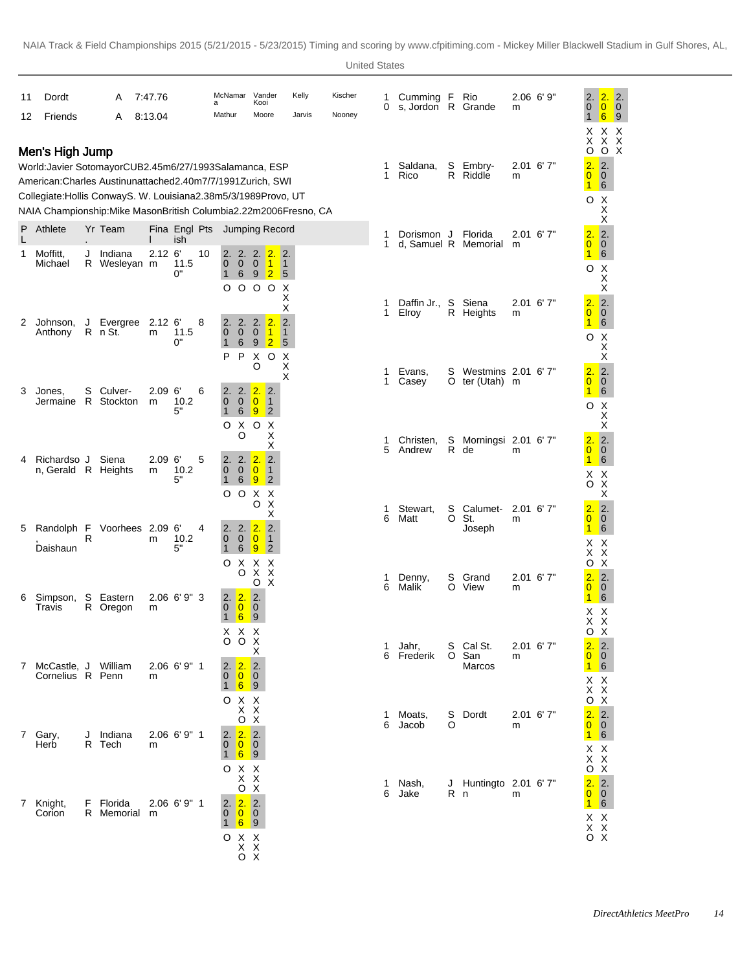| 11 | Dordt                                                                                                                                                                                                                                                                                        |   | A                         | 7:47.76                |                      | a  | McNamar Vander                          |                                                                                                                 | Kooi                                                  |                                               | Kelly  | Kischer | 1<br>0 | Cumming F<br>s, Jordon R Grande |        | Rio                                  | m                | 2.06 6'9"   | 2.<br>$\mathbf 0$                                                                                | 2.<br>2.<br>$\ddot{\bullet}$<br>$\overline{\mathbf{0}}$                                       |
|----|----------------------------------------------------------------------------------------------------------------------------------------------------------------------------------------------------------------------------------------------------------------------------------------------|---|---------------------------|------------------------|----------------------|----|-----------------------------------------|-----------------------------------------------------------------------------------------------------------------|-------------------------------------------------------|-----------------------------------------------|--------|---------|--------|---------------------------------|--------|--------------------------------------|------------------|-------------|--------------------------------------------------------------------------------------------------|-----------------------------------------------------------------------------------------------|
| 12 | Friends                                                                                                                                                                                                                                                                                      |   | A                         | 8:13.04                |                      |    | Mathur                                  |                                                                                                                 | Moore                                                 |                                               | Jarvis | Nooney  |        |                                 |        |                                      |                  |             | $\mathbf{1}$<br>X.                                                                               | 6<br>$\overline{9}$<br>X X                                                                    |
|    | Men's High Jump<br>World: Javier Sotomayor CUB 2.45m 6/27/1993 Salamanca, ESP<br>American: Charles Austin unattached 2.40m 7/7/1991 Zurich, SWI<br>Collegiate: Hollis Conway S. W. Louisiana 2.38m 5/3/1989 Provo, UT<br>NAIA Championship: Mike Mason British Columbia 2.22m 2006Fresno, CA |   |                           |                        |                      |    |                                         |                                                                                                                 |                                                       |                                               |        |         | 1<br>1 | Saldana,<br>Rico                | S      | Embry-<br>R Riddle                   | m                | $2.01$ 6'7" | X.<br>O<br>$\overline{2}$ .<br>$\overline{0}$<br>$\mathbf{1}$<br>O                               | $\begin{array}{c} x & x \\ 0 & x \end{array}$<br>2.<br>$\overline{0}$<br>6<br>$X$<br>$X$      |
| P  | Athlete                                                                                                                                                                                                                                                                                      |   | Yr Team                   |                        | Fina Engl Pts<br>ish |    |                                         | Jumping Record                                                                                                  |                                                       |                                               |        |         | 1      | Dorismon J                      |        | Florida                              |                  | 2.01 6'7"   | 2.                                                                                               | $\overline{\mathbf{2}}$ .                                                                     |
| 1  | Moffitt,<br>Michael                                                                                                                                                                                                                                                                          |   | J Indiana<br>R Wesleyan m | $2.12$ 6               | 11.5<br>0"           | 10 | 2.<br>$\mathbf{0}$<br>$\mathbf{1}$<br>O | 2. 2. 2.<br>$\mathbf 0$<br>$\mathbf 0$<br>$\,6\,$<br>000                                                        | $\vert$ 1<br>$9\vert 2 \vert$                         | 2.<br>$\blacksquare$<br>$5\overline{5}$<br>Χ  |        |         | 1      | d, Samuel R Memorial            |        |                                      | m                |             | $\overline{0}$<br>1<br>O                                                                         | $\overline{\mathbf{0}}$<br>$6\overline{6}$<br>$\mathsf X$<br>X<br>Χ                           |
| 2  | Johnson,<br>Anthony                                                                                                                                                                                                                                                                          |   | J Evergree<br>R n St.     | 2.12 <sub>6</sub><br>m | 11.5<br>0"           | 8  | 2.<br>$\mathbf 0$<br>$\mathbf{1}$       | 2.<br>$\mathbf 0$<br>$\mathbf{0}$<br>6<br>9                                                                     | 2.2.<br>$\vert$ 1<br>$\overline{2}$                   | $_{\rm X}^{\rm X}$<br>2.<br>$\mathbf{1}$<br>5 |        |         | 1<br>1 | Daffin Jr.,<br>Elroy            | S      | Siena<br>R Heights                   | m                | 2.01 6'7"   | 2.<br>$\overline{0}$<br>$\mathbf{1}$<br>O                                                        | $\overline{\mathbf{2}}$<br>$\overline{0}$<br>$6 \nvert$<br>$\boldsymbol{\mathsf{X}}$          |
| 3  | Jones.                                                                                                                                                                                                                                                                                       | S | Culver-                   | 2.09 <sub>6</sub>      |                      | 6  | P<br>2.                                 | P<br>X<br>O<br>2.<br>2.                                                                                         | $\circ$<br>2.                                         | X<br>$\pmb{\times}$<br>Χ                      |        |         | 1<br>1 | Evans,<br>Casey                 | S      | Westmins 2.01 6'7"<br>O ter (Utah) m |                  |             | 2.<br>$\overline{0}$<br>$\mathbf{1}$                                                             | $_{\rm X}^{\rm X}$<br>$\overline{\mathbf{2}}$ .<br>$\overline{\mathbf{0}}$<br>$6\overline{6}$ |
|    | Jermaine R Stockton                                                                                                                                                                                                                                                                          |   |                           | m                      | 10.2<br>5"           |    | $\overline{0}$<br>$\mathbf{1}$<br>O     | $\mathbf{0}$<br>$\overline{0}$<br>6<br>$\overline{9}$<br>Χ<br>O<br>O                                            | $\vert$ 1<br>$\overline{2}$<br>Χ<br>Х                 |                                               |        |         | 1      | Christen,                       | S      | Morningsi 2.01 6'7"                  |                  |             | O<br>2.                                                                                          | $\times$<br>$\times$<br>$\overline{\mathbf{2}}$ .                                             |
| 4  | Richardso J<br>n, Gerald R Heights                                                                                                                                                                                                                                                           |   | Siena                     | 2.09 <sub>6</sub><br>m | 10.2<br>5"           | 5  | 2.<br>$\mathbf{0}$<br>$\mathbf{1}$      | 2.2.<br>$\mathbf 0$<br>$\overline{0}$<br>$\,6\,$<br>$\overline{9}$                                              | X<br>$\overline{2}$<br>$\vert$ 1<br>$\overline{2}$    |                                               |        |         | 5      | Andrew                          |        | R de                                 | m                |             | $\overline{0}$<br>$\blacksquare$<br>X.<br>O X                                                    | $\overline{0}$<br>6<br>X                                                                      |
| 5  | Randolph F                                                                                                                                                                                                                                                                                   | R | Voorhees 2.09 6'          | m                      | 10.2                 | 4  | O<br>2.<br>$\mathbf 0$                  | $\circ$<br>Χ<br>O<br>2.2.<br>$\overline{0}$<br>$\mathbf 0$                                                      | Х<br>X<br>Х<br>$\overline{2}$<br>$\vert$ 1            |                                               |        |         | 1<br>6 | Stewart,<br>Matt                | S<br>O | Calumet-<br>St.<br>Joseph            | $2.01$ 6'7"<br>m |             | 2.<br>$\overline{0}$<br>$\mathbf{1}$<br>хx                                                       | х<br>2.<br>$\overline{0}$<br>6                                                                |
|    | Daishaun                                                                                                                                                                                                                                                                                     |   |                           |                        | 5"                   |    | $\mathbf{1}$<br>O                       | 6<br>9<br>X<br>X<br>X<br>O<br>O                                                                                 | $\overline{2}$<br>X<br>$\boldsymbol{\mathsf{X}}$<br>Χ |                                               |        |         | 1<br>6 | Denny,<br>Malik                 | S      | Grand<br>O View                      | m                | $2.01$ 6'7" | X.<br>O<br>$\overline{2}$ .<br>$\overline{0}$                                                    | X<br>$\ddot{x}$<br>2.<br>$\overline{0}$                                                       |
| 6  | Simpson,<br>Travis                                                                                                                                                                                                                                                                           |   | S Eastern<br>R Oregon     | m                      | $2.06$ 6' 9" 3       |    | 2.<br>$\mathbf{0}$<br>$\mathbf{1}$      | $\overline{2}$ .<br> 2.<br>$\overline{0}$<br>$\overline{\mathbf{0}}$<br>6<br>$\overline{9}$<br>X X X            |                                                       |                                               |        |         |        |                                 |        |                                      |                  |             | $\mathbf{1}$<br>X.<br>X X<br>ο χ<br>2.                                                           | $6\overline{6}$<br>X                                                                          |
|    | 7 McCastle, J William<br>Cornelius R Penn                                                                                                                                                                                                                                                    |   |                           | m                      | $2.06$ 6' 9" 1       |    | 2.<br>$\mathbf 0$                       | $\begin{array}{c}\n0 & 0 & X \\ & X\n\end{array}$<br>$\sqrt{2}$ .<br> 2.<br>$1 \overline{6}$ 9                  |                                                       |                                               |        |         | 1      | Jahr,<br>6 Frederik             |        | S Cal St.<br>O San<br>Marcos         | m                | $2.01$ 6'7" | $\overline{0}$<br>$1 \vert 6$<br>X X<br>X X                                                      | $\overline{2}$ .<br>$\overline{\mathbf{0}}$                                                   |
|    | 7 Gary,<br>Herb                                                                                                                                                                                                                                                                              |   | J Indiana<br>R Tech       | m                      | $2.06$ 6' 9" 1       |    | $\mathbf{0}$                            | $\begin{array}{c}\n0 & X & X \\ X & X \\ 0 & X\n\end{array}$<br>2.2.2<br>$\begin{bmatrix} 0 \\ 0 \end{bmatrix}$ |                                                       |                                               |        |         | 1<br>6 | Moats,<br>Jacob                 | S<br>O | Dordt                                | m                | $2.01$ 6'7" | O X<br>2.<br>$\overline{0}$<br>$\mathbf{1}$                                                      | 2.<br>$\overline{\mathbf{0}}$<br>$6\overline{6}$                                              |
|    |                                                                                                                                                                                                                                                                                              |   |                           |                        |                      |    |                                         | $1 \overline{6}$ 9<br>$\begin{array}{c}\n0 & X & X \\ X & X\n\end{array}$<br>O X                                |                                                       |                                               |        |         | 1<br>6 | Nash,<br>Jake                   | R n    | J Huntingto 2.01 6' 7"               | m                |             | X X<br>$\begin{array}{c} X & X \\ O & X \end{array}$<br>2.2.<br>0 <sub>0</sub>                   |                                                                                               |
|    | 7 Knight,<br>Corion                                                                                                                                                                                                                                                                          |   | F Florida<br>R Memorial m |                        | $2.06$ 6' 9" 1       |    | $\mathbf{0}$<br>$\mathbf{1}$<br>O       | 2.2.2.<br>$0$ 0<br>$6 \frac{1}{2}$<br>$\overline{\phantom{0}}$ 9<br>X X                                         |                                                       |                                               |        |         |        |                                 |        |                                      |                  |             | $1\overline{6}$<br>$\begin{array}{c} \times \times \\ \times \times \\ \circ \times \end{array}$ |                                                                                               |
|    |                                                                                                                                                                                                                                                                                              |   |                           |                        |                      |    |                                         | $\begin{array}{c} x & x \\ 0 & x \end{array}$                                                                   |                                                       |                                               |        |         |        |                                 |        |                                      |                  |             |                                                                                                  |                                                                                               |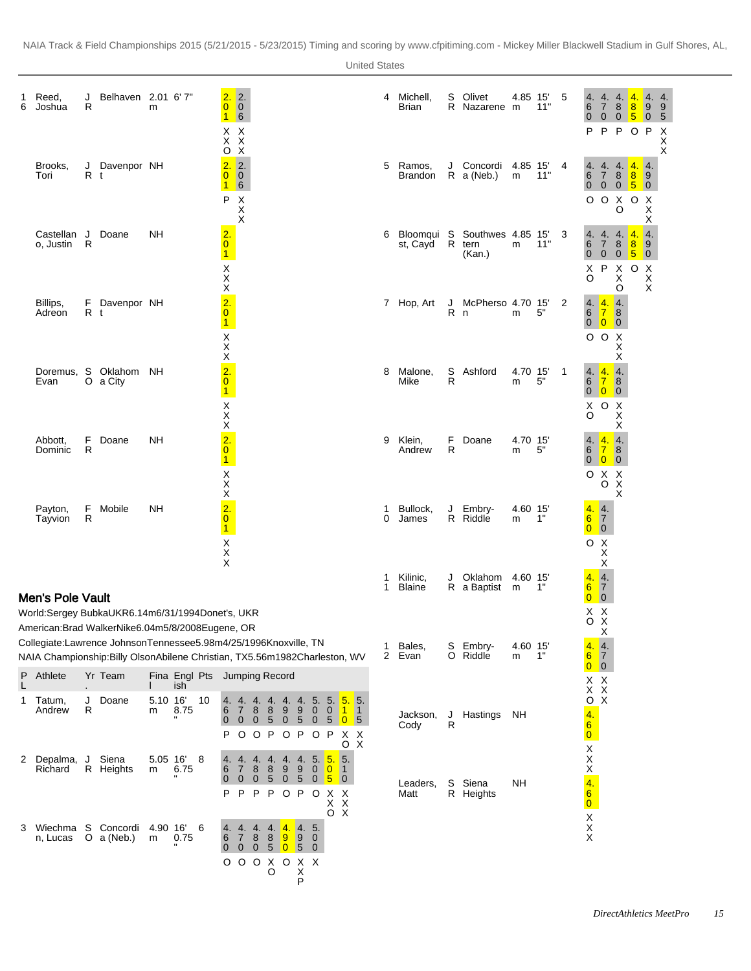| 1<br>6 | Reed,<br>Joshua                  | J<br>R  | Belhaven 2.01 6'7"                                                                                                                                                                                              | m             |                              |    | 2.<br>$\overline{0}$<br>$\overline{1}$                                                                    | $\frac{2}{0}$<br>6                                                      |                                             |                                           |                            |                           |                                  |                                              |                                                                       | 4      | Michell,<br>Brian         | S      | Olivet<br>R Nazarene m                           | 4.85 15       | 11" | 5            | 6<br>$\mathbf{0}$<br>P                       | 4. 4. 4.<br>$7\overline{ }$<br>$0\quad 0$<br>P                           | 8                                                                   | 4.<br>8<br>$\sqrt{5}$<br>P O P | 4.4.<br>$\overline{9}$<br>$\overline{\mathbf{0}}$                                    | 9<br>5<br>$\mathsf{X}$ |
|--------|----------------------------------|---------|-----------------------------------------------------------------------------------------------------------------------------------------------------------------------------------------------------------------|---------------|------------------------------|----|-----------------------------------------------------------------------------------------------------------|-------------------------------------------------------------------------|---------------------------------------------|-------------------------------------------|----------------------------|---------------------------|----------------------------------|----------------------------------------------|-----------------------------------------------------------------------|--------|---------------------------|--------|--------------------------------------------------|---------------|-----|--------------|----------------------------------------------|--------------------------------------------------------------------------|---------------------------------------------------------------------|--------------------------------|--------------------------------------------------------------------------------------|------------------------|
|        | Brooks,<br>Tori                  | R t     | J Davenpor NH                                                                                                                                                                                                   |               |                              |    | $\begin{array}{c}\nX & X \\ X & X \\ O & X\n\end{array}$<br>$\overline{2}$ .<br>$\overline{0}$<br>16<br>P | $\overline{\phantom{a}}$ 2.<br>$\vert 0 \vert$<br>$X$<br>$X$            |                                             |                                           |                            |                           |                                  |                                              |                                                                       | 5      | Ramos,<br>Brandon         |        | J Concordi 4.85 15'<br>$R$ a (Neb.)              | m             | 11" | 4            | $6\phantom{1}6$<br>$\overline{0}$            | 4. 4. 4. <mark>4.</mark><br>$\overline{7}$<br>$0\quad 0\quad 5$<br>O O X | 8<br>O                                                              | 8 <br>$\circ$                  | $\overline{4}$ .<br>$\overline{9}$<br>$\overline{\phantom{0}}$<br>X<br>X             | X<br>X                 |
|        | Castellan J Doane<br>o, Justin R |         |                                                                                                                                                                                                                 | NΗ            |                              |    | $\frac{2}{0}$<br>$\vert$ 1                                                                                |                                                                         |                                             |                                           |                            |                           |                                  |                                              |                                                                       | 6      | st, Cayd                  |        | Bloomqui S Southwes 4.85 15'<br>R tern<br>(Kan.) | m             | 11" | 3            | 6<br>$\mathbf 0$<br>X<br>O                   | 4. 4. 4. 4.<br>7 8 <mark>8</mark><br>$\overline{0}$<br>P                 | $\overline{0}$<br>$\times$<br>Χ                                     | 5<br>$\circ$                   | Χ<br>$\overline{4}$ .<br>$\overline{9}$<br>$\overline{0}$<br>X<br>$\pmb{\mathsf{X}}$ |                        |
|        | Billips,<br>Adreon               | R t     | F Davenpor NH                                                                                                                                                                                                   |               |                              |    | $X$ $X$ $X$ $2$ $0$ <sup>1</sup>                                                                          |                                                                         |                                             |                                           |                            |                           |                                  |                                              |                                                                       |        | 7 Hop, Art                | R n    | J McPherso 4.70 15'                              | m             | 5"  | 2            | $\,6$                                        | 4.4.<br>$\overline{7}$<br>0 <sub>0</sub><br>O O X                        | O<br>$\overline{a}$<br>$\mathbf{8}$<br>$\overline{\mathbf{0}}$<br>Χ |                                | $\mathsf X$                                                                          |                        |
|        | Evan                             |         | Doremus, S Oklahom NH<br>O a City                                                                                                                                                                               |               |                              |    | $X \times X$<br>$2.0$<br>$\vert$ 1                                                                        |                                                                         |                                             |                                           |                            |                           |                                  |                                              |                                                                       | 8      | Malone,<br>Mike           | S<br>R | Ashford                                          | 4.70 15'<br>m | 5"  | $\mathbf{1}$ | $\,6$<br>X<br>O                              | 4.4.<br>$\overline{7}$<br>$0\quad 0\quad 0$<br>O X                       | Χ<br>$\vert 4.$<br>$\mathbf{8}$                                     |                                |                                                                                      |                        |
|        | Abbott,<br>Dominic               | F.<br>R | Doane                                                                                                                                                                                                           | <b>NH</b>     |                              |    | $\times$<br>$\frac{2}{0}$<br>$\overline{1}$                                                               |                                                                         |                                             |                                           |                            |                           |                                  |                                              |                                                                       | 9      | Klein,<br>Andrew          | R      | F Doane                                          | 4.70 15<br>m  | 5"  |              | $\,6$<br>$\ddot{\mathbf{0}}$                 | 4. 4. 4.<br> 7 <br>$\overline{\mathbf{0}}$<br>O X X                      | X<br>х<br>$\vert 8 \vert$<br>$\overline{\mathbf{0}}$                |                                |                                                                                      |                        |
|        | Payton,<br>Tayvion               | F.<br>R | Mobile                                                                                                                                                                                                          | NΗ            |                              |    | $\frac{X}{X}$<br>$\frac{2}{0}$<br>$\overline{1}$<br>$\begin{array}{c}\nX\\ X\\ X\n\end{array}$            |                                                                         |                                             |                                           |                            |                           |                                  |                                              |                                                                       | 1<br>0 | Bullock,<br>James         |        | J Embry-<br>R Riddle                             | 4.60 15<br>m  | 1"  |              | 6 <sup>1</sup><br>$\overline{0}$             | O X<br>4.4.<br>$\overline{7}$<br>$\overline{\mathbf{0}}$<br>O X<br>X     | X                                                                   |                                |                                                                                      |                        |
|        | <b>Men's Pole Vault</b>          |         |                                                                                                                                                                                                                 |               |                              |    |                                                                                                           |                                                                         |                                             |                                           |                            |                           |                                  |                                              |                                                                       | 1<br>1 | Kilinic,<br><b>Blaine</b> |        | J Oklahom 4.60 15'<br>R a Baptist m              |               | 1"  |              | 4.<br>6 <sup>1</sup><br>$0 \mid 0$           | $\mathsf X$<br>4.<br>$\overline{7}$                                      |                                                                     |                                |                                                                                      |                        |
|        |                                  |         | World: Sergey Bubka UKR 6.14m 6/31/1994 Donet's, UKR                                                                                                                                                            |               |                              |    |                                                                                                           |                                                                         |                                             |                                           |                            |                           |                                  |                                              |                                                                       |        |                           |        |                                                  |               |     |              |                                              | X X<br>O X                                                               |                                                                     |                                |                                                                                      |                        |
|        |                                  |         | American: Brad Walker Nike 6.04m 5/8/2008 Eugene, OR<br>Collegiate: Lawrence Johnson Tennessee 5.98m 4/25/1996 Knoxville, TN<br>NAIA Championship: Billy Olson Abilene Christian, TX 5.56m 1982Charleston, WV 2 |               |                              |    |                                                                                                           |                                                                         |                                             |                                           |                            |                           |                                  |                                              |                                                                       | 1      | Bales,<br>Evan            |        | S Embry-<br>O Riddle                             | 4.60 15<br>m  | 1"  |              | 4.<br>$6 \overline{6}$                       | X<br>$\overline{4}$ .<br>$\overline{7}$                                  |                                                                     |                                |                                                                                      |                        |
| P      | Athlete                          |         | Yr Team                                                                                                                                                                                                         |               | Fina Engl Pts Jumping Record |    |                                                                                                           |                                                                         |                                             |                                           |                            |                           |                                  |                                              |                                                                       |        |                           |        |                                                  |               |     |              | $\overline{0}$                               | $\overline{\mathbf{0}}$<br>X X                                           |                                                                     |                                |                                                                                      |                        |
| L<br>1 | Tatum,<br>Andrew                 | J<br>R  | Doane                                                                                                                                                                                                           | 5.10 16'<br>m | ish<br>8.75                  | 10 | 6<br>$\mathbf 0$<br>P                                                                                     | 4. 4. 4. 4. 4. 4. 5.<br>$\overline{7}$<br>$\mathbf{0}$<br>O O P O P O P | 8<br>$\overline{0}$<br>$\sqrt{5}$           | 8                                         | 9<br>$\overline{0}$        | 9<br>$\overline{5}$       | $\overline{0}$<br>$\overline{0}$ | 0 <sub>1</sub><br>$\sqrt{5}$                 | 5. 5. 5.<br>$\vert$ 1<br>$\overline{\phantom{0}}$<br>$\sqrt{5}$<br>XX |        | Jackson,<br>Cody          |        | J Hastings<br>R                                  | ΝH            |     |              | $\overline{4}$ .<br>6<br>$\overline{0}$      | $\ddot{x}$ $\ddot{x}$<br>O X                                             |                                                                     |                                |                                                                                      |                        |
|        | 2 Depalma,<br>Richard            | J       | Siena<br>R Heights                                                                                                                                                                                              | m             | 5.05 16'<br>6.75             | 8  | 6<br>$\mathbf 0$<br>P                                                                                     | 4.<br>$\overline{7}$<br>$\overline{0}$<br>P                             | 4.<br>8<br>8<br>$\mathbf 0$<br>$\mathsf{P}$ | 4.<br>$\mathbf 0$<br>5<br>P.              | 4. 4. 5.<br>9<br>O P O X X | $9^{\circ}$<br>$\sqrt{5}$ | $\overline{0}$<br>$\overline{0}$ | 5.<br>$\overline{0}$<br>$5\overline{5}$<br>X | o x<br>5.<br>$\vert$ 1<br>$\overline{0}$<br>$\boldsymbol{\mathsf{X}}$ |        | Leaders,<br>Matt          | S      | Siena<br>R Heights                               | <b>NH</b>     |     |              | $X$ $X$ $X$ $4$ $6$                          |                                                                          |                                                                     |                                |                                                                                      |                        |
| 3      | Wiechma S Concordi<br>n, Lucas   |         | O $a(Neb.)$                                                                                                                                                                                                     | 4.90 16'<br>m | 0.75                         | 6  | 4.<br>6<br>$\bf{0}$                                                                                       | 4.<br>$\overline{7}$<br>$\overline{0}$<br>000                           | 4.<br>8<br>8<br>$\mathbf{0}$                | 4.<br>$\overline{9}$<br>5 0 5 0<br>X<br>O | 4.<br>$0 \times x$         | 4. 5.<br> 9 <br>P         | $\mathbf{0}$                     | O X                                          |                                                                       |        |                           |        |                                                  |               |     |              | $\begin{array}{c}\nX \\ X \\ X\n\end{array}$ |                                                                          |                                                                     |                                |                                                                                      |                        |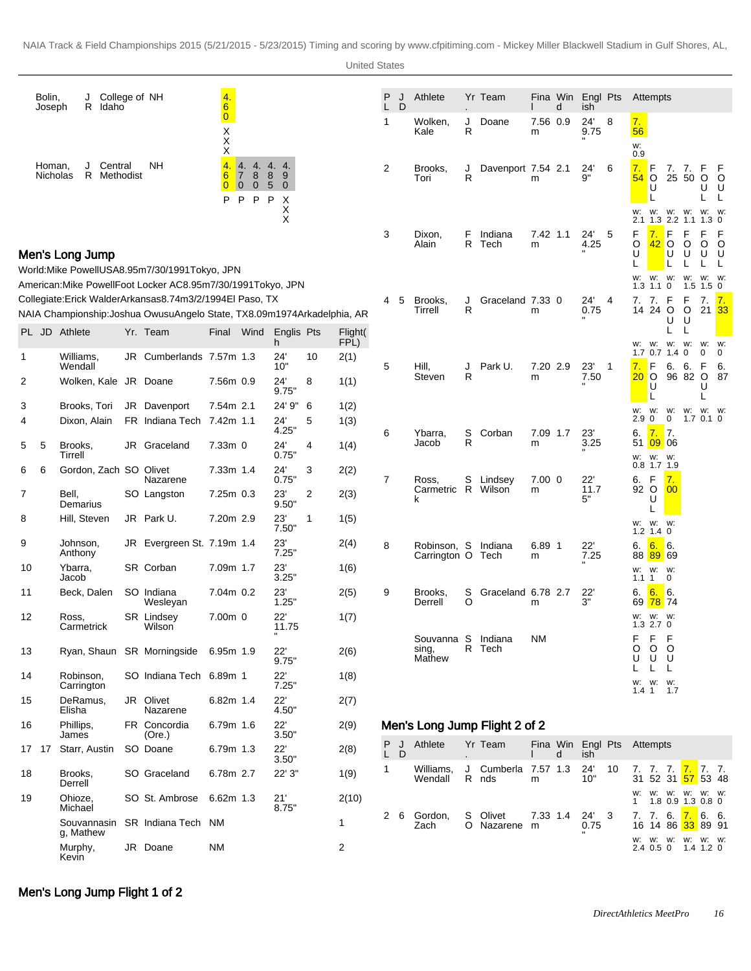|        | Bolin,<br>Joseph   | College of NH<br>J<br>R<br>Idaho              |    |                                                                                                                                            | 4.<br>$6\overline{6}$                      |                                                                                                                |                                 |         |                    | P<br>L       | J<br>D | Athlete                                  |        | Yr Team                       |               | Fina Win<br>d | Engl Pts<br>ish          |     | Attempts                                                                                                                               |
|--------|--------------------|-----------------------------------------------|----|--------------------------------------------------------------------------------------------------------------------------------------------|--------------------------------------------|----------------------------------------------------------------------------------------------------------------|---------------------------------|---------|--------------------|--------------|--------|------------------------------------------|--------|-------------------------------|---------------|---------------|--------------------------|-----|----------------------------------------------------------------------------------------------------------------------------------------|
|        |                    |                                               |    |                                                                                                                                            | $\overline{0}$<br>Χ<br>Χ<br>Χ              |                                                                                                                |                                 |         |                    | $\mathbf{1}$ |        | Wolken,<br>Kale                          | J<br>R | Doane                         | 7.56 0.9<br>m |               | 24'<br>9.75              | 8   | 7.<br>56<br>w:                                                                                                                         |
|        | Homan,<br>Nicholas | Central<br>J<br>R<br>Methodist                |    | NΗ                                                                                                                                         | $\overline{4}$<br>6<br>$\overline{0}$<br>P | 4.4.<br>$\overline{7}$<br>8<br>8<br>$\overline{0}$<br>$5\phantom{1}$<br>$\overline{\mathbf{0}}$<br>P<br>P<br>P | 4. 4.<br>9<br>$\mathbf{0}$<br>Х |         |                    | 2            |        | Brooks,<br>Tori                          | J<br>R | Davenport 7.54 2.1            | m             |               | 24'<br>9"                | 6   | 0.9<br>7.<br>F<br>7.<br>7.<br>54<br>O<br>25 50<br>$\circ$<br>O<br>υ<br>U<br>U<br>L<br>L                                                |
|        |                    |                                               |    |                                                                                                                                            |                                            |                                                                                                                | Χ<br>X                          |         |                    | 3            |        | Dixon,<br>Alain                          | F      | Indiana<br>R Tech             | 7.42 1.1<br>m |               | 24'<br>4.25              | 5   | w:<br>w:<br>W.<br>W.<br>W:<br>W.<br>$2.2$ 1.1<br>2.1<br>1.3<br>$1.3 \ 0$<br>F<br>7.<br>F<br>F<br>F<br>F<br>O<br>42<br>O<br>O<br>O<br>O |
|        |                    | Men's Long Jump                               |    | World: Mike Powell USA 8.95m 7/30/1991 Tokyo, JPN<br>American: Mike Powell Foot Locker AC 8.95m 7/30/1991 Tokyo, JPN                       |                                            |                                                                                                                |                                 |         |                    |              |        |                                          |        |                               |               |               |                          |     | U<br>U<br>U<br>U<br>U<br>L<br>L<br>L<br>w:<br>w:<br>W.<br>w:<br>W.<br>W.<br>0<br>1.5<br>1.3<br>1.1<br>1.5<br>0                         |
|        |                    |                                               |    | Collegiate: Erick Walder Arkansas 8.74m 3/2/1994 El Paso, TX<br>NAIA Championship: Joshua Owusu Angelo State, TX 8.09m 1974Arkadelphia, AR |                                            |                                                                                                                |                                 |         |                    | 4            | 5      | Brooks,<br>Tirrell                       | J<br>R | Graceland 7.33 0              | m             |               | 24'<br>0.75              | 4   | F<br>F<br>7. 7.<br>7.<br><u>17.</u><br>14 24 O<br>O<br>21 33<br>U<br>U                                                                 |
|        |                    | PL JD Athlete                                 |    | Yr. Team                                                                                                                                   | Final                                      | Wind                                                                                                           | Englis Pts<br>h.                |         | Flight(<br>$FPL$ ) |              |        |                                          |        |                               |               |               |                          |     | L<br>L<br>W. W.<br>W.<br>w:<br>W.<br>w:                                                                                                |
| 1<br>2 |                    | Williams,<br>Wendall<br>Wolken, Kale JR Doane | JR | Cumberlands 7.57m 1.3                                                                                                                      | 7.56m 0.9                                  |                                                                                                                | 24'<br>10"<br>24'               | 10<br>8 | 2(1)<br>1(1)       | 5            |        | Hill,<br>Steven                          | J<br>R | Park U.                       | 7.20 2.9<br>m |               | 23'<br>7.50              | -1  | 0<br>0.7<br>0<br>0<br>1.7<br>1.4<br>7.<br>F<br>6.<br>6.<br>F<br>6.<br>20<br>96 82<br>$\circ$<br>O<br>87<br>U                           |
| 3      |                    | Brooks, Tori                                  |    | JR Davenport                                                                                                                               | 7.54m 2.1                                  |                                                                                                                | 9.75"<br>24' 9"                 | 6       | 1(2)               |              |        |                                          |        |                               |               |               |                          |     | υ<br>L<br>L                                                                                                                            |
| 4      |                    | Dixon, Alain                                  |    | FR Indiana Tech                                                                                                                            | 7.42m 1.1                                  |                                                                                                                | 24'<br>4.25"                    | 5       | 1(3)               | 6            |        | Ybarra,                                  | S      | Corban                        | 7.09 1.7      |               | 23'                      |     | w:<br>w:<br>W.<br>W.<br>W: W:<br>0<br>0<br>1.7<br>2.9<br>$0.1 \ 0$<br>7.<br> 7.<br>6.                                                  |
| 5      | 5                  | Brooks,<br>Tirrell                            | JR | Graceland                                                                                                                                  | $7.33m$ 0                                  |                                                                                                                | 24'<br>0.75"                    | 4       | 1(4)               |              |        | Jacob                                    | R      |                               | m             |               | 3.25                     |     | 0906<br>51<br>w:<br>w:<br>w:                                                                                                           |
| 6      | 6                  | Gordon, Zach SO Olivet                        |    | Nazarene                                                                                                                                   | 7.33m 1.4                                  |                                                                                                                | 24'<br>0.75"                    | 3       | 2(2)               | 7            |        | Ross,                                    | S      | Lindsey                       | $7.00$ 0      |               | 22'                      |     | $0.8$ 1.7 1.9<br>6. F<br>7.                                                                                                            |
| 7      |                    | Bell,<br>Demarius                             |    | SO Langston                                                                                                                                | $7.25m$ 0.3                                |                                                                                                                | 23'<br>9.50"                    | 2       | 2(3)               |              |        | Carmetric R<br>k                         |        | Wilson                        | m             |               | 11.7<br>5"               |     | 92 O<br>00<br>U                                                                                                                        |
| 8      |                    | Hill, Steven                                  |    | JR Park U.                                                                                                                                 | 7.20m 2.9                                  |                                                                                                                | 23'<br>7.50"                    | 1       | 1(5)               |              |        |                                          |        |                               |               |               |                          |     | W: W: W:<br>$1.2$ 1.4 0                                                                                                                |
| 9      |                    | Johnson,<br>Anthony                           |    | JR Evergreen St. 7.19m 1.4                                                                                                                 |                                            |                                                                                                                | 23'<br>7.25"                    |         | 2(4)               | 8            |        | Robinson, S<br>Carrington O Tech         |        | Indiana                       | 6.89 1<br>m   |               | 22'<br>7.25              |     | 6.6.<br>6.<br>88 89 69                                                                                                                 |
| 10     |                    | Ybarra,<br>Jacob                              |    | SR Corban                                                                                                                                  | 7.09m 1.7                                  |                                                                                                                | 23'<br>3.25"                    |         | 1(6)               |              |        |                                          |        |                               |               |               |                          |     | W. W.<br>w:<br>$\mathbf{1}$<br>0<br>1.1                                                                                                |
| 11     |                    | Beck, Dalen                                   |    | SO Indiana<br>Wesleyan                                                                                                                     | 7.04m 0.2                                  |                                                                                                                | 23'<br>1.25"                    |         | 2(5)               | 9            |        | Brooks,<br>Derrell                       | S<br>O | Graceland 6.78 2.7            | m             |               | 22'<br>3"                |     | 6.<br>6.<br>$\blacksquare$ 6.<br>69 78 74                                                                                              |
| 12     |                    | Ross,<br>Carmetrick                           |    | <b>SR</b> Lindsey<br>Wilson                                                                                                                | 7.00m 0                                    |                                                                                                                | 22'<br>11.75<br>$\mathbf H$     |         | 1(7)               |              |        |                                          |        |                               |               |               |                          |     | W: W: W:<br>1.32.70                                                                                                                    |
| 13     |                    |                                               |    | Ryan, Shaun SR Morningside 6.95m 1.9                                                                                                       |                                            |                                                                                                                | 22'<br>9.75"                    |         | 2(6)               |              |        | Souvanna <sub>S</sub><br>sing,<br>Mathew |        | Indiana<br>R Tech             | ΝM            |               |                          |     | F<br>F<br>F<br>O<br>O<br>O<br>U<br>U<br>U                                                                                              |
| 14     |                    | Robinson,<br>Carrington                       |    | SO Indiana Tech 6.89m 1                                                                                                                    |                                            |                                                                                                                | 22'<br>7.25"                    |         | 1(8)               |              |        |                                          |        |                               |               |               |                          |     | L<br>L<br>L<br>W: W: W:<br>1.7<br>1.4 1                                                                                                |
| 15     |                    | DeRamus,<br>Elisha                            |    | JR Olivet<br>Nazarene                                                                                                                      | 6.82m 1.4                                  |                                                                                                                | 22'<br>4.50"                    |         | 2(7)               |              |        |                                          |        |                               |               |               |                          |     |                                                                                                                                        |
| 16     |                    | Phillips,<br>James                            |    | FR Concordia<br>(Ore.)                                                                                                                     | 6.79m 1.6                                  |                                                                                                                | $22^{\circ}$<br>3.50"           |         | 2(9)               |              |        |                                          |        | Men's Long Jump Flight 2 of 2 |               |               |                          |     |                                                                                                                                        |
|        | 17 17              | Starr, Austin                                 |    | SO Doane                                                                                                                                   | 6.79m 1.3                                  |                                                                                                                | 22'<br>3.50"                    |         | 2(8)               | P J<br>L D   |        | Athlete                                  |        | Yr Team                       |               | d             | Fina Win Engl Pts<br>ish |     | Attempts                                                                                                                               |
| 18     |                    | Brooks,<br>Derrell                            |    | SO Graceland                                                                                                                               | 6.78m 2.7                                  |                                                                                                                | 22' 3"                          |         | 1(9)               | $\mathbf{1}$ |        | Williams,<br>Wendall                     | J      | Cumberla<br>R nds             | 7.57 1.3<br>m |               | 24'<br>10"               | 10  | 7. 7. 7.<br>7.<br>7. 7.<br>31 52 31 <mark>57</mark><br>53 48                                                                           |
| 19     |                    | Ohioze,<br>Michael                            |    | SO St. Ambrose                                                                                                                             | 6.62m 1.3                                  |                                                                                                                | 21'<br>8.75"                    |         | 2(10)              |              |        |                                          |        |                               |               |               |                          |     | W: W: W: W: W:<br>w:<br>1.8 0.9 1.3 0.8 0<br>1                                                                                         |
|        |                    | Souvannasin<br>g, Mathew                      |    | SR Indiana Tech NM                                                                                                                         |                                            |                                                                                                                |                                 |         | 1                  | 2 6          |        | Gordon,<br>Zach                          |        | S Olivet<br>O Nazarene m      | 7.33 1.4      |               | 24'<br>0.75              | - 3 | 7. 7. 6.<br>7.<br>6. 6.<br>16 14 86 33 89 91                                                                                           |
|        |                    | Murphy,<br>Kevin                              |    | JR Doane                                                                                                                                   | <b>NM</b>                                  |                                                                                                                |                                 |         | 2                  |              |        |                                          |        |                               |               |               |                          |     | W: W: W: W:<br>W. W.<br>2.4 0.5 0 1.4 1.2 0                                                                                            |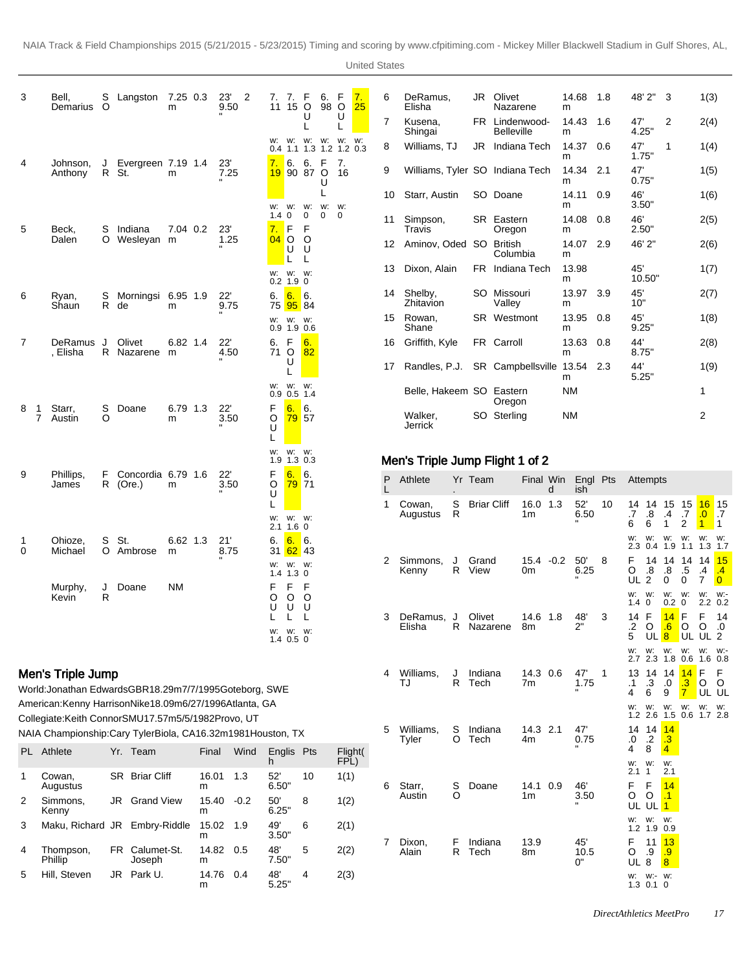United States

|        |                                                                                                                      |               |                              |               |            |                         |                               |                               | UTTIED OLALES                       |    |                          |        |                    |                                           |           |                 |              |                                             |                                                  |                                                                 |                                        |
|--------|----------------------------------------------------------------------------------------------------------------------|---------------|------------------------------|---------------|------------|-------------------------|-------------------------------|-------------------------------|-------------------------------------|----|--------------------------|--------|--------------------|-------------------------------------------|-----------|-----------------|--------------|---------------------------------------------|--------------------------------------------------|-----------------------------------------------------------------|----------------------------------------|
| 3      | Bell,<br>Demarius                                                                                                    | S<br>$\circ$  | Langston 7.25 0.3            | m             |            | $23^\circ$<br>2<br>9.50 | 7. 7. F<br>11                 | 6.<br>15 O                    | 7.<br>F<br>98 O<br>25               | 6  | DeRamus,<br>Elisha       |        |                    | JR Olivet<br>Nazarene                     | m         | 14.68 1.8       |              | 48' 2"                                      | 3                                                | 1(3)                                                            |                                        |
|        |                                                                                                                      |               |                              |               |            |                         |                               | U<br>L                        | U                                   | 7  | Kusena,<br>Shingai       |        |                    | FR Lindenwood-<br><b>Belleville</b>       | m         | 14.43 1.6       |              | 47'<br>4.25"                                | 2                                                | 2(4)                                                            |                                        |
|        |                                                                                                                      |               |                              |               |            |                         | W: W: W:                      |                               | W: W: W:<br>0.4 1.1 1.3 1.2 1.2 0.3 | 8  | Williams, TJ             |        |                    | JR Indiana Tech                           | m         | 14.37 0.6       |              | 47'<br>1.75"                                | 1                                                | 1(4)                                                            |                                        |
| 4      | Johnson,<br>Anthony                                                                                                  | J<br>R St.    | Evergreen 7.19 1.4           | m             |            | 23'<br>7.25             |                               | 7. 6. 6. F<br>19 90 87 O<br>U | 7.<br>16                            | 9  |                          |        |                    | Williams, Tyler SO Indiana Tech           | m         | 14.34 2.1       |              | 47'<br>0.75"                                |                                                  | 1(5)                                                            |                                        |
|        |                                                                                                                      |               |                              |               |            |                         | W: W:                         | L<br>W.                       | W: W:                               | 10 | Starr, Austin            |        |                    | SO Doane                                  | m         | 14.11 0.9       |              | 46'<br>3.50"                                |                                                  | 1(6)                                                            |                                        |
| 5      | Beck,                                                                                                                | S             | Indiana                      | 7.04 0.2      |            | 23'                     | $\mathbf 0$<br>1.4<br>7. F    | 0<br>0<br>F                   | $\mathbf 0$                         | 11 | Simpson,<br>Travis       |        |                    | SR Eastern<br>Oregon                      | m         | 14.08 0.8       |              | 46'<br>2.50"                                |                                                  | 2(5)                                                            |                                        |
|        | Dalen                                                                                                                | O             | Wesleyan m                   |               |            | 1.25                    | $04$ O O<br>U<br>L            | - U<br>L                      |                                     | 12 | Aminov, Oded SO British  |        |                    | Columbia                                  | m         | 14.07 2.9       |              | 46' 2"                                      |                                                  | 2(6)                                                            |                                        |
|        |                                                                                                                      |               |                              |               |            |                         | W: W: W:<br>$0.2$ 1.9 0       |                               |                                     | 13 | Dixon, Alain             |        |                    | FR Indiana Tech                           | m         | 13.98           |              | 45'<br>10.50"                               |                                                  | 1(7)                                                            |                                        |
| 6      | Ryan,<br>Shaun                                                                                                       | S<br>R<br>de  | Morningsi 6.95 1.9           | m             |            | 22'<br>9.75             | 6.<br>75                      | 6.6<br>95 84                  |                                     | 14 | Shelby,<br>Zhitavion     |        |                    | SO Missouri<br>Valley                     | m         | 13.97 3.9       |              | 45'<br>10"                                  |                                                  | 2(7)                                                            |                                        |
|        |                                                                                                                      |               |                              |               |            |                         | W: W: W:<br>$0.9$ 1.9 0.6     |                               |                                     | 15 | Rowan,<br>Shane          |        |                    | SR Westmont                               | m         | 13.95 0.8       |              | 45'<br>9.25"                                |                                                  | 1(8)                                                            |                                        |
| 7      | DeRamus<br>, Elisha                                                                                                  | J             | Olivet<br>R Nazarene         | 6.82 1.4<br>m |            | 22'<br>4.50             | F<br>6.<br>71 O               | 6.<br>82                      |                                     | 16 | Griffith, Kyle           |        |                    | FR Carroll                                | m         | 13.63           | 0.8          | 44'<br>8.75"                                |                                                  | 2(8)                                                            |                                        |
|        |                                                                                                                      |               |                              |               |            |                         | U                             |                               |                                     | 17 |                          |        |                    | Randles, P.J. SR Campbellsville 13.54 2.3 | m         |                 |              | 44'<br>5.25"                                |                                                  | 1(9)                                                            |                                        |
|        |                                                                                                                      |               |                              |               |            |                         | W: W: W:<br>$0.9$ 0.5 1.4     |                               |                                     |    | Belle, Hakeem SO Eastern |        |                    | Oregon                                    | <b>NM</b> |                 |              |                                             |                                                  | 1                                                               |                                        |
| 8      | Starr,<br>1<br>7<br>Austin                                                                                           | S<br>O        | Doane                        | 6.79 1.3<br>m |            | 22'<br>3.50             | 6.<br>F<br>O<br>U             | 6.<br><b>79 57</b>            |                                     |    | Walker,<br>Jerrick       |        |                    | SO Sterling                               | <b>NM</b> |                 |              |                                             |                                                  | 2                                                               |                                        |
|        |                                                                                                                      |               |                              |               |            |                         | w:<br>1.9                     | W. W.<br>1.3 0.3              |                                     |    |                          |        |                    | Men's Triple Jump Flight 1 of 2           |           |                 |              |                                             |                                                  |                                                                 |                                        |
| 9      | Phillips,<br>James                                                                                                   | F<br>R        | Concordia 6.79 1.6<br>(Ore.) | m             |            | 22'<br>3.50             | 6.<br>F<br>O<br>U             | 6.<br><b>79 71</b>            |                                     | P  | Athlete                  |        | Yr Team            | Final Win                                 | d         | Engl Pts<br>ish |              | Attempts                                    |                                                  |                                                                 |                                        |
|        |                                                                                                                      |               |                              |               |            |                         | w:                            | W: W:                         |                                     | 1  | Cowan,<br>Augustus       | S<br>R | <b>Briar Cliff</b> | 16.0 1.3<br>1m                            |           | 52'<br>6.50     | 10           | 14 14 15<br>.8<br>.7<br>6<br>6              | 15<br>.4<br>.7<br>$\mathbf{1}$<br>$\overline{2}$ | $16$ 15<br>$\overline{0}$ .<br>$\mathbf{1}$<br>$\blacksquare$ 1 | $\blacksquare$ .7                      |
| 1<br>0 | Ohioze,<br>Michael                                                                                                   | St.<br>S<br>O | Ambrose                      | 6.62 1.3<br>m |            | 21'<br>8.75             | $2.1$ 1.6 0<br>6.<br>6.<br>31 | $\blacksquare$ 6.<br>$62$ 43  |                                     |    |                          |        |                    |                                           |           |                 |              | w:<br>w:<br>2.3<br>0.4                      | W:<br>W:<br>1.9<br>1.1                           | w: w:<br>$1.3$ 1.7                                              |                                        |
|        |                                                                                                                      |               |                              |               |            |                         | w:<br>1.4                     | W. W.<br>$1.3 \ 0$            |                                     | 2  | Simmons,<br>Kenny        | J      | Grand<br>R View    | $15.4 - 0.2$<br>0 <sub>m</sub>            |           | 50'<br>6.25     | 8            | F<br>14<br>$\boldsymbol{8}$<br>O<br>UL<br>2 | 14<br>14<br>.8<br>.5<br>0<br>0                   | 14 <mark>15</mark><br>$\cdot$<br>$\overline{7}$                 | $\cdot$ <sup>4</sup><br>$\overline{0}$ |
|        | Murphy,<br>Kevin                                                                                                     | J<br>R        | Doane                        | ΝM            |            |                         | F<br>F<br>$\circ$<br>O        | F<br>$\circ$                  |                                     |    |                          |        |                    |                                           |           |                 |              | w:<br>W:<br>$1.4 \, 0$                      | W.<br>W.<br>$0.2 \ 0$                            | w:<br>$2.2 \t0.2$                                               | w:-                                    |
|        |                                                                                                                      |               |                              |               |            |                         | U<br>U<br>L.<br>L             | U<br>L                        |                                     |    | 3 DeRamus,<br>Elisha     | J      | Olivet             | 14.6  1.8  48'<br>R Nazarene<br>8m        |           | 2"              |              | .2<br>O                                     | 14 F <mark>14</mark> F F 14<br>.6<br>O           | O                                                               | .0                                     |
|        |                                                                                                                      |               |                              |               |            |                         | W: W: W:<br>$1.4$ 0.5 0       |                               |                                     |    |                          |        |                    |                                           |           |                 |              | 5<br>UL <sup>8</sup><br>w:                  | UL.<br>W: W: W:                                  | UL $2$<br>W: W:-                                                |                                        |
|        | Men's Triple Jump                                                                                                    |               |                              |               |            |                         |                               |                               |                                     | 4  | Williams,                | J      | Indiana            | 14.3 0.6                                  |           | 47'             | $\mathbf{1}$ | 2.7 2.3<br>13                               | 1.8 0.6                                          | $1.6$ 0.8<br>F<br>- F                                           |                                        |
|        | World: Jonathan Edwards GBR 18.29m 7/7/1995 Goteborg, SWE                                                            |               |                              |               |            |                         |                               |                               |                                     |    | TJ                       | R      | Tech               | 7m                                        |           | 1.75            |              | .3<br>.1<br>6<br>4                          | $\cdot$ 3<br>.0<br>$\mathbf{7}$<br>9             | O<br>UL UL                                                      | O                                      |
|        | American: Kenny Harrison Nike 18.09m 6/27/1996 Atlanta, GA<br>Collegiate: Keith Connor SMU 17.57m 5/5/1982 Provo, UT |               |                              |               |            |                         |                               |                               |                                     |    |                          |        |                    |                                           |           |                 |              | W.<br>w:                                    | W.<br>w:<br>1.2 2.6 1.5 0.6 1.7 2.8              | W: W:                                                           |                                        |
|        | NAIA Championship: Cary Tyler Biola, CA 16.32m 1981 Houston, TX                                                      |               |                              |               |            |                         |                               |                               |                                     | 5  | Williams,<br>Tyler       | S      | Indiana<br>O Tech  | 14.3 2.1<br>4m                            |           | 47'<br>0.75     |              | 14  14 <mark>14</mark><br>0.<br>$\cdot$ .2  | $\cdot$ 3                                        |                                                                 |                                        |
|        | PL Athlete                                                                                                           |               | Yr. Team                     |               | Final      | Wind                    | Englis Pts<br>h.              |                               | Flight(<br>FPL)                     |    |                          |        |                    |                                           |           |                 |              | 4<br>8<br>w:<br>w:<br>2.1<br>$\mathbf{1}$   | $\overline{4}$<br>w:<br>2.1                      |                                                                 |                                        |
| 1      | Cowan,<br>Augustus                                                                                                   |               | SR Briar Cliff               |               | m          | 16.01 1.3               | 52'<br>6.50"                  | 10                            | 1(1)                                | 6  | Starr,                   | S      | Doane              | 14.1 0.9                                  |           | 46'             |              | F<br>F                                      | 14                                               |                                                                 |                                        |
| 2      | Simmons,<br>Kenny                                                                                                    |               | JR Grand View                |               | 15.40<br>m | $-0.2$                  | 50'<br>6.25"                  | 8                             | 1(2)                                |    | Austin                   | O      |                    | 1m                                        |           | 3.50            |              | O<br>O<br>UL UL 1                           | $\cdot$ 1                                        |                                                                 |                                        |
| 3      | Maku, Richard JR Embry-Riddle                                                                                        |               |                              |               |            | 15.02 1.9               | 49'                           | 6                             | 2(1)                                |    |                          |        |                    |                                           |           |                 |              | W: W: W:<br>1.2 1.9 0.9                     |                                                  |                                                                 |                                        |

 $\overline{m}$ 

m

14.82 0.5 m

FR Calumet-St. Joseph

5 Hill, Steven JR Park U. 14.76

4 Thompson, Phillip

3.50"

5 2(2)

7 Dixon, Alain

F R Indiana Tech

13.9 8m

45' 10.5 0"

4 2(3)

0.5 48' 7.50"

0.4 48' 5.25" UL 8 8 w: 1.3 w:- 0.1 w: 0

11 .9

13 .9

F O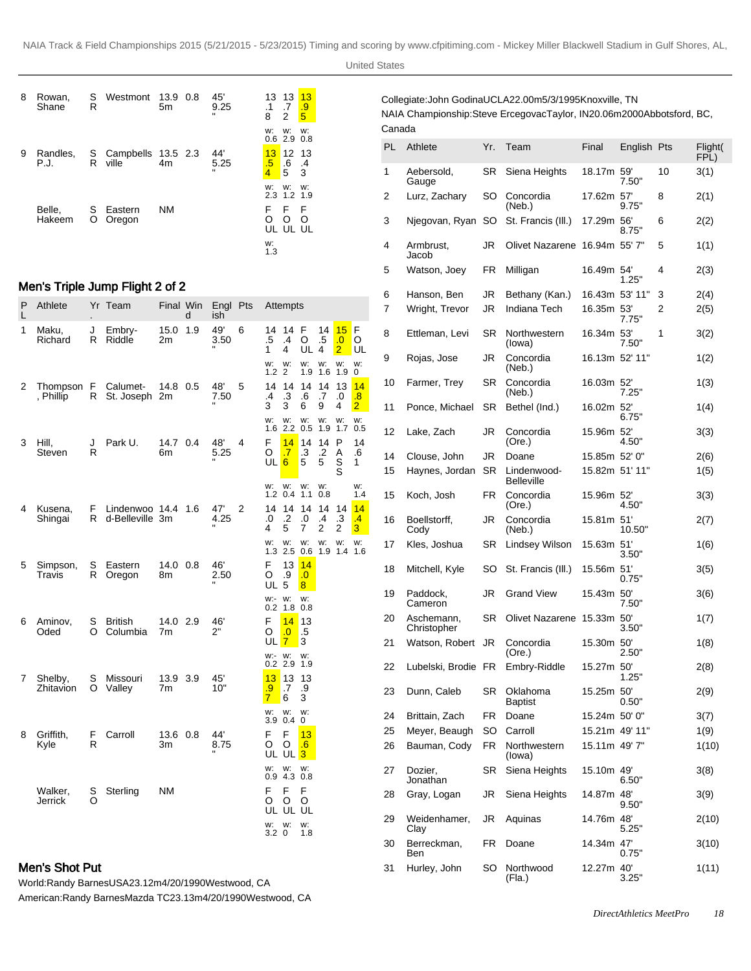| 8 | Rowan,<br>Shane  | S<br>R | Westmont                      | 13.9 0.8<br>5 <sub>m</sub> | 45'<br>9.25                 | 13 13<br>$\cdot$ 1<br>8 | .7<br>2         | 13<br>$\frac{0}{5}$ |
|---|------------------|--------|-------------------------------|----------------------------|-----------------------------|-------------------------|-----------------|---------------------|
|   |                  |        |                               |                            |                             | w:<br>0.6               | w:<br>2.9       | w:<br>0.8           |
| 9 | Randles,<br>P.J. | R      | S Campbells 13.5 2.3<br>ville | 4m                         | 44'<br>5.25<br>$\mathbf{u}$ | 13<br>.5<br>4           | 12<br>.6<br>5   | 13<br>.4<br>3       |
|   |                  |        |                               |                            |                             | w:<br>2.3               | W.<br>$1.2$ 1.9 | w:                  |
|   | Belle,<br>Hakeem | S<br>O | Eastern<br>Oregon             | NM                         |                             | F<br>O<br>UL            | F<br>Ω<br>UL UL | F<br>Ω              |
|   |                  |        |                               |                            |                             | w:<br>1.3               |                 |                     |

# Men's Triple Jump Flight 2 of 2

| Ρ<br>L | Athlete              |         | Yr Team                               | Final Win      | d   | Engl Pts<br>ish |   |                            | Attempts                      |                                        |               |                            |                                                  |
|--------|----------------------|---------|---------------------------------------|----------------|-----|-----------------|---|----------------------------|-------------------------------|----------------------------------------|---------------|----------------------------|--------------------------------------------------|
| 1      | Maku,<br>Richard     | J<br>R  | Embry-<br>Riddle                      | 15.0<br>2m     | 1.9 | 49'<br>3.50     | 6 | 14<br>.5<br>1              | 14<br>$\cdot$<br>4            | F<br>O<br>UL                           | 14<br>.5<br>4 | 15<br>.0<br>$\overline{2}$ | F<br>O<br>UL                                     |
|        |                      |         |                                       |                |     |                 |   | w:<br>1.2 <sub>2</sub>     | w:                            | w:<br>1.9                              | w:<br>1.6     | w:<br>1.9                  | w:<br>0                                          |
| 2      | , Phillip            | R       | Thompson F Calumet-<br>St. Joseph 2m  | 14.8 0.5       |     | 48'<br>7.50     | 5 | 14<br>$\overline{.4}$<br>3 | 14<br>$\cdot$ 3<br>3          | 14<br>.6<br>6                          | 14<br>.7<br>9 | 13<br>.0<br>4              | 14<br>$\overline{\mathbf{.8}}$<br>$\overline{2}$ |
|        |                      |         |                                       |                |     |                 |   | w:                         | w:<br>$1.6$ 2.2               | w:<br>0.5                              | w:<br>1.9     | w:<br>1.7                  | w:<br>0.5                                        |
| 3      | Hill,<br>Steven      | J<br>R  | Park U.                               | 14.7 0.4<br>6m |     | 48'<br>5.25     | 4 | F<br>O<br>UL 6             | 14<br>.7                      | 14<br>.3<br>5                          | 14<br>.2<br>5 | P<br>Α<br>S<br>S           | 14<br>.6<br>1                                    |
|        |                      |         |                                       |                |     |                 |   | w:                         | w:<br>$1.2 \ 0.4$             | w:<br>1.1                              | w:<br>0.8     |                            | w:<br>1.4                                        |
| 4      | Kusena,<br>Shingai   | F.<br>R | Lindenwoo 14.4 1.6<br>d-Belleville 3m |                |     | 47'<br>4.25     | 2 | 14<br>.0<br>4              | 14<br>$\cdot$<br>5            | 14<br>.0<br>7                          | 14<br>.4<br>2 | 14<br>.3<br>2              | 14<br>$\cdot$<br>3                               |
|        |                      |         |                                       |                |     |                 |   | w:                         | w:<br>$1.3$ 2.5               | w:<br>0.6                              | w:            | w:<br>1.9 1.4 1.6          | w:                                               |
| 5      | Simpson,<br>Travis   | S<br>R  | Eastern<br>Oregon                     | 14.0 0.8<br>8m |     | 46'<br>2.50     |   | F<br>O<br>UL <sub>5</sub>  | 13<br>.9                      | 14<br>$\overline{0}$<br>8 <sub>1</sub> |               |                            |                                                  |
|        |                      |         |                                       |                |     |                 |   | W:- W:                     | $0.2$ 1.8 0.8                 | w:                                     |               |                            |                                                  |
| 6      | Aminov,<br>Oded      | S<br>O  | <b>British</b><br>Columbia            | 14.0 2.9<br>7m |     | 46'<br>2"       |   | F<br>O<br>UL 7             | 14<br>.0                      | 13<br>.5<br>3                          |               |                            |                                                  |
|        |                      |         |                                       |                |     |                 |   | w:- w:                     | $0.2$ 2.9 1.9                 | w:                                     |               |                            |                                                  |
| 7      | Shelby,<br>Zhitavion | S<br>O  | Missouri<br>Valley                    | 13.9 3.9<br>7m |     | 45'<br>10"      |   | 13<br>.9<br>$\overline{7}$ | 13<br>.7<br>6                 | 13<br>.9<br>3                          |               |                            |                                                  |
|        |                      |         |                                       |                |     |                 |   | w:                         | w:<br>3.9 0.4                 | w:<br>0                                |               |                            |                                                  |
| 8      | Griffith,<br>Kyle    | F<br>R  | Carroll                               | 13.6 0.8<br>Зm |     | 44'<br>8.75     |   | F<br>O                     | F<br>O<br>ULUL <mark>3</mark> | 13<br>.6                               |               |                            |                                                  |
|        |                      |         |                                       |                |     |                 |   | w:                         | w:<br>$0.9$ 4.3 $0.8$         | w:                                     |               |                            |                                                  |
|        | Walker,<br>Jerrick   | S<br>O  | Sterling                              | ΝM             |     |                 |   | F<br>O                     | F<br>O<br>UL UL UL            | F<br>O                                 |               |                            |                                                  |
|        |                      |         |                                       |                |     |                 |   | w:<br>3.2 <sub>0</sub>     | w:                            | w:<br>1.8                              |               |                            |                                                  |

# Men's Shot Put

World: Randy Barnes USA 23.12m 4/20/1990 Westwood, CA

American: Randy Barnes Mazda TC 23.13m 4/20/1990 Westwood, CA

Collegiate: John Godina UCLA 22.00m 5/3/1995 Knoxville, TN NAIA Championship: Steve Ercegovac Taylor, IN 20.06m 2000Abbotsford, BC, Canada

| PL | Athlete                   | Yr.       | Team                             | Final          | English Pts |    | Flight(<br>FPL) |
|----|---------------------------|-----------|----------------------------------|----------------|-------------|----|-----------------|
| 1  | Aebersold,<br>Gauge       | SR        | Siena Heights                    | 18.17m 59'     | 7.50"       | 10 | 3(1)            |
| 2  | Lurz, Zachary             | SO        | Concordia<br>(Neb.)              | 17.62m 57'     | 9.75"       | 8  | 2(1)            |
| 3  | Njegovan, Ryan            | SO        | St. Francis (III.)               | 17.29m 56'     | 8.75"       | 6  | 2(2)            |
| 4  | Armbrust,<br>Jacob        | JR        | Olivet Nazarene                  | 16.94m 55' 7"  |             | 5  | 1(1)            |
| 5  | Watson, Joev              | FR        | Milligan                         | 16.49m 54'     | 1.25"       | 4  | 2(3)            |
| 6  | Hanson, Ben               | JR        | Bethany (Kan.)                   | 16.43m 53' 11" |             | 3  | 2(4)            |
| 7  | Wright, Trevor            | JR        | Indiana Tech                     | 16.35m 53'     |             | 2  | 2(5)            |
|    |                           |           |                                  |                | 7.75"       |    |                 |
| 8  | Ettleman, Levi            | <b>SR</b> | Northwestern<br>(lowa)           | 16.34m 53'     | 7.50"       | 1  | 3(2)            |
| 9  | Rojas, Jose               | JR        | Concordia<br>(Neb.)              | 16.13m 52' 11" |             |    | 1(2)            |
| 10 | Farmer, Trey              | <b>SR</b> | Concordia<br>(Neb.)              | 16.03m 52'     | 7.25"       |    | 1(3)            |
| 11 | Ponce, Michael            | SR        | Bethel (Ind.)                    | 16.02m 52'     | 6.75"       |    | 1(4)            |
| 12 | Lake, Zach                | JR        | Concordia<br>(Ore.)              | 15.96m 52'     | 4.50"       |    | 3(3)            |
| 14 | Clouse, John              | JR        | Doane                            | 15.85m 52' 0"  |             |    | 2(6)            |
| 15 | Haynes, Jordan            | <b>SR</b> | Lindenwood-<br><b>Belleville</b> | 15.82m 51'11"  |             |    | 1(5)            |
| 15 | Koch, Josh                | FR.       | Concordia<br>(Ore.)              | 15.96m 52'     | 4.50"       |    | 3(3)            |
| 16 | Boellstorff,<br>Cody      | JR        | Concordia<br>(Neb.)              | 15.81m 51'     | 10.50"      |    | 2(7)            |
| 17 | Kles, Joshua              | SR        | Lindsey Wilson                   | 15.63m 51'     | 3.50"       |    | 1(6)            |
| 18 | Mitchell, Kyle            | SO        | St. Francis (III.)               | 15.56m 51'     | 0.75"       |    | 3(5)            |
| 19 | Paddock,<br>Cameron       | JR        | Grand View                       | 15.43m 50'     | 7.50"       |    | 3(6)            |
| 20 | Aschemann,<br>Christopher | <b>SR</b> | <b>Olivet Nazarene</b>           | 15.33m 50'     | 3.50"       |    | 1(7)            |
| 21 | Watson, Robert            | JR        | Concordia<br>(Ore.)              | 15.30m 50'     | 2.50"       |    | 1(8)            |
| 22 | Lubelski, Brodie FR       |           | Embry-Riddle                     | 15.27m 50'     | 1.25"       |    | 2(8)            |
| 23 | Dunn, Caleb               | SR        | Oklahoma<br>Baptist              | 15.25m 50'     | 0.50"       |    | 2(9)            |
| 24 | Brittain, Zach            | FR        | Doane                            | 15.24m 50'0"   |             |    | 3(7)            |
| 25 | Meyer, Beaugh             | <b>SO</b> | Carroll                          | 15.21m 49' 11" |             |    | 1(9)            |
| 26 | Bauman, Cody              | <b>FR</b> | Northwestern<br>(lowa)           | 15.11m 49'7"   |             |    | 1(10)           |
| 27 | Dozier,<br>Jonathan       | SR        | Siena Heights                    | 15.10m 49'     | 6.50"       |    | 3(8)            |
| 28 | Gray, Logan               | JR        | Siena Heights                    | 14.87m 48'     | 9.50"       |    | 3(9)            |
| 29 | Weidenhamer,<br>Clay      | JR        | Aquinas                          | 14.76m 48'     | 5.25"       |    | 2(10)           |
| 30 | Berreckman,<br>Ben        | FR        | Doane                            | 14.34m 47'     | 0.75"       |    | 3(10)           |
| 31 | Hurley, John              | SO        | Northwood<br>(Fla.)              | 12.27m 40'     | 3.25"       |    | 1(11)           |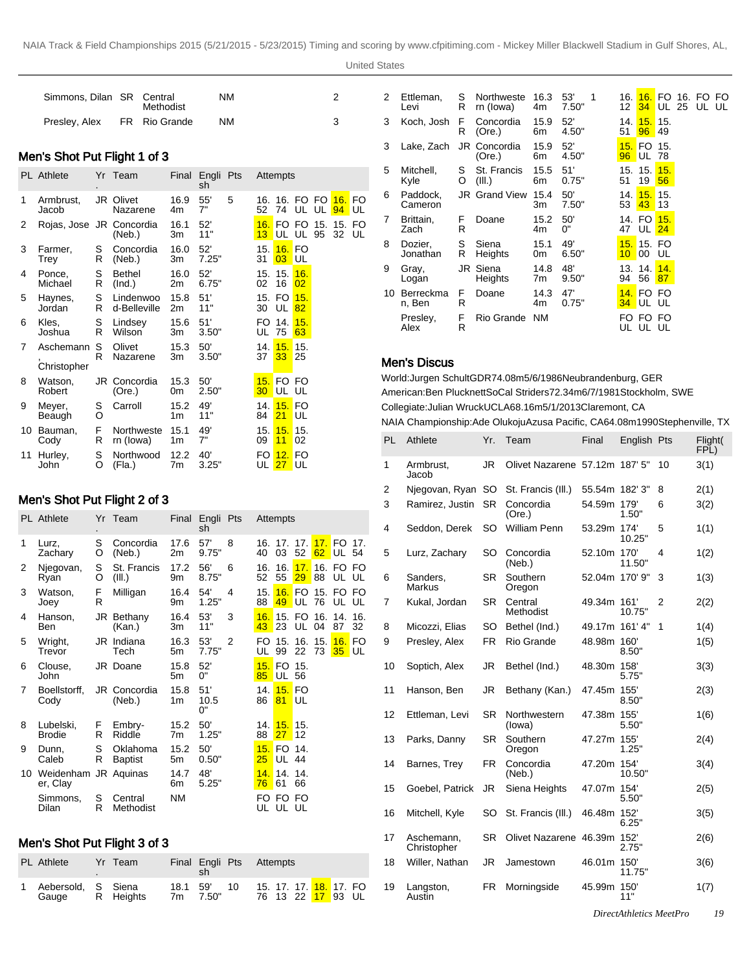| Simmons, Dilan SR Central | Methodist     | NM |  |
|---------------------------|---------------|----|--|
| Presley, Alex             | FR Rio Grande | NM |  |

### Men's Shot Put Flight 1 of 3

|    | <b>PL</b> Athlete        |        | Yr Team                   |            | Final Engli Pts<br>sh |   |           | Attempts                                |                 |                        |    |
|----|--------------------------|--------|---------------------------|------------|-----------------------|---|-----------|-----------------------------------------|-----------------|------------------------|----|
| 1  | Armbrust,<br>Jacob       |        | JR Olivet<br>Nazarene     | 16.9<br>4m | 55'<br>7"             | 5 | 52        | 16. 16. FO FO <mark>16.</mark> FO<br>74 |                 | UL UL <mark>94</mark>  | UL |
| 2  | Rojas, Jose JR Concordia |        | (Neb.)                    | 16.1<br>3m | 52'<br>11"            |   | 16.<br>13 |                                         | <b>UL UL 95</b> | FO FO 15, 15, FO<br>32 | UL |
| 3  | Farmer,<br>Trey          | S<br>R | Concordia<br>(Neb.)       | 16.0<br>3m | 52'<br>7.25"          |   | 15.<br>31 | 16. FO<br>03 <sup>1</sup>               | UL              |                        |    |
| 4  | Ponce,<br>Michael        | S<br>R | <b>Bethel</b><br>(Ind.)   | 16.0<br>2m | 52'<br>6.75"          |   | 02        | 15. 15.<br>16                           | 16.<br>02       |                        |    |
| 5  | Haynes,<br>Jordan        | S<br>R | Lindenwoo<br>d-Belleville | 15.8<br>2m | 51'<br>11"            |   | 30        | 15. FO <mark>15.</mark><br>UL           | 82              |                        |    |
| 6  | Kles,<br>Joshua          | S<br>R | Lindsey<br>Wilson         | 15.6<br>3m | 51'<br>3.50"          |   | UL        | FO 14.<br>75                            | 15.<br>63       |                        |    |
| 7  | Aschemann<br>Christopher | S<br>R | Olivet<br>Nazarene        | 15.3<br>3m | 50'<br>3.50"          |   | 14.<br>37 | 15.<br>$33$ 25                          | 15.             |                        |    |
| 8  | Watson,<br>Robert        |        | JR Concordia<br>(Ore.)    | 15.3<br>0m | 50'<br>2.50"          |   | 15.<br>30 | FO FO<br>UL UL                          |                 |                        |    |
| 9  | Meyer,<br>Beaugh         | S<br>O | Carroll                   | 15.2<br>1m | 49'<br>11"            |   | 14.<br>84 | 15. FO<br>21                            | UL              |                        |    |
| 10 | Bauman,<br>Cody          | F<br>R | Northweste<br>rn (lowa)   | 15.1<br>1m | 49'<br>7"             |   | 15.<br>09 | 15.15.<br>11                            | 02              |                        |    |
| 11 | Hurley,<br>John          | S<br>O | Northwood<br>(Fla.)       | 12.2<br>7m | 40'<br>3.25"          |   | UL        | FO <b>12.</b> FO<br>27 <sup>1</sup>     | UL              |                        |    |

### Men's Shot Put Flight 2 of 3

|    | <b>PL</b> Athlete                |        | Yr Team                    | Final      | Engli Pts<br>sh   |                |            | Attempts                  |                        |         |                           |           |
|----|----------------------------------|--------|----------------------------|------------|-------------------|----------------|------------|---------------------------|------------------------|---------|---------------------------|-----------|
| 1  | Lurz,<br>Zachary                 | S<br>O | Concordia<br>(Neb.)        | 17.6<br>2m | 57'<br>9.75"      | 8              | 40         | 16, 17, 17,<br>03         | 52                     |         | 17. FO<br>62 UL 54        | 17.       |
| 2  | Njegovan,<br>Ryan                | S<br>O | St. Francis<br>(III.)      | 17.2<br>9m | 56'<br>8.75"      | 6              | 16.<br>52  | 16.<br>55                 | 17.<br>29 <sup>°</sup> | 88      | 16. FO FO<br>UL UL        |           |
| 3  | Watson,<br>Joey                  | F<br>R | Milligan                   | 16.4<br>9m | 54'<br>1.25"      | 4              | 15.<br>88  | 49                        | <b>UL 76</b>           |         | 16. FO 15. FO FO<br>UL UL |           |
| 4  | Hanson,<br>Ben                   |        | JR Bethany<br>(Kan.)       | 16.4<br>3m | 53'<br>11"        | 3              | 16.<br>43  | 23                        | UL                     | 04      | 15. FO 16. 14.<br>87      | 16.<br>32 |
| 5  | Wright,<br>Trevor                |        | JR Indiana<br>Tech         | 16.3<br>5m | 53'<br>7.75"      | $\overline{2}$ | FO<br>UL   | 15.<br>99                 | 22 73                  | 16. 15. | <b>16. FO</b><br>$35$ UL  |           |
| 6  | Clouse,<br>John                  |        | JR Doane                   | 15.8<br>5m | 52'<br>0"         |                | 15.<br>85  | FO.<br>UL 56              | 15.                    |         |                           |           |
| 7  | Boellstorff,<br>Cody             |        | JR Concordia<br>(Neb.)     | 15.8<br>1m | 51'<br>10.5<br>0" |                | 14.<br>86  | $81$ UL                   | 15. FO                 |         |                           |           |
| 8  | Lubelski,<br><b>Brodie</b>       | F<br>R | Embry-<br>Riddle           | 15.2<br>7m | 50'<br>1.25"      |                | 14.1<br>88 | 15.15.<br>27 <sub>2</sub> | 12                     |         |                           |           |
| 9  | Dunn,<br>Caleb                   | S<br>R | Oklahoma<br><b>Baptist</b> | 15.2<br>5m | 50'<br>0.50"      |                | 15.<br>25  | FO 14.<br>UL 44           |                        |         |                           |           |
| 10 | Weidenham JR Aquinas<br>er, Clay |        |                            | 14.7<br>6m | 48'<br>5.25"      |                | 14.<br>76  | 14, 14,<br>61             | 66                     |         |                           |           |
|    | Simmons,<br>Dilan                | S<br>R | Central<br>Methodist       | <b>NM</b>  |                   |                | FO.        | FO FO<br>UL UL UL         |                        |         |                           |           |

# Men's Shot Put Flight 3 of 3

| <b>PL</b> Athlete             | Yr Team   | Final Engli Pts Attempts |          |    |                                                                       |  |  |
|-------------------------------|-----------|--------------------------|----------|----|-----------------------------------------------------------------------|--|--|
| 1 Aebersold. S Siena<br>Gauge | R Heights | 18.1 59'                 | 7m 7.50" | 10 | 15. 17. 17. <mark>18.</mark> 17. FO<br>76 13 22 <mark>17</mark> 93 UL |  |  |

| 2  | Ettleman,<br>Levi   | S<br>R  | Northweste<br>rn (lowa) | 16.3<br>4m             | 53'<br>7.50" | 1 | 16. I<br>12 | 16.<br>34                           | FO.<br>UL 25 | 16. FO FO<br>UL | UL |
|----|---------------------|---------|-------------------------|------------------------|--------------|---|-------------|-------------------------------------|--------------|-----------------|----|
| 3  | Koch, Josh          | F.<br>R | Concordia<br>(Ore.)     | 15.9<br>6m             | 52'<br>4.50" |   | 14. l<br>51 | 15.15.<br>96                        | 49           |                 |    |
| 3  | Lake, Zach          |         | JR Concordia<br>(Ore.)  | 15.9<br>6m             | 52'<br>4.50" |   | 15.<br>96   | FO 15.<br>UL.                       | 78           |                 |    |
| 5  | Mitchell,<br>Kyle   | S<br>O  | St. Francis<br>(III.)   | 15.5<br>6m             | 51'<br>0.75" |   | 15.<br>51   | 15.<br>19                           | 15.<br>56    |                 |    |
| 6  | Paddock,<br>Cameron |         | <b>JR</b> Grand View    | 15.4<br>3m             | 50'<br>7.50" |   | 14. l<br>53 | 15.15.<br>43                        | 13           |                 |    |
| 7  | Brittain,<br>Zach   | F<br>R  | Doane                   | 15.2<br>4m             | 50'<br>0"    |   | 47          | 14. FO<br>UL I                      | 15.<br>24    |                 |    |
| 8  | Dozier,<br>Jonathan | S<br>R  | Siena<br>Heights        | 15.1<br>0 <sub>m</sub> | 49'<br>6.50" |   | 15.<br>10   | 15. FO<br>00                        | UL           |                 |    |
| 9  | Gray,<br>Logan      |         | JR Siena<br>Heights     | 14.8<br>7m             | 48'<br>9.50" |   | 94          | 13. 14.<br>56                       | 14.<br>87    |                 |    |
| 10 | Berreckma<br>n, Ben | F<br>R  | Doane                   | 14.3<br>4m             | 47'<br>0.75" |   |             | <b>14. FO FO</b><br><b>34 UL UL</b> |              |                 |    |
|    | Presley,<br>Alex    | F<br>R  | Rio Grande              | <b>NM</b>              |              |   | FO<br>UL    | FO.<br>UL                           | FO<br>UL     |                 |    |

### Men's Discus

World: Jurgen Schult GDR 74.08m 5/6/1986 Neubrandenburg, GER American: Ben Plucknett SoCal Striders 72.34m 6/7/1981 Stockholm, SWE Collegiate: Julian Wruck UCLA 68.16m 5/1/2013 Claremont, CA

NAIA Championship: Ade Olukoju Azusa Pacific, CA 64.08m 1990Stephenville, TX

| PL | Athlete                   | Yr.       | Team                           | Final          | English Pts    |    | Flight(<br>FPL) |
|----|---------------------------|-----------|--------------------------------|----------------|----------------|----|-----------------|
| 1  | Armbrust.<br>Jacob        | JR.       | Olivet Nazarene 57.12m 187' 5" |                |                | 10 | 3(1)            |
| 2  | Njegovan, Ryan            | SO        | St. Francis (III.)             | 55.54m 182' 3" |                | 8  | 2(1)            |
| 3  | Ramirez, Justin           | <b>SR</b> | Concordia<br>(Ore.)            | 54.59m         | 179'<br>1.50"  | 6  | 3(2)            |
| 4  | Seddon, Derek             | <b>SO</b> | <b>William Penn</b>            | 53.29m         | 174'<br>10.25" | 5  | 1(1)            |
| 5  | Lurz, Zachary             | <b>SO</b> | Concordia<br>(Neb.)            | 52.10m         | 170'<br>11.50" | 4  | 1(2)            |
| 6  | Sanders,<br><b>Markus</b> | <b>SR</b> | Southern<br>Oregon             | 52.04m 170' 9" |                | 3  | 1(3)            |
| 7  | Kukal, Jordan             | <b>SR</b> | Central<br>Methodist           | 49.34m 161'    | 10.75"         | 2  | 2(2)            |
| 8  | Micozzi, Elias            | SO        | Bethel (Ind.)                  | 49.17m         | 161'4"         | 1  | 1(4)            |
| 9  | Presley, Alex             | <b>FR</b> | Rio Grande                     | 48.98m         | 160'<br>8.50"  |    | 1(5)            |
| 10 | Soptich, Alex             | JR.       | Bethel (Ind.)                  | 48.30m         | 158'<br>5.75"  |    | 3(3)            |
| 11 | Hanson, Ben               | JR.       | Bethany (Kan.)                 | 47.45m         | 155'<br>8.50"  |    | 2(3)            |
| 12 | Ettleman, Levi            | <b>SR</b> | Northwestern<br>(lowa)         | 47.38m         | 155'<br>5.50"  |    | 1(6)            |
| 13 | Parks, Danny              | <b>SR</b> | Southern<br>Oregon             | 47.27m 155'    | 1.25"          |    | 2(4)            |
| 14 | Barnes, Trey              | FR        | Concordia<br>(Neb.)            | 47.20m 154     | 10.50"         |    | 3(4)            |
| 15 | Goebel, Patrick           | JR.       | Siena Heights                  | 47.07m 154     | 5.50"          |    | 2(5)            |
| 16 | Mitchell, Kyle            | SO        | St. Francis (III.)             | 46.48m         | 152'<br>6.25"  |    | 3(5)            |
| 17 | Aschemann,<br>Christopher | <b>SR</b> | Olivet Nazarene                | 46.39m         | 152'<br>2.75"  |    | 2(6)            |
| 18 | Willer, Nathan            | <b>JR</b> | Jamestown                      | 46.01m 150'    | 11.75"         |    | 3(6)            |
| 19 | Langston,<br>Austin       | FR.       | Morningside                    | 45.99m         | 150'<br>11"    |    | 1(7)            |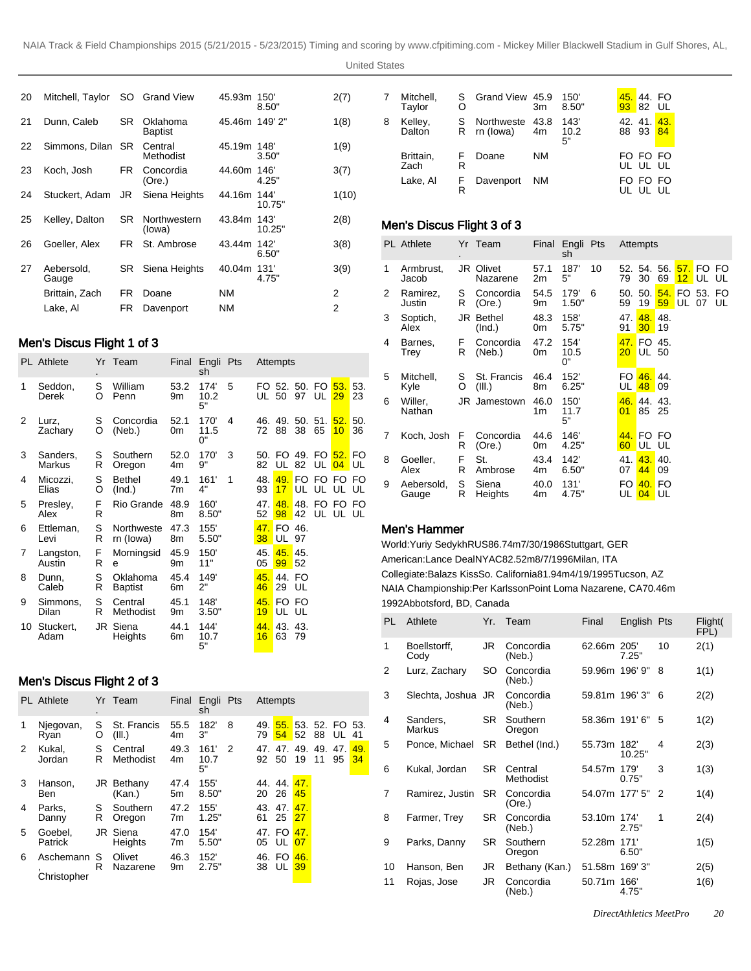United States

| 20 | Mitchell, Taylor    |     | SO Grand View              | 45.93m 150    | 8.50"  | 2(7)  |
|----|---------------------|-----|----------------------------|---------------|--------|-------|
| 21 | Dunn, Caleb         | SR  | Oklahoma<br><b>Baptist</b> | 45.46m 149'2" |        | 1(8)  |
| 22 | Simmons, Dilan      | SR. | Central<br>Methodist       | 45.19m 148'   | 3.50"  | 1(9)  |
| 23 | Koch, Josh          | FR. | Concordia<br>(Ore.)        | 44.60m 146    | 4.25"  | 3(7)  |
| 24 | Stuckert, Adam      | JR  | Siena Heights              | 44.16m 144    | 10.75" | 1(10) |
| 25 | Kelley, Dalton      | SR. | Northwestern<br>(lowa)     | 43.84m 143'   | 10.25" | 2(8)  |
| 26 | Goeller, Alex       | FR. | St. Ambrose                | 43.44m 142    | 6.50"  | 3(8)  |
| 27 | Aebersold.<br>Gauge | SR. | Siena Heights              | 40.04m 131    | 4.75"  | 3(9)  |
|    | Brittain, Zach      | FR. | Doane                      | <b>NM</b>     |        | 2     |
|    | Lake, Al            | FR. | Davenport                  | <b>NM</b>     |        | 2     |

# Men's Discus Flight 1 of 3

|    | <b>PL</b> Athlete   |        | Yr Team                    |            | Final Engli Pts<br>sh |   |            | Attempts               |              |                         |                                                     |           |
|----|---------------------|--------|----------------------------|------------|-----------------------|---|------------|------------------------|--------------|-------------------------|-----------------------------------------------------|-----------|
| 1  | Seddon,<br>Derek    | S<br>O | William<br>Penn            | 53.2<br>9m | 174'<br>10.2<br>5"    | 5 | UL 50      |                        | 97           | FO 52, 50, FO 53.<br>UL | 29                                                  | 53.<br>23 |
| 2  | Lurz,<br>Zachary    | S<br>O | Concordia<br>(Neb.)        | 52.1<br>0m | 170'<br>11.5<br>0"    | 4 | 72         | 88                     | 38           | 65                      | 46. 49. 50. 51. <mark>52.</mark><br>10              | 50.<br>36 |
| 3  | Sanders,<br>Markus  | S<br>R | Southern<br>Oregon         | 52.0<br>4m | 170'<br>9"            | 3 | 82         |                        |              |                         | 50. FO 49. FO <mark>52.</mark> FO<br>UL 82 UL 04 UL |           |
| 4  | Micozzi,<br>Elias   | S<br>O | <b>Bethel</b><br>(Ind.)    | 49.1<br>7m | 161'<br>4"            | 1 | 48.<br>93  | 49.<br>17 <sup>2</sup> |              |                         | FO FO FO FO<br>UL UL UL UL                          |           |
| 5  | Presley,<br>Alex    | F<br>R | Rio Grande                 | 48.9<br>8m | 160'<br>8.50"         |   | 47.<br>52  | 48.<br>98              | 42           |                         | 48. FO FO FO<br>UL UL UL                            |           |
| 6  | Ettleman,<br>Levi   | S<br>R | Northweste<br>rn (lowa)    | 47.3<br>8m | 155'<br>5.50"         |   | 38         | 47. FO 46.<br>UL 97    |              |                         |                                                     |           |
| 7  | Langston,<br>Austin | F<br>R | Morningsid<br>e            | 45.9<br>9m | 150'<br>11"           |   | 45.1<br>05 | 45.45.<br>99           | 52           |                         |                                                     |           |
| 8  | Dunn.<br>Caleb      | S<br>R | Oklahoma<br><b>Baptist</b> | 45.4<br>6m | 149'<br>2"            |   | 45.<br>46  | 29                     | 44. FO<br>UL |                         |                                                     |           |
| 9  | Simmons,<br>Dilan   | S<br>R | Central<br>Methodist       | 45.1<br>9m | 148'<br>3.50"         |   | 45.<br>19  | UL UL                  | FO FO        |                         |                                                     |           |
| 10 | Stuckert.<br>Adam   |        | JR Siena<br>Heights        | 44.1<br>6m | 144'<br>10.7<br>5"    |   | 16         | 44, 43, 43,<br>63 79   |              |                         |                                                     |           |

# Men's Discus Flight 2 of 3

|   | <b>PL</b> Athlete        |        | Yr Team               | Final      | Engli Pts<br>sh    |   |           | Attempts          |                  |                           |                          |          |
|---|--------------------------|--------|-----------------------|------------|--------------------|---|-----------|-------------------|------------------|---------------------------|--------------------------|----------|
| 1 | Njegovan,<br>Rvan        | S<br>O | St. Francis<br>(III.) | 55.5<br>4m | 182'<br>3"         | 8 | 49.<br>79 |                   | $54$ 52 88       |                           | 55. 53. 52. FO 53.<br>UL | -41      |
| 2 | Kukal.<br>Jordan         | S<br>R | Central<br>Methodist  | 49.3<br>4m | 161'<br>10.7<br>5" | 2 | 92 50     |                   | 19               | 47, 47, 49, 49, 47,<br>11 | 95                       | 49<br>34 |
| 3 | Hanson.<br>Ben           |        | JR Bethany<br>(Kan.)  | 47.4<br>5m | 155'<br>8.50"      |   | 20        | 44, 44, 47,<br>26 | 45               |                           |                          |          |
| 4 | Parks,<br>Danny          | S<br>R | Southern<br>Oregon    | 47.2<br>7m | 155'<br>1.25"      |   | 43.<br>61 | 47.<br>25         | 47.<br><b>27</b> |                           |                          |          |
| 5 | Goebel.<br>Patrick       |        | JR Siena<br>Heights   | 47.0<br>7m | 154'<br>5.50"      |   | 05        | 47. FO<br>UL.     | 47.<br>07        |                           |                          |          |
| 6 | Aschemann<br>Christopher | S<br>R | Olivet<br>Nazarene    | 46.3<br>9m | 152'<br>2.75"      |   | 38        | 46. FO<br>UL I    | 46.<br>39        |                           |                          |          |

| 7 | Mitchell,<br>Taylor | O       | S Grand View 45.9       | 3m         | 150'<br>8.50"      |              | 45, 44, FO<br>93 82 UL |           |
|---|---------------------|---------|-------------------------|------------|--------------------|--------------|------------------------|-----------|
| 8 | Kelley,<br>Dalton   | S<br>R. | Northweste<br>rn (lowa) | 43.8<br>4m | 143'<br>10.2<br>5" | 42.41.<br>88 | 93                     | 43.<br>84 |
|   | Brittain,<br>Zach   | E<br>R  | Doane                   | NΜ         |                    |              | FO FO FO<br>UL UL UL   |           |
|   | Lake, Al            | R       | Davenport               | NΜ         |                    | FO.          | FO FO                  |           |

# Men's Discus Flight 3 of 3

|   | <b>PL</b> Athlete   |         | Yr Team                      | Final      | Engli Pts<br>sh    |    |                        | Attempts               |                 |                        |                    |    |
|---|---------------------|---------|------------------------------|------------|--------------------|----|------------------------|------------------------|-----------------|------------------------|--------------------|----|
| 1 | Armbrust,<br>Jacob  |         | <b>JR Olivet</b><br>Nazarene | 57.1<br>2m | 187'<br>5"         | 10 | 79                     | 52. 54. 56.<br>30      | 69              |                        | 57. FO<br>12 UL UL | FO |
| 2 | Ramirez,<br>Justin  | S<br>R  | Concordia<br>(Ore.)          | 54.5<br>9m | 179'<br>1.50"      | 6  | 50.<br>59              | 50.1<br>19             | 59              | 54. FO 53. FO<br>UL 07 |                    | UL |
| 3 | Soptich,<br>Alex    |         | JR Bethel<br>(Ind.)          | 48.3<br>0m | 158'<br>5.75"      |    | 47.<br>91              | 48.<br>30 <sup>°</sup> | 48.<br>19       |                        |                    |    |
| 4 | Barnes,<br>Trey     | F<br>R  | Concordia<br>(Neb.)          | 47.2<br>0m | 154'<br>10.5<br>0" |    | 47.<br>20 <sub>2</sub> | FO 45.<br><b>UL 50</b> |                 |                        |                    |    |
| 5 | Mitchell,<br>Kyle   | S<br>O  | St. Francis<br>(III.)        | 46.4<br>8m | 152'<br>6.25"      |    | FO<br>UL               | 46.44.<br>48           | 09              |                        |                    |    |
| 6 | Willer,<br>Nathan   |         | JR Jamestown                 | 46.0<br>1m | 150'<br>11.7<br>5" |    | 46.<br>01              | 44. 43.<br>85          | -25             |                        |                    |    |
| 7 | Koch, Josh          | F.<br>R | Concordia<br>(Ore.)          | 44.6<br>0m | 146'<br>4.25"      |    | 60                     | 44. FO FO<br>UL UL     |                 |                        |                    |    |
| 8 | Goeller,<br>Alex    | F<br>R  | St.<br>Ambrose               | 43.4<br>4m | 142'<br>6.50"      |    | 41.<br>07              | 43.<br>44              | 40.<br>09       |                        |                    |    |
| 9 | Aebersold,<br>Gauge | S<br>R  | Siena<br>Heights             | 40.0<br>4m | 131'<br>4.75"      |    | FO.<br>UL              | 40.<br>04              | <b>FO</b><br>UL |                        |                    |    |

# Men's Hammer

World: Yuriy Sedykh RUS 86.74m 7/30/1986 Stuttgart, GER American: Lance Deal NYAC 82.52m 8/7/1996 Milan, ITA Collegiate: Balazs Kiss So. California 81.94m 4/19/1995 Tucson, AZ NAIA Championship: Per Karlsson Point Loma Nazarene, CA 70.46m 1992Abbotsford, BD, Canada

| PL. | Athlete                   | Yr. | Team                 | Final          | English Pts   |    | Flight(<br>FPL) |
|-----|---------------------------|-----|----------------------|----------------|---------------|----|-----------------|
| 1   | Boellstorff,<br>Cody      | JR  | Concordia<br>(Neb.)  | 62.66m 205'    | 7.25"         | 10 | 2(1)            |
| 2   | Lurz, Zachary             | SO. | Concordia<br>(Neb.)  | 59.96m 196' 9" |               | 8  | 1(1)            |
| 3   | Slechta, Joshua JR        |     | Concordia<br>(Neb.)  | 59.81m 196'3"  |               | 6  | 2(2)            |
| 4   | Sanders,<br><b>Markus</b> | SR. | Southern<br>Oregon   |                | 58.36m 191'6" | 5  | 1(2)            |
| 5   | Ponce, Michael            | SR  | Bethel (Ind.)        | 55.73m 182     | 10.25"        | 4  | 2(3)            |
| 6   | Kukal, Jordan             | SR. | Central<br>Methodist | 54.57m 179     | 0.75"         | 3  | 1(3)            |
| 7   | Ramirez, Justin           | SR. | Concordia<br>(Ore.)  | 54.07m 177' 5" |               | 2  | 1(4)            |
| 8   | Farmer, Trey              | SR. | Concordia<br>(Neb.)  | 53.10m 174     | 2.75"         | 1  | 2(4)            |
| 9   | Parks, Danny              | SR. | Southern<br>Oregon   | 52.28m 171'    | 6.50"         |    | 1(5)            |
| 10  | Hanson, Ben               | JR  | Bethany (Kan.)       | 51.58m 169'3"  |               |    | 2(5)            |
| 11  | Rojas, Jose               | JR  | Concordia<br>(Neb.)  | 50.71m 166'    | 4.75"         |    | 1(6)            |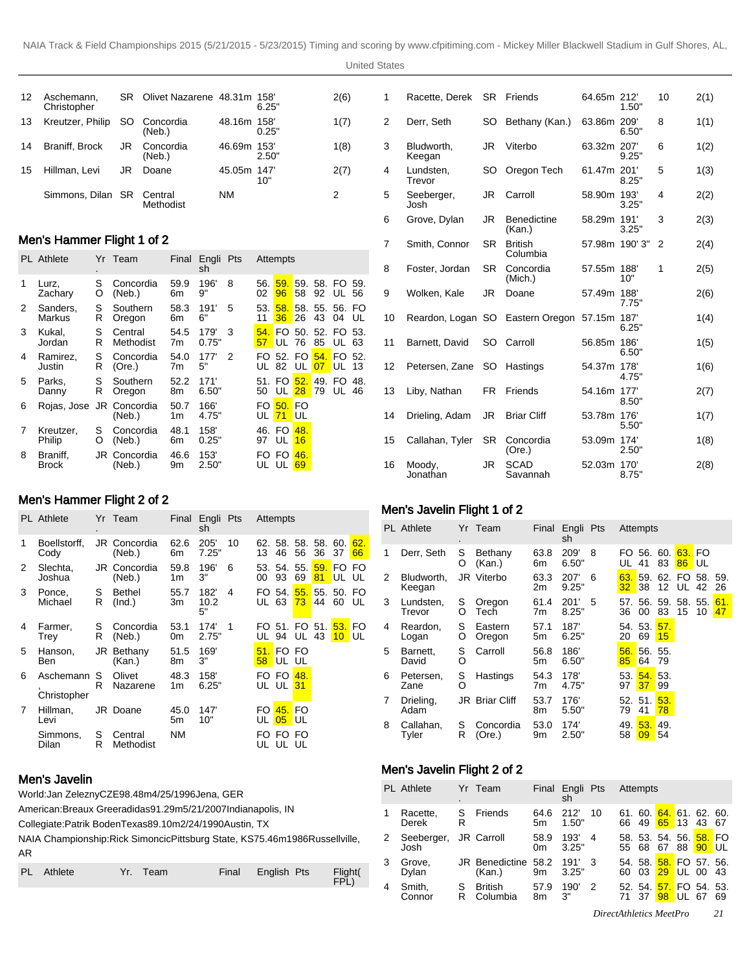United States

| 12 | Aschemann,<br>Christopher |    | SR Olivet Nazarene 48.31m 158' |             | 6.25" | 2(6) |
|----|---------------------------|----|--------------------------------|-------------|-------|------|
| 13 | Kreutzer, Philip          | SO | Concordia<br>(Neb.)            | 48.16m 158  | 0.25" | 1(7) |
| 14 | Braniff, Brock            | JR | Concordia<br>(Neb.)            | 46.69m 153' | 2.50" | 1(8) |
| 15 | Hillman, Levi             | JR | Doane                          | 45.05m 147  | 10"   | 2(7) |
|    | Simmons, Dilan SR Central |    | Methodist                      | ΝM          |       | 2    |

# Men's Hammer Flight 1 of 2

|   | <b>PL</b> Athlete        |        | Yr Team                | Final      | Engli Pts<br>sh |   |             | Attempts                            |                |                 |                            |    |
|---|--------------------------|--------|------------------------|------------|-----------------|---|-------------|-------------------------------------|----------------|-----------------|----------------------------|----|
| 1 | Lurz,<br>Zachary         | S<br>O | Concordia<br>(Neb.)    | 59.9<br>6m | 196'<br>9"      | 8 | 56.<br>02   | 59.<br>96                           | 58             | 59. 58.         | FO 59.<br>92 UL 56         |    |
| 2 | Sanders,<br>Markus       | S<br>R | Southern<br>Oregon     | 58.3<br>6m | 191'<br>6"      | 5 | 53.<br>11   | 58.<br>36                           | 26             | 43              | 58, 55, 56, FO<br>04       | UL |
| 3 | Kukal,<br>Jordan         | S<br>R | Central<br>Methodist   | 54.5<br>7m | 179'<br>0.75"   | 3 | 54. l<br>57 | $UL$ 76                             |                | 85              | FO 50, 52, FO 53.<br>UL 63 |    |
| 4 | Ramirez.<br>Justin       | S<br>R | Concordia<br>(Ore.)    | 54.0<br>7m | 177'<br>5"      | 2 | FO.         | 52. FO <mark>54.</mark><br>UL 82 UL |                | 07 <sup>1</sup> | FO 52.<br>UL 13            |    |
| 5 | Parks,<br>Danny          | S<br>R | Southern<br>Oregon     | 52.2<br>8m | 171'<br>6.50"   |   | 50          | 51. FO<br>UL.                       | 52.<br>$28$ 79 | 49.             | FO 48.<br>UL 46            |    |
| 6 | Rojas, Jose JR Concordia |        | (Neb.)                 | 50.7<br>1m | 166'<br>4.75"   |   | FO.<br>UL   | 50. FO<br>71                        | UL             |                 |                            |    |
| 7 | Kreutzer,<br>Philip      | S<br>O | Concordia<br>(Neb.)    | 48.1<br>6m | 158'<br>0.25"   |   | 97          | 46. FO<br>UL                        | 48.<br>16      |                 |                            |    |
| 8 | Braniff.<br><b>Brock</b> |        | JR Concordia<br>(Neb.) | 46.6<br>9m | 153'<br>2.50"   |   | FO.         | FO.<br>UL UL                        | 46.<br>69      |                 |                            |    |

# Men's Hammer Flight 2 of 2

|   | <b>PL</b> Athlete        |        | Yr Team                | Final      | Engli Pts<br>sh    |    |            | Attempts                        |           |           |                |           |
|---|--------------------------|--------|------------------------|------------|--------------------|----|------------|---------------------------------|-----------|-----------|----------------|-----------|
| 1 | Boellstorff,<br>Cody     |        | JR Concordia<br>(Neb.) | 62.6<br>6m | 205'<br>7.25"      | 10 | 62.<br>13  | 58.<br>46                       | 58.<br>56 | 36        | 58. 60.<br>37  | 62.<br>66 |
| 2 | Slechta,<br>Joshua       |        | JR Concordia<br>(Neb.) | 59.8<br>1m | 196'<br>3"         | 6  | 00         | 53. 54. 55.<br>93               | 69        | 59.<br>81 | FO FO<br>UL UL |           |
| 3 | Ponce,<br>Michael        | S<br>R | Bethel<br>(Ind.)       | 55.7<br>3m | 182'<br>10.2<br>5" | 4  | FO.<br>UL. | 54.<br>63                       | 55.<br>73 | 55.<br>44 | 50. FO<br>60   | UL        |
| 4 | Farmer,<br>Trey          | S<br>R | Concordia<br>(Neb.)    | 53.1<br>0m | 174'<br>2.75"      | 1  | FO.        | 51.<br>UL 94 UL 43              |           | FO 51.    | 53.<br>$10$ UL | FO        |
| 5 | Hanson,<br>Ben           |        | JR Bethany<br>(Kan.)   | 51.5<br>8m | 169'<br>3"         |    | 58         | 51. FO FO<br>UL UL              |           |           |                |           |
| 6 | Aschemann<br>Christopher | S<br>R | Olivet<br>Nazarene     | 48.3<br>1m | 158'<br>6.25"      |    |            | FO FO<br>UL UL <mark>31</mark>  | 48.       |           |                |           |
| 7 | Hillman,<br>Levi         |        | JR Doane               | 45.0<br>5m | 147'<br>10"        |    | FO l       | 45. FO<br>UL <mark>05</mark> UL |           |           |                |           |
|   | Simmons,<br>Dilan        | S<br>R | Central<br>Methodist   | <b>NM</b>  |                    |    | FO.        | UL UL UL                        | FO FO     |           |                |           |

# Men's Javelin

World: Jan Zelezny CZE 98.48m 4/25/1996 Jena, GER

American: Breaux Greer adidas 91.29m 5/21/2007 Indianapolis, IN

Collegiate: Patrik Boden Texas 89.10m 2/24/1990 Austin, TX

NAIA Championship: Rick Simoncic Pittsburg State, KS 75.46m 1986Russellville, AR

| PL Athlete | Yr. Team | Final English Pts | $F_{\text{D}}$ |
|------------|----------|-------------------|----------------|
|            |          |                   |                |

| 1  | Racette, Derek       | <b>SR</b> | Friends                      | 64.65m 212    | 1.50" | 10 | 2(1) |
|----|----------------------|-----------|------------------------------|---------------|-------|----|------|
| 2  | Derr, Seth           | <b>SO</b> | Bethany (Kan.)               | 63.86m 209'   | 6.50" | 8  | 1(1) |
| 3  | Bludworth,<br>Keegan | <b>JR</b> | Viterbo                      | 63.32m 207    | 9.25" | 6  | 1(2) |
| 4  | Lundsten,<br>Trevor  | <b>SO</b> | Oregon Tech                  | 61.47m 201    | 8.25" | 5  | 1(3) |
| 5  | Seeberger,<br>Josh   | JR        | Carroll                      | 58.90m 193    | 3.25" | 4  | 2(2) |
| 6  | Grove, Dylan         | JR.       | <b>Benedictine</b><br>(Kan.) | 58.29m 191'   | 3.25" | 3  | 2(3) |
| 7  | Smith, Connor        | <b>SR</b> | <b>British</b><br>Columbia   | 57.98m 190'3" |       | 2  | 2(4) |
| 8  | Foster, Jordan       | <b>SR</b> | Concordia<br>(Mich.)         | 57.55m 188    | 10"   | 1  | 2(5) |
| 9  | Wolken, Kale         | JR        | Doane                        | 57.49m 188    | 7.75" |    | 2(6) |
| 10 | Reardon, Logan SO    |           | Eastern Oregon               | 57.15m 187    | 6.25" |    | 1(4) |
| 11 | Barnett, David       | SO        | Carroll                      | 56.85m 186    | 6.50" |    | 1(5) |
| 12 | Petersen, Zane       | <b>SO</b> | Hastings                     | 54.37m 178    | 4.75" |    | 1(6) |
| 13 | Liby, Nathan         | FR.       | Friends                      | 54.16m 177    | 8.50" |    | 2(7) |
| 14 | Drieling, Adam       | JR.       | <b>Briar Cliff</b>           | 53.78m 176    | 5.50" |    | 1(7) |
| 15 | Callahan, Tyler      | <b>SR</b> | Concordia<br>(Ore.)          | 53.09m 174    | 2.50" |    | 1(8) |
| 16 | Moody,<br>Jonathan   | JR        | <b>SCAD</b><br>Savannah      | 52.03m 170    | 8.75" |    | 2(8) |

# Men's Javelin Flight 1 of 2

|   | <b>PL</b> Athlete    | $\cdot$ | Yr Team               |            | Final Engli Pts<br>sh |   |                        | Attempts      |                           |                       |                   |           |
|---|----------------------|---------|-----------------------|------------|-----------------------|---|------------------------|---------------|---------------------------|-----------------------|-------------------|-----------|
| 1 | Derr, Seth           | S<br>O  | Bethany<br>(Kan.)     | 63.8<br>6m | 209'<br>6.50"         | 8 | UL                     | FO 56.<br>41  | 60.<br>83                 | 63.<br>86             | <b>FO</b><br>I UL |           |
| 2 | Bludworth,<br>Keegan |         | JR Viterbo            | 63.3<br>2m | 207'<br>9.25"         | 6 | 63.<br>32 <sub>2</sub> | 59.<br>38     | 12                        | 62. FO 58. 59.<br>UL. | 42                | 26        |
| 3 | Lundsten,<br>Trevor  | S<br>O  | Oregon<br>Tech        | 61.4<br>7m | 201'<br>8.25"         | 5 | 36                     | 00            | 57, 56, 59, 58, 55,<br>83 | 15                    | 10                | 61.<br>47 |
| 4 | Reardon,<br>Logan    | S<br>O  | Eastern<br>Oregon     | 57.1<br>5m | 187'<br>6.25"         |   | 20                     | 54. 53.<br>69 | 57.<br>15                 |                       |                   |           |
| 5 | Barnett.<br>David    | S<br>O  | Carroll               | 56.8<br>5m | 186'<br>6.50"         |   | 56.<br>85              | 56. 55.<br>64 | 79                        |                       |                   |           |
| 6 | Petersen,<br>Zane    | S<br>O  | Hastings              | 54.3<br>7m | 178'<br>4.75"         |   | 53.<br>97              | 54.53.<br>37  | 99                        |                       |                   |           |
| 7 | Drieling,<br>Adam    |         | <b>JR</b> Briar Cliff | 53.7<br>8m | 176'<br>5.50"         |   | 79                     | 52. 51.<br>41 | 53.<br>78                 |                       |                   |           |
| 8 | Callahan.<br>Tyler   | S<br>R  | Concordia<br>(Ore.)   | 53.0<br>9m | 174'<br>2.50"         |   | 49.<br>58              | 53.<br>09     | 49.<br>54                 |                       |                   |           |

# Men's Javelin Flight 2 of 2

|   | <b>PL</b> Athlete             | $\bullet$ | Yr Team                         |            | Final Engli Pts<br>sh |    |           | Attempts |                                   |         |    |      |
|---|-------------------------------|-----------|---------------------------------|------------|-----------------------|----|-----------|----------|-----------------------------------|---------|----|------|
|   | Racette,<br>Derek             | S<br>R    | Friends                         | 64.6<br>5m | 212'<br>1.50"         | 10 | 61.<br>66 | 49       | 60. 64. 61. 62. 60.<br>$65 \; 13$ |         | 43 | -67  |
| 2 | Seeberger, JR Carroll<br>Josh |           |                                 | 58.9<br>0m | 193'<br>3.25"         | 4  | 55 68     |          | 58. 53. 54. 56. 58. FO<br>67 88   |         | 90 | I UL |
| 3 | Grove,<br>Dylan               |           | <b>JR</b> Benedictine<br>(Kan.) | 58.2<br>9m | 191'<br>3.25"         | 3  | 60        | 03       | 54. 58. 58. FO 57. 56.<br>29      | $UL$ 00 |    | 43   |
| 4 | Smith,<br>Connor              | S<br>R    | <b>British</b><br>Columbia      | 57.9<br>8m | 190'<br>3"            | 2  |           | -37      | 52. 54. 57. FO 54. 53.<br>98      | UL      | 67 | 69   |

*DirectAthletics MeetPro 21*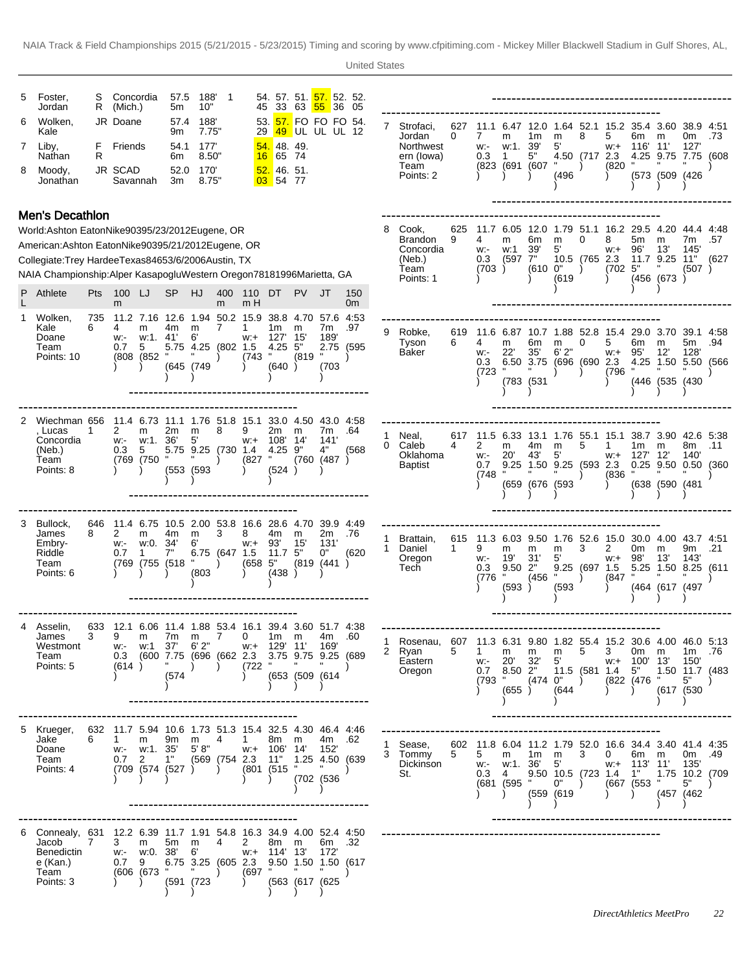| 8 | Foster,<br>Jordan<br>Wolken,<br>Kale<br>7 Liby,<br>Nathan<br>Moody.<br>Jonathan                                                                                                                                                                                                                                                                                                                                                                                                                                                                                                                                                                                                                                                                                                                                                                                                                                                                                                                                                                                                                                                                                                                                                                                                                                                                                                                                                                                                                                                                                                                                                                                                                                                                                                                                                                                                                                                                                                                                                                                                                                                                                                                                                                                                                                                                                                                                                      | S<br>F<br>R |                     |                      | 5m<br>9m<br>6m<br>3m |                              |   |                                     |                                                                |                                                |                                |                        |   | 7 Strofaci,<br>Jordan<br>Northwest<br>ern (lowa)<br>Team<br>Points: 2                         | 627<br>0 | 7<br>W.<br>0.3                                                          | 11.1 6.47 12.0<br>m<br>w:1.<br>1<br>(823 (691 (607 | 1m<br>39'<br>5"             | m<br>5'<br>(496)                   | 8<br>4.50 (717 2.3) | 5<br>$W +$<br>(820                      | 6m<br>116' 11'                                     | 1.64 52.1 15.2 35.4 3.60 38.9 4:51<br>m<br>4.25 9.75 7.75 (608<br>(573 (509 (426                       | 0m<br>127'                                            | .73          |
|---|--------------------------------------------------------------------------------------------------------------------------------------------------------------------------------------------------------------------------------------------------------------------------------------------------------------------------------------------------------------------------------------------------------------------------------------------------------------------------------------------------------------------------------------------------------------------------------------------------------------------------------------------------------------------------------------------------------------------------------------------------------------------------------------------------------------------------------------------------------------------------------------------------------------------------------------------------------------------------------------------------------------------------------------------------------------------------------------------------------------------------------------------------------------------------------------------------------------------------------------------------------------------------------------------------------------------------------------------------------------------------------------------------------------------------------------------------------------------------------------------------------------------------------------------------------------------------------------------------------------------------------------------------------------------------------------------------------------------------------------------------------------------------------------------------------------------------------------------------------------------------------------------------------------------------------------------------------------------------------------------------------------------------------------------------------------------------------------------------------------------------------------------------------------------------------------------------------------------------------------------------------------------------------------------------------------------------------------------------------------------------------------------------------------------------------------|-------------|---------------------|----------------------|----------------------|------------------------------|---|-------------------------------------|----------------------------------------------------------------|------------------------------------------------|--------------------------------|------------------------|---|-----------------------------------------------------------------------------------------------|----------|-------------------------------------------------------------------------|----------------------------------------------------|-----------------------------|------------------------------------|---------------------|-----------------------------------------|----------------------------------------------------|--------------------------------------------------------------------------------------------------------|-------------------------------------------------------|--------------|
|   | 188'<br>54. 57. 51. <mark>57.</mark> 52. 52.<br>Concordia<br>57.5<br>33 63 55 36 05<br>R (Mich.)<br>10"<br>45<br>188'<br>53. <mark>57.</mark> FO FO FO 54.<br>JR Doane<br>57.4<br>7.75'<br>49 UL UL UL 12<br>29<br>177'<br><mark>54.</mark> 48. 49.<br>Friends<br>54.1<br>8.50"<br>65 74<br>16<br>JR SCAD<br>170'<br>52.<br>146.51.<br>52.0<br>Savannah<br>8.75'<br>03 54 77<br><b>Men's Decathlon</b><br>World: Ashton Eaton Nike 9039 5/23/2012 Eugene, OR<br>American: Ashton Eaton Nike 9039 5/21/2012 Eugene, OR<br>Collegiate: Trey Hardee Texas 8465 3/6/2006 Austin, TX<br>NAIA Championship: Alper Kasapoglu Western Oregon 7818 1996Marietta, GA<br>Athlete<br>Pts 100 LJ<br><b>SP</b><br>HJ<br>400 110 DT<br>PV.<br>m H<br>m<br>m<br>11.2 7.16 12.6 1.94 50.2 15.9<br>38.8 4.70 57.6 4:53<br>735<br>Kale<br>6<br>7<br>1m<br>4<br>m<br>4m<br>m<br>1<br>m<br>Doane<br>15'<br>w:1. 41'<br>6'<br>- 127'<br>w:-<br>W.+<br>5.75 4.25 (802 1.5<br>$4.25$ 5"<br>Team<br>5<br>0.7<br>$(743$ "<br>(808 (852)<br>Points: 10<br>(645 (749<br>(640)<br>11.4 6.73 11.1 1.76 51.8 15.1<br>33.0 4.50 43.0 4.58<br>Wiechman 656<br>, Lucas<br>2<br>2m<br>8<br>9<br>2m<br>-1<br>m<br>m<br>m<br>w:1. 36'<br>5'<br>108'<br>14'<br>Concordia<br>$W +$<br>w:-<br>5.75 9.25 (730 1.4<br>$4.25$ $9"$<br>(Neb.)<br>0.3<br>5<br>(769 (750<br>(827<br>Team<br>Points: 8<br>$(553)$ $(593)$<br>(524)<br>11.4 6.75 10.5 2.00 53.8 16.6 28.6 4.70 39.9 4.49<br>Bullock,<br>646<br>James<br>8<br>2<br>4m<br>3<br>8<br>4m<br>m<br>m<br>m<br>w:0. 34'<br>6'<br>93'<br>15'<br>Embry-<br>W.<br>W.+<br>7"<br>6.75 (647 1.5<br>11.7 <sup>5</sup><br>Riddle<br>0.7<br>1<br>(769 (755 (518<br>(658 5"<br>Team<br>Points: 6<br>(803)<br>(438)<br>633 12.1 6.06 11.4 1.88 53.4 16.1 39.4 3.60 51.7 4:38<br>Asselin,<br>James<br>3<br>9<br>7m m<br>$\overline{7}$<br>$\mathbf{0}$<br>1m m<br>m<br>37'<br>6' 2"<br>Westmont<br>w:+ 129' 11' 169'<br>w: w:1<br>0.3 (600 7.75 (696 (662 2.3<br>Team<br>3.75 9.75 9.25 (689<br>Points: 5<br>(614)<br>(722 "<br>$\overline{\phantom{a}}$<br>$\lambda$<br>(574<br>(653 (509 (614)<br>632 11.7 5.94 10.6 1.73 51.3 15.4 32.5 4.30 46.4 4.46<br>Jake<br>6<br>$\mathbf{1}$<br>9m<br>m<br>4<br>$\mathbf{1}$<br>8m m<br>m<br>w:- w:1. 35'<br>5'8"<br>Doane<br>w:+ 106' 14' 152'<br>$0.7 \quad 2$<br>1"<br>(569 (754 2.3 11" 1.25 4.50 (639<br>Team<br>(709 (574 (527))<br>$\mathbf{H}$<br>(801 (515)<br>Points: 4<br>$\lambda$ |             |                     |                      |                      |                              |   |                                     |                                                                |                                                | JT                             | 150                    |   | Cook,<br>Brandon<br>Concordia<br>(Neb.)<br>Team<br>Points: 1                                  | 625<br>9 | 4<br>W.<br>0.3<br>(703)                                                 | m<br>w:1<br>(597 7"                                | 6m<br>39'<br>(610 0"        | m<br>5'<br>(619)                   | 0<br>10.5 (765 2.3  | 8<br>$W +$<br>$(702 \t 5"$              | 5m<br>96'                                          | 11.7 6.05 12.0 1.79 51.1 16.2 29.5 4.20 44.4 4:48<br>m<br>13'<br>11.7 9.25 11"<br>(456 (673)           | 7m<br>145'<br>(507)                                   | .57<br>(627) |
|   | Wolken.                                                                                                                                                                                                                                                                                                                                                                                                                                                                                                                                                                                                                                                                                                                                                                                                                                                                                                                                                                                                                                                                                                                                                                                                                                                                                                                                                                                                                                                                                                                                                                                                                                                                                                                                                                                                                                                                                                                                                                                                                                                                                                                                                                                                                                                                                                                                                                                                                              |             |                     |                      |                      |                              |   |                                     |                                                                | (819)                                          | 7m<br>189'<br>(703)            | 0m<br>.97<br>2.75 (595 | 9 | Robke.<br>Tyson<br>Baker                                                                      | 619<br>6 | 4<br>W.<br>0.3<br>$(723$ "                                              | m<br>22'<br>6.50 3.75 (696 (690 2.3<br>(783 (531   | 6m<br>35'                   | m<br>6'2"                          | 0                   | 5<br>$W +$<br>(796 "                    | 6m<br>95'                                          | 11.6 6.87 10.7 1.88 52.8 15.4 29.0 3.70 39.1 4:58<br>m<br>12'<br>4.25 1.50 5.50 (566<br>(446 (535 (430 | 5m<br>128'                                            | .94          |
|   |                                                                                                                                                                                                                                                                                                                                                                                                                                                                                                                                                                                                                                                                                                                                                                                                                                                                                                                                                                                                                                                                                                                                                                                                                                                                                                                                                                                                                                                                                                                                                                                                                                                                                                                                                                                                                                                                                                                                                                                                                                                                                                                                                                                                                                                                                                                                                                                                                                      |             |                     |                      |                      |                              |   |                                     |                                                                |                                                | 7m<br>141<br>4"<br>(760 (487)) | .64<br>(568            | 0 | Neal,<br>Caleb<br>Oklahoma<br>Baptist                                                         | 617<br>4 | 11.5 6.33 13.1 1.76 55.1 15.1<br>2<br>W.<br>0.7<br>(748                 | m<br>20'                                           | 4m<br>43'<br>(659 (676 (593 | m<br>5'<br>9.25 1.50 9.25 (593 2.3 | 5                   | 1<br>$W +$<br>$(836$ "                  | 1m<br>127' 12'                                     | 38.7 3.90 42.6 5:38<br>m<br>0.25 9.50 0.50 (360<br>(638 (590 (481)                                     | 8m<br>140'                                            | .11          |
|   |                                                                                                                                                                                                                                                                                                                                                                                                                                                                                                                                                                                                                                                                                                                                                                                                                                                                                                                                                                                                                                                                                                                                                                                                                                                                                                                                                                                                                                                                                                                                                                                                                                                                                                                                                                                                                                                                                                                                                                                                                                                                                                                                                                                                                                                                                                                                                                                                                                      |             |                     |                      |                      |                              |   |                                     |                                                                |                                                | 2m<br>131'<br>0"<br>(819 (441) | .76<br>(620)           |   | Brattain,<br>Daniel<br>Oregon<br>Tech                                                         | 615<br>1 | 11.3 6.03 9.50 1.76 52.6<br>9<br>W.<br>0.3<br>(776                      | m<br>19'<br>9.502"<br>(593)                        | m<br>31'<br>(456            | m<br>5'<br>(593)                   | 3<br>9.25 (697 1.5  | 2<br>$W +$<br>$(847$ "                  | 0m<br>98'                                          | 15.0 30.0 4.00 43.7 4.51<br>m<br>13'<br>5.25 1.50 8.25 (611<br>(464 (617 (497                          | 9m<br>143'                                            | .21          |
|   |                                                                                                                                                                                                                                                                                                                                                                                                                                                                                                                                                                                                                                                                                                                                                                                                                                                                                                                                                                                                                                                                                                                                                                                                                                                                                                                                                                                                                                                                                                                                                                                                                                                                                                                                                                                                                                                                                                                                                                                                                                                                                                                                                                                                                                                                                                                                                                                                                                      |             |                     |                      |                      |                              |   |                                     |                                                                |                                                | 4m                             | .60                    |   | Rosenau, 607 11.3 6.31 9.80 1.82 55.4 15.2 30.6 4.00 46.0 5.13<br>2 Ryan<br>Eastern<br>Oregon | 5        | $1 \quad$<br>(793 "                                                     | m<br>w:- 20'<br>$0.7$ 8.50 $2"$<br>(655)           | m<br>32'                    | m<br>5'<br>$(474 \t 0" )$<br>(644  | 5                   | 3<br>11.5 (581 1.4 5"                   | 0m m<br>$w++ 100' 13'$<br>(822 (476 "<br>$\lambda$ |                                                                                                        | 1m<br>150'<br>1.50 11.7 (483<br>5"<br>(617 (530       | .76          |
|   | Krueger,                                                                                                                                                                                                                                                                                                                                                                                                                                                                                                                                                                                                                                                                                                                                                                                                                                                                                                                                                                                                                                                                                                                                                                                                                                                                                                                                                                                                                                                                                                                                                                                                                                                                                                                                                                                                                                                                                                                                                                                                                                                                                                                                                                                                                                                                                                                                                                                                                             |             |                     |                      |                      |                              |   |                                     |                                                                |                                                | 4m<br>(702 (536)               | .62                    |   | Sease,<br>3 Tommy<br>Dickinson<br>St.                                                         | 602<br>5 | 11.8 6.04 11.2 1.79 52.0 16.6 34.4 3.40 41.4 4:35<br>5<br>$0.3 \quad 4$ | m<br>w: w:1. 36<br>(681 (595 " 0")                 | 1m m                        | 5'<br>(559, 619)                   | 3                   | $\mathbf{0}$<br>$9.50$ 10.5 (723 1.4 1" | 6m m<br>w:+ 113' 11'<br>(667 (553 "<br>$\lambda$   |                                                                                                        | 0m .49<br>- 135'<br>1.75 10.2 (709<br>5"<br>(457 (462 |              |
|   | Connealy, 631 12.2 6.39 11.7 1.91 54.8 16.3 34.9 4.00 52.4 4.50<br>Jacob<br><b>Benedictin</b><br>e (Kan.)<br>Team<br>Points: 3                                                                                                                                                                                                                                                                                                                                                                                                                                                                                                                                                                                                                                                                                                                                                                                                                                                                                                                                                                                                                                                                                                                                                                                                                                                                                                                                                                                                                                                                                                                                                                                                                                                                                                                                                                                                                                                                                                                                                                                                                                                                                                                                                                                                                                                                                                       | 7           | 3<br>0.7 9<br>$)$ ) | m<br>w:- w:0. 38' 6' | 5m m                 | (606 (673 " " )<br>(591 (723 | 4 | $\mathbf{2}$<br>(697 "<br>$\lambda$ | 8m m<br>w:+ 114' 13'<br>6.75 3.25 (605 2.3 9.50 1.50 1.50 (617 | and the contract of the con-<br>(563 (617 (625 | 6m<br>172'                     | .32                    |   |                                                                                               |          |                                                                         |                                                    |                             |                                    |                     |                                         |                                                    |                                                                                                        |                                                       |              |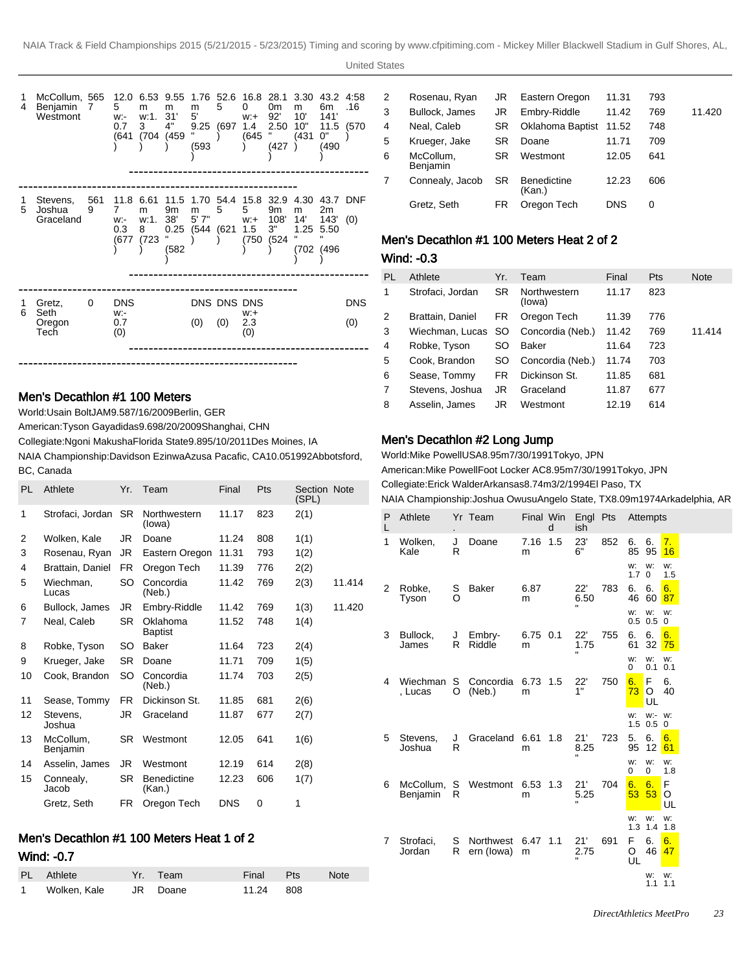

#### Men's Decathlon #1 100 Meters

World: Usain Bolt JAM 9.58 7/16/2009 Berlin, GER

American: Tyson Gay adidas 9.69 8/20/2009 Shanghai, CHN

Collegiate: Ngoni Makusha Florida State 9.89 5/10/2011 Des Moines, IA

NAIA Championship: Davidson Ezinwa Azusa Pacafic, CA 10.05 1992Abbotsford, BC, Canada

| PL | Athlete               | Yr.       | Team                         | Final      | Pts | Section Note<br>(SPL) |        |
|----|-----------------------|-----------|------------------------------|------------|-----|-----------------------|--------|
| 1  | Strofaci, Jordan      | <b>SR</b> | Northwestern<br>(lowa)       | 11.17      | 823 | 2(1)                  |        |
| 2  | Wolken, Kale          | JR.       | Doane                        | 11.24      | 808 | 1(1)                  |        |
| 3  | Rosenau, Ryan         | JR        | Eastern Oregon               | 11.31      | 793 | 1(2)                  |        |
| 4  | Brattain, Daniel      | FR.       | Oregon Tech                  | 11.39      | 776 | 2(2)                  |        |
| 5  | Wiechman.<br>Lucas    | SO        | Concordia<br>(Neb.)          | 11.42      | 769 | 2(3)                  | 11.414 |
| 6  | Bullock, James        | JR        | Embry-Riddle                 | 11.42      | 769 | 1(3)                  | 11.420 |
| 7  | Neal, Caleb           | SR        | Oklahoma<br><b>Baptist</b>   | 11.52      | 748 | 1(4)                  |        |
| 8  | Robke, Tyson          | SO        | Baker                        | 11.64      | 723 | 2(4)                  |        |
| 9  | Krueger, Jake         | <b>SR</b> | Doane                        | 11.71      | 709 | 1(5)                  |        |
| 10 | Cook, Brandon         | SO        | Concordia<br>(Neb.)          | 11.74      | 703 | 2(5)                  |        |
| 11 | Sease, Tommy          | FR.       | Dickinson St.                | 11.85      | 681 | 2(6)                  |        |
| 12 | Stevens,<br>Joshua    | JR.       | Graceland                    | 11.87      | 677 | 2(7)                  |        |
| 13 | McCollum,<br>Benjamin | SR.       | Westmont                     | 12.05      | 641 | 1(6)                  |        |
| 14 | Asselin, James        | JR.       | Westmont                     | 12.19      | 614 | 2(8)                  |        |
| 15 | Connealy,<br>Jacob    | SR.       | <b>Benedictine</b><br>(Kan.) | 12.23      | 606 | 1(7)                  |        |
|    | Gretz, Seth           | FR.       | Oregon Tech                  | <b>DNS</b> | 0   | 1                     |        |
|    |                       |           |                              |            |     |                       |        |

# Men's Decathlon #1 100 Meters Heat 1 of 2 Wind: -0.7

| PL Athlete     | Yr. Team | Final /   | Pts | <b>Note</b> |
|----------------|----------|-----------|-----|-------------|
| 1 Wolken, Kale | JR Doane | 11.24 808 |     |             |

| 2 | Rosenau, Ryan         | JR  | Eastern Oregon               | 11.31      | 793 |        |
|---|-----------------------|-----|------------------------------|------------|-----|--------|
| 3 | Bullock, James        | JR  | Embry-Riddle                 | 11.42      | 769 | 11.420 |
| 4 | Neal, Caleb           | SR. | Oklahoma Baptist             | 11.52      | 748 |        |
| 5 | Krueger, Jake         | SR  | Doane                        | 11.71      | 709 |        |
| 6 | McCollum,<br>Benjamin | SR. | Westmont                     | 12.05      | 641 |        |
|   | Connealy, Jacob       | SR. | <b>Benedictine</b><br>(Kan.) | 12.23      | 606 |        |
|   | Gretz, Seth           | FR  | Oregon Tech                  | <b>DNS</b> | 0   |        |

# Men's Decathlon #1 100 Meters Heat 2 of 2

| Wind: -0.3 |  |
|------------|--|
|------------|--|

| PL | Athlete                             | Yr.       | Team                   | Final | <b>Pts</b> | <b>Note</b> |
|----|-------------------------------------|-----------|------------------------|-------|------------|-------------|
| 1  | Strofaci, Jordan                    | <b>SR</b> | Northwestern<br>(lowa) | 11.17 | 823        |             |
| 2  | Brattain, Daniel                    | FR.       | Oregon Tech            | 11.39 | 776        |             |
| 3  | Wiechman, Lucas SO Concordia (Neb.) |           |                        | 11.42 | 769        | 11.414      |
| 4  | Robke, Tyson                        | SO.       | Baker                  | 11.64 | 723        |             |
| 5  | Cook, Brandon                       | SO.       | Concordia (Neb.)       | 11.74 | 703        |             |
| 6  | Sease, Tommy                        | FR        | Dickinson St.          | 11.85 | 681        |             |
| 7  | Stevens, Joshua                     | JR        | Graceland              | 11.87 | 677        |             |
| 8  | Asselin, James                      | JR        | Westmont               | 12.19 | 614        |             |
|    |                                     |           |                        |       |            |             |

#### Men's Decathlon #2 Long Jump

World: Mike Powell USA 8.95m 7/30/1991 Tokyo, JPN American: Mike Powell Foot Locker AC 8.95m 7/30/1991 Tokyo, JPN Collegiate: Erick Walder Arkansas 8.74m 3/2/1994 El Paso, TX NAIA Championship: Joshua Owusu Angelo State, TX 8.09m 1974Arkadelphia, AR

| P | Athlete             |        | Yr Team                                 |                 | d   | ish         | Final Win Engl Pts Attempts |                       |                 |                   |  |
|---|---------------------|--------|-----------------------------------------|-----------------|-----|-------------|-----------------------------|-----------------------|-----------------|-------------------|--|
| 1 | Wolken,<br>Kale     | J<br>R | Doane                                   | 7.16<br>m       | 1.5 | 23'<br>6"   | 852                         | 6.<br>85              | 6.<br>95        | 7.<br>16          |  |
|   |                     |        |                                         |                 |     |             |                             | w:<br>1.7             | w:<br>0         | w:<br>1.5         |  |
| 2 | Robke.<br>Tyson     | S<br>Ω | <b>Baker</b>                            | 6.87<br>m       |     | 22'<br>6.50 | 783                         | 6.<br>46 60           | 6.              | 6.<br>87          |  |
|   |                     |        |                                         |                 |     |             |                             | w:<br>$0.5$ 0.5       | w:              | w:<br>$\mathbf 0$ |  |
| 3 | Bullock,<br>James   | J<br>R | Embry-<br>Riddle                        | $6.75$ 0.1<br>m |     | 22'<br>1.75 | 755                         | 6.<br>61              | 6.<br>32        | 6.<br>75          |  |
|   |                     |        |                                         |                 |     |             |                             | w:<br>0               | w:<br>0.1       | w:<br>0.1         |  |
| 4 | , Lucas             | O      | Wiechman S Concordia 6.73 1.5<br>(Neb.) | m               |     | 22'<br>1"   | 750                         | 6.<br>73              | F<br>O<br>UL    | 6.<br>40          |  |
|   |                     |        |                                         |                 |     |             |                             | w:<br>$1.5$ 0.5 0     | w:-             | W:                |  |
| 5 | Stevens.<br>Joshua  | J<br>R | Graceland 6.61                          | m               | 1.8 | 21'<br>8.25 | 723                         | 5.<br>95              | 6.<br>12        | 6.<br>61          |  |
|   |                     |        |                                         |                 |     |             |                             | w:<br>0               | w:<br>0         | w:<br>1.8         |  |
| 6 | Benjamin            | R      | McCollum, S Westmont 6.53 1.3           | m               |     | 21'<br>5.25 | 704                         | 6.<br>53 <sup>°</sup> | 6.<br>53        | F<br>O<br>UL      |  |
|   |                     |        |                                         |                 |     |             |                             | w:<br>1.3             | w:<br>$1.4$ 1.8 | w:                |  |
| 7 | Strofaci,<br>Jordan | S<br>R | Northwest 6.47<br>ern (lowa)            | m               | 1.1 | 21'<br>2.75 | 691                         | F.<br>O<br>UL         | 6.<br>46        | 6.<br>47          |  |
|   |                     |        |                                         |                 |     |             |                             |                       | w:<br>1.1       | w:<br>1.1         |  |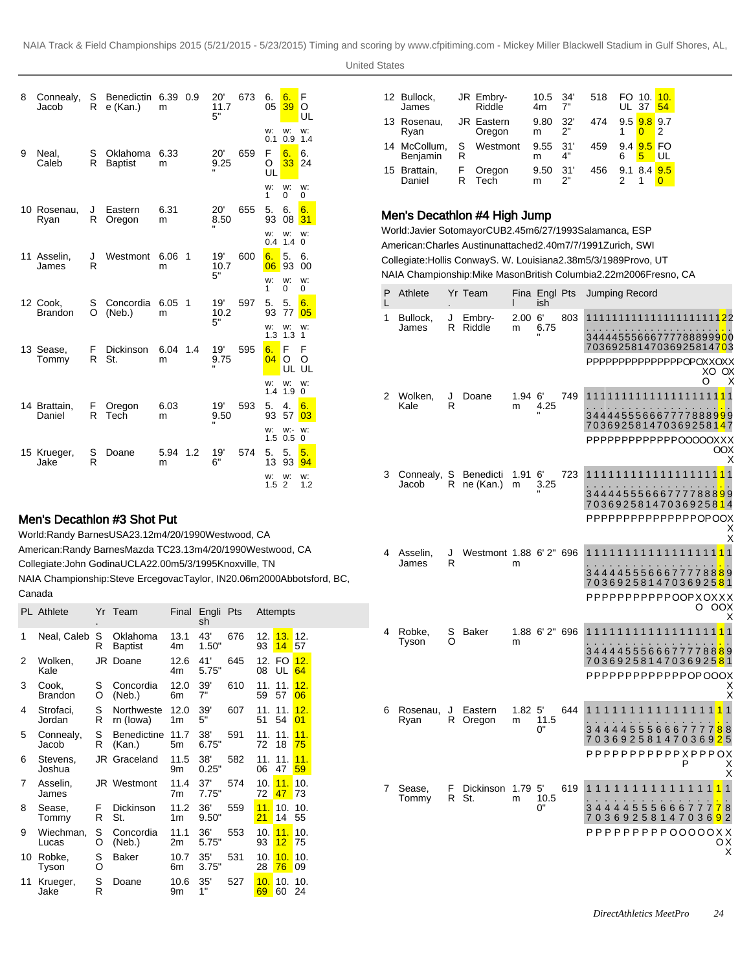| 8 | Connealy,<br>Jacob         | S<br>R  | Benedictin<br>e (Kan.)     | 6.39 0.9<br>m |     | 20'<br>11.7<br>5"             | 673 | 6.<br>05     | 6.<br>39             | F<br>O<br>UL   |
|---|----------------------------|---------|----------------------------|---------------|-----|-------------------------------|-----|--------------|----------------------|----------------|
|   |                            |         |                            |               |     |                               |     | w:<br>0.1    | w:<br>0.9            | w:<br>1.4      |
| 9 | Neal.<br>Caleb             | S<br>R  | Oklahoma<br><b>Baptist</b> | 6.33<br>m     |     | 20'<br>9.25                   | 659 | F<br>O<br>UL | 6.<br>33             | 6.<br>24       |
|   |                            |         |                            |               |     |                               |     | w:<br>1      | w:<br>0              | w:<br>0        |
|   | 10 Rosenau,<br>Ryan        | J<br>R  | Eastern<br>Oregon          | 6.31<br>m     |     | 20'<br>8.50<br>×.             | 655 | 5.<br>93     | 6.<br>08             | 6.<br>31       |
|   |                            |         |                            |               |     |                               |     | w:<br>0.4    | w:<br>1.4            | w:<br>$\Omega$ |
|   | 11 Asselin,<br>James       | J<br>R  | Westmont                   | 6.06<br>m     | 1   | 19'<br>10.7                   | 600 | 6.<br>06     | 5.<br>93             | 6.<br>00       |
|   |                            |         |                            |               |     | 5"                            |     | w:<br>1      | w:<br>0              | w:<br>0        |
|   | 12 Cook,<br><b>Brandon</b> | S<br>O  | Concordia<br>(Neb.)        | 6.05<br>m     | 1   | 19'<br>10.2                   | 597 | 5.<br>93     | 5.<br>77             | 6.<br>05       |
|   |                            |         |                            |               |     | 5"                            |     | w:<br>1.3    | w:<br>1.3            | w:<br>1        |
|   | 13 Sease,<br>Tommy         | F.<br>R | Dickinson<br>St.           | 6.04<br>m     | 1.4 | 19'<br>9.75<br>$\blacksquare$ | 595 | 6.<br>04     | F<br>O<br>UL         | F<br>O<br>UL   |
|   |                            |         |                            |               |     |                               |     | w:<br>1.4    | w:<br>1.9            | w:<br>$\Omega$ |
|   | 14 Brattain.<br>Daniel     | F<br>R  | Oregon<br>Tecĥ             | 6.03<br>m     |     | 19'<br>9.50                   | 593 | 5.<br>93     | 4.<br>57             | 6.<br>03       |
|   |                            |         |                            |               |     |                               |     | w:<br>1.5    | w:-<br>0.5           | w:<br>$\Omega$ |
|   | 15 Krueger,<br>Jake        | S<br>R  | Doane                      | 5.94<br>m     | 1.2 | 19'<br>6"                     | 574 | 5.<br>13     | 5.<br>93             | 5.<br>94       |
|   |                            |         |                            |               |     |                               |     | w:<br>1.5    | w:<br>$\overline{2}$ | w:<br>1.2      |

# Men's Decathlon #3 Shot Put

World: Randy Barnes USA 23.12m 4/20/1990 Westwood, CA American: Randy Barnes Mazda TC 23.13m 4/20/1990 Westwood, CA Collegiate: John Godina UCLA 22.00m 5/3/1995 Knoxville, TN NAIA Championship: Steve Ercegovac Taylor, IN 20.06m 2000Abbotsford, BC,

Canada

|    | <b>PL</b> Athlete       |        | Yr Team                      | Final                  | Engli<br>sh  | Pts |           | Attempts              |                       |
|----|-------------------------|--------|------------------------------|------------------------|--------------|-----|-----------|-----------------------|-----------------------|
| 1  | Neal, Caleb             | S<br>R | Oklahoma<br><b>Baptist</b>   | 13.1<br>4m             | 43'<br>1.50" | 676 | 12.<br>93 | 13.<br>14             | 12.<br>57             |
| 2  | Wolken,<br>Kale         |        | JR Doane                     | 12.6<br>4m             | 41'<br>5.75" | 645 | 08        | 12. FO<br>UL          | 12.<br>64             |
| 3  | Cook,<br><b>Brandon</b> | S<br>O | Concordia<br>(Neb.)          | 12.0<br>6m             | 39'<br>7"    | 610 | 11.<br>59 | 11.<br>57             | 12.<br>06             |
| 4  | Strofaci,<br>Jordan     | S<br>R | Northweste<br>rn (lowa)      | 12.0<br>1m             | 39'<br>5"    | 607 | 11.<br>51 | 11.<br>54             | 12.<br>0 <sub>1</sub> |
| 5  | Connealy,<br>Jacob      | S<br>R | <b>Benedictine</b><br>(Kan.) | 11.7<br>5m             | 38'<br>6.75" | 591 | 11.<br>72 | 11 <sub>1</sub><br>18 | 11.<br>75             |
| 6  | Stevens,<br>Joshua      | JR     | Graceland                    | 11.5<br>9m             | 38'<br>0.25" | 582 | 11.<br>06 | 11.<br>47             | 11.<br>59             |
| 7  | Asselin,<br>James       |        | JR Westmont                  | 11.4<br>7 <sub>m</sub> | 37'<br>7.75" | 574 | 10.<br>72 | 11.<br>47             | 10.<br>73             |
| 8  | Sease,<br>Tommy         | F<br>R | Dickinson<br>St.             | 11.2<br>1m             | 36'<br>9.50" | 559 | 11.<br>21 | 10.<br>14             | 10.<br>55             |
| 9  | Wiechman,<br>Lucas      | S<br>O | Concordia<br>(Neb.)          | 11.1<br>2m             | 36'<br>5.75" | 553 | 10.<br>93 | 11.<br>12             | 10.<br>75             |
| 10 | Robke,<br>Tyson         | S<br>O | Baker                        | 10.7<br>6m             | 35'<br>3.75" | 531 | 10.<br>28 | 10.<br>76             | 10.<br>09             |
| 11 | Krueger,<br>Jake        | S<br>R | Doane                        | 10.6<br>9m             | 35'<br>1"    | 527 | 10.<br>69 | 10.<br>60             | 10.<br>24             |

| 12 Bullock,<br>James     |        | JR Embry-<br>Riddle         | 10.5<br>4m | - 34'<br>7" | 518 | <b>UL 37</b> | FO 10.          | 10.<br>54 |
|--------------------------|--------|-----------------------------|------------|-------------|-----|--------------|-----------------|-----------|
| 13 Rosenau,<br>Ryan      |        | <b>JR</b> Eastern<br>Oregon | 9.80<br>m  | 32'<br>2"   | 474 | $9.5$ $9.8$  |                 | 9.7<br>2  |
| 14 McCollum,<br>Benjamin | S<br>R | Westmont                    | 9.55<br>m  | 31'<br>4"   | 459 | 6            | 9.4 9.5 FO<br>5 | UL        |
| 15 Brattain,<br>Daniel   | F<br>R | Oregon<br>Tech              | 9.50<br>m  | 31'<br>2"   | 456 |              | 9.1 8.4         | 9.5       |

# Men's Decathlon #4 High Jump

World: Javier Sotomayor CUB 2.45m 6/27/1993 Salamanca, ESP American: Charles Austin unattached 2.40m 7/7/1991 Zurich, SWI Collegiate: Hollis Conway S. W. Louisiana 2.38m 5/3/1989 Provo, UT NAIA Championship: Mike Mason British Columbia 2.22m 2006Fresno, CA

| P<br>L | Athlete            |        | Yr Team                |           | Fina Engl Pts<br>ish        |     | Jumping Record                                                                                                                                                                                               |
|--------|--------------------|--------|------------------------|-----------|-----------------------------|-----|--------------------------------------------------------------------------------------------------------------------------------------------------------------------------------------------------------------|
| 1      | Bullock,<br>James  | J<br>R | Embry-<br>Riddle       | 2.00<br>m | 6'<br>6.75                  | 803 | 11111111111111111111 <mark>2</mark> 2<br>344445556667777888999 <mark>0</mark> 0<br>70369258147036925814703<br>PPPPPPPPPPPPPPPOPOXXOXX<br>XO.<br>ОX                                                           |
| 2      | Wolken,<br>Kale    | J<br>R | Doane                  | 1.94<br>m | 6'<br>4.25                  | 749 | ი<br>х<br>11111111<br>111111<br>11<br>1<br>1<br>1<br>1<br>1<br>344445556667<br>778889 <mark>9</mark> 9<br>7<br>7036925814703692581 <mark>4</mark> 7<br>PPPPPPPPPPPPPOOOOOXXX<br>OOX<br>Χ                     |
| 3      | Connealy,<br>Jacob | S<br>R | Benedicti<br>ne (Kan.) | 1.91<br>m | 6'<br>3.25                  | 723 | 111111<br>11<br>1111111<br>111<br>11<br>344445556667777888 <mark>9</mark> 9<br>703692581470369258 <mark>1</mark> 4<br>PPPPPPPPPPPPPPPOPOOX<br>Х<br>$\bar{\mathsf{x}}$                                        |
| 4      | Asselin,<br>James  | J<br>R | Westmont 1.88 6'2" 696 | m         |                             |     | $\mathbf{1}$<br>1111<br>1<br>3444455566677<br>778889<br>70369258147036925 <mark>8</mark> 1<br>ϷϷϷϷϷϷϷϷϷϷϘϘϘϪϘϪϪ<br>OOX<br>O<br>х                                                                             |
| 4      | Robke,<br>Tyson    | S<br>Ω | Baker                  | m         | 1.88 6'2" 696               |     | 1111111<br>$\mathbf{1}$<br>1<br>11<br>11<br>34444555666777788 <mark>8</mark> 9<br>70369258147036925 <mark>8</mark> 1<br>PPPPPPPPPPPPPOPOOOX<br>Х<br>$\rm\ddot{x}$                                            |
| 6      | Rosenau,<br>Ryan   | J<br>R | Eastern<br>Oregon      | 1.82<br>m | 5'<br>11.5<br>0"            | 644 | $\mathbf{1}$<br>1<br>$\mathbf 1$<br>$\overline{1}$<br>1<br>1<br>34444555666777<br>88<br>$\overline{7}$<br>703692581470369 <mark>2</mark> 5<br>PPPPPPPPPPPPXPPPOX<br>P<br>Χ<br>X                              |
| 7      | Sease,<br>Tommy    | F<br>R | Dickinson<br>St.       | 1.79<br>m | 5'<br>10.5<br>$0^{\degree}$ | 619 | 1<br>11<br>$\mathbf 1$<br>1<br>1<br>1<br>1<br>$\mathbf{1}$<br>1<br>1<br>1<br>1<br>1<br>1<br>1<br>3444455<br>5666777 <mark>7</mark><br>8<br>70369258147036 <mark>9</mark><br>2<br>PPPPPPPPP00000XX<br>οх<br>X |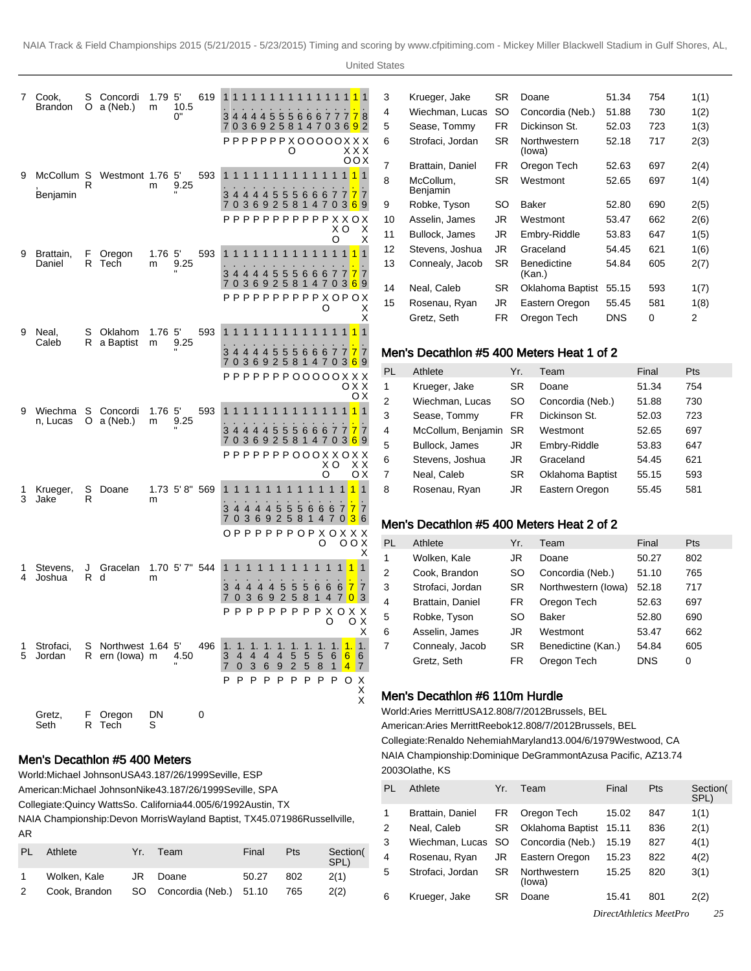United States

| 7      | Cook,<br><b>Brandon</b> | S<br>O  | Concordi<br>a (Neb.)              | 1.79 5'<br>m           | 10.5<br>0"    | 619 | 1<br>1.<br>1<br>1<br>1<br>1<br>1<br>1<br>1<br>1<br>1<br>1<br>34444555666777 <mark>7</mark><br>8<br>70369258147036 <mark>9</mark> 2<br>x x x<br>O                                                                                                                                               |
|--------|-------------------------|---------|-----------------------------------|------------------------|---------------|-----|------------------------------------------------------------------------------------------------------------------------------------------------------------------------------------------------------------------------------------------------------------------------------------------------|
| 9      | McCollum S<br>Benjamin  | R       | Westmont 1.76 5'                  | m                      | 9.25          | 593 | оох<br>$\blacksquare$<br>1111111111111<br>1<br>34444555<br>$\mathbf{7}$<br>7<br>66677<br>7 0 3 6 9 2 5 8 1 4 7 0 3 <mark>6</mark> 9<br>PPPPPPPPPPPPXXOX<br>xо<br>Χ                                                                                                                             |
| 9      | Brattain,<br>Daniel     | F.<br>R | Oregon<br>Tech                    | 1.76 <sub>5</sub><br>m | 9.25          | 593 | O<br>X<br>1<br>1<br>1<br>1<br>1<br>1<br>1<br>1<br>1<br>1<br>1<br>7<br>7<br>3<br>5<br>6667<br>7 <sup>1</sup><br>-4<br>5<br>5<br>44<br>4<br>7 0 3 6 9 2 5 8 1 4 7 0 3 <mark>6</mark> 9<br>РРРРРРРРРРХОРОХ<br>O<br>Χ                                                                              |
| 9      | Neal.<br>Caleb          | S<br>R  | Oklahom<br>a Baptist              | 1.76 <sub>5</sub><br>m | 9.25          | 593 | X<br>1<br>1<br>11<br>$\mathbf{1}$<br>$\mathbf{1}$<br>1<br>7<br>7 0 3 6 9 2 5 8 1 4 7 0 3 <mark>6</mark> 9<br>0 X X                                                                                                                                                                             |
| 9      | Wiechma<br>n, Lucas     | S<br>O  | Concordi<br>a (Neb.)              | 1.76 <sub>5</sub><br>m | 9.25          | 593 | ОX<br>$\overline{1}$<br>1<br>1 <sub>1</sub><br>1 1 1<br>$\overline{1}$<br>111111<br>$\overline{1}$<br>3444455566677<br>7<br>7<br>70369258147<br>0369<br>${\bf P} {\bf P} {\bf P} {\bf P} {\bf P} {\bf P} {\bf O} {\bf O} {\bf O} {\bf X} {\bf X} {\bf O} {\bf X} {\bf X}$<br>xо<br>хx          |
| 1<br>3 | Krueger,<br>Jake        | S<br>R  | Doane                             | m                      | 1.73 5'8" 569 |     | O<br>оx<br>$\mathbf{1}$<br>1<br>1<br>1<br>1<br>1<br>1<br>1<br>1<br>1<br>1<br>1<br>7<br>3<br>44<br>5<br>5<br>5<br>7<br>7<br>4<br>4<br>6<br>6<br>6<br>258<br>7<br>036<br>9<br>$\overline{4}$<br>3<br>6<br>$\overline{1}$<br>7<br>$\overline{0}$<br>OPPPPPPPOPXOXXX<br>O<br>00X                   |
| 1<br>4 | Stevens.<br>Joshua      | J<br>R  | Gracelan<br>d                     | m                      | 1.70 5'7" 544 |     | х<br>$\mathbf{1}$<br>1<br>1<br>4<br>1<br>1<br>1<br>1<br>1<br>1<br>1<br>1<br>1<br>3<br>$\overline{4}$<br>5<br>-5<br>5<br>7<br>7<br>4<br>4<br>4<br>6<br>6<br>6<br>36<br>9<br>2 5 8 1<br>4<br>3<br>7<br>0<br>7<br>0<br>РРРРРРРРР<br>x o x x<br>O<br>оx                                            |
| 1<br>5 | Strofaci,<br>Jordan     | S<br>R  | Northwest 1.64 5'<br>ern (lowa) m |                        | 4.50          | 496 | Х<br>1.<br>1.<br>1.<br>1.<br>1.<br>1.<br>1.<br>1.<br>1.<br>1.<br>1.<br>4<br>4<br>4<br>5<br>5<br>5<br>$\frac{3}{7}$<br>4<br>6<br>6<br>6<br>$\overline{2}$<br>5<br>0<br>3<br>6<br>9<br>8<br>$\mathbf{1}$<br>$\overline{4}$<br>7<br>P<br>P<br>P<br>P<br>P<br>P<br>P<br>P<br>P<br>O<br>Х<br>X<br>X |
|        | Gretz,<br>Seth          | F<br>R  | Oregon<br>Tech                    | DN<br>S                |               | 0   |                                                                                                                                                                                                                                                                                                |

#### Men's Decathlon #5 400 Meters

World: Michael Johnson USA 43.18 7/26/1999 Seville, ESP

American: Michael Johnson Nike 43.18 7/26/1999 Seville, SPA

Collegiate: Quincy Watts So. California 44.00 5/6/1992 Austin, TX

NAIA Championship: Devon Morris Wayland Baptist, TX 45.07 1986Russellville, AR

| PL. | Athlete      | Yr. | Team                                    | Final | Pts | Section(<br>SPL) |
|-----|--------------|-----|-----------------------------------------|-------|-----|------------------|
|     | Wolken. Kale |     | JR Doane                                | 50.27 | 802 | 2(1)             |
| 2   |              |     | Cook, Brandon SO Concordia (Neb.) 51.10 |       | 765 | 2(2)             |

| 3  | Krueger, Jake         | SR        | Doane                  | 51.34      | 754 | 1(1) |
|----|-----------------------|-----------|------------------------|------------|-----|------|
| 4  | Wiechman, Lucas       | SO        | Concordia (Neb.)       | 51.88      | 730 | 1(2) |
| 5  | Sease, Tommy          | FR.       | Dickinson St.          | 52.03      | 723 | 1(3) |
| 6  | Strofaci, Jordan      | SR.       | Northwestern<br>(lowa) | 52.18      | 717 | 2(3) |
| 7  | Brattain, Daniel      | FR.       | Oregon Tech            | 52.63      | 697 | 2(4) |
| 8  | McCollum,<br>Benjamin | SR        | Westmont               | 52.65      | 697 | 1(4) |
| 9  | Robke, Tyson          | SO        | Baker                  | 52.80      | 690 | 2(5) |
| 10 | Asselin, James        | JR        | Westmont               | 53.47      | 662 | 2(6) |
| 11 | Bullock, James        | JR        | Embry-Riddle           | 53.83      | 647 | 1(5) |
| 12 | Stevens, Joshua       | JR        | Graceland              | 54.45      | 621 | 1(6) |
| 13 | Connealy, Jacob       | <b>SR</b> | Benedictine<br>(Kan.)  | 54.84      | 605 | 2(7) |
| 14 | Neal, Caleb           | SR        | Oklahoma Baptist       | 55.15      | 593 | 1(7) |
| 15 | Rosenau, Ryan         | JR        | Eastern Oregon         | 55.45      | 581 | 1(8) |
|    | Gretz, Seth           | FR.       | Oregon Tech            | <b>DNS</b> | 0   | 2    |
|    |                       |           |                        |            |     |      |

#### Men's Decathlon #5 400 Meters Heat 1 of 2

| PL             | Athlete            | Yr.       | Team                    | Final | Pts |
|----------------|--------------------|-----------|-------------------------|-------|-----|
| 1              | Krueger, Jake      | <b>SR</b> | Doane                   | 51.34 | 754 |
| 2              | Wiechman, Lucas    | SO        | Concordia (Neb.)        | 51.88 | 730 |
| 3              | Sease, Tommy       | FR        | Dickinson St.           | 52.03 | 723 |
| 4              | McCollum, Benjamin | <b>SR</b> | Westmont                | 52.65 | 697 |
| 5              | Bullock, James     | JR        | Embry-Riddle            | 53.83 | 647 |
| 6              | Stevens, Joshua    | JR.       | Graceland               | 54.45 | 621 |
| $\overline{7}$ | Neal, Caleb        | <b>SR</b> | <b>Oklahoma Baptist</b> | 55.15 | 593 |
| 8              | Rosenau, Ryan      | JR        | Eastern Oregon          | 55.45 | 581 |

# Men's Decathlon #5 400 Meters Heat 2 of 2

| PL | Athlete          | Yr.       | Team                | Final | <b>Pts</b> |
|----|------------------|-----------|---------------------|-------|------------|
| 1  | Wolken, Kale     | JR        | Doane               | 50.27 | 802        |
| 2  | Cook, Brandon    | SΟ        | Concordia (Neb.)    | 51.10 | 765        |
| 3  | Strofaci, Jordan | SR        | Northwestern (lowa) | 52.18 | 717        |
| 4  | Brattain, Daniel | <b>FR</b> | Oregon Tech         | 52.63 | 697        |
| 5  | Robke, Tyson     | SO        | <b>Baker</b>        | 52.80 | 690        |
| 6  | Asselin, James   | JR        | Westmont            | 53.47 | 662        |
| 7  | Connealy, Jacob  | <b>SR</b> | Benedictine (Kan.)  | 54.84 | 605        |
|    | Gretz, Seth      | FR        | Oregon Tech         | DNS   | 0          |

#### Men's Decathlon #6 110m Hurdle

World: Aries Merritt USA 12.80 8/7/2012 Brussels, BEL American: Aries Merritt Reebok 12.80 8/7/2012 Brussels, BEL Collegiate: Renaldo Nehemiah Maryland 13.00 4/6/1979 Westwood, CA NAIA Championship: Dominique DeGrammont Azusa Pacific, AZ 13.74 2003Olathe, KS

| PL | Athlete                             | Yr.       | Team                   | Final                   | <b>Pts</b> | Section(<br>SPL) |
|----|-------------------------------------|-----------|------------------------|-------------------------|------------|------------------|
| 1  | Brattain, Daniel                    | FR.       | Oregon Tech            | 15.02                   | 847        | 1(1)             |
| 2  | Neal, Caleb                         | <b>SR</b> | Oklahoma Baptist       | 15.11                   | 836        | 2(1)             |
| 3  | Wiechman, Lucas SO Concordia (Neb.) |           |                        | 15.19                   | 827        | 4(1)             |
| 4  | Rosenau, Ryan                       | JR        | Eastern Oregon         | 15.23                   | 822        | 4(2)             |
| 5  | Strofaci, Jordan                    | <b>SR</b> | Northwestern<br>(lowa) | 15.25                   | 820        | 3(1)             |
| 6  | Krueger, Jake                       | SR        | Doane                  | 15.41                   | 801        | 2(2)             |
|    |                                     |           |                        | DirectAthletics MeetPro |            |                  |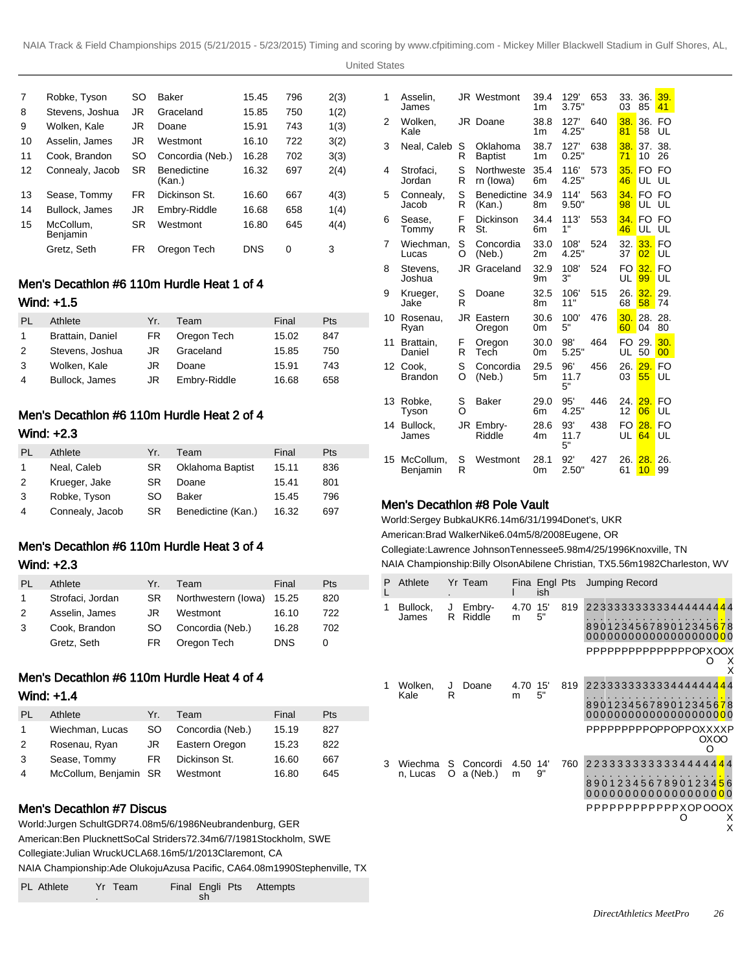| 7  | Robke, Tyson          | SO        | <b>Baker</b>                 | 15.45 | 796 | 2(3) |
|----|-----------------------|-----------|------------------------------|-------|-----|------|
| 8  | Stevens, Joshua       | JR        | Graceland                    | 15.85 | 750 | 1(2) |
| 9  | Wolken, Kale          | JR        | Doane                        | 15.91 | 743 | 1(3) |
| 10 | Asselin, James        | JR        | Westmont                     | 16.10 | 722 | 3(2) |
| 11 | Cook. Brandon         | <b>SO</b> | Concordia (Neb.)             | 16.28 | 702 | 3(3) |
| 12 | Connealy, Jacob       | <b>SR</b> | <b>Benedictine</b><br>(Kan.) | 16.32 | 697 | 2(4) |
| 13 | Sease, Tommy          | FR.       | Dickinson St.                | 16.60 | 667 | 4(3) |
| 14 | Bullock, James        | JR        | Embry-Riddle                 | 16.68 | 658 | 1(4) |
| 15 | McCollum.<br>Benjamin | SR        | Westmont                     | 16.80 | 645 | 4(4) |
|    | Gretz. Seth           | FR        | Oregon Tech                  | DNS   | 0   | 3    |

# Men's Decathlon #6 110m Hurdle Heat 1 of 4 Wind: +1.5

| PL | Athlete          | Yr. | Team         | Final | <b>Pts</b> |
|----|------------------|-----|--------------|-------|------------|
|    | Brattain, Daniel | FR. | Oregon Tech  | 15.02 | 847        |
| 2  | Stevens, Joshua  | JR. | Graceland    | 15.85 | 750        |
| 3  | Wolken, Kale     | JR. | Doane        | 15.91 | 743        |
| 4  | Bullock, James   | JR  | Embry-Riddle | 16.68 | 658        |

# Men's Decathlon #6 110m Hurdle Heat 2 of 4

# Wind: +2.3

| PL | Athlete         | Yr.       | Team               | Final | Pts |
|----|-----------------|-----------|--------------------|-------|-----|
| 1  | Neal, Caleb     | <b>SR</b> | Oklahoma Baptist   | 15.11 | 836 |
| 2  | Krueger, Jake   | <b>SR</b> | Doane              | 15.41 | 801 |
| 3  | Robke, Tyson    | SO        | <b>Baker</b>       | 15.45 | 796 |
| 4  | Connealy, Jacob | SR.       | Benedictine (Kan.) | 16.32 | 697 |

# Men's Decathlon #6 110m Hurdle Heat 3 of 4 Wind: +2.3

| PL | Athlete          | Yr. | Team                | Final      | <b>Pts</b> |
|----|------------------|-----|---------------------|------------|------------|
| 1  | Strofaci, Jordan | SR. | Northwestern (lowa) | 15.25      | 820        |
| 2  | Asselin, James   | JR  | Westmont            | 16.10      | 722        |
| 3  | Cook, Brandon    | SO. | Concordia (Neb.)    | 16.28      | 702        |
|    | Gretz, Seth      | FR. | Oregon Tech         | <b>DNS</b> | O          |

# Men's Decathlon #6 110m Hurdle Heat 4 of 4

### Wind: +1.4

| PL | Athlete               | Yr. | Team             | Final | Pts |
|----|-----------------------|-----|------------------|-------|-----|
|    | Wiechman, Lucas       | SO. | Concordia (Neb.) | 15.19 | 827 |
| 2  | Rosenau, Ryan         | JR  | Eastern Oregon   | 15.23 | 822 |
| 3  | Sease, Tommy          | FR. | Dickinson St.    | 16.60 | 667 |
| 4  | McCollum, Benjamin SR |     | Westmont         | 16.80 | 645 |

# Men's Decathlon #7 Discus

World: Jurgen Schult GDR 74.08m 5/6/1986 Neubrandenburg, GER American: Ben Plucknett SoCal Striders 72.34m 6/7/1981 Stockholm, SWE Collegiate: Julian Wruck UCLA 68.16m 5/1/2013 Claremont, CA NAIA Championship: Ade Olukoju Azusa Pacific, CA 64.08m 1990Stephenville, TX

| <b>PL</b> Athlete<br>Yr Team | sh | Final Engli Pts Attempts |
|------------------------------|----|--------------------------|
|------------------------------|----|--------------------------|

| 1  | Asselin.<br>James       |        | <b>JR</b> Westmont           | 39.4<br>1 <sub>m</sub> | 129'<br>3.75"     | 653 | 33.<br>03             | 36.<br>85    | 39.<br>41 |
|----|-------------------------|--------|------------------------------|------------------------|-------------------|-----|-----------------------|--------------|-----------|
| 2  | Wolken,<br>Kale         |        | JR Doane                     | 38.8<br>1 <sub>m</sub> | 127'<br>4.25"     | 640 | 38.<br>81             | 36. FO<br>58 | UL        |
| 3  | Neal, Caleb             | S<br>R | Oklahoma<br><b>Baptist</b>   | 38.7<br>1 <sub>m</sub> | 127'<br>0.25"     | 638 | 38.<br>71             | 37.<br>10    | 38.<br>26 |
| 4  | Strofaci,<br>Jordan     | S<br>R | Northweste<br>rn (lowa)      | 35.4<br>6m             | 116'<br>4.25"     | 573 | 35.<br>46             | FO FO<br>UL  | UL        |
| 5  | Connealy,<br>Jacob      | S<br>R | <b>Benedictine</b><br>(Kan.) | 34.9<br>8m             | 114'<br>9.50"     | 563 | 34 <sub>1</sub><br>98 | FO FO<br>UL  | UL        |
| 6  | Sease,<br>Tommy         | F<br>R | Dickinson<br>St.             | 34.4<br>6m             | 113'<br>1"        | 553 | 34.<br>46             | FO.<br>UL    | FO.<br>UL |
| 7  | Wiechman,<br>Lucas      | S<br>O | Concordia<br>(Neb.)          | 33.0<br>2m             | 108'<br>4.25"     | 524 | 32.<br>37             | 33.<br>02    | FO<br>UL  |
| 8  | Stevens.<br>Joshua      | JR     | Graceland                    | 32.9<br>9m             | 108'<br>3"        | 524 | FO<br>UL              | 32.<br>99    | FO<br>UL  |
| 9  | Krueger,<br>Jake        | S<br>R | Doane                        | 32.5<br>8m             | 106'<br>11"       | 515 | 26.<br>68             | 32.<br>58    | 29.<br>74 |
| 10 | Rosenau.<br>Ryan        | JR     | Eastern<br>Oregon            | 30.6<br>0m             | 100'<br>5"        | 476 | 30.<br>60             | 28.<br>04    | 28.<br>80 |
| 11 | Brattain.<br>Daniel     | F<br>R | Oregon<br>Tech               | 30.0<br>0m             | 98'<br>5.25"      | 464 | FO<br>UL              | 29.<br>50    | 30.<br>00 |
| 12 | Cook,<br><b>Brandon</b> | S<br>Ω | Concordia<br>(Neb.)          | 29.5<br>5m             | 96'<br>11.7<br>5" | 456 | 26.<br>03             | 29.<br>55    | FO<br>UL  |
| 13 | Robke.<br>Tyson         | S<br>Ω | Baker                        | 29.0<br>6m             | 95'<br>4.25"      | 446 | 24.<br>12             | 29.<br>06    | FO<br>UL  |
| 14 | Bullock,<br>James       | JR     | Embry-<br>Riddle             | 28.6<br>4m             | 93'<br>11.7<br>5" | 438 | FO<br>UL              | 28.<br>64    | FO<br>UL  |
| 15 | McCollum,<br>Benjamin   | S<br>R | Westmont                     | 28.1<br>0m             | 92'<br>2.50"      | 427 | 26.<br>61             | 28.<br>10    | 26.<br>99 |

# Men's Decathlon #8 Pole Vault

World: Sergey Bubka UKR 6.14m 6/31/1994 Donet's, UKR American: Brad Walker Nike 6.04m 5/8/2008 Eugene, OR Collegiate: Lawrence Johnson Tennessee 5.98m 4/25/1996 Knoxville, TN NAIA Championship: Billy Olson Abilene Christian, TX 5.56m 1982Charleston, WV

| P | Athlete             |         | Yr Team              |           | Fina Engl Pts<br>ish |     | Jumping Record                                                                                                                       |
|---|---------------------|---------|----------------------|-----------|----------------------|-----|--------------------------------------------------------------------------------------------------------------------------------------|
| 1 | Bullock,<br>James   | J<br>R  | Embry-<br>Riddle     | 4.70<br>m | 15'<br>5"            | 819 | 223333333333444444 <mark>44</mark><br>890123456789012345678<br>000000000000000000000<br>PPPPPPPPPPPPPPPOPXOOX<br>O<br>х<br>x         |
| 1 | Wolken,<br>Kale     | J<br>R  | Doane                | 4.70<br>m | 15'<br>5"            | 819 | 223333333333444444 <mark>44</mark><br>8901234567890123456 <mark>7</mark> 8<br>000000000000000000000<br>PPPPPPPPPOPPOPPOXXXXP<br>OXOO |
| 3 | Wiechma<br>n, Lucas | S.<br>O | Concordi<br>a (Neb.) | 4.50<br>m | 14'<br>9"            | 760 | 2 2 3 3 3 3 3 3 3 3 3 4 4 4 4 4 4 4<br>8901234567890123456<br>0000000000000000000<br>PPPPPPPPPPPPXOPOOOX<br>х<br>Ω<br>Χ              |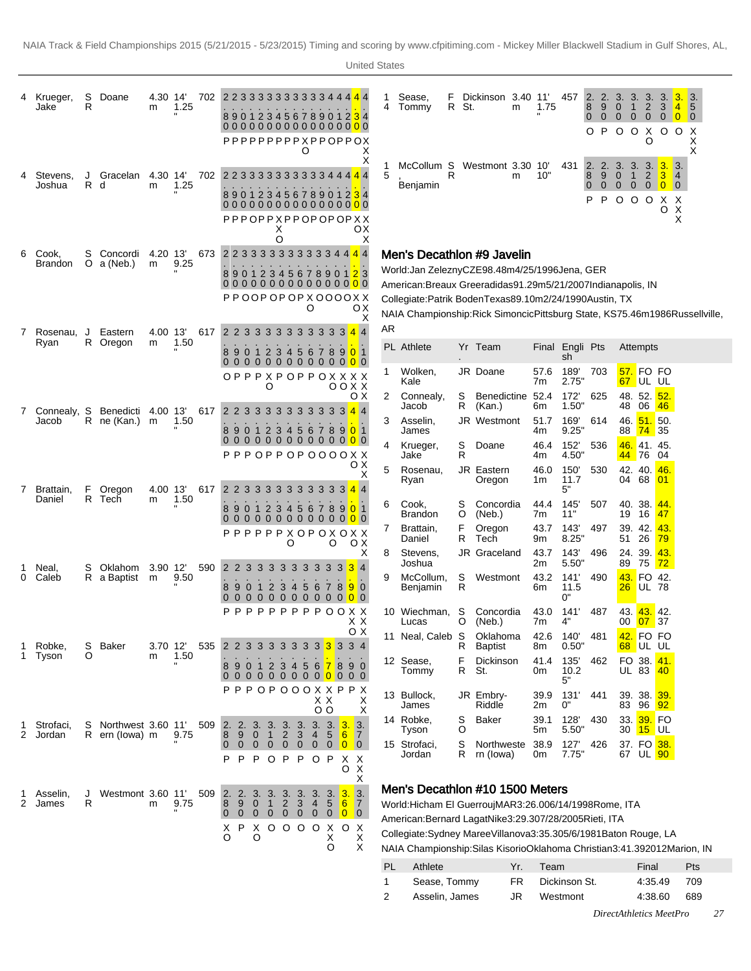|   | Krueger,<br>Jake        | S<br>R   | Doane                                | 4.30 14<br>m  | 1.25 | 702 | 2 2 3 3 3 3 3 3 3 3 3 3 4 4 4 4 4<br>890123456789012 <mark>3</mark> 4<br>PPPPPPPPPXPPOPPOX                     |                                           |                                                                                         | O                                           |                             | х                                                                  | 4            | Sease,<br>F<br>Tommy                                                 | R St.              | Dickinson 3.40 11'<br>m                                                                                                                                                                                                                                                                                        | 1.75                                   | 457                                                      | 2.<br>2.<br>8<br>9<br>$\overline{0}$<br>$\mathbf{0}$<br>O P O O X | 3.<br>3.<br>$\mathbf{0}$<br>$\mathbf{1}$<br>$\overline{0}$<br>$\mathbf{0}$                   | 3.<br>$\sqrt{2}$<br>$\overline{0}$<br>O                                                                                      | 3.<br>3<br>$\mathbf 0$             | 3.<br>$\vert 4 \vert$<br>$\overline{\phantom{0}}$ 0<br>$O$ O X                                | 3.<br>5<br>$\overline{\mathbf{0}}$<br>Χ<br>Χ |  |
|---|-------------------------|----------|--------------------------------------|---------------|------|-----|----------------------------------------------------------------------------------------------------------------|-------------------------------------------|-----------------------------------------------------------------------------------------|---------------------------------------------|-----------------------------|--------------------------------------------------------------------|--------------|----------------------------------------------------------------------|--------------------|----------------------------------------------------------------------------------------------------------------------------------------------------------------------------------------------------------------------------------------------------------------------------------------------------------------|----------------------------------------|----------------------------------------------------------|-------------------------------------------------------------------|----------------------------------------------------------------------------------------------|------------------------------------------------------------------------------------------------------------------------------|------------------------------------|-----------------------------------------------------------------------------------------------|----------------------------------------------|--|
|   | Stevens,<br>Joshua      | J<br>R d | Gracelan                             | 4.30 14<br>m  | 1.25 | 702 | 2 2 3 3 3 3 3 3 3 3 3 3 4 4 4 4 4<br>890123456789012 <mark>3</mark> 4<br>PPPOPPXPPOPOPOPXX                     | Х<br>O                                    |                                                                                         |                                             |                             | х<br>oх<br>X                                                       | 5            | McCollum S<br>Benjamin                                               | R                  | Westmont 3.30 10'<br>m                                                                                                                                                                                                                                                                                         | 10"                                    | 431                                                      | 2.<br>2.<br>8<br>9<br>$\mathbf 0$<br>$\mathbf{0}$<br>P<br>P       | 3.<br>3.<br>$\overline{0}$<br>$\ddot{\textbf{r}}$<br>$\overline{0}$<br>$\overline{0}$<br>000 | $2 \overline{3}$                                                                                                             | 3.3.<br>0 <sub>0</sub><br>X<br>O   | $\overline{\mathbf{3}}$ .<br>$\overline{4}$<br>$\overline{0}$<br>X<br>$\overline{\mathsf{x}}$ |                                              |  |
| 6 | Cook,<br><b>Brandon</b> | S        | Concordi<br>O $a$ (Neb.)             | 4.20 13'<br>m | 9.25 | 673 | 2 2 3 3 3 3 3 3 3 3 3 3 4 4 4 4<br>89012345678901 <mark>2</mark> 3<br>PPOOPOPOPX0000XX                         |                                           |                                                                                         | O                                           |                             | oх<br>X                                                            |              |                                                                      |                    | Men's Decathlon #9 Javelin<br>World: Jan Zelezny CZE 98.48m 4/25/1996 Jena, GER<br>American: Breaux Greer adidas 91.29m 5/21/2007 Indianapolis, IN<br>Collegiate: Patrik Boden Texas 89.10m 2/24/1990 Austin, TX<br>NAIA Championship: Rick Simoncic Pittsburg State, KS 75.46m 1986Russellville,              |                                        |                                                          |                                                                   |                                                                                              |                                                                                                                              |                                    |                                                                                               |                                              |  |
| 7 | Rosenau, J<br>Ryan      |          | Eastern<br>R Oregon                  | 4.00 13'<br>m | 1.50 | 617 | 2 2 3 3 3<br>890123456789 <mark>0</mark> 1<br>00000000000000<br>OPPPXPOPPOXXXX                                 | 3                                         |                                                                                         |                                             |                             | 3 3 3 3 3 3 4 4                                                    | AR<br>1      | PL Athlete<br>Wolken,                                                |                    | Yr Team<br>JR Doane                                                                                                                                                                                                                                                                                            | 57.6                                   | Final Engli Pts<br>sh<br>189'                            | 703                                                               |                                                                                              | Attempts<br>57. FO FO                                                                                                        |                                    |                                                                                               |                                              |  |
|   | 7 Connealy, S<br>Jacob  |          | Benedicti 4.00 13'<br>R ne (Kan.) m  |               | 1.50 | 617 | 2 2 3 3 3 3<br>90<br>-1<br>00000000000000<br>$PPPOPPOPOOOOOXX$                                                 | O<br>2 3                                  | 5<br>4                                                                                  | 6                                           |                             | 0 0 X X<br>οх<br>3 3 3 3 3 3 4 4<br>7 8 9 0 1                      | 2<br>3<br>4  | Kale<br>Connealy,<br>Jacob<br>Asselin,<br>James<br>Krueger,<br>Jake  | S<br>R<br>S<br>R   | Benedictine 52.4<br>(Kan.)<br>JR Westmont<br>Doane                                                                                                                                                                                                                                                             | 7m<br>6m<br>51.7<br>4m<br>46.4<br>4m   | 2.75"<br>172'<br>1.50"<br>169'<br>9.25"<br>152'<br>4.50" | 625<br>614<br>536                                                 | 48<br>46.<br>88                                                                              | 67 UL UL<br>48. 52. <mark>52.</mark><br>06<br><b>51.</b> 50.<br><b>74</b> 35<br><mark>46.</mark> 41. 45.<br>44 76 04         | 46                                 |                                                                                               |                                              |  |
| 7 | Brattain,<br>Daniel     | F.<br>R  | Oregon<br>Tech                       | 4.00 13'<br>m | 1.50 | 617 | 2 2 3 3 3<br>90<br>$\mathbf{1}$<br>0000000000000<br>$\Omega$<br>PPPPPXOPOXOXX                                  | -3<br>$\overline{2}$<br>3                 | 3<br>3<br>$\overline{4}$<br>O                                                           | 3<br>3<br>56                                | 3<br>78<br>O                | oх<br>х<br>$3 \; 4 \; 4$<br>9 0 1<br>O X                           | 5<br>6<br>7. | Rosenau,<br>Ryan<br>Cook,<br>Brandon<br>Brattain,<br>Daniel          | S<br>O<br>F<br>R   | JR Eastern<br>Oregon<br>Concordia<br>(Neb.)<br>Oregon<br>Tech                                                                                                                                                                                                                                                  | 46.0<br>1m<br>44.4<br>7m<br>43.7<br>9m | 150'<br>11.7<br>5"<br>145'<br>11"<br>143'<br>8.25"       | 530<br>507<br>497                                                 | 04<br>19<br>51                                                                               | 42. 40. 46.<br>68<br>40. 38. <mark>44.</mark><br>16<br>39. 42.<br>26                                                         | 01 <br>47<br>43 <sub>1</sub><br>79 |                                                                                               |                                              |  |
| 0 | Neal,<br>Caleb          | S        | Oklahom 3.90 12'<br>R a Baptist m    |               | 9.50 | 590 | 2 2 3<br>3<br>9<br>8<br>$\bf{0}$<br>-1<br>0000000000000<br>P                                                   | 3<br>$\overline{2}$<br>P                  | 3<br>3<br>3<br>$\overline{4}$<br>P<br>P                                                 | $\mathbf{3}$<br>-3<br>56                    |                             | х<br>$3 \t3 \t3 \t4$<br>7890<br>P P O O X X                        | 8<br>9       | Stevens,<br>Joshua<br>McCollum,<br>Benjamin<br>10 Wiechman,          | $\frac{S}{R}$<br>S | JR Graceland<br>Westmont<br>Concordia                                                                                                                                                                                                                                                                          | 43.7<br>2m<br>43.2<br>6m<br>43.0       | 143'<br>5.50"<br>141'<br>11.5<br>0"<br>141'              | 496<br>490<br>487                                                 | 89<br>43.<br>26<br>43.                                                                       | 24. 39. 43.<br>75 <mark>72</mark><br>FO 42.<br>UL 78<br>43.42                                                                |                                    |                                                                                               |                                              |  |
| 1 | Robke,<br>Tyson         | S<br>O   | Baker                                | 3.70 12<br>m  | 1.50 | 535 | 2 2 3<br>3<br>8901<br>0000000000000                                                                            | 3                                         | 3<br>33                                                                                 |                                             |                             | X X<br>O X<br>3 3 3 3 4<br>2 3 4 5 6 7 8 9 0                       |              | Lucas<br>11 Neal, Caleb S<br>12 Sease,<br>Tommy                      | O<br>R<br>F<br>R   | (Neb.)<br>Oklahoma<br><b>Baptist</b><br>Dickinson<br>St.                                                                                                                                                                                                                                                       | 7m<br>42.6<br>8m<br>41.4<br>0m         | 4"<br>140'<br>0.50"<br>135'<br>10.2<br>5"                | 481<br>462                                                        | 00                                                                                           | $07 \overline{\smash{\big)}\ 37}$<br>42. FO FO<br>68 UL UL<br>FO 38. 41.<br>UL 83                                            | <b>40</b>                          |                                                                                               |                                              |  |
| 2 | Strofaci,<br>Jordan     | S        | Northwest 3.60 11'<br>R ern (lowa) m |               | 9.75 | 509 | PPPOPOOOXXPPX<br>2. 2. 3. 3. 3.<br>9<br>8<br>$\overline{0}$<br>$\overline{0}$<br>$\overline{0}$<br>P<br>P<br>P | 0 <sub>1</sub><br>$\mathbf{0}$<br>$\circ$ | 3.<br>$\overline{2}$<br>$\mathbf{3}$<br>$\mathbf{0}$<br>$\mathbf 0$<br>$\mathsf P$<br>P | 3.<br>$\overline{4}$<br>$\mathbf{0}$<br>O P | X X<br>$\circ$<br>3.3.<br>5 | Х<br>X<br>3.<br>6<br>$\overline{7}$<br>$0$ 0 0<br>Χ<br>Х<br>X<br>O |              | 13 Bullock,<br>James<br>14 Robke,<br>Tyson<br>15 Strofaci,<br>Jordan | S<br>O<br>S<br>R   | JR Embry-<br>Riddle<br><b>Baker</b><br>Northweste 38.9<br>rn (lowa)                                                                                                                                                                                                                                            | 39.9<br>2m<br>39.1<br>5m<br>0m         | 131'<br>0"<br>128'<br>5.50"<br>127'<br>7.75"             | 441<br>430<br>426                                                 | 83                                                                                           | 39. 38. <mark>39.</mark><br>96 <mark>92</mark><br>33. 39. FO<br>30 <mark>15</mark> UL<br>37. FO 38.<br>67 UL <mark>90</mark> |                                    |                                                                                               |                                              |  |
| 2 | Asselin,<br>James       | J<br>R   | Westmont 3.60 11'                    | m             | 9.75 | 509 | 2. 2. 3. 3. 3. 3.<br>9<br>8<br>$\overline{0}$<br>000000000<br>$\mathbf{0}$<br>X P<br>X<br>O<br>O               | $\overline{1}$                            | 3<br>$2^{\circ}$<br>$0000$                                                              | 3.<br>$\overline{4}$                        | X<br>х<br>O                 | Х<br>3.3.3.<br>567<br>$\circ$<br>Χ<br>х<br>Χ                       |              | $DI$ $Ath$ $Ath$                                                     |                    | Men's Decathlon #10 1500 Meters<br>World: Hicham El Guerrouj MAR 3:26.00 6/14/1998 Rome, ITA<br>American: Bernard Lagat Nike 3:29.30 7/28/2005 Rieti, ITA<br>Collegiate: Sydney Maree Villanova 3:35.30 5/6/1981 Baton Rouge, LA<br>NAIA Championship: Silas Kisorio Oklahoma Christian 3:41.39 2012Marion, IN | $V_r$ Toom                             |                                                          |                                                                   |                                                                                              | Einol                                                                                                                        |                                    |                                                                                               | D <sub>to</sub>                              |  |

| PL Athlete     |    | Yr. Team         | Final       | <b>Pts</b> |
|----------------|----|------------------|-------------|------------|
| Sease, Tommy   |    | FR Dickinson St. | 4:35.49 709 |            |
| Asselin. James | JR | Westmont         | 4:38.60 689 |            |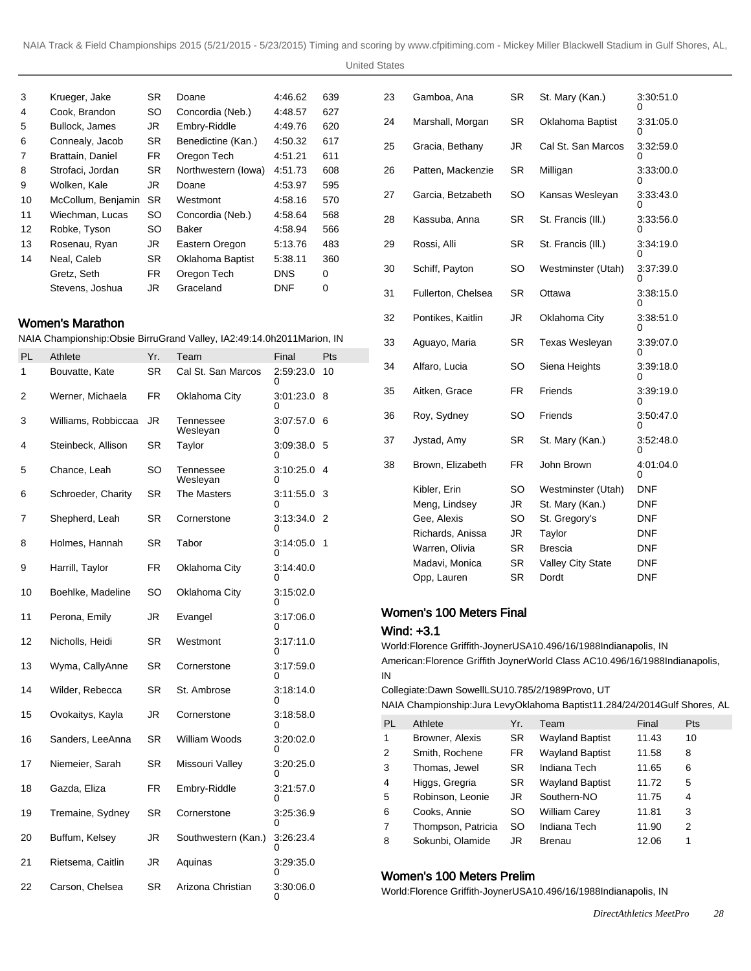United States

| 3  | Krueger, Jake      | SR.       | Doane               | 4:46.62    | 639 |
|----|--------------------|-----------|---------------------|------------|-----|
| 4  | Cook, Brandon      | SO.       | Concordia (Neb.)    | 4:48.57    | 627 |
| 5  | Bullock, James     | JR.       | Embry-Riddle        | 4:49.76    | 620 |
| 6  | Connealy, Jacob    | <b>SR</b> | Benedictine (Kan.)  | 4:50.32    | 617 |
| 7  | Brattain, Daniel   | FR.       | Oregon Tech         | 4:51.21    | 611 |
| 8  | Strofaci, Jordan   | <b>SR</b> | Northwestern (lowa) | 4:51.73    | 608 |
| 9  | Wolken, Kale       | JR        | Doane               | 4:53.97    | 595 |
| 10 | McCollum, Benjamin | <b>SR</b> | Westmont            | 4:58.16    | 570 |
| 11 | Wiechman, Lucas    | SO.       | Concordia (Neb.)    | 4:58.64    | 568 |
| 12 | Robke, Tyson       | SO        | Baker               | 4:58.94    | 566 |
| 13 | Rosenau, Ryan      | JR.       | Eastern Oregon      | 5:13.76    | 483 |
| 14 | Neal, Caleb        | <b>SR</b> | Oklahoma Baptist    | 5:38.11    | 360 |
|    | Gretz, Seth        | FR.       | Oregon Tech         | <b>DNS</b> | 0   |
|    | Stevens, Joshua    | JR.       | Graceland           | DNF        | 0   |

### Women's Marathon

NAIA Championship: Obsie Birru Grand Valley, IA 2:49:14.0h 2011Marion, IN

| PL | Athlete             | Yr.       | Team                  | Final          | Pts |
|----|---------------------|-----------|-----------------------|----------------|-----|
| 1  | Bouvatte, Kate      | SR        | Cal St. San Marcos    | 2:59:23.0<br>0 | 10  |
| 2  | Werner, Michaela    | FR        | Oklahoma City         | 3.01:23.0<br>0 | 8   |
| 3  | Williams, Robbiccaa | JR        | Tennessee<br>Weslevan | 3.07.57.0<br>∩ | 6   |
| 4  | Steinbeck, Allison  | SR        | Taylor                | 3:09:38.0<br>0 | 5   |
| 5  | Chance, Leah        | SO        | Tennessee<br>Wesleyan | 3:10:25.0<br>0 | 4   |
| 6  | Schroeder, Charity  | SR        | The Masters           | 3:11:55.0<br>n | 3   |
| 7  | Shepherd, Leah      | <b>SR</b> | Cornerstone           | 3:13:34.0<br>O | 2   |
| 8  | Holmes, Hannah      | SR        | Tabor                 | 3:14:05.0<br>0 | 1   |
| 9  | Harrill, Taylor     | FR.       | Oklahoma City         | 3:14:40.0<br>n |     |
| 10 | Boehlke, Madeline   | SO        | Oklahoma City         | 3:15:02.0<br>O |     |
| 11 | Perona, Emily       | JR        | Evangel               | 3:17:06.0<br>0 |     |
| 12 | Nicholls, Heidi     | SR        | Westmont              | 3:17:11.0<br>0 |     |
| 13 | Wyma, CallyAnne     | <b>SR</b> | Cornerstone           | 3:17:59.0<br>Ω |     |
| 14 | Wilder, Rebecca     | SR        | St. Ambrose           | 3:18:14.0<br>0 |     |
| 15 | Ovokaitys, Kayla    | JR        | Cornerstone           | 3:18:58.0<br>0 |     |
| 16 | Sanders, LeeAnna    | <b>SR</b> | William Woods         | 3:20:02.0<br>0 |     |
| 17 | Niemeier, Sarah     | SR        | Missouri Valley       | 3.20:25.0<br>O |     |
| 18 | Gazda, Eliza        | FR.       | Embry-Riddle          | 3.21.57.0<br>0 |     |
| 19 | Tremaine, Sydney    | SR        | Cornerstone           | 3:25:36.9<br>0 |     |
| 20 | Buffum, Kelsey      | JR        | Southwestern (Kan.)   | 3.26:23.4<br>0 |     |
| 21 | Rietsema, Caitlin   | JR        | Aquinas               | 3:29:35.0      |     |
| 22 | Carson, Chelsea     | <b>SR</b> | Arizona Christian     | 3:30:06.0<br>0 |     |

| 23 | Gamboa, Ana        | SR        | St. Mary (Kan.)    | 3:30:51.0<br>ი |
|----|--------------------|-----------|--------------------|----------------|
| 24 | Marshall, Morgan   | SR        | Oklahoma Baptist   | 3:31:05.0<br>0 |
| 25 | Gracia, Bethany    | JR        | Cal St. San Marcos | 3:32:59.0<br>O |
| 26 | Patten, Mackenzie  | SR        | Milligan           | 3:33:00.0      |
| 27 | Garcia, Betzabeth  | SO        | Kansas Wesleyan    | 3:33:43.0      |
| 28 | Kassuba, Anna      | SR        | St. Francis (III.) | 3:33:56.0<br>0 |
| 29 | Rossi, Alli        | SR        | St. Francis (III.) | 3:34:19.0<br>0 |
| 30 | Schiff, Payton     | SO        | Westminster (Utah) | 3:37:39.0<br>0 |
| 31 | Fullerton, Chelsea | <b>SR</b> | Ottawa             | 3:38:15.0<br>0 |
| 32 | Pontikes, Kaitlin  | JR        | Oklahoma City      | 3:38:51.0<br>0 |
| 33 | Aguayo, Maria      | SR        | Texas Wesleyan     | 3.39.07.0<br>0 |
| 34 | Alfaro, Lucia      | SO        | Siena Heights      | 3:39:18.0<br>0 |
| 35 | Aitken, Grace      | FR        | Friends            | 3:39:19.0<br>0 |
| 36 | Roy, Sydney        | SO        | Friends            | 3:50:47.0<br>0 |
| 37 | Jystad, Amy        | SR        | St. Mary (Kan.)    | 3:52:48.0<br>0 |
| 38 | Brown, Elizabeth   | FR.       | John Brown         | 4:01:04.0<br>0 |
|    | Kibler, Erin       | SO        | Westminster (Utah) | <b>DNF</b>     |
|    | Meng, Lindsey      | JR        | St. Mary (Kan.)    | <b>DNF</b>     |
|    | Gee, Alexis        | SO        | St. Gregory's      | DNF            |
|    | Richards, Anissa   | JR        | Taylor             | <b>DNF</b>     |
|    | Warren, Olivia     | SR        | <b>Brescia</b>     | <b>DNF</b>     |
|    | Madavi, Monica     | SR        | Valley City State  | <b>DNF</b>     |
|    | Opp, Lauren        | SR        | Dordt              | <b>DNF</b>     |
|    |                    |           |                    |                |

#### Women's 100 Meters Final

#### Wind: +3.1

World: Florence Griffith-Joyner USA 10.49 6/16/1988 Indianapolis, IN American: Florence Griffith Joyner World Class AC 10.49 6/16/1988 Indianapolis, IN

Collegiate: Dawn Sowell LSU 10.78 5/2/1989 Provo, UT

NAIA Championship: Jura Levy Oklahoma Baptist 11.28 4/24/2014 Gulf Shores, AL

| <b>PL</b>      | Athlete            | Yr.       | Team                   | Final | Pts |
|----------------|--------------------|-----------|------------------------|-------|-----|
| 1              | Browner, Alexis    | <b>SR</b> | <b>Wayland Baptist</b> | 11.43 | 10  |
| 2              | Smith, Rochene     | FR.       | <b>Wayland Baptist</b> | 11.58 | 8   |
| 3              | Thomas, Jewel      | <b>SR</b> | Indiana Tech           | 11.65 | 6   |
| 4              | Higgs, Gregria     | SR.       | <b>Wayland Baptist</b> | 11.72 | 5   |
| 5              | Robinson, Leonie   | JR        | Southern-NO            | 11.75 | 4   |
| 6              | Cooks, Annie       | <b>SO</b> | <b>William Carey</b>   | 11.81 | 3   |
| $\overline{7}$ | Thompson, Patricia | SO.       | Indiana Tech           | 11.90 | 2   |
| 8              | Sokunbi, Olamide   | JR        | Brenau                 | 12.06 | 1   |

# Women's 100 Meters Prelim

World: Florence Griffith-Joyner USA 10.49 6/16/1988 Indianapolis, IN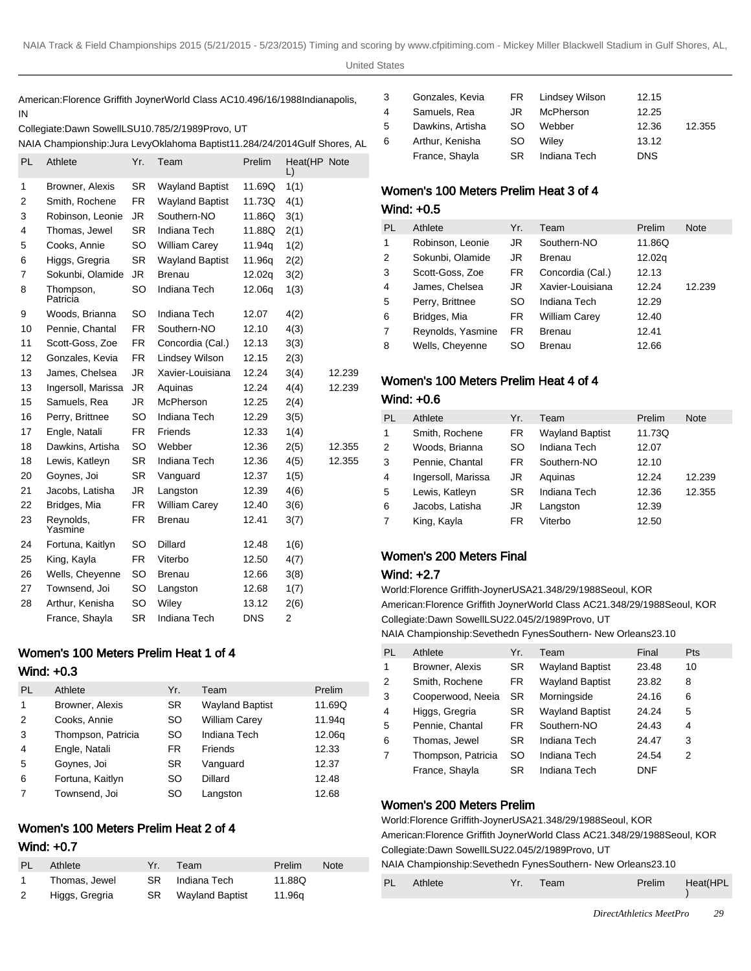American: Florence Griffith Joyner World Class AC 10.49 6/16/1988 Indianapolis, IN

| Collegiate: Dawn Sowell LSU 10.78 5/2/1989 Provo, UT |  |
|------------------------------------------------------|--|
|------------------------------------------------------|--|

NAIA Championship: Jura Levy Oklahoma Baptist 11.28 4/24/2014 Gulf Shores, AL 6

| PL | Athlete               | Yr.       | Team                   | Prelim     | Heat(HP Note<br>L) |        |
|----|-----------------------|-----------|------------------------|------------|--------------------|--------|
| 1  | Browner, Alexis       | <b>SR</b> | <b>Wayland Baptist</b> | 11.69Q     | 1(1)               |        |
| 2  | Smith, Rochene        | FR.       | <b>Wayland Baptist</b> | 11.73Q     | 4(1)               |        |
| 3  | Robinson, Leonie      | JR.       | Southern-NO            | 11.86Q     | 3(1)               |        |
| 4  | Thomas, Jewel         | <b>SR</b> | Indiana Tech           | 11.88Q     | 2(1)               |        |
| 5  | Cooks, Annie          | <b>SO</b> | William Carey          | 11.94q     | 1(2)               |        |
| 6  | Higgs, Gregria        | <b>SR</b> | <b>Wayland Baptist</b> | 11.96g     | 2(2)               |        |
| 7  | Sokunbi, Olamide      | JR        | <b>Brenau</b>          | 12.02q     | 3(2)               |        |
| 8  | Thompson,<br>Patricia | <b>SO</b> | Indiana Tech           | 12.06q     | 1(3)               |        |
| 9  | Woods, Brianna        | <b>SO</b> | Indiana Tech           | 12.07      | 4(2)               |        |
| 10 | Pennie, Chantal       | <b>FR</b> | Southern-NO            | 12.10      | 4(3)               |        |
| 11 | Scott-Goss, Zoe       | <b>FR</b> | Concordia (Cal.)       | 12.13      | 3(3)               |        |
| 12 | Gonzales, Kevia       | <b>FR</b> | Lindsey Wilson         | 12.15      | 2(3)               |        |
| 13 | James, Chelsea        | JR.       | Xavier-Louisiana       | 12.24      | 3(4)               | 12.239 |
| 13 | Ingersoll, Marissa    | JR.       | Aquinas                | 12.24      | 4(4)               | 12.239 |
| 15 | Samuels, Rea          | JR.       | McPherson              | 12.25      | 2(4)               |        |
| 16 | Perry, Brittnee       | <b>SO</b> | Indiana Tech           | 12.29      | 3(5)               |        |
| 17 | Engle, Natali         | FR.       | Friends                | 12.33      | 1(4)               |        |
| 18 | Dawkins, Artisha      | <b>SO</b> | Webber                 | 12.36      | 2(5)               | 12.355 |
| 18 | Lewis, Katleyn        | <b>SR</b> | Indiana Tech           | 12.36      | 4(5)               | 12.355 |
| 20 | Goynes, Joi           | <b>SR</b> | Vanguard               | 12.37      | 1(5)               |        |
| 21 | Jacobs, Latisha       | JR        | Langston               | 12.39      | 4(6)               |        |
| 22 | Bridges, Mia          | FR.       | <b>William Carey</b>   | 12.40      | 3(6)               |        |
| 23 | Reynolds,<br>Yasmine  | FR        | <b>Brenau</b>          | 12.41      | 3(7)               |        |
| 24 | Fortuna, Kaitlyn      | <b>SO</b> | Dillard                | 12.48      | 1(6)               |        |
| 25 | King, Kayla           | <b>FR</b> | Viterbo                | 12.50      | 4(7)               |        |
| 26 | Wells, Cheyenne       | <b>SO</b> | <b>Brenau</b>          | 12.66      | 3(8)               |        |
| 27 | Townsend, Joi         | SO        | Langston               | 12.68      | 1(7)               |        |
| 28 | Arthur, Kenisha       | <b>SO</b> | Wiley                  | 13.12      | 2(6)               |        |
|    | France, Shayla        | <b>SR</b> | Indiana Tech           | <b>DNS</b> | 2                  |        |

# Women's 100 Meters Prelim Heat 1 of 4

#### Wind: +0.3

| PL | Athlete            | Yr.       | Team                   | Prelim |
|----|--------------------|-----------|------------------------|--------|
| 1  | Browner, Alexis    | <b>SR</b> | <b>Wayland Baptist</b> | 11.69Q |
| 2  | Cooks, Annie       | SO.       | <b>William Carey</b>   | 11.94g |
| 3  | Thompson, Patricia | SO.       | Indiana Tech           | 12.06g |
| 4  | Engle, Natali      | FR.       | Friends                | 12.33  |
| 5  | Goynes, Joi        | <b>SR</b> | Vanguard               | 12.37  |
| 6  | Fortuna, Kaitlyn   | SO        | Dillard                | 12.48  |
| 7  | Townsend, Joi      | SO        | Langston               | 12.68  |

# Women's 100 Meters Prelim Heat 2 of 4 Wind: +0.7

| PL. | Athlete        | Yr. | Team               | Prelim | <b>Note</b> |
|-----|----------------|-----|--------------------|--------|-------------|
|     | Thomas, Jewel  | SR. | Indiana Tech       | 11.88Q |             |
| 2   | Higgs, Gregria |     | SR Wayland Baptist | 11.96g |             |

|    | Gonzales, Kevia  | FR 1 | Lindsey Wilson | 12.15      |        |
|----|------------------|------|----------------|------------|--------|
| 4  | Samuels, Rea     | JR.  | McPherson      | 12.25      |        |
| 5  | Dawkins, Artisha | SO.  | Webber         | 12.36      | 12.355 |
| 6. | Arthur, Kenisha  | SO.  | Wilev          | 13.12      |        |
|    | France, Shayla   | SR   | Indiana Tech   | <b>DNS</b> |        |

# Women's 100 Meters Prelim Heat 3 of 4

### Wind: +0.5

| PL | Athlete           | Yr.       | Team                 | Prelim | <b>Note</b> |
|----|-------------------|-----------|----------------------|--------|-------------|
| 1  | Robinson, Leonie  | JR        | Southern-NO          | 11.86Q |             |
| 2  | Sokunbi, Olamide  | JR        | <b>Brenau</b>        | 12.02g |             |
| 3  | Scott-Goss, Zoe   | FR        | Concordia (Cal.)     | 12.13  |             |
| 4  | James, Chelsea    | JR        | Xavier-Louisiana     | 12.24  | 12.239      |
| 5  | Perry, Brittnee   | SO        | Indiana Tech         | 12.29  |             |
| 6  | Bridges, Mia      | <b>FR</b> | <b>William Carey</b> | 12.40  |             |
| 7  | Reynolds, Yasmine | <b>FR</b> | <b>Brenau</b>        | 12.41  |             |
| 8  | Wells, Cheyenne   | SO        | Brenau               | 12.66  |             |

# Women's 100 Meters Prelim Heat 4 of 4 Wind: +0.6

| Prelim<br><b>Note</b> |
|-----------------------|
| 11.73Q                |
| 12.07                 |
| 12.10                 |
| 12.239<br>12.24       |
| 12.355<br>12.36       |
| 12.39                 |
| 12.50                 |
|                       |

# Women's 200 Meters Final

#### Wind: +2.7

World: Florence Griffith-Joyner USA 21.34 8/29/1988 Seoul, KOR American: Florence Griffith Joyner World Class AC 21.34 8/29/1988 Seoul, KOR Collegiate: Dawn Sowell LSU 22.04 5/2/1989 Provo, UT

NAIA Championship: Sevethedn Fynes Southern- New Orleans 23.10

| <b>PL</b> | Athlete            | Yr.       | Team                   | Final      | <b>Pts</b> |
|-----------|--------------------|-----------|------------------------|------------|------------|
| 1         | Browner, Alexis    | <b>SR</b> | <b>Wayland Baptist</b> | 23.48      | 10         |
| 2         | Smith, Rochene     | FR.       | <b>Wayland Baptist</b> | 23.82      | 8          |
| 3         | Cooperwood, Neeja  | SR.       | Morningside            | 24.16      | 6          |
| 4         | Higgs, Gregria     | <b>SR</b> | <b>Wayland Baptist</b> | 24.24      | 5          |
| 5         | Pennie, Chantal    | <b>FR</b> | Southern-NO            | 24.43      | 4          |
| 6         | Thomas, Jewel      | <b>SR</b> | Indiana Tech           | 24.47      | 3          |
| 7         | Thompson, Patricia | SO        | Indiana Tech           | 24.54      | 2          |
|           | France, Shayla     | <b>SR</b> | Indiana Tech           | <b>DNF</b> |            |

# Women's 200 Meters Prelim

| World: Florence Griffith-Joyner USA 21.34 8/29/1988 Seoul, KOR               |
|------------------------------------------------------------------------------|
| American: Florence Griffith Joyner World Class AC 21.34 8/29/1988 Seoul, KOR |
| Collegiate: Dawn Sowell LSU 22.04 5/2/1989 Provo, UT                         |
| NAIA Championship: Sevethedn Fynes Southern- New Orleans 23.10               |

PL Athlete Yr. Team Prelim Heat(HPL )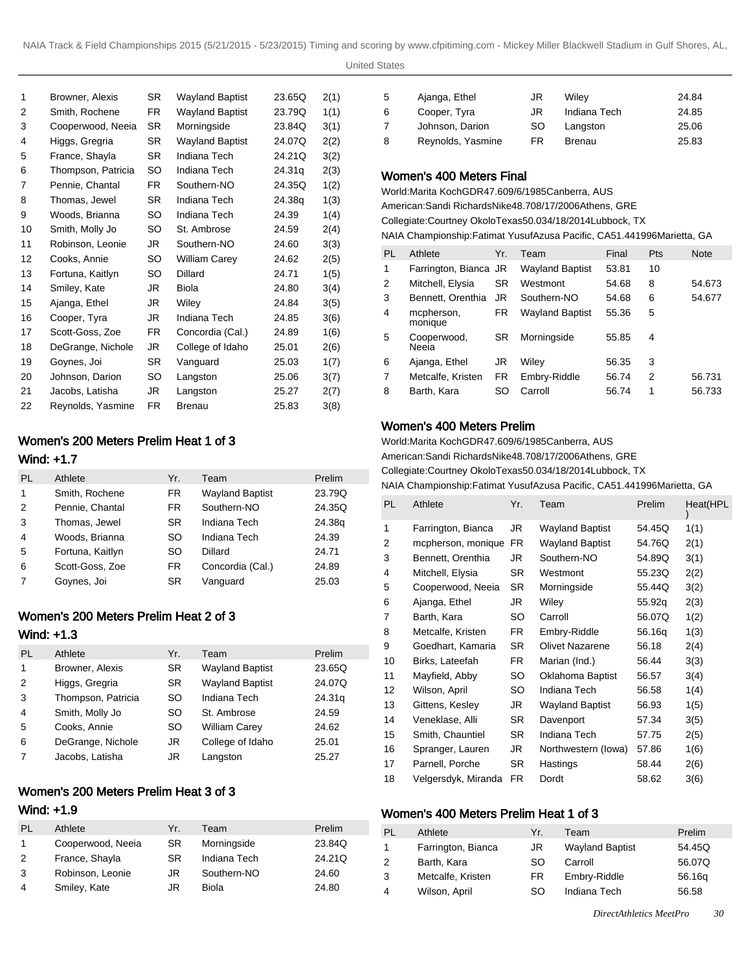United States

| 1  | Browner, Alexis    | SR. | Wayland Baptist        | 23.65Q | 2(1) |
|----|--------------------|-----|------------------------|--------|------|
| 2  | Smith, Rochene     | FR. | <b>Wayland Baptist</b> | 23.79Q | 1(1) |
| 3  | Cooperwood, Neeia  | SR. | Morningside            | 23.84Q | 3(1) |
| 4  | Higgs, Gregria     | SR. | <b>Wayland Baptist</b> | 24.07Q | 2(2) |
| 5  | France, Shayla     | SR. | Indiana Tech           | 24.21Q | 3(2) |
| 6  | Thompson, Patricia | SO  | Indiana Tech           | 24.31g | 2(3) |
| 7  | Pennie, Chantal    | FR. | Southern-NO            | 24.35Q | 1(2) |
| 8  | Thomas, Jewel      | SR. | Indiana Tech           | 24.38a | 1(3) |
| 9  | Woods, Brianna     | SO  | Indiana Tech           | 24.39  | 1(4) |
| 10 | Smith, Molly Jo    | SO  | St. Ambrose            | 24.59  | 2(4) |
| 11 | Robinson, Leonie   | JR  | Southern-NO            | 24.60  | 3(3) |
| 12 | Cooks, Annie       | SO. | <b>William Carey</b>   | 24.62  | 2(5) |
| 13 | Fortuna, Kaitlyn   | SO  | Dillard                | 24.71  | 1(5) |
| 14 | Smiley, Kate       | JR. | Biola                  | 24.80  | 3(4) |
| 15 | Ajanga, Ethel      | JR  | Wiley                  | 24.84  | 3(5) |
| 16 | Cooper, Tyra       | JR. | Indiana Tech           | 24.85  | 3(6) |
| 17 | Scott-Goss, Zoe    | FR. | Concordia (Cal.)       | 24.89  | 1(6) |
| 18 | DeGrange, Nichole  | JR  | College of Idaho       | 25.01  | 2(6) |
| 19 | Goynes, Joi        | SR. | Vanguard               | 25.03  | 1(7) |
| 20 | Johnson, Darion    | SO  | Langston               | 25.06  | 3(7) |
| 21 | Jacobs, Latisha    | JR  | Langston               | 25.27  | 2(7) |
| 22 | Reynolds, Yasmine  | FR. | Brenau                 | 25.83  | 3(8) |
|    |                    |     |                        |        |      |

# Women's 200 Meters Prelim Heat 1 of 3

# Wind: +1.7

| PL | Athlete          | Yr.       | Team                   | Prelim |
|----|------------------|-----------|------------------------|--------|
| 1  | Smith, Rochene   | FR.       | <b>Wayland Baptist</b> | 23.79Q |
| 2  | Pennie, Chantal  | FR.       | Southern-NO            | 24.35Q |
| 3  | Thomas, Jewel    | <b>SR</b> | Indiana Tech           | 24.38g |
| 4  | Woods, Brianna   | SO.       | Indiana Tech           | 24.39  |
| 5  | Fortuna, Kaitlyn | <b>SO</b> | Dillard                | 24.71  |
| 6  | Scott-Goss, Zoe  | <b>FR</b> | Concordia (Cal.)       | 24.89  |
| 7  | Goynes, Joi      | SR.       | Vanguard               | 25.03  |

# Women's 200 Meters Prelim Heat 2 of 3

# Wind: +1.3

| PL | Athlete            | Yr.       | Team                   | Prelim |
|----|--------------------|-----------|------------------------|--------|
| 1  | Browner, Alexis    | <b>SR</b> | <b>Wayland Baptist</b> | 23.65Q |
| 2  | Higgs, Gregria     | <b>SR</b> | <b>Wayland Baptist</b> | 24.07Q |
| 3  | Thompson, Patricia | SO        | Indiana Tech           | 24.31g |
| 4  | Smith, Molly Jo    | SO        | St. Ambrose            | 24.59  |
| 5  | Cooks, Annie       | SO        | <b>William Carey</b>   | 24.62  |
| 6  | DeGrange, Nichole  | JR        | College of Idaho       | 25.01  |
| 7  | Jacobs, Latisha    | JR        | Langston               | 25.27  |

# Women's 200 Meters Prelim Heat 3 of 3

# Wind: +1.9

| PL | Athlete           | Yr.       | Team         | Prelim |
|----|-------------------|-----------|--------------|--------|
|    | Cooperwood, Neeja | <b>SR</b> | Morningside  | 23.84Q |
| 2  | France, Shayla    | <b>SR</b> | Indiana Tech | 24.21Q |
| 3  | Robinson, Leonie  | JR.       | Southern-NO  | 24.60  |
| 4  | Smiley, Kate      | JR        | Biola        | 24.80  |

| -5             | Ajanga, Ethel     | JR  | Wiley         | 24.84 |
|----------------|-------------------|-----|---------------|-------|
| 6              | Cooper, Tyra      | JR. | Indiana Tech  | 24.85 |
| $\overline{7}$ | Johnson, Darion   | SO. | Langston      | 25.06 |
| -8             | Reynolds, Yasmine | FR  | <b>Brenau</b> | 25.83 |

### Women's 400 Meters Final

World: Marita Koch GDR 47.60 9/6/1985 Canberra, AUS American: Sandi Richards Nike 48.70 8/17/2006 Athens, GRE Collegiate: Courtney Okolo Texas 50.03 4/18/2014 Lubbock, TX NAIA Championship: Fatimat Yusuf Azusa Pacific, CA 51.44 1996Marietta, GA

| PL | Athlete               | Yr.       | Team                   | Final | <b>Pts</b> | <b>Note</b> |
|----|-----------------------|-----------|------------------------|-------|------------|-------------|
| 1  | Farrington, Bianca JR |           | <b>Wayland Baptist</b> | 53.81 | 10         |             |
| 2  | Mitchell, Elysia      | <b>SR</b> | Westmont               | 54.68 | 8          | 54.673      |
| 3  | Bennett, Orenthia     | JR.       | Southern-NO            | 54.68 | 6          | 54.677      |
| 4  | mcpherson,<br>monique | FR.       | <b>Wayland Baptist</b> | 55.36 | 5          |             |
| 5  | Cooperwood,<br>Neeia  | SR.       | Morningside            | 55.85 | 4          |             |
| 6  | Ajanga, Ethel         | JR        | Wiley                  | 56.35 | 3          |             |
| 7  | Metcalfe, Kristen     | <b>FR</b> | Embry-Riddle           | 56.74 | 2          | 56.731      |
| 8  | Barth, Kara           | SO.       | Carroll                | 56.74 | 1          | 56.733      |

# Women's 400 Meters Prelim

World: Marita Koch GDR 47.60 9/6/1985 Canberra, AUS American: Sandi Richards Nike 48.70 8/17/2006 Athens, GRE

Collegiate: Courtney Okolo Texas 50.03 4/18/2014 Lubbock, TX

NAIA Championship: Fatimat Yusuf Azusa Pacific, CA 51.44 1996Marietta, GA

| PL | Athlete             | Yr.       | Team                   | Prelim | Heat(HPL |
|----|---------------------|-----------|------------------------|--------|----------|
| 1  | Farrington, Bianca  | JR        | <b>Wayland Baptist</b> | 54.45Q | 1(1)     |
| 2  | mcpherson, monique  | <b>FR</b> | <b>Wayland Baptist</b> | 54.76Q | 2(1)     |
| 3  | Bennett, Orenthia   | JR        | Southern-NO            | 54.89Q | 3(1)     |
| 4  | Mitchell, Elysia    | SR        | Westmont               | 55.23Q | 2(2)     |
| 5  | Cooperwood, Neeia   | <b>SR</b> | Morningside            | 55.44Q | 3(2)     |
| 6  | Ajanga, Ethel       | JR        | Wiley                  | 55.92g | 2(3)     |
| 7  | Barth, Kara         | SO        | Carroll                | 56.07Q | 1(2)     |
| 8  | Metcalfe, Kristen   | FR.       | Embry-Riddle           | 56.16g | 1(3)     |
| 9  | Goedhart, Kamaria   | <b>SR</b> | <b>Olivet Nazarene</b> | 56.18  | 2(4)     |
| 10 | Birks, Lateefah     | FR.       | Marian (Ind.)          | 56.44  | 3(3)     |
| 11 | Mayfield, Abby      | SO        | Oklahoma Baptist       | 56.57  | 3(4)     |
| 12 | Wilson, April       | SO        | Indiana Tech           | 56.58  | 1(4)     |
| 13 | Gittens, Kesley     | JR        | <b>Wayland Baptist</b> | 56.93  | 1(5)     |
| 14 | Veneklase, Alli     | <b>SR</b> | Davenport              | 57.34  | 3(5)     |
| 15 | Smith, Chauntiel    | <b>SR</b> | Indiana Tech           | 57.75  | 2(5)     |
| 16 | Spranger, Lauren    | JR        | Northwestern (lowa)    | 57.86  | 1(6)     |
| 17 | Parnell, Porche     | SR        | Hastings               | 58.44  | 2(6)     |
| 18 | Velgersdyk, Miranda | FR.       | Dordt                  | 58.62  | 3(6)     |

### Women's 400 Meters Prelim Heat 1 of 3

| PL | Athlete            | Yr. | Team                   | Prelim |
|----|--------------------|-----|------------------------|--------|
|    | Farrington, Bianca | JR. | <b>Wayland Baptist</b> | 54.45Q |
| 2  | Barth, Kara        | SO. | Carroll                | 56.07Q |
| 3  | Metcalfe, Kristen  | FR  | Embry-Riddle           | 56.16g |
| 4  | Wilson, April      | SO. | Indiana Tech           | 56.58  |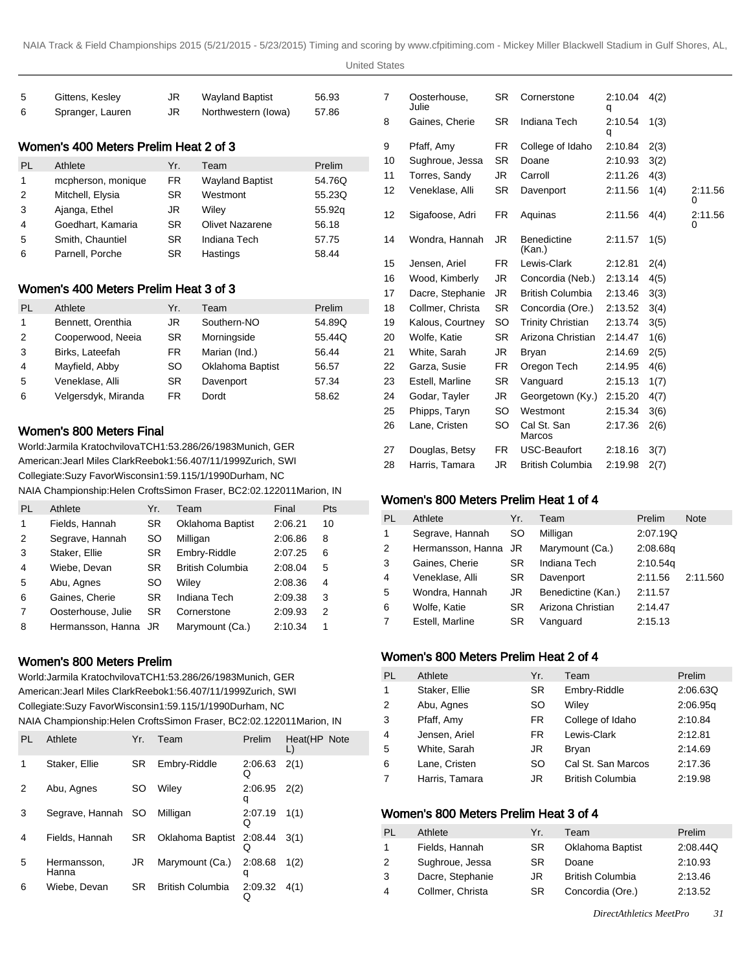United States

| -5 | Gittens, Kesley  | JR. | <b>Wayland Baptist</b> | 56.93 |
|----|------------------|-----|------------------------|-------|
| -6 | Spranger, Lauren | JR. | Northwestern (lowa)    | 57.86 |

# Women's 400 Meters Prelim Heat 2 of 3

| PI. | Athlete            | Yr. | Team                   | Prelim |
|-----|--------------------|-----|------------------------|--------|
| 1   | mcpherson, monique | FR. | <b>Wayland Baptist</b> | 54.76Q |
| 2   | Mitchell, Elysia   | SR. | Westmont               | 55.23Q |
| 3   | Ajanga, Ethel      | JR  | Wilev                  | 55.92g |
| 4   | Goedhart, Kamaria  | SR. | <b>Olivet Nazarene</b> | 56.18  |
| 5   | Smith, Chauntiel   | SR. | Indiana Tech           | 57.75  |
| 6   | Parnell, Porche    | SR  | Hastings               | 58.44  |

# Women's 400 Meters Prelim Heat 3 of 3

| PL             | Athlete             | Yr.       | Team             | Prelim |
|----------------|---------------------|-----------|------------------|--------|
| 1              | Bennett, Orenthia   | JR        | Southern-NO      | 54.89Q |
| 2              | Cooperwood, Neeia   | <b>SR</b> | Morningside      | 55.44Q |
| 3              | Birks, Lateefah     | FR.       | Marian (Ind.)    | 56.44  |
| $\overline{4}$ | Mayfield, Abby      | SO.       | Oklahoma Baptist | 56.57  |
| 5              | Veneklase, Alli     | SR.       | Davenport        | 57.34  |
| 6              | Velgersdyk, Miranda | FR        | Dordt            | 58.62  |

# Women's 800 Meters Final

World: Jarmila Kratochvilova TCH 1:53.28 6/26/1983 Munich, GER American: Jearl Miles Clark Reebok 1:56.40 7/11/1999 Zurich, SWI Collegiate: Suzy Favor Wisconsin 1:59.11 5/1/1990 Durham, NC NAIA Championship: Helen Crofts Simon Fraser, BC 2:02.12 2011Marion, IN

| PL | Athlete            | Yr.       | Team             | Final   | Pts |
|----|--------------------|-----------|------------------|---------|-----|
| 1  | Fields, Hannah     | <b>SR</b> | Oklahoma Baptist | 2:06.21 | 10  |
| 2  | Segrave, Hannah    | SO        | Milligan         | 2:06.86 | 8   |
| 3  | Staker, Ellie      | <b>SR</b> | Embry-Riddle     | 2:07.25 | 6   |
| 4  | Wiebe, Devan       | SR.       | British Columbia | 2:08.04 | 5   |
| 5  | Abu, Agnes         | <b>SO</b> | Wiley            | 2:08.36 | 4   |
| 6  | Gaines, Cherie     | <b>SR</b> | Indiana Tech     | 2:09.38 | 3   |
| 7  | Oosterhouse, Julie | <b>SR</b> | Cornerstone      | 2:09.93 | 2   |
| 8  | Hermansson, Hanna  | JR        | Marymount (Ca.)  | 2:10.34 | 1   |
|    |                    |           |                  |         |     |

# Women's 800 Meters Prelim

World: Jarmila Kratochvilova TCH 1:53.28 6/26/1983 Munich, GER American: Jearl Miles Clark Reebok 1:56.40 7/11/1999 Zurich, SWI Collegiate: Suzy Favor Wisconsin 1:59.11 5/1/1990 Durham, NC NAIA Championship: Helen Crofts Simon Fraser, BC 2:02.12 2011Marion, IN

| PL | Athlete              | Yr. | Team             | Prelim       | Heat(HP Note |  |
|----|----------------------|-----|------------------|--------------|--------------|--|
|    | Staker, Ellie        | SR. | Embry-Riddle     | 2:06.63<br>Q | 2(1)         |  |
| 2  | Abu, Agnes           | SO  | Wilev            | 2:06.95<br>q | 2(2)         |  |
| 3  | Segrave, Hannah SO   |     | Milligan         | 2:07.19<br>O | 1(1)         |  |
| 4  | Fields, Hannah       | SR  | Oklahoma Baptist | 2:08.44<br>Q | 3(1)         |  |
| 5  | Hermansson.<br>Hanna | JR  | Marymount (Ca.)  | 2:08.68<br>q | 1(2)         |  |
| 6  | Wiebe, Devan         | SR  | British Columbia | 2:09.32<br>Q | 4(1)         |  |

| 7  | Oosterhouse,<br>Julie | <b>SR</b> | Cornerstone                  | 2:10.04<br>q | 4(2) |              |
|----|-----------------------|-----------|------------------------------|--------------|------|--------------|
| 8  | Gaines, Cherie        | <b>SR</b> | Indiana Tech                 | 2:10.54<br>q | 1(3) |              |
| 9  | Pfaff, Amy            | FR.       | College of Idaho             | 2:10.84      | 2(3) |              |
| 10 | Sughroue, Jessa       | <b>SR</b> | Doane                        | 2:10.93      | 3(2) |              |
| 11 | Torres, Sandy         | JR        | Carroll                      | 2:11.26      | 4(3) |              |
| 12 | Veneklase, Alli       | SR        | Davenport                    | 2:11.56      | 1(4) | 2:11.56<br>0 |
| 12 | Sigafoose, Adri       | FR.       | Aquinas                      | 2:11.56      | 4(4) | 2:11.56<br>0 |
| 14 | Wondra, Hannah        | JR        | <b>Benedictine</b><br>(Kan.) | 2:11.57      | 1(5) |              |
| 15 | Jensen, Ariel         | FR.       | Lewis-Clark                  | 2:12.81      | 2(4) |              |
| 16 | Wood, Kimberly        | JR        | Concordia (Neb.)             | 2:13.14      | 4(5) |              |
| 17 | Dacre, Stephanie      | JR.       | <b>British Columbia</b>      | 2:13.46      | 3(3) |              |
| 18 | Collmer, Christa      | <b>SR</b> | Concordia (Ore.)             | 2:13.52      | 3(4) |              |
| 19 | Kalous, Courtney      | SO        | <b>Trinity Christian</b>     | 2:13.74      | 3(5) |              |
| 20 | Wolfe, Katie          | SR.       | Arizona Christian            | 2:14.47      | 1(6) |              |
| 21 | White, Sarah          | JR        | Bryan                        | 2:14.69      | 2(5) |              |
| 22 | Garza, Susie          | FR        | Oregon Tech                  | 2:14.95      | 4(6) |              |
| 23 | Estell, Marline       | SR        | Vanguard                     | 2:15.13      | 1(7) |              |
| 24 | Godar, Tayler         | JR        | Georgetown (Ky.)             | 2:15.20      | 4(7) |              |
| 25 | Phipps, Taryn         | SO        | Westmont                     | 2:15.34      | 3(6) |              |
| 26 | Lane, Cristen         | SO        | Cal St. San<br>Marcos        | 2:17.36      | 2(6) |              |
| 27 | Douglas, Betsy        | FR.       | <b>USC-Beaufort</b>          | 2:18.16      | 3(7) |              |
| 28 | Harris, Tamara        | JR        | <b>British Columbia</b>      | 2:19.98      | 2(7) |              |

# Women's 800 Meters Prelim Heat 1 of 4

| PL | Athlete              | Yr.       | Team               | Prelim   | <b>Note</b> |
|----|----------------------|-----------|--------------------|----------|-------------|
| 1  | Segrave, Hannah      | SO.       | Milligan           | 2:07.19Q |             |
| 2  | Hermansson, Hanna JR |           | Marymount (Ca.)    | 2:08.68g |             |
| 3  | Gaines, Cherie       | <b>SR</b> | Indiana Tech       | 2:10.54q |             |
| 4  | Veneklase, Alli      | SR.       | Davenport          | 2:11.56  | 2:11.560    |
| 5  | Wondra, Hannah       | JR        | Benedictine (Kan.) | 2:11.57  |             |
| 6  | Wolfe, Katie         | SR        | Arizona Christian  | 2:14.47  |             |
|    | Estell, Marline      | SR        | Vanguard           | 2:15.13  |             |
|    |                      |           |                    |          |             |

# Women's 800 Meters Prelim Heat 2 of 4

| PL             | Athlete        | Yr.       | Team                    | Prelim   |
|----------------|----------------|-----------|-------------------------|----------|
| $\mathbf{1}$   | Staker, Ellie  | <b>SR</b> | Embry-Riddle            | 2:06.63Q |
| 2              | Abu, Agnes     | SO        | Wiley                   | 2:06.95q |
| 3              | Pfaff, Amy     | <b>FR</b> | College of Idaho        | 2:10.84  |
| $\overline{4}$ | Jensen, Ariel  | <b>FR</b> | Lewis-Clark             | 2:12.81  |
| 5              | White, Sarah   | JR        | Bryan                   | 2:14.69  |
| 6              | Lane, Cristen  | SO        | Cal St. San Marcos      | 2:17.36  |
| $\overline{7}$ | Harris, Tamara | JR        | <b>British Columbia</b> | 2:19.98  |

# Women's 800 Meters Prelim Heat 3 of 4

| PI | Athlete          | Yr. | Team                    | Prelim   |
|----|------------------|-----|-------------------------|----------|
| 1  | Fields, Hannah   | SR. | <b>Oklahoma Baptist</b> | 2:08.44Q |
| 2  | Sughroue, Jessa  | SR. | Doane                   | 2:10.93  |
| 3  | Dacre, Stephanie | JR  | <b>British Columbia</b> | 2:13.46  |
| 4  | Collmer, Christa | SR. | Concordia (Ore.)        | 2:13.52  |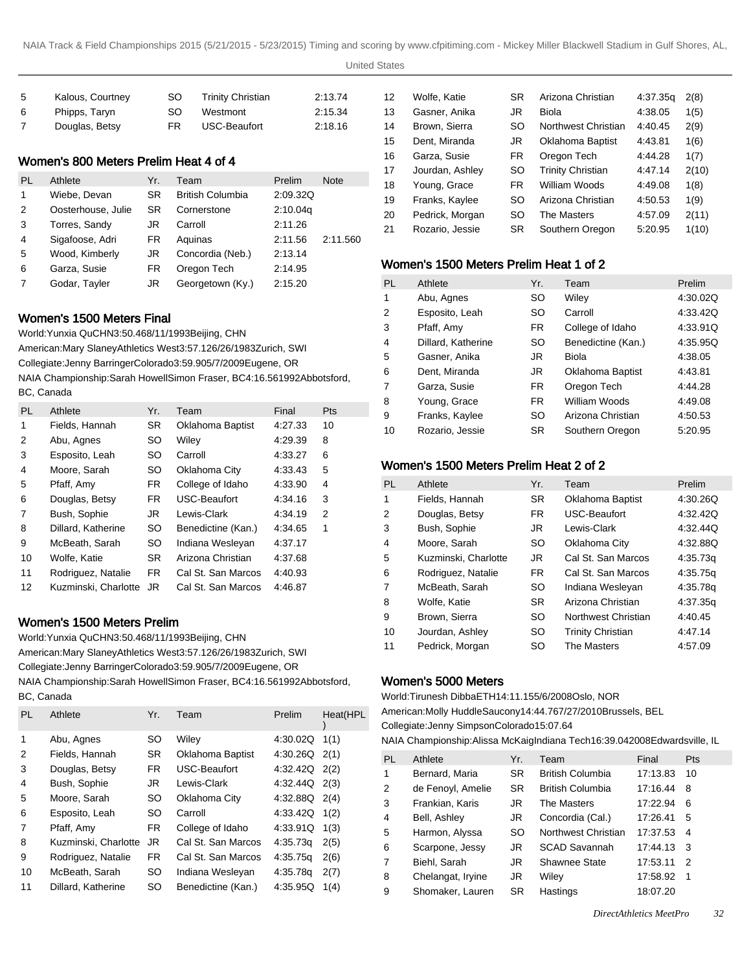United States

| -5 | Kalous, Courtney | SO. | <b>Trinity Christian</b> | 2:13.74 |
|----|------------------|-----|--------------------------|---------|
| -6 | Phipps, Taryn    | SO. | Westmont                 | 2:15.34 |
| 7  | Douglas, Betsy   | FR. | USC-Beaufort             | 2:18.16 |

# Women's 800 Meters Prelim Heat 4 of 4

| PL | Athlete            | Yr.       | Team                    | Prelim   | <b>Note</b> |
|----|--------------------|-----------|-------------------------|----------|-------------|
| 1  | Wiebe, Devan       | <b>SR</b> | <b>British Columbia</b> | 2:09.32Q |             |
| 2  | Oosterhouse, Julie | SR        | Cornerstone             | 2:10.04q |             |
| 3  | Torres, Sandy      | JR        | Carroll                 | 2:11.26  |             |
| 4  | Sigafoose, Adri    | FR.       | Aguinas                 | 2:11.56  | 2:11.560    |
| 5  | Wood, Kimberly     | JR        | Concordia (Neb.)        | 2:13.14  |             |
| 6  | Garza, Susie       | FR.       | Oregon Tech             | 2:14.95  |             |
| 7  | Godar, Tayler      | JR        | Georgetown (Ky.)        | 2:15.20  |             |

# Women's 1500 Meters Final

World: Yunxia Qu CHN 3:50.46 8/11/1993 Beijing, CHN American: Mary Slaney Athletics West 3:57.12 6/26/1983 Zurich, SWI Collegiate: Jenny Barringer Colorado 3:59.90 5/7/2009 Eugene, OR NAIA Championship: Sarah Howell Simon Fraser, BC 4:16.56 1992Abbotsford, BC, Canada

| <b>PL</b> | Athlete              | Yr.       | Team               | Final   | <b>Pts</b> |
|-----------|----------------------|-----------|--------------------|---------|------------|
| 1         | Fields, Hannah       | <b>SR</b> | Oklahoma Baptist   | 4:27.33 | 10         |
| 2         | Abu, Agnes           | <b>SO</b> | Wiley              | 4:29.39 | 8          |
| 3         | Esposito, Leah       | <b>SO</b> | Carroll            | 4:33.27 | 6          |
| 4         | Moore, Sarah         | SO.       | Oklahoma City      | 4.33.43 | 5          |
| 5         | Pfaff, Amy           | FR.       | College of Idaho   | 4:33.90 | 4          |
| 6         | Douglas, Betsy       | FR.       | USC-Beaufort       | 4:34.16 | 3          |
| 7         | Bush, Sophie         | JR        | Lewis-Clark        | 4:34.19 | 2          |
| 8         | Dillard, Katherine   | SO.       | Benedictine (Kan.) | 4:34.65 | 1          |
| 9         | McBeath, Sarah       | SO.       | Indiana Wesleyan   | 4:37.17 |            |
| 10        | Wolfe, Katie         | <b>SR</b> | Arizona Christian  | 4:37.68 |            |
| 11        | Rodriguez, Natalie   | FR.       | Cal St. San Marcos | 4:40.93 |            |
| 12        | Kuzminski, Charlotte | JR.       | Cal St. San Marcos | 4:46.87 |            |

# Women's 1500 Meters Prelim

World: Yunxia Qu CHN 3:50.46 8/11/1993 Beijing, CHN

American: Mary Slaney Athletics West 3:57.12 6/26/1983 Zurich, SWI Collegiate: Jenny Barringer Colorado 3:59.90 5/7/2009 Eugene, OR NAIA Championship: Sarah Howell Simon Fraser, BC 4:16.56 1992Abbotsford, BC, Canada

| bu, uanaua |                      |           |                    |                   |          |
|------------|----------------------|-----------|--------------------|-------------------|----------|
| <b>PL</b>  | Athlete              | Yr.       | Team               | Prelim            | Heat(HPL |
| 1          | Abu, Agnes           | SO.       | Wiley              | 4:30.02Q          | 1(1)     |
| 2          | Fields, Hannah       | <b>SR</b> | Oklahoma Baptist   | $4:30.26Q$ $2(1)$ |          |
| 3          | Douglas, Betsy       | FR.       | USC-Beaufort       | $4:32.42Q$ $2(2)$ |          |
| 4          | Bush, Sophie         | JR.       | Lewis-Clark        | 4:32.44Q          | 2(3)     |
| 5          | Moore, Sarah         | SO.       | Oklahoma City      | 4:32.88Q          | 2(4)     |
| 6          | Esposito, Leah       | SO.       | Carroll            | 4:33.42Q          | 1(2)     |
| 7          | Pfaff, Amy           | FR.       | College of Idaho   | 4:33.91Q          | 1(3)     |
| 8          | Kuzminski, Charlotte | JR.       | Cal St. San Marcos | 4:35.73g          | 2(5)     |
| 9          | Rodriguez, Natalie   | FR.       | Cal St. San Marcos | 4:35.75g          | 2(6)     |
| 10         | McBeath, Sarah       | SO.       | Indiana Wesleyan   | 4:35.78g          | 2(7)     |
| 11         | Dillard, Katherine   | SO        | Benedictine (Kan.) | 4.35.95Q          | 1(4)     |
|            |                      |           |                    |                   |          |

| 12 | Wolfe, Katie    | <b>SR</b> | Arizona Christian        | 4:37.35g | 2(8)  |
|----|-----------------|-----------|--------------------------|----------|-------|
| 13 | Gasner, Anika   | JR.       | Biola                    | 4:38.05  | 1(5)  |
| 14 | Brown, Sierra   | SO        | Northwest Christian      | 4:40.45  | 2(9)  |
| 15 | Dent, Miranda   | JR        | Oklahoma Baptist         | 4:43.81  | 1(6)  |
| 16 | Garza, Susie    | FR        | Oregon Tech              | 4:44.28  | 1(7)  |
| 17 | Jourdan, Ashley | SO        | <b>Trinity Christian</b> | 4.47.14  | 2(10) |
| 18 | Young, Grace    | FR.       | William Woods            | 4:49.08  | 1(8)  |
| 19 | Franks, Kaylee  | SO        | Arizona Christian        | 4:50.53  | 1(9)  |
| 20 | Pedrick, Morgan | SO        | The Masters              | 4:57.09  | 2(11) |
| 21 | Rozario, Jessie | <b>SR</b> | Southern Oregon          | 5:20.95  | 1(10) |
|    |                 |           |                          |          |       |

# Women's 1500 Meters Prelim Heat 1 of 2

| PL | Athlete            | Yr.       | Team               | Prelim   |
|----|--------------------|-----------|--------------------|----------|
| 1  | Abu, Agnes         | SO.       | Wiley              | 4:30.02Q |
| 2  | Esposito, Leah     | SO        | Carroll            | 4:33.42Q |
| 3  | Pfaff, Amy         | FR.       | College of Idaho   | 4:33.91Q |
| 4  | Dillard, Katherine | SO.       | Benedictine (Kan.) | 4:35.95Q |
| 5  | Gasner, Anika      | JR        | Biola              | 4:38.05  |
| 6  | Dent, Miranda      | JR        | Oklahoma Baptist   | 4:43.81  |
| 7  | Garza, Susie       | FR.       | Oregon Tech        | 4:44.28  |
| 8  | Young, Grace       | FR.       | William Woods      | 4:49.08  |
| 9  | Franks, Kaylee     | SO.       | Arizona Christian  | 4:50.53  |
| 10 | Rozario, Jessie    | <b>SR</b> | Southern Oregon    | 5:20.95  |

# Women's 1500 Meters Prelim Heat 2 of 2

| <b>PL</b> | Athlete              | Yr.       | Team                     | Prelim   |
|-----------|----------------------|-----------|--------------------------|----------|
| 1         | Fields, Hannah       | <b>SR</b> | Oklahoma Baptist         | 4:30.26Q |
| 2         | Douglas, Betsy       | FR.       | USC-Beaufort             | 4:32.42Q |
| 3         | Bush, Sophie         | JR        | Lewis-Clark              | 4:32.44Q |
| 4         | Moore, Sarah         | SO.       | Oklahoma City            | 4:32.88Q |
| 5         | Kuzminski, Charlotte | JR        | Cal St. San Marcos       | 4:35.73g |
| 6         | Rodriguez, Natalie   | FR.       | Cal St. San Marcos       | 4:35.75q |
| 7         | McBeath, Sarah       | SO        | Indiana Wesleyan         | 4:35.78g |
| 8         | Wolfe, Katie         | <b>SR</b> | Arizona Christian        | 4:37.35g |
| 9         | Brown, Sierra        | SO.       | Northwest Christian      | 4:40.45  |
| 10        | Jourdan, Ashley      | SO        | <b>Trinity Christian</b> | 4:47.14  |
| 11        | Pedrick, Morgan      | SO        | The Masters              | 4:57.09  |

### Women's 5000 Meters

World: Tirunesh Dibba ETH 14:11.15 5/6/2008 Oslo, NOR American: Molly Huddle Saucony 14:44.76 7/27/2010 Brussels, BEL Collegiate: Jenny Simpson Colorado 15:07.64

NAIA Championship: Alissa McKaig Indiana Tech 16:39.04 2008Edwardsville, IL

| <b>PL</b>      | Athlete           | Yr.       | Team                    | Final    | <b>Pts</b>     |
|----------------|-------------------|-----------|-------------------------|----------|----------------|
| 1              | Bernard, Maria    | <b>SR</b> | <b>British Columbia</b> | 17:13.83 | 10             |
| $\overline{2}$ | de Fenoyl, Amelie | <b>SR</b> | <b>British Columbia</b> | 17:16.44 | 8              |
| 3              | Frankian, Karis   | JR.       | The Masters             | 17:22.94 | 6              |
| 4              | Bell, Ashley      | JR.       | Concordia (Cal.)        | 17:26.41 | 5              |
| 5              | Harmon, Alyssa    | <b>SO</b> | Northwest Christian     | 17:37.53 | 4              |
| 6              | Scarpone, Jessy   | JR.       | <b>SCAD Savannah</b>    | 17:44.13 | 3 <sup>3</sup> |
| $\overline{7}$ | Biehl, Sarah      | JR.       | Shawnee State           | 17:53.11 | -2             |
| 8              | Chelangat, Iryine | JR.       | Wiley                   | 17:58.92 | -1             |
| 9              | Shomaker, Lauren  | <b>SR</b> | Hastings                | 18:07.20 |                |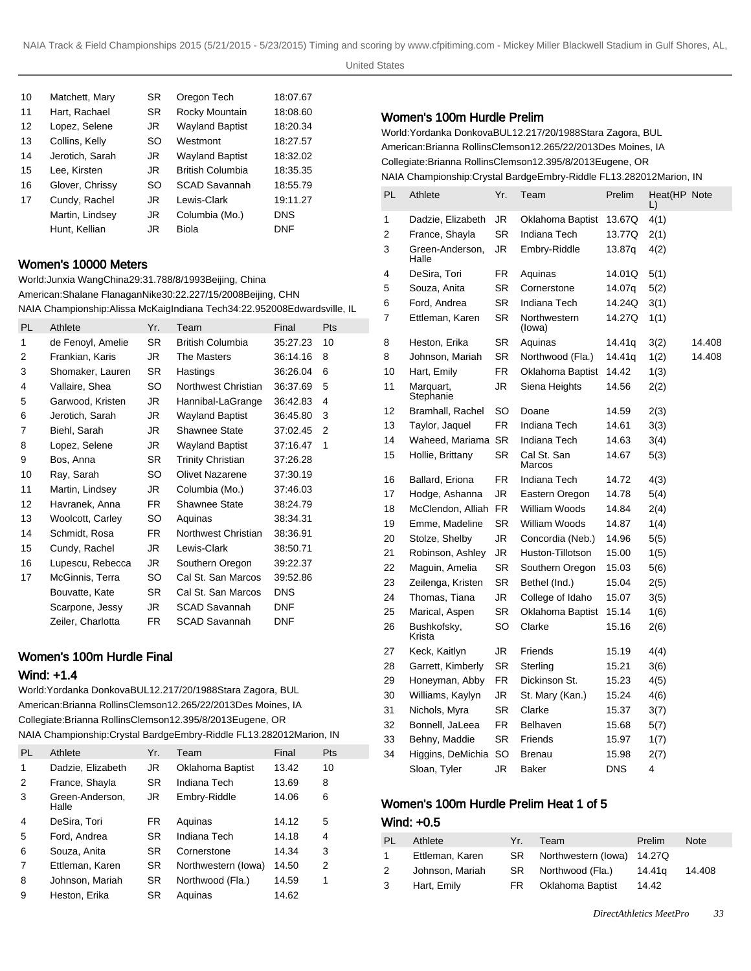| 10 | Matchett, Mary  | <b>SR</b> | Oregon Tech             | 18:07.67   |
|----|-----------------|-----------|-------------------------|------------|
| 11 | Hart, Rachael   | <b>SR</b> | Rocky Mountain          | 18:08.60   |
| 12 | Lopez, Selene   | JR.       | <b>Wayland Baptist</b>  | 18:20.34   |
| 13 | Collins, Kelly  | <b>SO</b> | Westmont                | 18:27.57   |
| 14 | Jerotich, Sarah | JR.       | <b>Wayland Baptist</b>  | 18:32.02   |
| 15 | Lee. Kirsten    | JR.       | <b>British Columbia</b> | 18:35.35   |
| 16 | Glover, Chrissy | <b>SO</b> | <b>SCAD Savannah</b>    | 18:55.79   |
| 17 | Cundy, Rachel   | JR.       | Lewis-Clark             | 19:11.27   |
|    | Martin, Lindsey | JR.       | Columbia (Mo.)          | <b>DNS</b> |
|    | Hunt. Kellian   | JR        | Biola                   | DNF        |

#### Women's 10000 Meters

World: Junxia Wang China 29:31.78 8/8/1993 Beijing, China American: Shalane Flanagan Nike 30:22.22 7/15/2008 Beijing, CHN NAIA Championship: Alissa McKaig Indiana Tech 34:22.95 2008Edwardsville, IL

| Athlete           | Yr. | Team                     | Final      | Pts |
|-------------------|-----|--------------------------|------------|-----|
| de Fenoyl, Amelie | SR. | <b>British Columbia</b>  | 35:27.23   | 10  |
| Frankian, Karis   | JR  | The Masters              | 36:14.16   | 8   |
| Shomaker, Lauren  | SR. | Hastings                 | 36:26.04   | 6   |
| Vallaire, Shea    | SO. | Northwest Christian      | 36:37.69   | 5   |
| Garwood, Kristen  | JR  | Hannibal-LaGrange        | 36:42.83   | 4   |
| Jerotich, Sarah   | JR  | <b>Wayland Baptist</b>   | 36:45.80   | 3   |
| Biehl, Sarah      | JR  | Shawnee State            | 37:02.45   | 2   |
| Lopez, Selene     | JR  | Wayland Baptist          | 37.16.47   | 1   |
| Bos, Anna         | SR. | <b>Trinity Christian</b> | 37:26.28   |     |
| Ray, Sarah        | SO  | Olivet Nazarene          | 37:30.19   |     |
| Martin, Lindsey   | JR  | Columbia (Mo.)           | 37:46.03   |     |
| Havranek, Anna    | FR. | Shawnee State            | 38:24.79   |     |
| Woolcott, Carley  | SO. | Aquinas                  | 38:34.31   |     |
| Schmidt, Rosa     | FR. | Northwest Christian      | 38:36.91   |     |
| Cundy, Rachel     | JR  | Lewis-Clark              | 38:50.71   |     |
| Lupescu, Rebecca  | JR  | Southern Oregon          | 39:22.37   |     |
| McGinnis, Terra   | SO. | Cal St. San Marcos       | 39:52.86   |     |
| Bouvatte, Kate    | SR. | Cal St. San Marcos       | <b>DNS</b> |     |
| Scarpone, Jessy   | JR  | <b>SCAD Savannah</b>     | <b>DNF</b> |     |
| Zeiler, Charlotta | FR. | <b>SCAD Savannah</b>     | <b>DNF</b> |     |
|                   |     |                          |            |     |

# Women's 100m Hurdle Final

#### Wind: +1.4

World: Yordanka Donkova BUL 12.21 7/20/1988 Stara Zagora, BUL American: Brianna Rollins Clemson 12.26 5/22/2013 Des Moines, IA Collegiate: Brianna Rollins Clemson 12.39 5/8/2013 Eugene, OR NAIA Championship: Crystal Bardge Embry-Riddle FL 13.28 2012Marion, IN

| PI. | Athlete                  | Yr.       | Team                | Final | Pts            |
|-----|--------------------------|-----------|---------------------|-------|----------------|
| 1   | Dadzie, Elizabeth        | JR        | Oklahoma Baptist    | 13.42 | 10             |
| 2   | France, Shayla           | <b>SR</b> | Indiana Tech        | 13.69 | 8              |
| 3   | Green-Anderson.<br>Halle | JR.       | Embry-Riddle        | 14.06 | 6              |
| 4   | DeSira, Tori             | <b>FR</b> | Aquinas             | 14.12 | 5              |
| 5   | Ford, Andrea             | <b>SR</b> | Indiana Tech        | 14.18 | 4              |
| 6   | Souza, Anita             | SR        | Cornerstone         | 14.34 | 3              |
| 7   | Ettleman, Karen          | SR        | Northwestern (lowa) | 14.50 | $\overline{2}$ |
| 8   | Johnson, Mariah          | SR.       | Northwood (Fla.)    | 14.59 | 1              |
| 9   | Heston, Erika            | SR        | Aquinas             | 14.62 |                |

#### Women's 100m Hurdle Prelim

World: Yordanka Donkova BUL 12.21 7/20/1988 Stara Zagora, BUL American: Brianna Rollins Clemson 12.26 5/22/2013 Des Moines, IA Collegiate: Brianna Rollins Clemson 12.39 5/8/2013 Eugene, OR NAIA Championship: Crystal Bardge Embry-Riddle FL 13.28 2012Marion, IN

| PL | Athlete                | Yr.       | Team                    | Prelim     | Heat(HP Note |        |
|----|------------------------|-----------|-------------------------|------------|--------------|--------|
| 1  | Dadzie, Elizabeth      | JR        | Oklahoma Baptist        | 13.67Q     | L)<br>4(1)   |        |
| 2  | France, Shayla         | <b>SR</b> | Indiana Tech            | 13.77Q     | 2(1)         |        |
| 3  | Green-Anderson,        | JR        | Embry-Riddle            | 13.87q     | 4(2)         |        |
|    | Halle                  |           |                         |            |              |        |
| 4  | DeSira, Tori           | FR.       | Aquinas                 | 14.01Q     | 5(1)         |        |
| 5  | Souza, Anita           | SR        | Cornerstone             | 14.07q     | 5(2)         |        |
| 6  | Ford, Andrea           | <b>SR</b> | Indiana Tech            | 14.24Q     | 3(1)         |        |
| 7  | Ettleman, Karen        | SR        | Northwestern<br>(lowa)  | 14.27Q     | 1(1)         |        |
| 8  | Heston, Erika          | <b>SR</b> | Aquinas                 | 14.41q     | 3(2)         | 14.408 |
| 8  | Johnson, Mariah        | SR        | Northwood (Fla.)        | 14.41q     | 1(2)         | 14.408 |
| 10 | Hart, Emily            | FR        | Oklahoma Baptist        | 14.42      | 1(3)         |        |
| 11 | Marquart,<br>Stephanie | JR        | Siena Heights           | 14.56      | 2(2)         |        |
| 12 | Bramhall, Rachel       | SO        | Doane                   | 14.59      | 2(3)         |        |
| 13 | Taylor, Jaquel         | FR.       | Indiana Tech            | 14.61      | 3(3)         |        |
| 14 | Waheed, Mariama        | <b>SR</b> | Indiana Tech            | 14.63      | 3(4)         |        |
| 15 | Hollie, Brittany       | SR        | Cal St. San<br>Marcos   | 14.67      | 5(3)         |        |
| 16 | Ballard, Eriona        | <b>FR</b> | Indiana Tech            | 14.72      | 4(3)         |        |
| 17 | Hodge, Ashanna         | JR        | Eastern Oregon          | 14.78      | 5(4)         |        |
| 18 | McClendon, Alliah      | <b>FR</b> | William Woods           | 14.84      | 2(4)         |        |
| 19 | Emme, Madeline         | <b>SR</b> | William Woods           | 14.87      | 1(4)         |        |
| 20 | Stolze, Shelby         | JR        | Concordia (Neb.)        | 14.96      | 5(5)         |        |
| 21 | Robinson, Ashley       | JR        | Huston-Tillotson        | 15.00      | 1(5)         |        |
| 22 | Maguin, Amelia         | SR        | Southern Oregon         | 15.03      | 5(6)         |        |
| 23 | Zeilenga, Kristen      | SR        | Bethel (Ind.)           | 15.04      | 2(5)         |        |
| 24 | Thomas, Tiana          | JR        | College of Idaho        | 15.07      | 3(5)         |        |
| 25 | Marical, Aspen         | SR        | <b>Oklahoma Baptist</b> | 15.14      | 1(6)         |        |
| 26 | Bushkofsky,<br>Krista  | SO        | Clarke                  | 15.16      | 2(6)         |        |
| 27 | Keck, Kaitlyn          | JR        | Friends                 | 15.19      | 4(4)         |        |
| 28 | Garrett, Kimberly      | SR        | Sterling                | 15.21      | 3(6)         |        |
| 29 | Honeyman, Abby         | FR        | Dickinson St.           | 15.23      | 4(5)         |        |
| 30 | Williams, Kaylyn       | JR        | St. Mary (Kan.)         | 15.24      | 4(6)         |        |
| 31 | Nichols, Myra          | SR        | Clarke                  | 15.37      | 3(7)         |        |
| 32 | Bonnell, JaLeea        | <b>FR</b> | Belhaven                | 15.68      | 5(7)         |        |
| 33 | Behny, Maddie          | SR        | Friends                 | 15.97      | 1(7)         |        |
| 34 | Higgins, DeMichia      | SO        | <b>Brenau</b>           | 15.98      | 2(7)         |        |
|    | Sloan, Tyler           | JR        | <b>Baker</b>            | <b>DNS</b> | 4            |        |

### Women's 100m Hurdle Prelim Heat 1 of 5

#### Wind: +0.5

| PL.       | Athlete         | -Yr. 7 | Team                          | Prelim | <b>Note</b> |
|-----------|-----------------|--------|-------------------------------|--------|-------------|
| $1 \quad$ | Ettleman, Karen |        | SR Northwestern (Iowa) 14.27Q |        |             |
| 2         | Johnson, Mariah |        | SR Northwood (Fla.)           | 14.41a | 14.408      |
|           | 3 Hart, Emily   |        | FR Oklahoma Baptist           | 14.42  |             |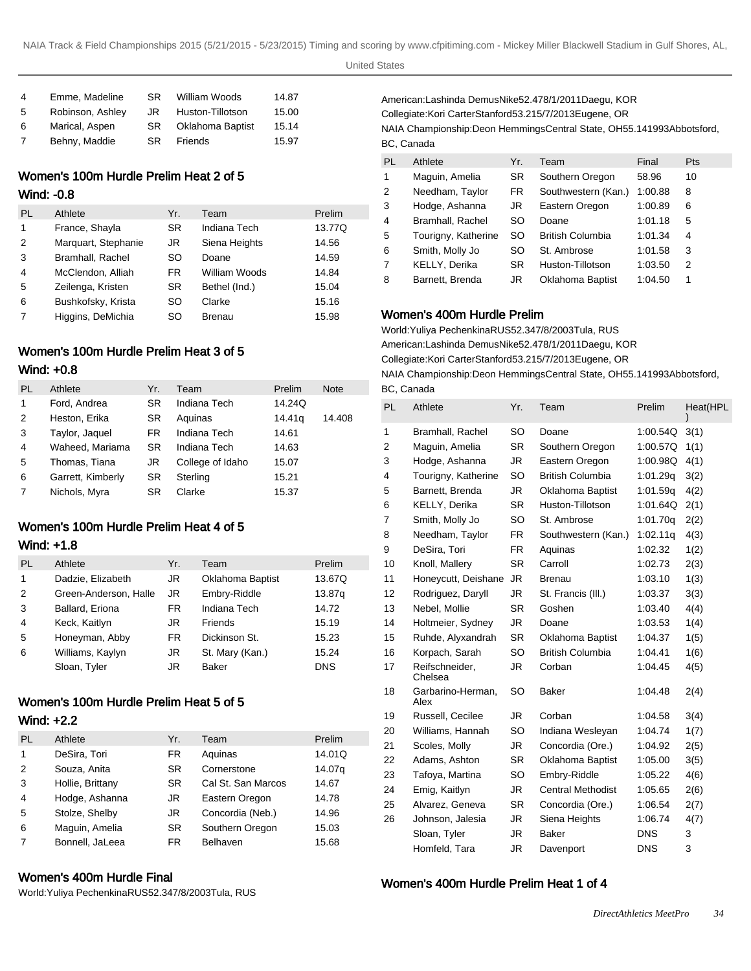| 4 | Emme, Madeline   | SR. | William Woods           | 14.87 |
|---|------------------|-----|-------------------------|-------|
| 5 | Robinson, Ashley | JR. | Huston-Tillotson        | 15.00 |
| 6 | Marical, Aspen   | SR. | <b>Oklahoma Baptist</b> | 15.14 |
| 7 | Behny, Maddie    | SR. | Friends                 | 15.97 |

# Women's 100m Hurdle Prelim Heat 2 of 5

#### Wind: -0.8

| PL             | Athlete             | Yr.       | Team          | Prelim |
|----------------|---------------------|-----------|---------------|--------|
| 1              | France, Shayla      | <b>SR</b> | Indiana Tech  | 13.77Q |
| 2              | Marquart, Stephanie | JR.       | Siena Heights | 14.56  |
| 3              | Bramhall, Rachel    | <b>SO</b> | Doane         | 14.59  |
| 4              | McClendon, Alliah   | FR.       | William Woods | 14.84  |
| 5              | Zeilenga, Kristen   | <b>SR</b> | Bethel (Ind.) | 15.04  |
| 6              | Bushkofsky, Krista  | SO        | Clarke        | 15.16  |
| $\overline{7}$ | Higgins, DeMichia   | SO        | Brenau        | 15.98  |

# Women's 100m Hurdle Prelim Heat 3 of 5 Wind: +0.8

| PL | Athlete           | Yr. | Team             | Prelim | <b>Note</b> |
|----|-------------------|-----|------------------|--------|-------------|
| 1  | Ford, Andrea      | SR. | Indiana Tech     | 14.24Q |             |
| 2  | Heston, Erika     | SR. | Aquinas          | 14.41g | 14.408      |
| 3  | Taylor, Jaquel    | FR  | Indiana Tech     | 14.61  |             |
| 4  | Waheed, Mariama   | SR. | Indiana Tech     | 14.63  |             |
| 5  | Thomas, Tiana     | JR  | College of Idaho | 15.07  |             |
| 6  | Garrett, Kimberly | SR  | Sterling         | 15.21  |             |
| 7  | Nichols, Myra     | SR  | Clarke           | 15.37  |             |

# Women's 100m Hurdle Prelim Heat 4 of 5 Wind: +1.8

| <b>PL</b>      | Athlete               | Yr.       | Team                    | Prelim     |
|----------------|-----------------------|-----------|-------------------------|------------|
| 1              | Dadzie, Elizabeth     | JR        | <b>Oklahoma Baptist</b> | 13.67Q     |
| 2              | Green-Anderson, Halle | JR.       | Embry-Riddle            | 13.87g     |
| 3              | Ballard, Eriona       | FR.       | Indiana Tech            | 14.72      |
| $\overline{4}$ | Keck, Kaitlyn         | JR        | Friends                 | 15.19      |
| 5              | Honeyman, Abby        | <b>FR</b> | Dickinson St.           | 15.23      |
| 6              | Williams, Kaylyn      | JR        | St. Mary (Kan.)         | 15.24      |
|                | Sloan, Tyler          | JR        | <b>Baker</b>            | <b>DNS</b> |

# Women's 100m Hurdle Prelim Heat 5 of 5

# Wind: +2.2

| <b>PL</b> | Athlete          | Yr.       | Team               | Prelim |
|-----------|------------------|-----------|--------------------|--------|
| 1         | DeSira, Tori     | FR        | Aquinas            | 14.01Q |
| 2         | Souza, Anita     | <b>SR</b> | Cornerstone        | 14.07g |
| 3         | Hollie, Brittany | <b>SR</b> | Cal St. San Marcos | 14.67  |
| 4         | Hodge, Ashanna   | JR        | Eastern Oregon     | 14.78  |
| 5         | Stolze, Shelby   | JR        | Concordia (Neb.)   | 14.96  |
| 6         | Maguin, Amelia   | <b>SR</b> | Southern Oregon    | 15.03  |
| 7         | Bonnell, JaLeea  | FR.       | Belhaven           | 15.68  |

# Women's 400m Hurdle Final

World: Yuliya Pechenkina RUS 52.34 7/8/2003 Tula, RUS

American: Lashinda Demus Nike 52.47 8/1/2011 Daegu, KOR Collegiate: Kori Carter Stanford 53.21 5/7/2013 Eugene, OR NAIA Championship: Deon Hemmings Central State, OH 55.14 1993Abbotsford, BC, Canada

| PL             | Athlete             | Yr.       | Team                    | Final   | <b>Pts</b> |
|----------------|---------------------|-----------|-------------------------|---------|------------|
|                |                     |           |                         |         |            |
| 1              | Maguin, Amelia      | <b>SR</b> | Southern Oregon         | 58.96   | 10         |
| 2              | Needham, Taylor     | FR        | Southwestern (Kan.)     | 1:00.88 | 8          |
| 3              | Hodge, Ashanna      | JR        | Eastern Oregon          | 1:00.89 | 6          |
| $\overline{4}$ | Bramhall, Rachel    | SO        | Doane                   | 1:01.18 | 5          |
| 5              | Tourigny, Katherine | SO        | <b>British Columbia</b> | 1:01.34 | 4          |
| 6              | Smith, Molly Jo     | SO        | St. Ambrose             | 1:01.58 | 3          |
| $\overline{7}$ | KELLY, Derika       | <b>SR</b> | Huston-Tillotson        | 1:03.50 | 2          |
| 8              | Barnett, Brenda     | JR        | Oklahoma Baptist        | 1:04.50 |            |

#### Women's 400m Hurdle Prelim

World: Yuliya Pechenkina RUS 52.34 7/8/2003 Tula, RUS American: Lashinda Demus Nike 52.47 8/1/2011 Daegu, KOR Collegiate: Kori Carter Stanford 53.21 5/7/2013 Eugene, OR NAIA Championship: Deon Hemmings Central State, OH 55.14 1993Abbotsford, BC, Canada

| PL | Athlete                   | Yr.       | Team                     | Prelim     | Heat(HPL |
|----|---------------------------|-----------|--------------------------|------------|----------|
| 1  | Bramhall, Rachel          | <b>SO</b> | Doane                    | 1:00.54Q   | 3(1)     |
| 2  | Maguin, Amelia            | <b>SR</b> | Southern Oregon          | 1:00.57Q   | 1(1)     |
| 3  | Hodge, Ashanna            | JR.       | Eastern Oregon           | 1:00.98Q   | 4(1)     |
| 4  | Tourigny, Katherine       | SO.       | <b>British Columbia</b>  | 1:01.29g   | 3(2)     |
| 5  | Barnett, Brenda           | JR.       | <b>Oklahoma Baptist</b>  | 1:01.59q   | 4(2)     |
| 6  | KELLY, Derika             | <b>SR</b> | Huston-Tillotson         | 1:01.64Q   | 2(1)     |
| 7  | Smith, Molly Jo           | SO        | St. Ambrose              | 1:01.70q   | 2(2)     |
| 8  | Needham, Taylor           | <b>FR</b> | Southwestern (Kan.)      | 1:02.11q   | 4(3)     |
| 9  | DeSira, Tori              | FR.       | Aquinas                  | 1:02.32    | 1(2)     |
| 10 | Knoll, Mallery            | <b>SR</b> | Carroll                  | 1:02.73    | 2(3)     |
| 11 | Honeycutt, Deishane       | <b>JR</b> | Brenau                   | 1:03.10    | 1(3)     |
| 12 | Rodriguez, Daryll         | JR.       | St. Francis (III.)       | 1:03.37    | 3(3)     |
| 13 | Nebel, Mollie             | <b>SR</b> | Goshen                   | 1:03.40    | 4(4)     |
| 14 | Holtmeier, Sydney         | JR.       | Doane                    | 1:03.53    | 1(4)     |
| 15 | Ruhde, Alyxandrah         | <b>SR</b> | Oklahoma Baptist         | 1:04.37    | 1(5)     |
| 16 | Korpach, Sarah            | SO        | <b>British Columbia</b>  | 1:04.41    | 1(6)     |
| 17 | Reifschneider,<br>Chelsea | JR        | Corban                   | 1:04.45    | 4(5)     |
| 18 | Garbarino-Herman,<br>Alex | <b>SO</b> | <b>Baker</b>             | 1:04.48    | 2(4)     |
| 19 | Russell, Cecilee          | JR.       | Corban                   | 1:04.58    | 3(4)     |
| 20 | Williams, Hannah          | SO        | Indiana Wesleyan         | 1:04.74    | 1(7)     |
| 21 | Scoles, Molly             | JR.       | Concordia (Ore.)         | 1:04.92    | 2(5)     |
| 22 | Adams, Ashton             | <b>SR</b> | <b>Oklahoma Baptist</b>  | 1:05.00    | 3(5)     |
| 23 | Tafoya, Martina           | SO        | Embry-Riddle             | 1:05.22    | 4(6)     |
| 24 | Emig, Kaitlyn             | JR        | <b>Central Methodist</b> | 1:05.65    | 2(6)     |
| 25 | Alvarez, Geneva           | <b>SR</b> | Concordia (Ore.)         | 1:06.54    | 2(7)     |
| 26 | Johnson, Jalesia          | JR        | Siena Heights            | 1:06.74    | 4(7)     |
|    | Sloan, Tyler              | JR.       | <b>Baker</b>             | DNS        | 3        |
|    | Homfeld, Tara             | JR        | Davenport                | <b>DNS</b> | 3        |

### Women's 400m Hurdle Prelim Heat 1 of 4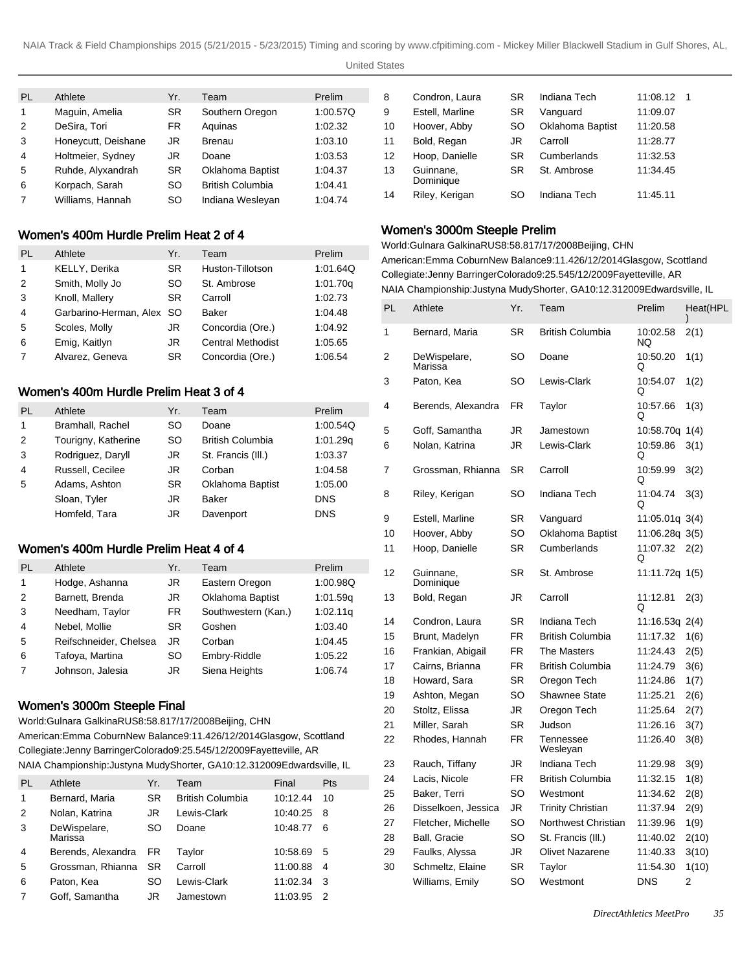#### United States

| PL             | Athlete             | Yr.       | Team                    | Prelim   |
|----------------|---------------------|-----------|-------------------------|----------|
| 1              | Maguin, Amelia      | <b>SR</b> | Southern Oregon         | 1:00.57Q |
| 2              | DeSira, Tori        | <b>FR</b> | Aquinas                 | 1:02.32  |
| 3              | Honeycutt, Deishane | JR.       | <b>Brenau</b>           | 1:03.10  |
| $\overline{4}$ | Holtmeier, Sydney   | JR        | Doane                   | 1:03.53  |
| 5              | Ruhde, Alyxandrah   | <b>SR</b> | Oklahoma Baptist        | 1:04.37  |
| 6              | Korpach, Sarah      | SO        | <b>British Columbia</b> | 1:04.41  |
| $\overline{7}$ | Williams, Hannah    | SO        | Indiana Wesleyan        | 1:04.74  |

# Women's 400m Hurdle Prelim Heat 2 of 4

| PL             | Athlete                   | Yr.       | Team                     | Prelim   |
|----------------|---------------------------|-----------|--------------------------|----------|
| 1              | KELLY, Derika             | SR.       | Huston-Tillotson         | 1:01.64Q |
| 2              | Smith, Molly Jo           | SO        | St. Ambrose              | 1:01.70g |
| 3              | Knoll, Mallery            | <b>SR</b> | Carroll                  | 1:02.73  |
| $\overline{4}$ | Garbarino-Herman, Alex SO |           | Baker                    | 1:04.48  |
| 5              | Scoles, Molly             | JR        | Concordia (Ore.)         | 1:04.92  |
| 6              | Emig, Kaitlyn             | JR        | <b>Central Methodist</b> | 1:05.65  |
| 7              | Alvarez, Geneva           | <b>SR</b> | Concordia (Ore.)         | 1:06.54  |

# Women's 400m Hurdle Prelim Heat 3 of 4

| PL             | Athlete             | Yr.       | Team                    | Prelim     |
|----------------|---------------------|-----------|-------------------------|------------|
| 1              | Bramhall, Rachel    | <b>SO</b> | Doane                   | 1:00.54Q   |
| 2              | Tourigny, Katherine | SO.       | <b>British Columbia</b> | 1:01.29g   |
| 3              | Rodriguez, Daryll   | JR        | St. Francis (III.)      | 1:03.37    |
| $\overline{4}$ | Russell, Cecilee    | JR.       | Corban                  | 1:04.58    |
| -5             | Adams, Ashton       | <b>SR</b> | <b>Oklahoma Baptist</b> | 1:05.00    |
|                | Sloan, Tyler        | JR        | <b>Baker</b>            | <b>DNS</b> |
|                | Homfeld, Tara       | JR        | Davenport               | <b>DNS</b> |

# Women's 400m Hurdle Prelim Heat 4 of 4

| <b>PL</b>      | Athlete                | Yr.       | Team                    | Prelim   |
|----------------|------------------------|-----------|-------------------------|----------|
| 1              | Hodge, Ashanna         | JR        | Eastern Oregon          | 1:00.98Q |
| 2              | Barnett, Brenda        | JR        | <b>Oklahoma Baptist</b> | 1:01.59q |
| 3              | Needham, Taylor        | FR.       | Southwestern (Kan.)     | 1:02.11q |
| $\overline{4}$ | Nebel, Mollie          | <b>SR</b> | Goshen                  | 1:03.40  |
| 5              | Reifschneider, Chelsea | JR        | Corban                  | 1:04.45  |
| 6              | Tafoya, Martina        | <b>SO</b> | Embry-Riddle            | 1:05.22  |
| $\overline{7}$ | Johnson, Jalesia       | JR        | Siena Heights           | 1:06.74  |

# Women's 3000m Steeple Final

World: Gulnara Galkina RUS 8:58.81 7/17/2008 Beijing, CHN

American: Emma Coburn New Balance 9:11.42 6/12/2014 Glasgow, Scottland Collegiate: Jenny Barringer Colorado 9:25.54 5/12/2009 Fayetteville, AR NAIA Championship: Justyna Mudy Shorter, GA 10:12.31 2009Edwardsville, IL

| PL | Athlete                 | Yr.       | Team                    | Final    | Pts |
|----|-------------------------|-----------|-------------------------|----------|-----|
| 1  | Bernard, Maria          | SR.       | <b>British Columbia</b> | 10:12.44 | 10  |
| 2  | Nolan, Katrina          | JR        | Lewis-Clark             | 10:40.25 | 8   |
| 3  | DeWispelare,<br>Marissa | SO        | Doane                   | 10:48.77 | -6  |
| 4  | Berends, Alexandra      | <b>FR</b> | Taylor                  | 10:58.69 | 5   |
| 5  | Grossman, Rhianna       | SR.       | Carroll                 | 11:00.88 | 4   |
| 6  | Paton, Kea              | SO        | Lewis-Clark             | 11:02.34 | 3   |
|    | Goff, Samantha          | JR        | Jamestown               | 11:03.95 | 2   |
|    |                         |           |                         |          |     |

| 8  | Condron, Laura         | SR        | Indiana Tech            | 11:08.12<br>-1 |
|----|------------------------|-----------|-------------------------|----------------|
| 9  | Estell, Marline        | SR        | Vanguard                | 11:09.07       |
| 10 | Hoover, Abby           | SO        | <b>Oklahoma Baptist</b> | 11:20.58       |
| 11 | Bold, Regan            | JR        | Carroll                 | 11:28.77       |
| 12 | Hoop, Danielle         | SR        | Cumberlands             | 11:32.53       |
| 13 | Guinnane,<br>Dominique | <b>SR</b> | St. Ambrose             | 11:34.45       |
| 14 | Riley, Kerigan         | SO        | Indiana Tech            | 11:45.11       |

# Women's 3000m Steeple Prelim

World: Gulnara Galkina RUS 8:58.81 7/17/2008 Beijing, CHN American: Emma Coburn New Balance 9:11.42 6/12/2014 Glasgow, Scottland Collegiate: Jenny Barringer Colorado 9:25.54 5/12/2009 Fayetteville, AR NAIA Championship: Justyna Mudy Shorter, GA 10:12.31 2009Edwardsville, IL

| PL | Athlete                 | Yr.       | Team                     | Prelim           | Heat(HPL<br>) |
|----|-------------------------|-----------|--------------------------|------------------|---------------|
| 1  | Bernard, Maria          | <b>SR</b> | British Columbia         | 10:02.58<br>NQ.  | 2(1)          |
| 2  | DeWispelare,<br>Marissa | SO        | Doane                    | 10:50.20<br>Q    | 1(1)          |
| 3  | Paton, Kea              | SO        | Lewis-Clark              | 10:54.07<br>Q    | 1(2)          |
| 4  | Berends, Alexandra      | <b>FR</b> | Taylor                   | 10:57.66<br>Q    | 1(3)          |
| 5  | Goff, Samantha          | JR        | Jamestown                | 10:58.70q        | 1(4)          |
| 6  | Nolan, Katrina          | JR        | Lewis-Clark              | 10:59.86<br>Q    | 3(1)          |
| 7  | Grossman, Rhianna       | <b>SR</b> | Carroll                  | 10:59.99<br>Q    | 3(2)          |
| 8  | Riley, Kerigan          | SO        | Indiana Tech             | 11:04.74<br>Q    | 3(3)          |
| 9  | Estell, Marline         | <b>SR</b> | Vanguard                 | $11:05.01q$ 3(4) |               |
| 10 | Hoover, Abby            | SO        | Oklahoma Baptist         | 11:06.28q 3(5)   |               |
| 11 | Hoop, Danielle          | <b>SR</b> | Cumberlands              | 11:07.32<br>Q    | 2(2)          |
| 12 | Guinnane.<br>Dominique  | SR        | St. Ambrose              | 11:11.72q 1(5)   |               |
| 13 | Bold, Regan             | JR        | Carroll                  | 11:12.81<br>Q    | 2(3)          |
| 14 | Condron, Laura          | SR        | Indiana Tech             | 11:16.53q 2(4)   |               |
| 15 | Brunt, Madelyn          | FR        | British Columbia         | 11:17.32         | 1(6)          |
| 16 | Frankian, Abigail       | FR.       | The Masters              | 11:24.43         | 2(5)          |
| 17 | Cairns, Brianna         | FR.       | British Columbia         | 11:24.79         | 3(6)          |
| 18 | Howard, Sara            | <b>SR</b> | Oregon Tech              | 11:24.86         | 1(7)          |
| 19 | Ashton, Megan           | SO        | <b>Shawnee State</b>     | 11:25.21         | 2(6)          |
| 20 | Stoltz, Elissa          | JR        | Oregon Tech              | 11:25.64         | 2(7)          |
| 21 | Miller, Sarah           | <b>SR</b> | Judson                   | 11:26.16         | 3(7)          |
| 22 | Rhodes, Hannah          | <b>FR</b> | Tennessee<br>Wesleyan    | 11:26.40         | 3(8)          |
| 23 | Rauch, Tiffany          | JR        | Indiana Tech             | 11:29.98         | 3(9)          |
| 24 | Lacis, Nicole           | FR.       | <b>British Columbia</b>  | 11:32.15         | 1(8)          |
| 25 | Baker, Terri            | SO        | Westmont                 | 11:34.62         | 2(8)          |
| 26 | Disselkoen, Jessica     | JR.       | <b>Trinity Christian</b> | 11:37.94         | 2(9)          |
| 27 | Fletcher, Michelle      | SO        | Northwest Christian      | 11:39.96         | 1(9)          |
| 28 | <b>Ball, Gracie</b>     | SO        | St. Francis (III.)       | 11:40.02         | 2(10)         |
| 29 | Faulks, Alyssa          | JR        | Olivet Nazarene          | 11:40.33         | 3(10)         |
| 30 | Schmeltz, Elaine        | SR        | Taylor                   | 11:54.30         | 1(10)         |
|    | Williams, Emily         | SO        | Westmont                 | <b>DNS</b>       | 2             |
|    |                         |           |                          |                  |               |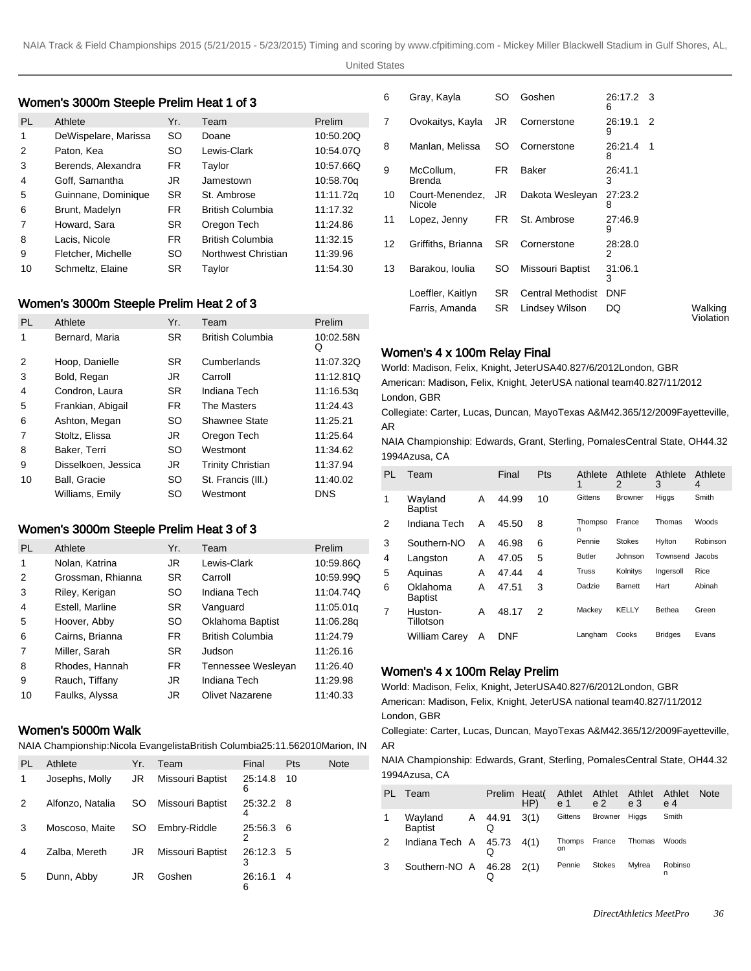## Women's 3000m Steeple Prelim Heat 1 of 3

| PL | Athlete              | Yr.       | Team                | Prelim    |
|----|----------------------|-----------|---------------------|-----------|
| 1  | DeWispelare, Marissa | SO        | Doane               | 10:50.20Q |
| 2  | Paton, Kea           | SO        | Lewis-Clark         | 10:54.07Q |
| 3  | Berends, Alexandra   | FR.       | Taylor              | 10:57.66Q |
| 4  | Goff, Samantha       | JR        | Jamestown           | 10:58.70g |
| 5  | Guinnane, Dominique  | <b>SR</b> | St. Ambrose         | 11:11.72g |
| 6  | Brunt, Madelyn       | FR.       | British Columbia    | 11:17.32  |
| 7  | Howard, Sara         | <b>SR</b> | Oregon Tech         | 11:24.86  |
| 8  | Lacis, Nicole        | FR.       | British Columbia    | 11:32.15  |
| 9  | Fletcher, Michelle   | <b>SO</b> | Northwest Christian | 11:39.96  |
| 10 | Schmeltz, Elaine     | <b>SR</b> | Taylor              | 11:54.30  |

# Women's 3000m Steeple Prelim Heat 2 of 3

| <b>PL</b> | Athlete             | Yr.       | Team                     | Prelim         |
|-----------|---------------------|-----------|--------------------------|----------------|
| 1         | Bernard, Maria      | <b>SR</b> | British Columbia         | 10:02.58N<br>Q |
| 2         | Hoop, Danielle      | <b>SR</b> | Cumberlands              | 11:07.32Q      |
| 3         | Bold, Regan         | JR.       | Carroll                  | 11:12.81Q      |
| 4         | Condron, Laura      | <b>SR</b> | Indiana Tech             | 11:16.53g      |
| 5         | Frankian, Abigail   | FR.       | The Masters              | 11:24.43       |
| 6         | Ashton, Megan       | <b>SO</b> | Shawnee State            | 11:25.21       |
| 7         | Stoltz, Elissa      | JR.       | Oregon Tech              | 11:25.64       |
| 8         | Baker, Terri        | <b>SO</b> | Westmont                 | 11:34.62       |
| 9         | Disselkoen, Jessica | JR.       | <b>Trinity Christian</b> | 11:37.94       |
| 10        | Ball, Gracie        | SO        | St. Francis (III.)       | 11:40.02       |
|           | Williams, Emily     | SO        | Westmont                 | <b>DNS</b>     |

# Women's 3000m Steeple Prelim Heat 3 of 3

| <b>PL</b>      | Athlete           | Yr.       | Team                    | Prelim    |
|----------------|-------------------|-----------|-------------------------|-----------|
| 1              | Nolan, Katrina    | JR.       | Lewis-Clark             | 10:59.86Q |
| 2              | Grossman, Rhianna | <b>SR</b> | Carroll                 | 10:59.99Q |
| 3              | Riley, Kerigan    | <b>SO</b> | Indiana Tech            | 11:04.74Q |
| 4              | Estell, Marline   | <b>SR</b> | Vanguard                | 11:05.01g |
| 5              | Hoover, Abby      | <b>SO</b> | Oklahoma Baptist        | 11:06.28g |
| 6              | Cairns, Brianna   | FR.       | <b>British Columbia</b> | 11:24.79  |
| $\overline{7}$ | Miller, Sarah     | <b>SR</b> | Judson                  | 11:26.16  |
| 8              | Rhodes, Hannah    | FR.       | Tennessee Wesleyan      | 11:26.40  |
| 9              | Rauch, Tiffany    | JR        | Indiana Tech            | 11:29.98  |
| 10             | Faulks, Alyssa    | JR.       | <b>Olivet Nazarene</b>  | 11:40.33  |

### Women's 5000m Walk

NAIA Championship: Nicola Evangelista British Columbia 25:11.56 2010Marion, IN AR

| PL | Athlete          | Yr. | Team             | Final        | Pts | Note |
|----|------------------|-----|------------------|--------------|-----|------|
|    | Josephs, Molly   | JR  | Missouri Baptist | 25:14.8<br>6 | 10  |      |
| 2  | Alfonzo, Natalia | SO. | Missouri Baptist | 25:32.2<br>4 | -8  |      |
| 3  | Moscoso, Maite   | SO. | Embry-Riddle     | 25:56.3<br>2 | - 6 |      |
| 4  | Zalba, Mereth    | JR  | Missouri Baptist | 26:12.3<br>3 | 5   |      |
| 5  | Dunn, Abby       | JR  | Goshen           | 26:16.1<br>6 | 4   |      |

| 6  | Gray, Kayla               | SO  | Goshen                   | 26:17.2 3<br>6 |   |                      |
|----|---------------------------|-----|--------------------------|----------------|---|----------------------|
| 7  | Ovokaitys, Kayla          | JR  | Cornerstone              | 26:19.1<br>9   | 2 |                      |
| 8  | Manlan, Melissa           | SO  | Cornerstone              | 26:21.4<br>8   | 1 |                      |
| 9  | McCollum,<br>Brenda       | FR. | Baker                    | 26:41.1<br>3   |   |                      |
| 10 | Court-Menendez,<br>Nicole | JR  | Dakota Wesleyan          | 27:23.2<br>8   |   |                      |
| 11 | Lopez, Jenny              | FR. | St. Ambrose              | 27:46.9<br>9   |   |                      |
| 12 | Griffiths, Brianna        | SR. | Cornerstone              | 28:28.0<br>2   |   |                      |
| 13 | Barakou, Ioulia           | SO  | Missouri Baptist         | 31:06.1<br>3   |   |                      |
|    | Loeffler, Kaitlyn         | SR. | <b>Central Methodist</b> | <b>DNF</b>     |   |                      |
|    | Farris, Amanda            | SR  | Lindsey Wilson           | DQ             |   | Walking<br>Violation |

#### Women's 4 x 100m Relay Final

World: Madison, Felix, Knight, Jeter USA 40.82 7/6/2012 London, GBR American: Madison, Felix, Knight, Jeter USA national team 40.82 7/11/2012 London, GBR

Collegiate: Carter, Lucas, Duncan, Mayo Texas A&M 42.36 5/12/2009 Fayetteville, AR

NAIA Championship: Edwards, Grant, Sterling, Pomales Central State, OH 44.32 1994Azusa, CA

| PL | Team                       |   | Final | Pts | Athlete<br>1  | Athlete<br>2   | Athlete<br>3   | Athlete<br>4 |
|----|----------------------------|---|-------|-----|---------------|----------------|----------------|--------------|
| 1  | Wayland<br><b>Baptist</b>  | Α | 44.99 | 10  | Gittens       | <b>Browner</b> | Higgs          | Smith        |
| 2  | Indiana Tech               | Α | 45.50 | 8   | Thompso<br>n  | France         | Thomas         | Woods        |
| 3  | Southern-NO                | A | 46.98 | 6   | Pennie        | <b>Stokes</b>  | Hylton         | Robinson     |
| 4  | Langston                   | A | 47.05 | 5   | <b>Butler</b> | Johnson        | Townsend       | Jacobs       |
| 5  | Aquinas                    | A | 47.44 | 4   | Truss         | Kolnitys       | Ingersoll      | Rice         |
| 6  | Oklahoma<br><b>Baptist</b> | А | 47.51 | 3   | Dadzie        | Barnett        | Hart           | Abinah       |
| 7  | Huston-<br>Tillotson       | A | 48.17 | 2   | Mackey        | <b>KELLY</b>   | Bethea         | Green        |
|    | <b>William Carey</b>       | A | DNF   |     | Langham       | Cooks          | <b>Bridges</b> | Evans        |

#### Women's 4 x 100m Relay Prelim

World: Madison, Felix, Knight, Jeter USA 40.82 7/6/2012 London, GBR American: Madison, Felix, Knight, Jeter USA national team 40.82 7/11/2012 London, GBR

Collegiate: Carter, Lucas, Duncan, Mayo Texas A&M 42.36 5/12/2009 Fayetteville,

NAIA Championship: Edwards, Grant, Sterling, Pomales Central State, OH 44.32 1994Azusa, CA

| PL. | Team                        | Prelim Heat | HP)  | e 1          | Athlet Athlet Athlet<br>e <sub>2</sub> | e <sub>3</sub> | Athlet<br>e 4 | <b>Note</b> |
|-----|-----------------------------|-------------|------|--------------|----------------------------------------|----------------|---------------|-------------|
|     | Wayland A 44.91<br>Baptist  | Q           | 3(1) | Gittens      | Browner                                | Higgs          | Smith         |             |
| 2   | Indiana Tech $A$ 45.73 4(1) |             |      | Thomps<br>on | France                                 | Thomas         | Woods         |             |
| 3   | Southern-NO A 46.28 2(1)    | W           |      | Pennie       | <b>Stokes</b>                          | Mvlrea         | Robinso<br>n  |             |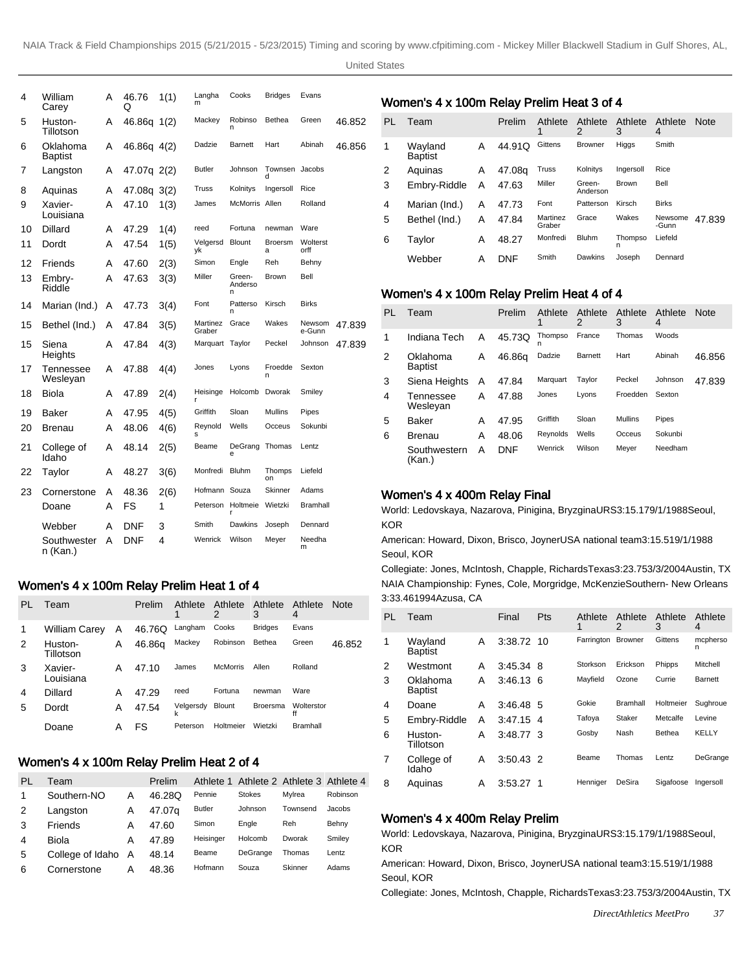| 4  | William<br>Carey           | А | 46.76<br>Q  | 1(1) | Langha<br>m        | Cooks                  | <b>Bridges</b>      | Evans            |        |
|----|----------------------------|---|-------------|------|--------------------|------------------------|---------------------|------------------|--------|
| 5  | Huston-<br>Tillotson       | A | 46.86q 1(2) |      | Mackey             | Robinso<br>n           | Bethea              | Green            | 46.852 |
| 6  | Oklahoma<br><b>Baptist</b> | А | 46.86q 4(2) |      | Dadzie             | Barnett                | Hart                | Abinah           | 46.856 |
| 7  | Langston                   | A | 47.07g 2(2) |      | <b>Butler</b>      | Johnson                | Townsen<br>d        | Jacobs           |        |
| 8  | Aquinas                    | А | 47.08q 3(2) |      | Truss              | Kolnitys               | Ingersoll           | Rice             |        |
| 9  | Xavier-<br>Louisiana       | А | 47.10       | 1(3) | James              | McMorris Allen         |                     | Rolland          |        |
| 10 | Dillard                    | А | 47.29       | 1(4) | reed               | Fortuna                | newman              | Ware             |        |
| 11 | Dordt                      | А | 47.54       | 1(5) | Velgersd<br>νk     | <b>Blount</b>          | <b>Broersm</b><br>a | Wolterst<br>orff |        |
| 12 | Friends                    | А | 47.60       | 2(3) | Simon              | Engle                  | Reh                 | Behny            |        |
| 13 | Embry-<br>Riddle           | А | 47.63       | 3(3) | Miller             | Green-<br>Anderso<br>n | <b>Brown</b>        | Bell             |        |
| 14 | Marian (Ind.)              | A | 47.73       | 3(4) | Font               | Patterso<br>n          | Kirsch              | <b>Birks</b>     |        |
| 15 | Bethel (Ind.)              | A | 47.84       | 3(5) | Martinez<br>Graber | Grace                  | Wakes               | Newsom<br>e-Gunn | 47.839 |
| 15 | Siena<br>Heights           | А | 47.84       | 4(3) | Marquart           | Taylor                 | Peckel              | Johnson          | 47.839 |
| 17 | Tennessee<br>Wesleyan      | А | 47.88       | 4(4) | Jones              | Lyons                  | Froedde<br>n        | Sexton           |        |
| 18 | <b>Biola</b>               | A | 47.89       | 2(4) | Heisinge           | Holcomb                | Dworak              | Smiley           |        |
| 19 | Baker                      | А | 47.95       | 4(5) | Griffith           | Sloan                  | <b>Mullins</b>      | Pipes            |        |
| 20 | Brenau                     | A | 48.06       | 4(6) | Reynold<br>s       | Wells                  | Occeus              | Sokunbi          |        |
| 21 | College of<br>Idaho        | А | 48.14       | 2(5) | Beame              | DeGrang<br>e           | Thomas              | Lentz            |        |
| 22 | Taylor                     | А | 48.27       | 3(6) | Monfredi           | <b>Bluhm</b>           | Thomps<br>on        | Liefeld          |        |
| 23 | Cornerstone                | А | 48.36       | 2(6) | Hofmann Souza      |                        | Skinner             | Adams            |        |
|    | Doane                      | А | FS          | 1    |                    | Peterson Holtmeie<br>r | Wietzki             | <b>Bramhall</b>  |        |
|    | Webber                     | А | DNF         | 3    | Smith              | Dawkins                | Joseph              | Dennard          |        |
|    | Southwester<br>n (Kan.)    | А | DNF         | 4    | Wenrick            | Wilson                 | Meyer               | Needha<br>m      |        |

#### Women's 4 x 100m Relay Prelim Heat 1 of 4

| PL | Team                 |   | Prelim | Athlete        | Athlete Athlete<br>2 | 3               | Athlete<br>4     | <b>Note</b> |
|----|----------------------|---|--------|----------------|----------------------|-----------------|------------------|-------------|
| 1  | William Carey        | A | 46.76Q | Langham        | Cooks                | <b>Bridges</b>  | Evans            |             |
| 2  | Huston-<br>Tillotson | A | 46.86g | Mackey         | Robinson             | Bethea          | Green            | 46.852      |
| 3  | Xavier-<br>Louisiana | Α | 47.10  | James          | <b>McMorris</b>      | Allen           | Rolland          |             |
| 4  | Dillard              | А | 47.29  | reed           | Fortuna              | newman          | Ware             |             |
| 5  | Dordt                | А | 47.54  | Velgersdy<br>k | Blount               | <b>Broersma</b> | Wolterstor<br>ff |             |
|    | Doane                | А | FS     | Peterson       | Holtmeier            | Wietzki         | <b>Bramhall</b>  |             |

#### Women's 4 x 100m Relay Prelim Heat 2 of 4

| PL | Team             |   | Prelim |               | Athlete 1 Athlete 2 Athlete 3 Athlete 4 |          |          |
|----|------------------|---|--------|---------------|-----------------------------------------|----------|----------|
|    | Southern-NO      | А | 46.28Q | Pennie        | <b>Stokes</b>                           | Mvlrea   | Robinson |
| 2  | Langston         | Α | 47.07g | <b>Butler</b> | Johnson                                 | Townsend | Jacobs   |
| 3  | Friends          | Α | 47.60  | Simon         | Engle                                   | Reh      | Behny    |
| 4  | Biola            | А | 47.89  | Heisinger     | Holcomb                                 | Dworak   | Smiley   |
| 5  | College of Idaho | A | 48.14  | Beame         | DeGrange                                | Thomas   | Lentz    |
| 6  | Cornerstone      | А | 48.36  | Hofmann       | Souza                                   | Skinner  | Adams    |

### Women's 4 x 100m Relay Prelim Heat 3 of 4

| PL | Team                      |   | Prelim     | Athlete<br>1       | Athlete<br>2       | Athlete<br>3 | Athlete<br>4     | <b>Note</b> |
|----|---------------------------|---|------------|--------------------|--------------------|--------------|------------------|-------------|
| 1  | Wayland<br><b>Baptist</b> | A | 44.91Q     | Gittens            | <b>Browner</b>     | Higgs        | Smith            |             |
| 2  | Aguinas                   | A | 47.08g     | Truss              | Kolnitys           | Ingersoll    | Rice             |             |
| 3  | Embry-Riddle              | Α | 47.63      | Miller             | Green-<br>Anderson | Brown        | Bell             |             |
| 4  | Marian (Ind.)             | A | 47.73      | Font               | Patterson          | Kirsch       | <b>Birks</b>     |             |
| 5  | Bethel (Ind.)             | Α | 47.84      | Martinez<br>Graber | Grace              | Wakes        | Newsome<br>-Gunn | 47.839      |
| 6  | Taylor                    | A | 48.27      | Monfredi           | <b>Bluhm</b>       | Thompso<br>n | Liefeld          |             |
|    | Webber                    | А | <b>DNF</b> | Smith              | Dawkins            | Joseph       | Dennard          |             |

### Women's 4 x 100m Relay Prelim Heat 4 of 4

| PL | Team                       |   | Prelim     | Athlete      | Athlete<br>2   | Athlete<br>3   | Athlete<br>4 | <b>Note</b> |
|----|----------------------------|---|------------|--------------|----------------|----------------|--------------|-------------|
| 1  | Indiana Tech               | Α | 45.73Q     | Thompso<br>n | France         | Thomas         | Woods        |             |
| 2  | Oklahoma<br><b>Baptist</b> | A | 46.86g     | Dadzie       | <b>Barnett</b> | Hart           | Abinah       | 46.856      |
| 3  | Siena Heights              | A | 47.84      | Marquart     | Tavlor         | Peckel         | Johnson      | 47.839      |
| 4  | Tennessee<br>Wesleyan      | Α | 47.88      | Jones        | Lyons          | Froedden       | Sexton       |             |
| 5  | Baker                      | A | 47.95      | Griffith     | Sloan          | <b>Mullins</b> | Pipes        |             |
| 6  | Brenau                     | A | 48.06      | Reynolds     | Wells          | Occeus         | Sokunbi      |             |
|    | Southwestern<br>(Kan.)     | А | <b>DNF</b> | Wenrick      | Wilson         | Meyer          | Needham      |             |

#### Women's 4 x 400m Relay Final

World: Ledovskaya, Nazarova, Pinigina, Bryzgina URS 3:15.17 9/1/1988 Seoul, KOR

American: Howard, Dixon, Brisco, Joyner USA national team 3:15.51 9/1/1988 Seoul, KOR

Collegiate: Jones, McIntosh, Chapple, Richards Texas 3:23.75 3/3/2004 Austin, TX NAIA Championship: Fynes, Cole, Morgridge, McKenzie Southern- New Orleans 3:33.46 1994Azusa, CA

| PL | Team                       |   | Final       | Pts | Athlete<br>1 | Athlete<br>2    | Athlete<br>3 | Athlete<br>4  |
|----|----------------------------|---|-------------|-----|--------------|-----------------|--------------|---------------|
| 1  | Wayland<br><b>Baptist</b>  | A | 3:38.72 10  |     | Farrington   | <b>Browner</b>  | Gittens      | mcpherso<br>n |
| 2  | Westmont                   | А | 3:45.34 8   |     | Storkson     | Erickson        | Phipps       | Mitchell      |
| 3  | Oklahoma<br><b>Baptist</b> | A | $3:46.13$ 6 |     | Mayfield     | Ozone           | Currie       | Barnett       |
| 4  | Doane                      | А | 3:46.48 5   |     | Gokie        | <b>Bramhall</b> | Holtmeier    | Sughroue      |
| 5  | Embry-Riddle               | A | 3:47.15     | -4  | Tafoya       | Staker          | Metcalfe     | Levine        |
| 6  | Huston-<br>Tillotson       | A | 3:48.77 3   |     | Gosby        | Nash            | Bethea       | <b>KELLY</b>  |
| 7  | College of<br>Idaho        | A | $3:50.43$ 2 |     | Beame        | Thomas          | Lentz        | DeGrange      |
| 8  | Aguinas                    | Α | 3:53.27     |     | Henniger     | DeSira          | Sigafoose    | Ingersoll     |

#### Women's 4 x 400m Relay Prelim

World: Ledovskaya, Nazarova, Pinigina, Bryzgina URS 3:15.17 9/1/1988 Seoul, KOR

American: Howard, Dixon, Brisco, Joyner USA national team 3:15.51 9/1/1988 Seoul, KOR

Collegiate: Jones, McIntosh, Chapple, Richards Texas 3:23.75 3/3/2004 Austin, TX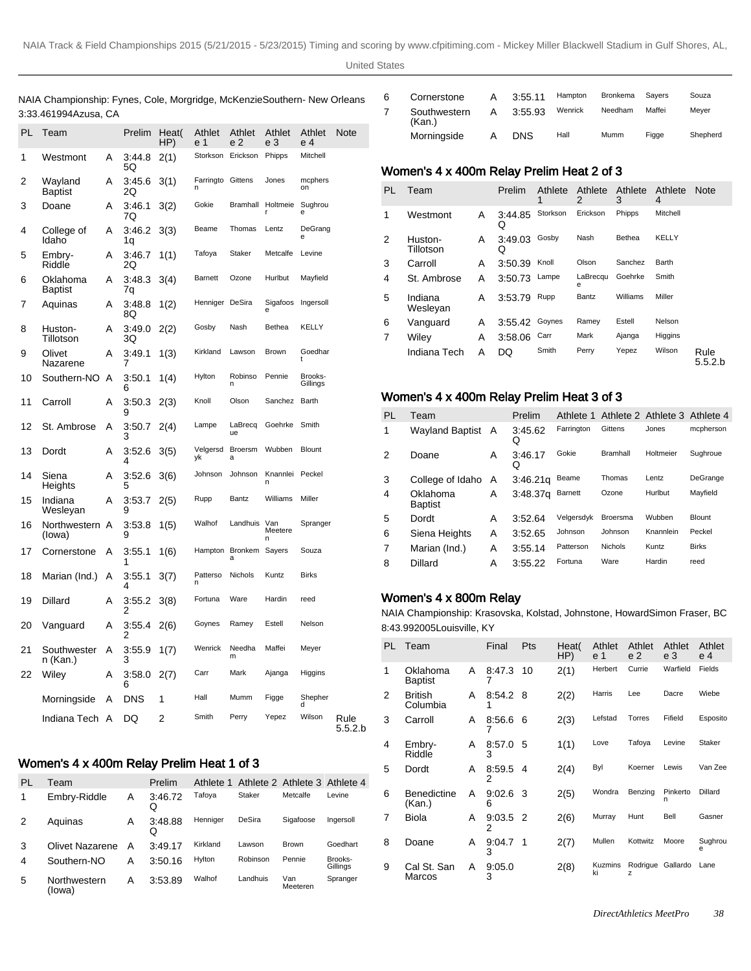NAIA Championship: Fynes, Cole, Morgridge, McKenzie Southern- New Orleans 3:33.46 1994Azusa, CA

| PL | Team                    |   | Prelim       | Heat(<br>HP) | Athlet<br>e 1  | Athlet<br>e 2       | Athlet<br>е 3  | Athlet<br>e 4       | Note            |
|----|-------------------------|---|--------------|--------------|----------------|---------------------|----------------|---------------------|-----------------|
| 1  | Westmont                | A | 3:44.8<br>5Q | 2(1)         | Storkson       | Erickson            | Phipps         | Mitchell            |                 |
| 2  | Wayland<br>Baptist      | A | 3:45.6<br>2Q | 3(1)         | Farringto      | Gittens             | Jones          | mcphers<br>on       |                 |
| 3  | Doane                   | A | 3:46.1<br>7Q | 3(2)         | Gokie          | Bramhall            | Holtmeie       | Sughrou<br>e        |                 |
| 4  | College of<br>Idaho     | A | 3:46.2<br>1q | 3(3)         | Beame          | Thomas              | Lentz          | DeGrang<br>e        |                 |
| 5  | Embry-<br>Riddle        | A | 3:46.7<br>2Q | 1(1)         | Tafoya         | Staker              | Metcalfe       | Levine              |                 |
| 6  | Oklahoma<br>Baptist     | A | 3:48.3<br>7q | 3(4)         | <b>Barnett</b> | Ozone               | Hurlbut        | Mayfield            |                 |
| 7  | Aquinas                 | Α | 3:48.8<br>8Q | 1(2)         | Henniger       | DeSira              | Sigafoos       | Ingersoll           |                 |
| 8  | Huston-<br>Tillotson    | Α | 3:49.0<br>3Q | 2(2)         | Gosby          | Nash                | Bethea         | KELLY               |                 |
| 9  | Olivet<br>Nazarene      | Α | 3:49.1<br>7  | 1(3)         | Kirkland       | Lawson              | Brown          | Goedhar             |                 |
| 10 | Southern-NO             | Α | 3:50.1<br>6  | 1(4)         | Hylton         | Robinso<br>n        | Pennie         | Brooks-<br>Gillings |                 |
| 11 | Carroll                 | Α | 3:50.3<br>9  | 2(3)         | Knoll          | Olson               | Sanchez        | Barth               |                 |
| 12 | St. Ambrose             | Α | 3:50.7<br>3  | 2(4)         | Lampe          | LaBrecq<br>ue       | Goehrke        | Smith               |                 |
| 13 | Dordt                   | Α | 3:52.6<br>4  | 3(5)         | Velgersd<br>уk | <b>Broersm</b><br>a | Wubben         | <b>Blount</b>       |                 |
| 14 | Siena<br>Heights        | Α | 3:52.6<br>5  | 3(6)         | Johnson        | Johnson             | Knannlei<br>n  | Peckel              |                 |
| 15 | Indiana<br>Wesleyan     | Α | 3:53.7<br>9  | 2(5)         | Rupp           | Bantz               | Williams       | Miller              |                 |
| 16 | Northwestern<br>(lowa)  | A | 3:53.8<br>9  | 1(5)         | Walhof         | Landhuis            | Van<br>Meetere | Spranger            |                 |
| 17 | Cornerstone             | Α | 3:55.1<br>1  | 1(6)         | Hampton        | Bronkem<br>ă        | Sayers         | Souza               |                 |
| 18 | Marian (Ind.)           | Α | 3:55.1<br>4  | 3(7)         | Patterso<br>n  | Nichols             | Kuntz          | <b>Birks</b>        |                 |
| 19 | Dillard                 | Α | 3:55.2<br>2  | 3(8)         | Fortuna        | Ware                | Hardin         | reed                |                 |
| 20 | Vanguard                | A | 3:55.4<br>2  | 2(6)         | Goynes         | Ramey               | Estell         | Nelson              |                 |
| 21 | Southwester<br>n (Kan.) | A | 3:55.9<br>3  | 1(7)         | Wenrick        | Needha<br>m         | Maffei         | Meyer               |                 |
| 22 | Wiley                   | Α | 3:58.0<br>6  | 2(7)         | Carr           | Mark                | Ajanga         | Higgins             |                 |
|    | Morningside             | Α | <b>DNS</b>   | 1            | Hall           | Mumm                | Figge          | Shepher             |                 |
|    | Indiana Tech            | A | DQ           | 2            | Smith          | Perry               | Yepez          | Wilson              | Rule<br>5.5.2.b |

# Women's 4 x 400m Relay Prelim Heat 1 of 3

| PL             | Team                   |   | Prelim       | Athlete 1 |               | Athlete 2 Athlete 3 Athlete 4 |                     |
|----------------|------------------------|---|--------------|-----------|---------------|-------------------------------|---------------------|
| 1              | Embry-Riddle           | Α | 3:46.72<br>Q | Tafoya    | <b>Staker</b> | Metcalfe                      | Levine              |
| 2              | Aquinas                | Α | 3:48.88<br>Q | Henniger  | DeSira        | Sigafoose                     | Ingersoll           |
| 3              | Olivet Nazarene        | А | 3:49.17      | Kirkland  | Lawson        | <b>Brown</b>                  | Goedhart            |
| $\overline{4}$ | Southern-NO            | А | 3:50.16      | Hylton    | Robinson      | Pennie                        | Brooks-<br>Gillings |
| 5              | Northwestern<br>(lowa) | А | 3:53.89      | Walhof    | Landhuis      | Van<br>Meeteren               | Spranger            |

| 6 | Cornerstone            | A | 3:55.11 | Hampton | <b>Bronkema</b> | Savers | Souza    |
|---|------------------------|---|---------|---------|-----------------|--------|----------|
|   | Southwestern<br>(Kan.) | Α | 3:55.93 | Wenrick | Needham         | Maffei | Mever    |
|   | Morningside            | Α | DNS     | Hall    | Mumm            | Figge  | Shepherd |

#### Women's 4 x 400m Relay Prelim Heat 2 of 3

| <b>PL</b> | Team                 |   | Prelim       | Athlete<br>1 | Athlete<br>2  | Athlete<br>3  | Athlete<br>4 | <b>Note</b>     |
|-----------|----------------------|---|--------------|--------------|---------------|---------------|--------------|-----------------|
| 1         | Westmont             | A | 3:44.85<br>Q | Storkson     | Erickson      | Phipps        | Mitchell     |                 |
| 2         | Huston-<br>Tillotson | A | 3:49.03<br>Q | Gosby        | Nash          | <b>Bethea</b> | KELLY        |                 |
| 3         | Carroll              | Α | 3:50.39      | Knoll        | Olson         | Sanchez       | Barth        |                 |
| 4         | St. Ambrose          | A | 3:50.73      | Lampe        | LaBrecqu<br>е | Goehrke       | Smith        |                 |
| 5         | Indiana<br>Weslevan  | Α | 3:53.79      | Rupp         | Bantz         | Williams      | Miller       |                 |
| 6         | Vanguard             | A | 3:55.42      | Goynes       | Ramey         | Estell        | Nelson       |                 |
| 7         | Wilev                | Α | 3:58.06      | Carr         | Mark          | Ajanga        | Higgins      |                 |
|           | Indiana Tech         | A | DQ           | Smith        | Perry         | Yepez         | Wilson       | Rule<br>5.5.2.b |

#### Women's 4 x 400m Relay Prelim Heat 3 of 3

| PL | Team                       |   | Prelim               | Athlete 1      |                 | Athlete 2 Athlete 3 Athlete 4 |               |
|----|----------------------------|---|----------------------|----------------|-----------------|-------------------------------|---------------|
| 1  | <b>Wayland Baptist</b>     | A | 3:45.62<br>Q         | Farrington     | Gittens         | Jones                         | mcpherson     |
| 2  | Doane                      | Α | 3:46.17<br>Q         | Gokie          | <b>Bramhall</b> | Holtmeier                     | Sughroue      |
| 3  | College of Idaho           | A | 3:46.21q             | Beame          | Thomas          | Lentz                         | DeGrange      |
| 4  | Oklahoma<br><b>Baptist</b> | А | 3.48.37 <sub>q</sub> | <b>Barnett</b> | Ozone           | Hurlbut                       | Mayfield      |
| 5  | Dordt                      | Α | 3:52.64              | Velgersdyk     | Broersma        | Wubben                        | <b>Blount</b> |
| 6  | Siena Heights              | А | 3:52.65              | Johnson        | Johnson         | Knannlein                     | Peckel        |
| 7  | Marian (Ind.)              | Α | 3:55.14              | Patterson      | <b>Nichols</b>  | Kuntz                         | <b>Birks</b>  |
| 8  | Dillard                    | Α | 3:55.22              | Fortuna        | Ware            | Hardin                        | reed          |
|    |                            |   |                      |                |                 |                               |               |

#### Women's 4 x 800m Relay

NAIA Championship: Krasovska, Kolstad, Johnstone, Howard Simon Fraser, BC 8:43.99 2005Louisville, KY

| PL             | Team                         |   | Final           | Pts | Heat(<br>HP) | Athlet<br>e 1 | Athlet<br>e <sub>2</sub> | Athlet<br>e 3 | Athlet<br>e 4 |
|----------------|------------------------------|---|-----------------|-----|--------------|---------------|--------------------------|---------------|---------------|
| 1              | Oklahoma<br>Baptist          | A | 8:47.3          | 10  | 2(1)         | Herbert       | Currie                   | Warfield      | Fields        |
| $\mathfrak{p}$ | <b>British</b><br>Columbia   | A | 8:54.2 8        |     | 2(2)         | Harris        | Lee                      | Dacre         | Wiebe         |
| 3              | Carroll                      | A | 8:56.6          | 6   | 2(3)         | Lefstad       | Torres                   | Fifield       | Esposito      |
| 4              | Embry-<br>Riddle             | A | 8:57.0<br>3     | 5   | 1(1)         | Love          | Tafoya                   | Levine        | Staker        |
| 5              | Dordt                        | A | 8:59.5 4<br>2   |     | 2(4)         | Byl           | Koerner                  | Lewis         | Van Zee       |
| 6              | <b>Benedictine</b><br>(Kan.) | A | $9:02.6$ 3<br>6 |     | 2(5)         | Wondra        | Benzing                  | Pinkerto<br>n | Dillard       |
| 7              | <b>Biola</b>                 | A | $9:03.5$ 2<br>2 |     | 2(6)         | Murray        | Hunt                     | Bell          | Gasner        |
| 8              | Doane                        | A | 9:04.7<br>3     | 1   | 2(7)         | Mullen        | Kottwitz                 | Moore         | Sughrou<br>e  |
| 9              | Cal St. San<br>Marcos        | A | 9:05.0<br>3     |     | 2(8)         | Kuzmins<br>ki | Rodrigue Gallardo<br>z   |               | Lane          |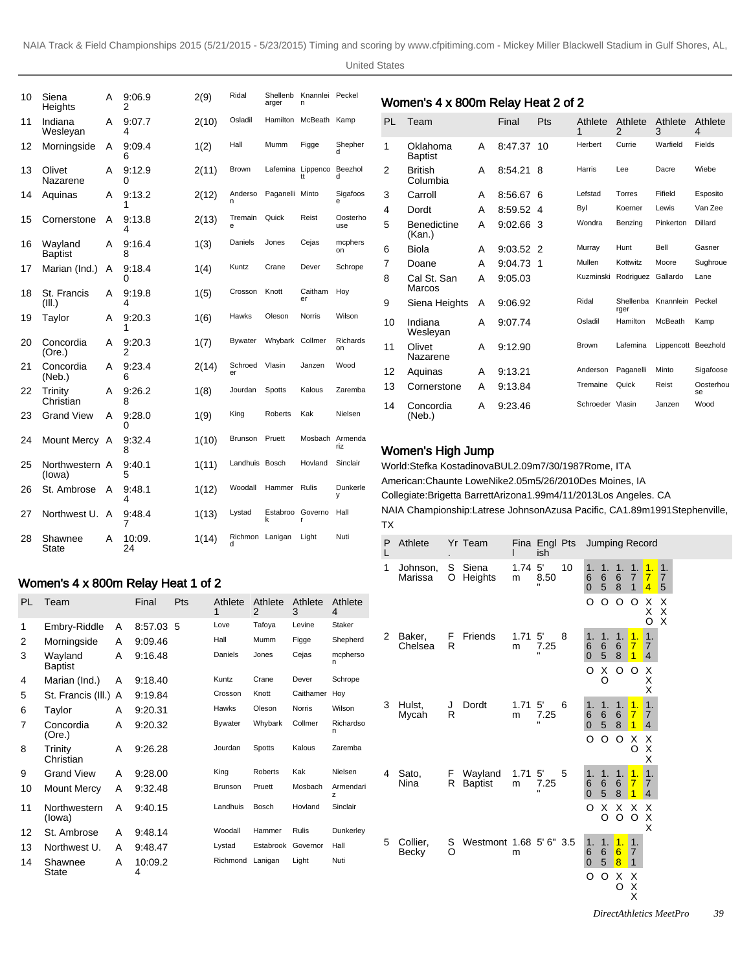| 10 | Siena<br>Heights          | A | 9:06.9<br>2  | 2(9)  | Ridal         | Shellenb<br>arger | Knannlei Peckel<br>n    |                 |
|----|---------------------------|---|--------------|-------|---------------|-------------------|-------------------------|-----------------|
| 11 | Indiana<br>Wesleyan       | Α | 9:07.7<br>4  | 2(10) | Osladil       | <b>Hamilton</b>   | McBeath                 | Kamp            |
| 12 | Morningside               | A | 9:09.4<br>6  | 1(2)  | Hall          | Mumm              | Figge                   | Shepher<br>d    |
| 13 | Olivet<br>Nazarene        | Α | 9:12.9<br>0  | 2(11) | Brown         |                   | Lafemina Lippenco<br>tt | Beezhol<br>d    |
| 14 | Aquinas                   | А | 9:13.2<br>1  | 2(12) | Anderso<br>n  | Paganelli Minto   |                         | Sigafoos<br>e   |
| 15 | Cornerstone               | A | 9:13.8<br>4  | 2(13) | Tremain<br>e  | Quick             | Reist                   | Oosterho<br>use |
| 16 | Wayland<br><b>Baptist</b> | Α | 9:16.4<br>8  | 1(3)  | Daniels       | Jones             | Cejas                   | mcphers<br>on   |
| 17 | Marian (Ind.)             | A | 9:18.4<br>0  | 1(4)  | Kuntz         | Crane             | Dever                   | Schrope         |
| 18 | St. Francis<br>(III.)     | А | 9:19.8<br>4  | 1(5)  | Crosson       | Knott             | Caitham<br>er           | Hoy             |
| 19 | Taylor                    | А | 9.20.3<br>1  | 1(6)  | Hawks         | Oleson            | <b>Norris</b>           | Wilson          |
| 20 | Concordia<br>(Ore.)       | A | 9.20.3<br>2  | 1(7)  | Bywater       | Whybark           | Collmer                 | Richards<br>on  |
| 21 | Concordia<br>(Neb.)       | A | 9.23.4<br>6  | 2(14) | Schroed<br>er | Vlasin            | Janzen                  | Wood            |
| 22 | Trinity<br>Christian      | Α | 9:26.2<br>8  | 1(8)  | Jourdan       | Spotts            | Kalous                  | Zaremba         |
| 23 | <b>Grand View</b>         | Α | 9:28.0<br>0  | 1(9)  | King          | Roberts           | Kak                     | Nielsen         |
| 24 | Mount Mercy A             |   | 9:32.4<br>8  | 1(10) | Brunson       | Pruett            | Mosbach Armenda         | riz             |
| 25 | Northwestern A<br>(lowa)  |   | 9:40.1<br>5  | 1(11) | Landhuis      | Bosch             | Hovland                 | Sinclair        |
| 26 | St. Ambrose               | Α | 9.48.1<br>4  | 1(12) | Woodall       | Hammer            | Rulis                   | Dunkerle<br>У   |
| 27 | Northwest U.              | A | 9:48.4<br>7  | 1(13) | Lystad        | Estabroo<br>k     | Governo<br>r            | Hall            |
| 28 | Shawnee<br>State          | Α | 10:09.<br>24 | 1(14) | Richmon<br>d  | Lanigan           | Light                   | Nuti            |

# Women's 4 x 800m Relay Heat 1 of 2

| PL | Team                      |   | Final        | Pts | Athlete<br>1   | Athlete<br>2   | Athlete<br>3  | Athlete<br>4   |
|----|---------------------------|---|--------------|-----|----------------|----------------|---------------|----------------|
| 1  | Embry-Riddle              | A | 8:57.03      | 5   | Love           | Tafoya         | Levine        | Staker         |
| 2  | Morningside               | A | 9:09.46      |     | Hall           | Mumm           | Figge         | Shepherd       |
| 3  | Wayland<br><b>Baptist</b> | A | 9:16.48      |     | Daniels        | Jones          | Cejas         | mcpherso<br>n  |
| 4  | Marian (Ind.)             | A | 9:18.40      |     | Kuntz          | Crane          | Dever         | Schrope        |
| 5  | St. Francis (III.)        | A | 9:19.84      |     | Crosson        | Knott          | Caithamer     | Hoy            |
| 6  | Taylor                    | A | 9:20.31      |     | <b>Hawks</b>   | Oleson         | <b>Norris</b> | Wilson         |
| 7  | Concordia<br>(Ore.)       | A | 9:20.32      |     | <b>Bywater</b> | Whybark        | Collmer       | Richardso<br>n |
| 8  | Trinity<br>Christian      | A | 9:26.28      |     | Jourdan        | <b>Spotts</b>  | Kalous        | Zaremba        |
| 9  | <b>Grand View</b>         | A | 9:28.00      |     | King           | <b>Roberts</b> | Kak           | Nielsen        |
| 10 | Mount Mercy               | A | 9:32.48      |     | <b>Brunson</b> | Pruett         | Mosbach       | Armendari<br>z |
| 11 | Northwestern<br>(lowa)    | А | 9:40.15      |     | Landhuis       | Bosch          | Hovland       | Sinclair       |
| 12 | St. Ambrose               | A | 9:48.14      |     | Woodall        | Hammer         | <b>Rulis</b>  | Dunkerley      |
| 13 | Northwest U.              | A | 9:48.47      |     | Lystad         | Estabrook      | Governor      | Hall           |
| 14 | Shawnee<br>State          | A | 10:09.2<br>4 |     | Richmond       | Lanigan        | Light         | Nuti           |

# Women's 4 x 800m Relay Heat 2 of 2

| PL | Team                         |   | Final   | Pts         | Athlete<br>1     | Athlete<br>$\mathfrak{p}$ | Athlete<br>3        | Athlete<br>4    |
|----|------------------------------|---|---------|-------------|------------------|---------------------------|---------------------|-----------------|
| 1  | Oklahoma<br><b>Baptist</b>   | A | 8:47.37 | 10          | Herbert          | Currie                    | Warfield            | Fields          |
| 2  | <b>British</b><br>Columbia   | A | 8:54.21 | 8           | Harris           | Lee                       | Dacre               | Wiebe           |
| 3  | Carroll                      | A | 8:56.67 | 6           | Lefstad          | Torres                    | Fifield             | Esposito        |
| 4  | Dordt                        | A | 8:59.52 | 4           | Byl              | Koerner                   | Lewis               | Van Zee         |
| 5  | <b>Benedictine</b><br>(Kan.) | A | 9:02.66 | -3          | Wondra           | Benzing                   | Pinkerton           | Dillard         |
| 6  | Biola                        | A | 9:03.52 | -2          | Murray           | Hunt                      | Bell                | Gasner          |
| 7  | Doane                        | A | 9:04.73 | $\mathbf 1$ | Mullen           | Kottwitz                  | Moore               | Sughroue        |
| 8  | Cal St. San<br>Marcos        | Α | 9:05.03 |             | Kuzminski        | Rodriguez                 | Gallardo            | Lane            |
| 9  | Siena Heights                | A | 9:06.92 |             | Ridal            | Shellenba<br>rger         | Knannlein Peckel    |                 |
| 10 | Indiana<br>Wesleyan          | А | 9:07.74 |             | Osladil          | Hamilton                  | McBeath             | Kamp            |
| 11 | Olivet<br>Nazarene           | A | 9:12.90 |             | Brown            | Lafemina                  | Lippencott Beezhold |                 |
| 12 | Aquinas                      | A | 9:13.21 |             | Anderson         | Paganelli                 | Minto               | Sigafoose       |
| 13 | Cornerstone                  | Α | 9:13.84 |             | Tremaine         | Quick                     | Reist               | Oosterhou<br>se |
| 14 | Concordia<br>(Neb.)          | А | 9.23.46 |             | Schroeder Vlasin |                           | Janzen              | Wood            |

#### Women's High Jump

World: Stefka Kostadinova BUL 2.09m 7/30/1987 Rome, ITA American: Chaunte Lowe Nike 2.05m 5/26/2010 Des Moines, IA Collegiate: Brigetta Barrett Arizona 1.99m 4/11/2013 Los Angeles. CA NAIA Championship: Latrese Johnson Azusa Pacific, CA 1.89m 1991Stephenville, TX

| Ρ<br>L | Athlete             |          | Yr Team                   |                        | Fina Engl Pts<br>ish |    |                                            | Jumping Record                              |                            |                                                    |                                        |                           |  |  |
|--------|---------------------|----------|---------------------------|------------------------|----------------------|----|--------------------------------------------|---------------------------------------------|----------------------------|----------------------------------------------------|----------------------------------------|---------------------------|--|--|
| 1      | Johnson,<br>Marissa | S.<br>O  | Siena<br>Heights          | 1.74 <sub>5</sub><br>m | 8.50                 | 10 | 1.<br>6<br>$\overline{0}$                  | 1.<br>6<br>5                                | 1.<br>6<br>8               | 1.<br>$\overline{7}$<br>$\mathbf{1}$               | 1.<br>$\overline{7}$<br>$\overline{4}$ | 1.<br>$\overline{7}$<br>5 |  |  |
|        |                     |          |                           |                        |                      |    | O                                          | O                                           | O                          | O                                                  | Х<br>Χ<br>O                            | х<br>Χ<br>X               |  |  |
| 2      | Baker,<br>Chelsea   | F.<br>R  | Friends                   | 1.71<br>m              | 5'<br>7.25           | 8  | 1.<br>6<br>$\overline{0}$                  | 1.<br>6<br>$\sqrt{5}$                       | 1.<br>6<br>8               | $\mathbf{1}$ .<br>$\overline{7}$<br>$\overline{1}$ | 1.<br>$\overline{7}$<br>$\overline{4}$ |                           |  |  |
|        |                     |          |                           |                        |                      |    | O                                          | X<br>O                                      | O                          | O                                                  | Х<br>X<br>X                            |                           |  |  |
| 3      | Hulst,<br>Mycah     | J<br>R   | Dordt                     | 1.71<br>m              | 5'<br>7.25           | 6  | 1.<br>6<br>$\overline{0}$                  | 1.<br>$\begin{array}{c} 6 \\ 5 \end{array}$ | 1.<br>6<br>8               | 1.<br>$\overline{7}$<br>$\overline{1}$             | 1.<br>$\overline{7}$<br>4              |                           |  |  |
|        |                     |          |                           |                        |                      |    | O                                          | O                                           | O                          | Х<br>O                                             | Χ<br>X<br>X                            |                           |  |  |
| 4      | Sato,<br>Nina       | F.<br>R. | Wayland<br><b>Baptist</b> | 1.71<br>m              | 5'<br>7.25           | 5  | 1.<br>$\begin{matrix} 6 \\ 0 \end{matrix}$ | 1.<br>$6\over 5$                            | 1.<br>6<br>8               | $\mathbf{1}$ .<br>$\overline{7}$<br>$\overline{1}$ | 1.<br>$\overline{7}$<br>4              |                           |  |  |
|        |                     |          |                           |                        |                      |    | O                                          | X<br>O                                      | X<br>O                     | X<br>O                                             | х<br>Χ<br>X                            |                           |  |  |
| 5      | Collier,<br>Becky   | S<br>O   | Westmont 1.68 5' 6" 3.5   | m                      |                      |    | 1.<br>6<br>$\overline{0}$                  | 1.<br>6<br>5                                | $\overline{1}$ .<br>6<br>8 | 1.<br>$\overline{7}$<br>$\mathbf{1}$               |                                        |                           |  |  |
|        |                     |          |                           |                        |                      |    | O                                          | O                                           | х<br>O                     | X<br>X<br>X                                        |                                        |                           |  |  |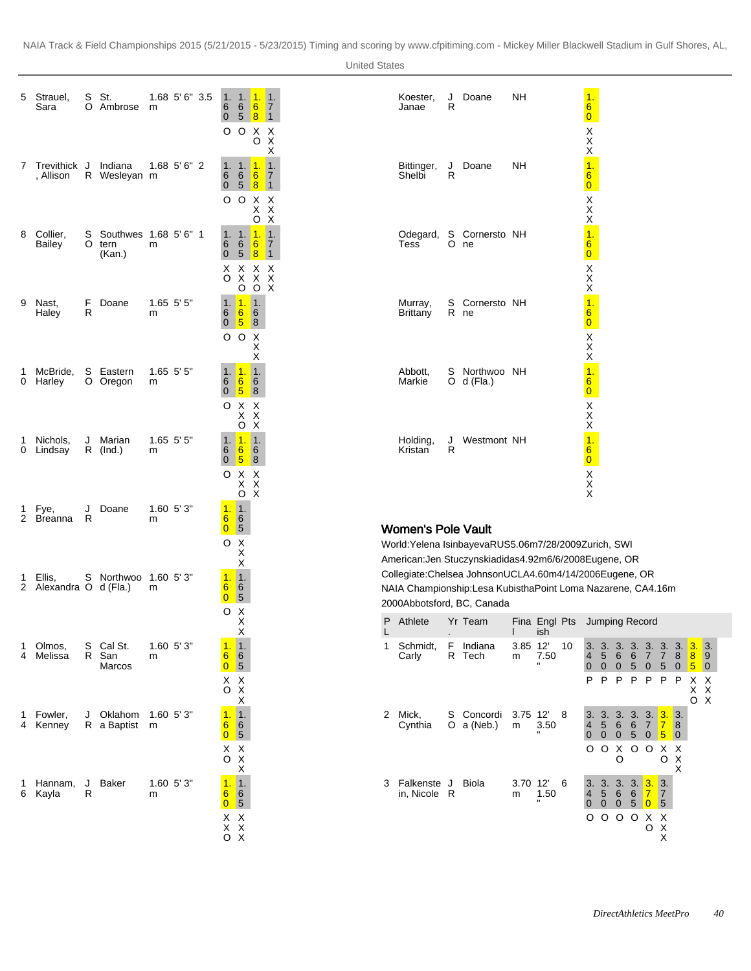1. 7 1

X X X

1. 7 1

X X X

1. 7 1

X X X

X O X X

| 5                   | Strauel,<br>Sara               | S<br>ი | St.<br>Ambrose                          | m | 1.68 5'6" 3.5    | 1.<br>6<br>0                            | 1.<br>6<br>5               | $\overline{1}$ .<br>6<br>8              |
|---------------------|--------------------------------|--------|-----------------------------------------|---|------------------|-----------------------------------------|----------------------------|-----------------------------------------|
|                     |                                |        |                                         |   |                  | O                                       | O                          | Χ<br>O                                  |
| 7                   | Trevithick<br>, Allison        | J<br>R | Indiana<br>Wesleyan                     | m | $1.68$ 5' 6" 2   | 1.<br>6<br>0                            | 1.<br>6<br>5               | 1.<br>6<br>8                            |
|                     |                                |        |                                         |   |                  | O                                       | O                          | Χ<br>Χ<br>ö                             |
| 8                   | Collier,<br>Bailey             | S<br>O | Southwes 1.68 5' 6" 1<br>tern<br>(Kan.) | m |                  | 1.<br>6<br>0                            | 1.<br>6<br>5               | $\overline{1}$ .<br>$6\phantom{a}$<br>8 |
|                     |                                |        |                                         |   |                  | Χ<br>O                                  | Х<br>X<br>O                | Χ<br>X<br>O                             |
| 9                   | Nast,<br>Haley                 | F<br>R | Doane                                   | m | 1.65 5' 5"       | 1.<br>6<br>0                            | $\overline{1}$ .<br>6<br>5 | 1.<br>6<br>8                            |
|                     |                                |        |                                         |   |                  | O                                       | O                          | Х<br>Χ<br>Χ                             |
| 1<br>0              | McBride,<br>Harley             | S<br>O | Eastern<br>Oregon                       | m | 1.65 5' 5"       | 1.<br>6<br>0                            | $\overline{1}$ .<br>6<br>5 | 1.<br>6<br>8                            |
|                     |                                |        |                                         |   |                  | O                                       | Χ<br>Χ<br>O                | Χ<br>Χ<br>$\bar{\mathsf{x}}$            |
| 1<br>0              | Nichols,<br>Lindsay            | J<br>R | Marian<br>(Ind.)                        | m | $1.65$ $5'$ $5"$ | 1.<br>6<br>0                            | 1.<br>$6\phantom{1}6$<br>5 | $\mathbf 1$<br>6<br>8                   |
|                     |                                |        |                                         |   |                  | O                                       | Х<br>X<br>O                | Χ<br>$\bar{\mathsf{x}}$<br>X            |
| 1<br>$\overline{2}$ | Fye,<br>Breanna                | J<br>R | Doane                                   | m | 1.60 5'3"        | $\overline{1}$ .<br>6<br>0              | 1.<br>6<br>5               |                                         |
|                     |                                |        |                                         |   |                  | O                                       | Χ<br>X<br>X                |                                         |
| 1<br>2              | Ellis,<br>Alexandra O d (Fla.) | S      | Northwoo                                | m | $1.60$ $5'3"$    | 1.<br>6<br>0                            | $\mathbf 1$ .<br>6<br>5    |                                         |
|                     |                                |        |                                         |   |                  | O                                       | Х<br>X<br>Χ                |                                         |
| 1<br>4              | Olmos,<br>Melissa              | S<br>R | Cal St.<br>San<br>Marcos                | m | $1.60$ $5'3"$    | 1.<br>6<br>$\overline{0}$               | 1.<br>6<br>5               |                                         |
|                     |                                |        |                                         |   |                  | X<br>O                                  | $_{\rm X}^{\rm X}$<br>Χ    |                                         |
| 1<br>4              | Fowler,<br>Kenney              | J<br>R | Oklahom<br>a Baptist                    | m | 1.60 5'3"        | $\overline{1}$ .<br>6<br>$\overline{0}$ | $\mathbf 1$ .<br>6<br>5    |                                         |
|                     |                                |        |                                         |   |                  | X<br>O                                  | $\frac{x}{x}$<br>X         |                                         |
| 1<br>6              | Hannam,<br>Kayla               | J<br>R | Baker                                   | m | 1.60 5'3"        | 1.<br>6<br>0                            | 1.<br>6<br>5               |                                         |
|                     |                                |        |                                         |   |                  | Χ                                       | Χ                          |                                         |

| Koester,<br>Janae    | J<br>R         | Doane                   | <b>NH</b> | 1.<br>$\frac{6}{0}$                                              |
|----------------------|----------------|-------------------------|-----------|------------------------------------------------------------------|
|                      |                |                         |           | $_{\rm X}^{\rm X}$                                               |
| Bittinger,<br>Shelbi | J<br>R         | Doane                   | NΗ        | $\ddot{\textbf{Q}}$<br>$\overline{6}$<br>$\overline{\mathbf{0}}$ |
|                      |                |                         |           | $_{\rm{X}}^{\rm{X}}$                                             |
| Odegard,<br>Tess     | $\overline{O}$ | S Cornersto NH<br>ne    |           | $\overline{1}$ .<br>$6\overline{6}$<br>$\overline{0}$            |
|                      |                |                         |           | X<br>X<br>X                                                      |
| Murray,<br>Brittany  | S<br>R         | Cornersto NH<br>ne      |           | $\frac{1}{60}$ X X X                                             |
|                      |                |                         |           |                                                                  |
| Abbott,<br>Markie    | S<br>O         | Northwoo NH<br>d (Fla.) |           | $\overline{1}$<br>$\frac{6}{0}$                                  |
|                      |                |                         |           | $\frac{\mathsf{x}}{\mathsf{x}}$                                  |
| Holding,<br>Kristan  | J<br>R         | Westmont NH             |           | 1.<br>$\frac{6}{0}$                                              |
|                      |                |                         |           | $_{\rm X}^{\rm X}$                                               |

### Women's Pole Vault

World: Yelena Isinbayeva RUS 5.06m 7/28/2009 Zurich, SWI American: Jen Stuczynski adidas 4.92m 6/6/2008 Eugene, OR Collegiate: Chelsea Johnson UCLA 4.60m 4/14/2006 Eugene, OR NAIA Championship: Lesa Kubistha Point Loma Nazarene, CA 4.16m 2000Abbotsford, BC, Canada

| P | Athlete                   | $\blacksquare$ | Yr Team                    |              | Fina Engl Pts<br>ish |    | Jumping Record               |                                         |                     |                            |                                               |                           |                        |                           |                        |  |
|---|---------------------------|----------------|----------------------------|--------------|----------------------|----|------------------------------|-----------------------------------------|---------------------|----------------------------|-----------------------------------------------|---------------------------|------------------------|---------------------------|------------------------|--|
| 1 | Schmidt,<br>Carly         | F<br>R         | Indiana<br>Tech            | 3.85<br>m    | 12'<br>7.50          | 10 | 4<br>0                       | 3.3.3.<br>5 <sup>5</sup><br>$\Omega$    | 6<br>$\overline{0}$ | 6<br>5 <sub>o</sub>        | 3.3.3.3.<br>7 7<br>$\overline{0}$             | 5 <sup>5</sup>            | 8<br>0                 | 3.<br>8<br>5 <sup>5</sup> | 3.<br>9<br>$\mathbf 0$ |  |
|   |                           |                |                            |              |                      |    | P                            | P                                       | P                   | P                          | P                                             | P                         | P                      | X<br>X<br>റ               | X<br>X<br>X            |  |
| 2 | Mick,<br>Cynthia          |                | S Concordi<br>O $a$ (Neb.) | 3.75 12<br>m | 3.50                 | 8  | $\overline{\mathbf{4}}$<br>0 | 3.3.3.<br>5 <sup>5</sup><br>$\Omega$    | 6<br>$\mathbf{0}$   | 3.<br>6<br>$5\overline{)}$ | 3.3.<br>$\overline{7}$<br>0 <sup>1</sup>      | $\overline{7}$<br>5       | 3.<br>8<br>$\mathbf 0$ |                           |                        |  |
|   |                           |                |                            |              |                      |    | O                            | O                                       | X<br>O              | O                          | $\circ$                                       | X X<br>O                  | Х<br>X                 |                           |                        |  |
| 3 | Falkenste J<br>in, Nicole | R              | Biola                      | 3.70<br>m    | 12'<br>1.50<br>п     | 6  | $\overline{4}$<br>0          | 3.3.3.3.<br>$5\overline{)}$<br>$\Omega$ | 6<br>$\overline{0}$ | 6<br>5                     | <u>3.</u><br>$\overline{7}$<br>$\overline{0}$ | 3.<br>$\overline{7}$<br>5 |                        |                           |                        |  |
|   |                           |                |                            |              |                      |    | O                            | O                                       | O                   | O                          | X<br>Ω                                        | x<br>Χ<br>Χ               |                        |                           |                        |  |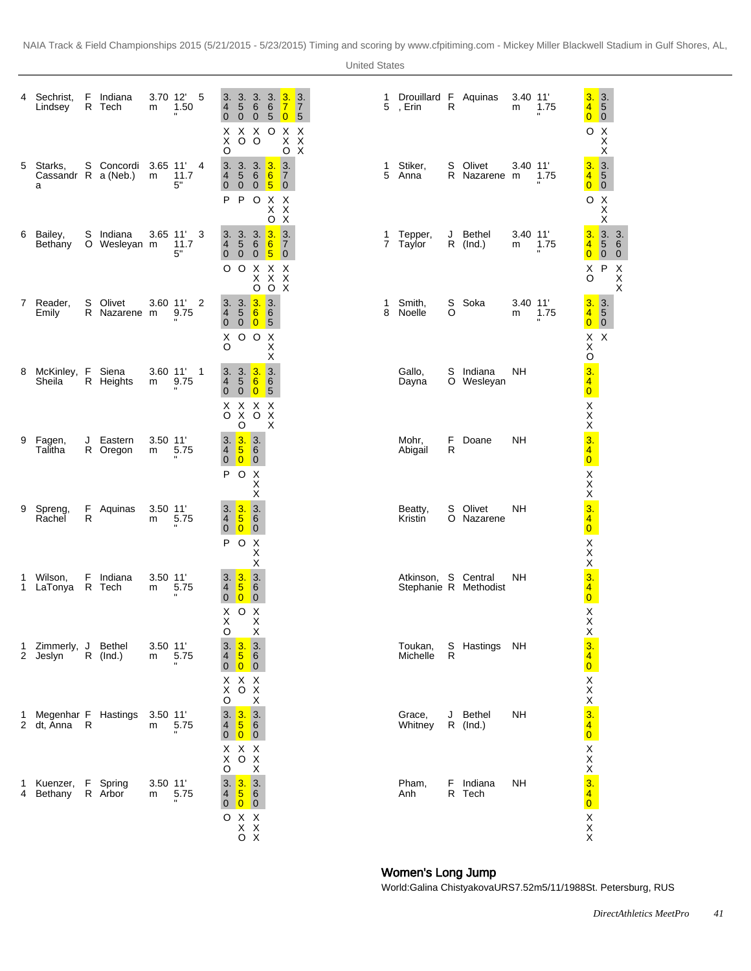| 4      | Sechrist,<br>Lindsey                  | F  | Indiana<br>R Tech         | m               | 3.70 12<br>1.50                   | 5            | 3.<br>$\overline{4}$<br>$\mathbf 0$<br>х<br>X<br>O                                                                                        | 3.3.3.<br>$\sqrt{5}$<br>$\overline{0}$<br>X X O X<br>$O$ $O$                                                         | 6<br>$\overline{0}$                                      | $\,6\,$                            | 3.<br>$\overline{7}$<br>50<br>$\begin{array}{c} 0.7 \\ 0.7 \end{array}$ | 3.<br>$\overline{7}$<br>$\sqrt{5}$<br>$\times$ | 1<br>5 | Drouillard F Aquinas<br>, Erin | $\mathsf{R}$ |                          | $3.40$ 11<br>m  | 1.75      | 3.<br>$\overline{4}$<br>$\overline{0}$              | $\vert$ 3.<br>$\overline{\mathbf{5}}$<br>$\overline{\phantom{0}}$   |                     |
|--------|---------------------------------------|----|---------------------------|-----------------|-----------------------------------|--------------|-------------------------------------------------------------------------------------------------------------------------------------------|----------------------------------------------------------------------------------------------------------------------|----------------------------------------------------------|------------------------------------|-------------------------------------------------------------------------|------------------------------------------------|--------|--------------------------------|--------------|--------------------------|-----------------|-----------|-----------------------------------------------------|---------------------------------------------------------------------|---------------------|
| 5      | Starks,<br>Cassandr R a (Neb.)<br>a   |    | S Concordi 3.65 11'       | m               | 11.7<br>5"                        | 4            | 3.<br>4<br>$\overline{0}$<br>P                                                                                                            | 3. 3. $3.$<br>$\sqrt{5}$<br>$0 \quad 0 \quad 5$<br>POXX<br>XX                                                        | $6\overline{6}$                                          |                                    | 3.<br>$\overline{7}$<br>$\overline{\mathbf{0}}$<br>O X                  |                                                | 1<br>5 | Stiker,<br>Anna                |              | S Olivet<br>R Nazarene m | 3.40 11'        | 1.75<br>п | O                                                   | $\pmb{\times}$<br>X<br>$\sf X$                                      |                     |
| 6      | Bailey,<br>Bethany                    |    | S Indiana<br>O Wesleyan m |                 | $3.65$ 11<br>11.7<br>5"           | 3            | $\overline{4}$<br>$\mathbf{0}$<br>O                                                                                                       | 3.3.3.3.<br>$\sqrt{5}$<br>$\overline{0}$<br>O X X X                                                                  | $6\overline{6}$<br>$0\sqrt{5}$<br>X X X<br>$O$ $O$ $X$   | $\sqrt{6}$                         | 3.<br>$\overline{7}$<br>$\overline{\mathbf{0}}$                         |                                                | 1      | Tepper,<br>7 Taylor            |              | J Bethel<br>$R$ (lnd.)   | $3.40$ 11'<br>m | 1.75      | 3.<br>4<br>$\overline{0}$<br>O                      | $\begin{array}{ccc} 3. & 3. \\ 5 & 6 \\ 0 & 0 \end{array}$<br>X P X | $\pmb{\times}$<br>X |
|        | 7 Reader,<br>Emily                    | S  | Olivet<br>R Nazarene m    |                 | $3.60$ 11<br>9.75                 | 2            | 3.<br>$\overline{4}$<br>$\mathbf{0}$<br>Х<br>O                                                                                            | 3.3.3.<br>$\sqrt{5}$<br>$0\quad 0\quad 5$<br>O O X                                                                   | 6                                                        | 6<br>Χ<br>Χ                        |                                                                         |                                                | 1<br>8 | Smith,<br>Noelle               | S<br>O       | Soka                     | $3.40$ 11'<br>m | 1.75      | 3.<br>$\overline{4}$<br>$\overline{0}$              | $\frac{3}{5}$<br>$\overline{\mathbf{0}}$                            |                     |
| 8      | McKinley, F Siena<br>Sheila           |    | R Heights                 | m               | $3.60$ 11<br>9.75<br>$\mathbf{u}$ | $\mathbf{1}$ | $\overline{4}$<br>$\mathbf 0$<br>$\begin{array}{ccc} \times & \times & \times & \times \\ \circ & \times & \circ & \times \end{array}$    | 3.3.3.3.3.<br>$\overline{5}$<br>$\ddot{\mathbf{0}}$<br>O                                                             | 6<br>$\overline{\mathbf{0}}$                             | $6\overline{6}$<br>$\sqrt{5}$<br>X |                                                                         |                                                |        | Gallo,<br>Dayna                |              | S Indiana<br>O Wesleyan  | <b>NH</b>       |           | $X \times$<br>$X$<br>$\frac{3}{4}$<br>$\frac{4}{0}$ |                                                                     |                     |
| 9      | Fagen,<br>Talitha                     | J  | Eastern<br>R Oregon       | $3.50$ 11'<br>m | 5.75                              |              | 3.<br>$\overline{4}$<br>$\mathbf 0$<br>P                                                                                                  | 3.3.<br>$\frac{5}{0}$<br>O X                                                                                         | 6<br>$\overline{\mathbf{0}}$<br>$\mathsf X$<br>$\sf X$   |                                    |                                                                         |                                                |        | Mohr,<br>Abigail               | F<br>R       | Doane                    | <b>NH</b>       |           | $XX \times 340$<br>$XX \times 340$                  |                                                                     |                     |
| 9      | Spreng,<br>Rachel                     | R  | F Aquinas                 | 3.50 11'<br>m   | 5.75                              |              | $\overline{4}$<br>$\overline{0}$<br>P                                                                                                     | 3.3.3.<br>$5\overline{)}$<br>$\overline{0}$<br>O X                                                                   | $6\overline{6}$<br>$\overline{\mathbf{0}}$<br>X          |                                    |                                                                         |                                                |        | Beatty,<br>Kristin             | S            | Olivet<br>O Nazarene     | <b>NH</b>       |           |                                                     |                                                                     |                     |
| 1<br>1 | Wilson,<br>LaTonya R Tech             | F  | Indiana                   | 3.50 11'<br>m   | 5.75<br>$\mathbf{u}$              |              | 3.3.<br>$\overline{4}$<br>$\mathbf 0$<br>Χ<br>Χ                                                                                           | $\overline{5}$<br>$\overline{\mathbf{0}}$<br>$\circ$                                                                 | Χ<br>3.<br>$6\overline{6}$<br> 0 <br>$\pmb{\times}$<br>X |                                    |                                                                         |                                                |        | Atkinson, S Central            |              | Stephanie R Methodist    | NΗ              |           |                                                     |                                                                     |                     |
| 1      | Zimmerly, J Bethel<br>2 Jeslyn        |    | $R$ (Ind.)                | $3.50$ 11<br>m  | 5.75                              |              | O<br>3.<br>$\overline{\mathbf{4}}$<br>$\mathbf 0$<br>$\begin{array}{ccc} \times & \times & \times \\ \times & \circ & \times \end{array}$ | 3.3.<br>$\frac{5}{0}$                                                                                                | X<br>6<br>$\overline{\mathbf{0}}$                        |                                    |                                                                         |                                                |        | Toukan,<br>Michelle            | R            | S Hastings NH            |                 |           |                                                     |                                                                     |                     |
|        | 1 Megenhar F Hastings<br>2 dt, Anna R |    |                           | 3.50 11'<br>m   | 5.75                              |              | $\circ$<br>3.<br>$\overline{4}$<br>$\mathbf{0}$<br>$\mathsf{X}$                                                                           | $\begin{array}{cc} 3. & 3. \\ 5 & 6 \\ 0 & 0 \end{array}$<br>X X X<br>$\overrightarrow{O} \times \overrightarrow{X}$ | $\mathsf X$                                              |                                    |                                                                         |                                                |        | Grace.<br>Whitney              |              | J Bethel<br>$R$ (Ind.)   | <b>NH</b>       |           |                                                     |                                                                     |                     |
| 1<br>4 | Kuenzer,<br>Bethany                   | F. | Spring<br>R Arbor         | $3.50$ 11<br>m  | 5.75                              |              | O<br>3.3.3.<br>4<br>$\pmb{0}$<br>$\begin{array}{c}\n0 & X & X \\ X & X \\ 0 & X\n\end{array}$                                             | $\overline{5}$<br>$\boxed{0}$                                                                                        | 6<br>$\overline{\mathbf{0}}$                             |                                    |                                                                         |                                                |        | Pham,<br>Anh                   | F.           | Indiana<br>R Tech        | <b>NH</b>       |           | XXX 340 XXX 340 XXX 340 XXX 340 XXX                 |                                                                     |                     |

# Women's Long Jump

World: Galina Chistyakova URS 7.52m 5/11/1988 St. Petersburg, RUS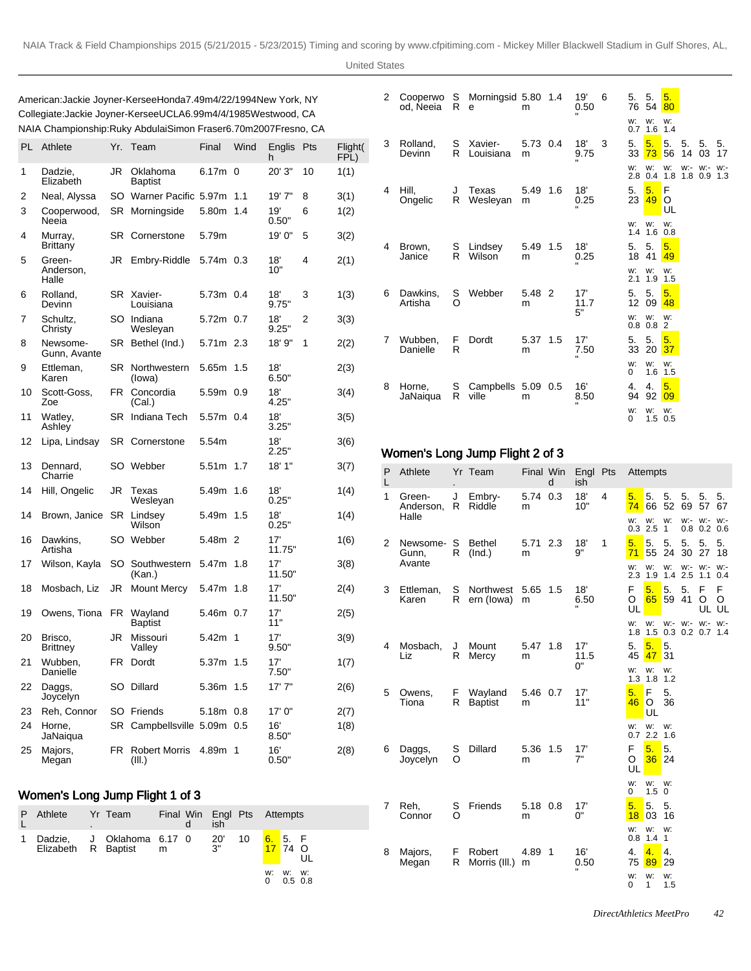United States

American: Jackie Joyner-Kersee Honda 7.49m 4/22/1994 New York, NY Collegiate: Jackie Joyner-Kersee UCLA 6.99m 4/4/1985 Westwood, CA NAIA Championship: Ruky Abdulai Simon Fraser 6.70m 2007Fresno, CA

| PL | Athlete                      | Yr.       | Team                           | Final     | Wind           | Englis<br>h   | Pts | Flight(<br>FPL) |
|----|------------------------------|-----------|--------------------------------|-----------|----------------|---------------|-----|-----------------|
| 1  | Dadzie,<br>Elizabeth         | JR        | Oklahoma<br><b>Baptist</b>     | 6.17m     | $\Omega$       | 20' 3"        | 10  | 1(1)            |
| 2  | Neal, Alyssa                 |           | SO Warner Pacific 5.97m        |           | 1.1            | 19'7"         | 8   | 3(1)            |
| 3  | Cooperwood,<br>Neeia         | SR        | Morningside                    | 5.80m     | 1.4            | 19'<br>0.50"  | 6   | 1(2)            |
| 4  | Murray,<br>Brittany          | SR        | Cornerstone                    | 5.79m     |                | 19' 0"        | 5   | 3(2)            |
| 5  | Green-<br>Anderson,<br>Halle | JR        | Embry-Riddle                   | 5.74m 0.3 |                | 18'<br>10"    | 4   | 2(1)            |
| 6  | Rolland,<br>Devinn           | SR        | Xavier-<br>Louisiana           | 5.73m 0.4 |                | 18'<br>9.75"  | 3   | 1(3)            |
| 7  | Schultz,<br>Christy          |           | SO Indiana<br>Wesleyan         | 5.72m 0.7 |                | 18'<br>9.25"  | 2   | 3(3)            |
| 8  | Newsome-<br>Gunn, Avante     | SR        | Bethel (Ind.)                  | 5.71m 2.3 |                | 18' 9"        | 1   | 2(2)            |
| 9  | Ettleman,<br>Karen           | SR        | Northwestern<br>(lowa)         | 5.65m     | 1.5            | 18'<br>6.50"  |     | 2(3)            |
| 10 | Scott-Goss,<br>Zoe           | FR        | Concordia<br>(Cal.)            | 5.59m     | 0.9            | 18'<br>4.25"  |     | 3(4)            |
| 11 | Watley,<br>Ashley            | SR        | Indiana Tech                   | 5.57m     | 0.4            | 18'<br>3.25"  |     | 3(5)            |
| 12 | Lipa, Lindsay                | SR        | Cornerstone                    | 5.54m     |                | 18'<br>2.25"  |     | 3(6)            |
| 13 | Dennard,<br>Charrie          | SO        | Webber                         | 5.51m     | 1.7            | 18' 1"        |     | 3(7)            |
| 14 | Hill, Ongelic                | JR        | Texas<br>Wesleyan              | 5.49m     | 1.6            | 18'<br>0.25"  |     | 1(4)            |
| 14 | Brown, Janice                | <b>SR</b> | Lindsev<br>Wilson              | 5.49m     | 1.5            | 18'<br>0.25"  |     | 1(4)            |
| 16 | Dawkins,<br>Artisha          | SO        | Webber                         | 5.48m     | $\overline{2}$ | 17'<br>11.75" |     | 1(6)            |
| 17 | Wilson, Kayla                | SO        | Southwestern<br>(Kan.)         | 5.47m     | 1.8            | 17'<br>11.50" |     | 3(8)            |
| 18 | Mosbach, Liz                 | JR        | <b>Mount Mercy</b>             | 5.47m     | 1.8            | 17'<br>11.50" |     | 2(4)            |
| 19 | Owens, Tiona                 | FR        | Wayland<br><b>Baptist</b>      | 5.46m     | 0.7            | 17'<br>11"    |     | 2(5)            |
| 20 | Brisco,<br><b>Brittney</b>   | JR        | Missouri<br>Valley             | 5.42m     | $\mathbf 1$    | 17'<br>9.50"  |     | 3(9)            |
| 21 | Wubben.<br>Danielle          | FR        | Dordt                          | 5.37m     | 1.5            | 17'<br>7.50"  |     | 1(7)            |
| 22 | Daggs,<br>Joycelyn           | SO        | Dillard                        | 5.36m     | 1.5            | 17'7''        |     | 2(6)            |
| 23 | Reh, Connor                  |           | SO Friends                     | 5.18m     | 0.8            | 17' 0"        |     | 2(7)            |
| 24 | Horne,<br>JaNaiqua           | SR        | Campbellsville 5.09m           |           | 0.5            | 16'<br>8.50"  |     | 1(8)            |
| 25 | Majors,<br>Megan             | FR        | <b>Robert Morris</b><br>(III.) | 4.89m     | 1              | 16'<br>0.50"  |     | 2(8)            |

#### Women's Long Jump Flight 1 of 3

| P | Athlete | ٠ | Yr Team                                            |  | Final Win Engl Pts Attempts<br>ish |    |                    |                   |    |
|---|---------|---|----------------------------------------------------|--|------------------------------------|----|--------------------|-------------------|----|
|   |         |   | Dadzie, J Oklahoma 6.17 0<br>Elizabeth R Baptist m |  | -20'<br>3"                         | 10 | 6. 5. F<br>17 74 O |                   |    |
|   |         |   |                                                    |  |                                    |    | w:<br>O            | W.<br>$0.5 \ 0.8$ | W. |

| 2 | od, Neeia           | R             | Cooperwo S Morningsid 5.80 1.4<br>e | m             | 19'<br>0.50 | 6 | 5. 5.                  | 76 54            | 5.<br>80          |          |                      |          |
|---|---------------------|---------------|-------------------------------------|---------------|-------------|---|------------------------|------------------|-------------------|----------|----------------------|----------|
|   |                     |               |                                     |               |             |   | w:<br>0.7              | w:<br>1.6        | W:<br>1.4         |          |                      |          |
| 3 | Rolland,<br>Devinn  | S<br>R        | Xavier-<br>Louisiana                | 5.73 0.4<br>m | 18'<br>9.75 | 3 | 5.<br>33               | 5.<br>73         | 5.<br>56          | 5.<br>14 | 5.<br>03             | 5.<br>17 |
|   |                     |               |                                     |               |             |   | w:<br>2.8              | W:<br>0.4        | w:<br>1.8         | w:-      | w:-<br>$1.8$ 0.9 1.3 | $W$ :-   |
| 4 | Hill,<br>Ongelic    | J<br>R        | Texas<br>Wesleyan                   | 5.49 1.6<br>m | 18'<br>0.25 |   | 5.<br>23               | 5.<br>49         | F<br>O<br>UL      |          |                      |          |
|   |                     |               |                                     |               |             |   | W.                     | W:<br>$1.4$ 1.6  | w:<br>0.8         |          |                      |          |
| 4 | Brown,<br>Janice    | S<br>R        | Lindsev<br>Wilson                   | 5.49 1.5<br>m | 18'<br>0.25 |   | 5.<br>18               | 5.<br>41         | 5.<br>49          |          |                      |          |
|   |                     |               |                                     |               |             |   | w:<br>2.1              | w:<br>1.9        | w:<br>1.5         |          |                      |          |
| 6 | Dawkins,<br>Artisha | S<br>$\Omega$ | Webber                              | 5.48 2<br>m   | 17'<br>11.7 |   | 5.<br>12 <sup>12</sup> | 5.<br>09         | 5.<br>48          |          |                      |          |
|   |                     |               |                                     |               | 5"          |   | W.                     | W:<br>$0.8\ 0.8$ | w:<br>2           |          |                      |          |
| 7 | Wubben.<br>Danielle | F<br>R        | Dordt                               | 5.37 1.5<br>m | 17'<br>7.50 |   | 5.<br>33               | 5.<br>20         | 5.<br>37          |          |                      |          |
|   |                     |               |                                     |               |             |   | W.<br>0                | w:<br>1.6        | w:<br>1.5         |          |                      |          |
| 8 | Horne.<br>JaNaiqua  | R             | S Campbells 5.09 0.5<br>ville       | m             | 16'<br>8.50 |   | 4.<br>94               | 4.<br>92         | 5.<br>09          |          |                      |          |
|   |                     |               |                                     |               |             |   | w:<br>$\Omega$         | W.               | w:<br>$1.5 \t0.5$ |          |                      |          |

# Women's Long Jump Flight 2 of 3

| P<br>L | Athlete             |        | Yr Team                   |               | Final Win<br>d | Engl Pts<br>ish |   |              | Attempts                  |                    |          |               |                 |
|--------|---------------------|--------|---------------------------|---------------|----------------|-----------------|---|--------------|---------------------------|--------------------|----------|---------------|-----------------|
| 1      | Green-<br>Anderson, | J<br>R | Embry-<br>Riddle          | 5.74<br>m     | 0.3            | 18'<br>10"      | 4 | 5.<br>74     | 5.<br>66                  | 5.<br>52           | 5.<br>69 | 5.<br>57      | 5.<br>67        |
|        | Halle               |        |                           |               |                |                 |   | w:           | w:<br>$0.3$ 2.5           | w:<br>$\mathbf{1}$ | W:- W:-  | $0.8$ 0.2 0.6 | W:              |
| 2      | Newsome-S<br>Gunn.  | R      | <b>Bethel</b><br>(Ind.)   | 5.71 2.3<br>m |                | 18'<br>9"       | 1 | 5.<br>71     | 5.<br>55                  | 5.<br>24           | 5.<br>30 | 5.<br>27      | 5.<br>18        |
|        | Avante              |        |                           |               |                |                 |   | w:           | w:<br>2.3 1.9 1.4 2.5     | w:                 | W:- W:-  | 1.1           | W:<br>0.4       |
| 3      | Ettleman,<br>Karen  | S<br>R | Northwest<br>ern (lowa)   | 5.65<br>m     | 1.5            | 18'<br>6.50     |   | F<br>O<br>UL | 5.<br>65                  | 5.<br>59           | 5.<br>41 | F<br>O        | F<br>O<br>UL UL |
|        |                     |        |                           |               |                |                 |   | w:           | w:<br>1.8 1.5 0.3 0.2 0.7 | w:-                |          | W:- W:-       | $W:$ -<br>1.4   |
| 4      | Mosbach,<br>Liz     | J<br>R | Mount<br>Mercy            | 5.47 1.8<br>m |                | 17'<br>11.5     |   | 5.<br>45     | 5.<br>47                  | 5.<br>31           |          |               |                 |
|        |                     |        |                           |               |                | 0"              |   | w:           | w:<br>$1.3$ $1.8$ $1.2$   | w:                 |          |               |                 |
| 5      | Owens,<br>Tiona     | F<br>R | Wayland<br><b>Baptist</b> | 5.46 0.7<br>m |                | 17'<br>11"      |   | 5.<br>46     | F<br>$\circ$<br>UL        | 5.<br>36           |          |               |                 |
|        |                     |        |                           |               |                |                 |   | w:           | w:<br>$0.7$ 2.2 1.6       | w:                 |          |               |                 |
| 6      | Daggs,<br>Joycelyn  | S<br>O | Dillard                   | 5.36 1.5<br>m |                | 17'<br>7"       |   | F<br>O<br>UL | 5.<br>36                  | 5.<br>24           |          |               |                 |
|        |                     |        |                           |               |                |                 |   | w:<br>0      | w:<br>$1.5 \ 0$           | w:                 |          |               |                 |
| 7      | Reh.<br>Connor      | S<br>Ω | Friends                   | 5.18<br>m     | 0.8            | 17'<br>0"       |   | 5.<br>18     | 5.<br>03                  | 5.<br>16           |          |               |                 |
|        |                     |        |                           |               |                |                 |   | w:           | w:<br>$0.8$ 1.4 1         | w:                 |          |               |                 |
| 8      | Majors,<br>Megan    | F<br>R | Robert<br>Morris (III.)   | 4.89<br>m     | 1              | 16'<br>0.50     |   | 4.<br>75     | 4.<br>89                  | 4.<br>29           |          |               |                 |
|        |                     |        |                           |               |                |                 |   | w:<br>0      | w:<br>1                   | w:<br>1.5          |          |               |                 |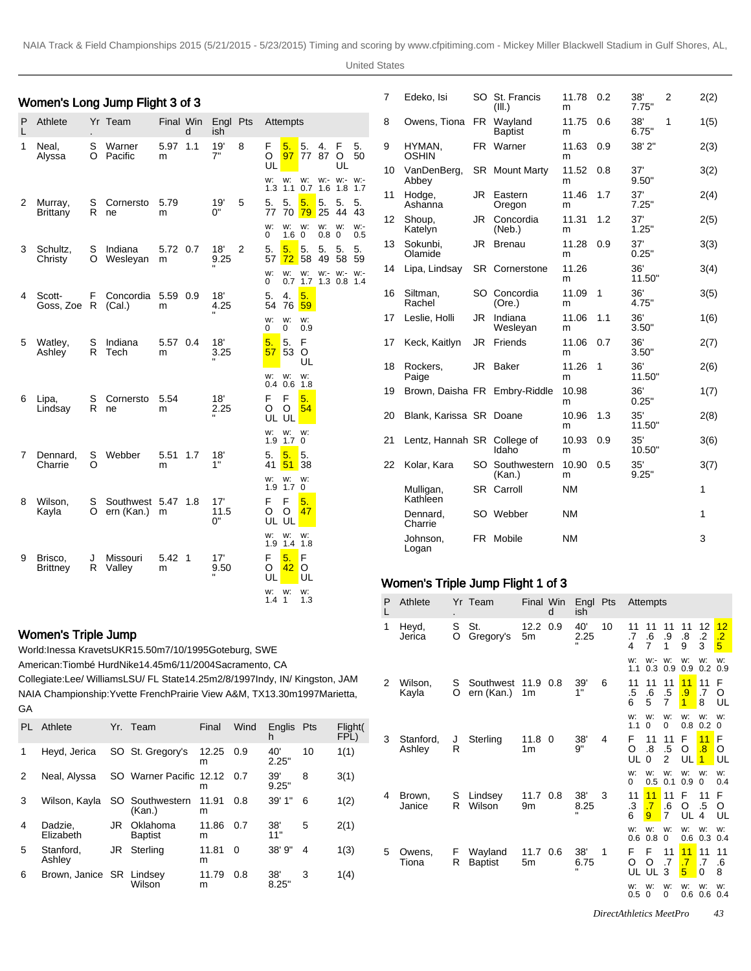|   | Women's Long Jump Flight 3 of 3 |        |                      |                     |   |                 |                |                                                                |                              |              |            | 7  | Edeko, Isi                                     |         | SO St. Francis<br>(III.)  | 11.78 0.2<br>m |        | 38'<br>7.75"  | 2 | 2(2) |
|---|---------------------------------|--------|----------------------|---------------------|---|-----------------|----------------|----------------------------------------------------------------|------------------------------|--------------|------------|----|------------------------------------------------|---------|---------------------------|----------------|--------|---------------|---|------|
| P | Athlete                         |        | Yr Team              | Final Win           | d | Engl Pts<br>ish |                | Attempts                                                       |                              |              |            | 8  | Owens, Tiona                                   |         | FR Wayland<br>Baptist     | 11.75 0.6<br>m |        | 38'<br>6.75"  | 1 | 1(5) |
| 1 | Neal,<br>Alyssa                 | S      | Warner<br>O Pacific  | 5.97 1.1<br>m       |   | 19'<br>7"       | 8              | 5.<br>F.<br>$\overline{\phantom{1}}$ 5.<br>97 77 87<br>O       | 4.                           | F<br>$\circ$ | 5.<br>50   | 9  | HYMAN,<br>OSHIN                                |         | FR Warner                 | 11.63<br>m     | 0.9    | 38' 2"        |   | 2(3) |
|   |                                 |        |                      |                     |   |                 |                | UL<br>w: w: w:- w:- w:-<br>w:                                  |                              | UL           |            | 10 | VanDenBerg,<br>Abbey                           |         | SR Mount Marty            | 11.52 0.8<br>m |        | 37'<br>9.50"  |   | 3(2) |
| 2 | Murray,                         | S      | Cornersto<br>R ne    | 5.79                |   | 19'<br>0"       | 5              | 1.1 0.7 1.6 1.8 1.7<br>1.3<br>5.<br>5.<br>5.                   | 5.                           | 5.           | 5.         | 11 | Hodge,<br>Ashanna                              |         | JR Eastern<br>Oregon      | 11.46<br>m     | $-1.7$ | 37'<br>7.25"  |   | 2(4) |
|   | <b>Brittany</b>                 |        |                      | m                   |   |                 |                | 77<br>70<br>79<br>w:<br>w:<br>w:<br>0<br>1.6<br>$\overline{0}$ | 25<br>w:<br>0.8 <sub>0</sub> | 44 43<br>W.  | w:-<br>0.5 | 12 | Shoup,<br>Katelyn                              |         | JR Concordia<br>(Neb.)    | 11.31<br>m     | 1.2    | 37'<br>1.25"  |   | 2(5) |
| 3 | Schultz,<br>Christy             | S<br>O | Indiana<br>Wesleyan  | 5.72 0.7<br>m       |   | 18'<br>9.25     | $\overline{2}$ | 5.<br>5.<br>$\overline{\phantom{1}}$ 5.<br>$72$ 58<br>57       | 5.<br>49                     | 5.<br>58     | 5.<br>-59  | 13 | Sokunbi,<br>Olamide                            |         | JR Brenau                 | 11.28 0.9<br>m |        | 37'<br>0.25"  |   | 3(3) |
|   |                                 |        |                      |                     |   |                 |                | W: W: W:- W:- W:-<br>w:<br>$\Omega$<br>0.7 1.7 1.3 0.8 1.4     |                              |              |            | 14 | Lipa, Lindsay                                  |         | <b>SR</b> Cornerstone     | 11.26<br>m     |        | 36'<br>11.50" |   | 3(4) |
| 4 | Scott-<br>Goss, Zoe R           | F.     | Concordia<br>(Cal.)  | 5.59 0.9<br>m       |   | 18'<br>4.25     |                | 5.<br>5.<br>4.<br>76<br>59<br>54                               |                              |              |            |    | 16 Siltman,<br>Rachel                          |         | SO Concordia<br>(Ore.)    | 11.09 1<br>m   |        | 36'<br>4.75"  |   | 3(5) |
|   |                                 |        |                      |                     |   |                 |                | w:<br>w:<br>W.<br>0<br>0<br>0.9                                |                              |              |            | 17 | Leslie, Holli                                  |         | JR Indiana<br>Wesleyan    | 11.06<br>m     | 1.1    | 36'<br>3.50"  |   | 1(6) |
| 5 | Watley,<br>Ashley               | S<br>R | Indiana<br>Tech      | 5.57 0.4<br>m       |   | 18'<br>3.25     |                | 5.<br>5.<br>F<br>53<br>$\circ$<br>57                           |                              |              |            | 17 | Keck, Kaitlyn                                  |         | JR Friends                | 11.06<br>m     | 0.7    | 36'<br>3.50"  |   | 2(7) |
|   |                                 |        |                      |                     |   |                 |                | UL<br>w:<br>w:<br>w:<br>0.6<br>$0.4^{\circ}$                   |                              |              |            | 18 | Rockers,<br>Paige                              |         | JR Baker                  | 11.26 1<br>m   |        | 36'<br>11.50" |   | 2(6) |
| 6 | Lipa,<br>Lindsay                | S      | Cornersto<br>R ne    | 5.54<br>m           |   | 18'<br>2.25     |                | 1.8<br>F<br>F<br>5.<br>$\circ$<br>O<br>54                      |                              |              |            | 19 | Brown, Daisha FR Embry-Riddle                  |         |                           | 10.98<br>m     |        | 36'<br>0.25"  |   | 1(7) |
|   |                                 |        |                      |                     |   |                 |                | UL<br>UL<br>W:<br>w:<br>w:                                     |                              |              |            | 20 | Blank, Karissa SR Doane                        |         |                           | 10.96<br>m     | - 1.3  | 35'<br>11.50" |   | 2(8) |
| 7 | Dennard.                        | S      | Webber               | 5.51 1.7            |   | 18'             |                | 1.7 <sub>0</sub><br>1.9<br>5.<br>5.<br>5.                      |                              |              |            | 21 | Lentz, Hannah SR College of                    |         | Idaho                     | 10.93<br>m     | 0.9    | 35'<br>10.50" |   | 3(6) |
|   | Charrie                         | O      |                      | m                   |   | 1"              |                | 41<br>51<br>38<br>w: w:<br>w:                                  |                              |              |            | 22 | Kolar, Kara                                    |         | SO Southwestern<br>(Kan.) | 10.90<br>m     | 0.5    | 35'<br>9.25"  |   | 3(7) |
| 8 | Wilson,                         | S      | Southwest 5.47 1.8   |                     |   | 17'             |                | 1.7 <sup>0</sup><br>1.9<br>F<br>5.<br>F                        |                              |              |            |    | Mulligan,<br>Kathleen                          |         | SR Carroll                | <b>NM</b>      |        |               |   | 1    |
|   | Kayla                           | O      | ern (Kan.)           | m                   |   | 11.5<br>ባ"      |                | $\circ$<br>O<br><b>47</b><br>UL UL                             |                              |              |            |    | Dennard,<br>Charrie                            |         | SO Webber                 | <b>NM</b>      |        |               |   | 1    |
|   |                                 |        |                      |                     |   |                 |                | W:<br>w:<br>W.<br>$1.4$ 1.8<br>1.9<br>5.<br>∎F                 |                              |              |            |    | Johnson,<br>Logan                              |         | FR Mobile                 | <b>NM</b>      |        |               |   | 3    |
| 9 | Brisco,<br><b>Brittney</b>      | J      | Missouri<br>R Valley | $5.42 \quad 1$<br>m |   | 17'<br>9.50     |                | F<br>$42$ O<br>O<br>UL<br>UL                                   |                              |              |            |    |                                                |         |                           |                |        |               |   |      |
|   |                                 |        |                      |                     |   |                 |                | W: W:<br>w:<br>$1.4 \; 1$<br>1.3                               |                              |              |            |    | Women's Triple Jump Flight 1 of 3<br>P Athlete | Yr Team | Final Win Fngl Pts        |                |        | Attempts      |   |      |

# Women's Triple Jump

World: Inessa Kravets UKR 15.50m 7/10/1995 Goteburg, SWE

American: Tiombé Hurd Nike 14.45m 6/11/2004 Sacramento, CA

Collegiate: Lee/ Williams LSU/ FL State 14.25m 2/8/1997 Indy, IN/ Kingston, JAM NAIA Championship: Yvette French Prairie View A&M, TX 13.30m 1997Marietta, GA

| PL | Athlete                  |    | Yr. Team                   | Final      | Wind | <b>Englis</b><br>h | Pts | Flight(<br>FPL) |
|----|--------------------------|----|----------------------------|------------|------|--------------------|-----|-----------------|
| 1  | Heyd, Jerica             |    | SO St. Gregory's           | 12.25<br>m | 0.9  | 40'<br>2.25"       | 10  | 1(1)            |
| 2  | Neal, Alyssa             |    | SO Warner Pacific 12.12    | m          | 0.7  | 39'<br>9.25"       | 8   | 3(1)            |
| 3  | Wilson, Kayla            |    | SO Southwestern<br>(Kan.)  | 11.91<br>m | 0.8  | 39'1''             | 6   | 1(2)            |
| 4  | Dadzie,<br>Elizabeth     | JR | Oklahoma<br><b>Baptist</b> | 11.86<br>m | 0.7  | 38'<br>11"         | 5   | 2(1)            |
| 5  | Stanford.<br>Ashley      | JR | Sterling                   | 11.81<br>m | 0    | 38'9''             | 4   | 1(3)            |
| 6  | Brown, Janice SR Lindsey |    | Wilson                     | 11.79<br>m | 0.8  | 38'<br>8.25"       | 3   | 1(4)            |

| P<br>L | Athlete             |        | Yr Team                   | Final Win                  | d | Engl Pts<br>ish |    |               | Attempts                   |                            |                                         |                            |                                 |
|--------|---------------------|--------|---------------------------|----------------------------|---|-----------------|----|---------------|----------------------------|----------------------------|-----------------------------------------|----------------------------|---------------------------------|
| 1      | Heyd,<br>Jerica     | S<br>O | St.<br>Gregory's          | 12.2 0.9<br>5 <sub>m</sub> |   | 40'<br>2.25     | 10 | 11<br>.7<br>4 | 11<br>.6<br>$\overline{7}$ | 11<br>.9<br>1              | 11<br>.8<br>9                           | 12<br>$\cdot$<br>3         | 12<br>$\cdot$ <sub>2</sub><br>5 |
|        |                     |        |                           |                            |   |                 |    | w:<br>1.1     | $W$ :-<br>0.3              | w:<br>0.9                  | W:<br>0.9                               | w:<br>0.2                  | w:<br>0.9                       |
| 2      | Wilson,<br>Kayla    | S<br>O | Southwest<br>ern (Kan.)   | 11.9 0.8<br>1 <sub>m</sub> |   | 39'<br>1"       | 6  | 11<br>.5<br>6 | 11<br>.6<br>5              | 11<br>$.5\,$<br>7          | 11<br>.9<br>$\overline{1}$              | 11<br>$\cdot$ 7<br>8       | F<br>O<br>UL                    |
|        |                     |        |                           |                            |   |                 |    | w:<br>1.1     | w:<br>$\Omega$             | w:<br>0                    | w:<br>0.8                               | w:<br>0.2                  | w:<br>0                         |
| 3      | Stanford.<br>Ashley | J<br>R | Sterling                  | $11.8$ 0<br>1 <sub>m</sub> |   | 38'<br>9"       | 4  | F<br>O<br>UL  | 11<br>.8<br>$\Omega$       | 11<br>.5<br>$\overline{2}$ | F<br>O<br>UL                            | 11<br>$\overline{.8}$<br>1 | F<br>O<br>UL                    |
|        |                     |        |                           |                            |   |                 |    | w:<br>0       | w:<br>0.5                  | w:<br>0.1                  | w:<br>0.9                               | w:<br>$\mathbf 0$          | W:<br>0.4                       |
| 4      | Brown,<br>Janice    | S<br>R | Lindsey<br>Wilson         | $11.7 \t0.8$<br>9m         |   | 38'<br>8.25     | 3  | 11<br>.3<br>6 | 11<br>.7<br>9              | 11<br>.6<br>7              | F<br>O<br>UL                            | 11<br>.5<br>4              | F<br>O<br>UL                    |
|        |                     |        |                           |                            |   |                 |    | w:<br>0.6     | w:<br>0.8                  | w:<br>0                    | w:<br>0.6                               | w:<br>0.3                  | w:<br>0.4                       |
| 5      | Owens,<br>Tiona     | F<br>R | Wayland<br><b>Baptist</b> | 11.7 0.6<br>5 <sub>m</sub> |   | 38'<br>6.75     | 1  | F<br>O<br>UL  | F<br>O<br>UL               | 11<br>$\cdot$ 7<br>3       | 11<br>$\overline{.7}$<br>5 <sub>5</sub> | 11<br>$\cdot$ 7<br>0       | 11<br>.6<br>8                   |
|        |                     |        |                           |                            |   |                 |    | w:<br>0.5     | w:<br>$\mathbf 0$          | w:<br>0                    | w:<br>0.6                               | w:<br>0.6                  | w:<br>0.4                       |

*DirectAthletics MeetPro 43*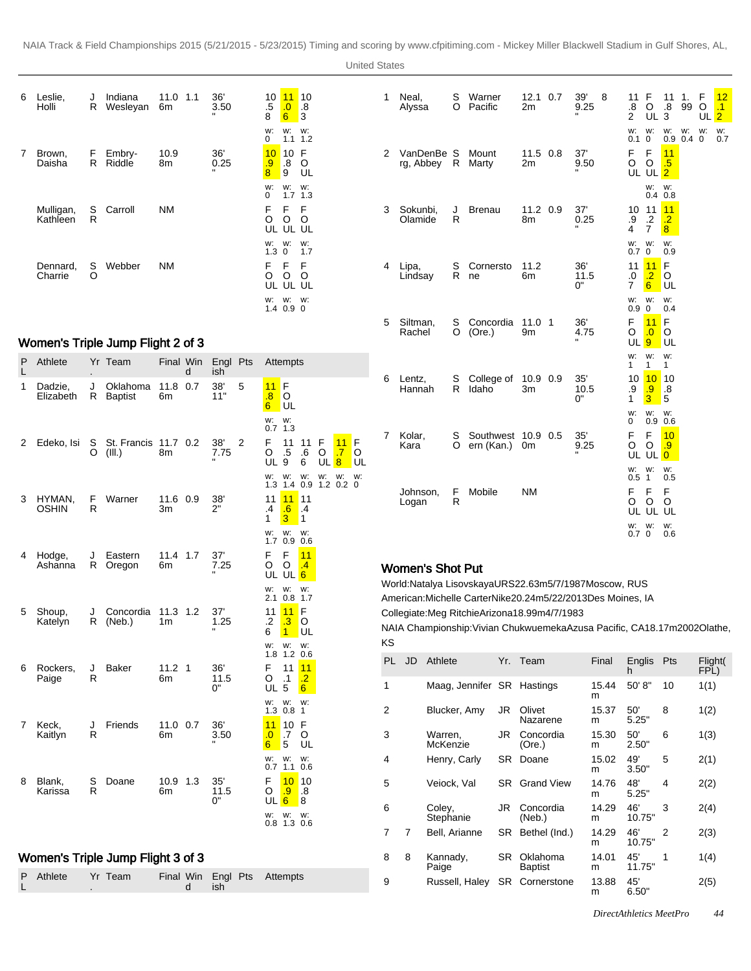| 6 | Leslie,<br>Holli      | J<br>R  | Indiana<br>Wesleyan | 11.0<br>1.1<br>6m | 36'<br>3.50 | 10<br>$.5\,$<br>8 | 11<br>$\cdot 0$<br>$6\phantom{1}$ | 10<br>.8<br>3 |
|---|-----------------------|---------|---------------------|-------------------|-------------|-------------------|-----------------------------------|---------------|
|   |                       |         |                     |                   |             | w:<br>0           | w:<br>1.1                         | w:<br>1.2     |
| 7 | Brown,<br>Daisha      | F.<br>R | Embry-<br>Riddle    | 10.9<br>8m        | 36'<br>0.25 | 10<br>.9<br>8     | 10<br>.8<br>9                     | F<br>O<br>UL  |
|   |                       |         |                     |                   |             | w:<br>$\Omega$    | w:<br>1.7                         | w:<br>1.3     |
|   | Mulligan,<br>Kathleen | S<br>R  | Carroll             | ΝM                |             | F<br>O            | F<br>O<br>UL UL UL                | F<br>O        |
|   |                       |         |                     |                   |             | w:<br>1.3         | W:<br>$\Omega$                    | w:<br>1.7     |
|   | Dennard,<br>Charrie   | S<br>Ω  | Webber              | ΝM                |             | F<br>O<br>UL      | F<br>O<br>UL                      | F<br>O<br>UL  |
|   |                       |         |                     |                   |             | w:<br>1.4         | W:<br>0.9                         | w:<br>0       |

# Women's Triple Jump Flight 2 of 3

L

.

| P<br>L | Athlete              |         | Yr Team                           | Final Win        | d   | Engl Pts<br>ish             |   |                                    | Attempts                        |                                    |              |                            |              |
|--------|----------------------|---------|-----------------------------------|------------------|-----|-----------------------------|---|------------------------------------|---------------------------------|------------------------------------|--------------|----------------------------|--------------|
| 1      | Dadzie,<br>Elizabeth | J<br>R  | Oklahoma<br><b>Baptist</b>        | 11.8<br>6m       | 0.7 | 38'<br>11"                  | 5 | 11<br>$\overline{\mathbf{8}}$<br>6 | F<br>O<br>UL                    |                                    |              |                            |              |
|        |                      |         |                                   |                  |     |                             |   | w:<br>0.7                          | w:<br>1.3                       |                                    |              |                            |              |
| 2      | Edeko, Isi           | S<br>O  | St. Francis 11.7 0.2<br>(III.)    | 8m               |     | 38'<br>7.75<br>$\mathbf{u}$ | 2 | F<br>O<br><b>UL 9</b>              | 11<br>.5                        | 11<br>.6<br>6                      | F<br>O<br>UL | 11<br>.7<br>$\overline{8}$ | F<br>O<br>UL |
|        |                      |         |                                   |                  |     |                             |   | w:                                 | w:<br>1.3 1.4 0.9               | w:                                 | w:           | w:<br>$1.2 \ 0.2$          | w:<br>0      |
| 3      | HYMAN,<br>OSHIN      | F.<br>R | Warner                            | 11.6 0.9<br>Зm   |     | 38'<br>2"                   |   | 11<br>$\overline{.4}$<br>1         | 11<br>.6<br>3                   | 11<br>$\cdot$<br>1                 |              |                            |              |
|        |                      |         |                                   |                  |     |                             |   | w:                                 | w:<br>1.7 0.9 0.6               | w:                                 |              |                            |              |
| 4      | Hodge,<br>Ashanna    | J<br>R  | Eastern<br>Oregon                 | 11.4 1.7<br>6m   |     | 37'<br>7.25                 |   | F<br>O                             | F<br>O<br>UL UL                 | 11<br>$\cdot$<br>6                 |              |                            |              |
|        |                      |         |                                   |                  |     |                             |   | w:                                 | w:<br>$2.1 \t0.8$               | w:<br>1.7                          |              |                            |              |
| 5      | Shoup,<br>Katelyn    | J<br>R  | Concordia<br>(Neb.)               | $11.3$ 1.2<br>1m |     | 37'<br>1.25                 |   | 11<br>.2<br>6                      | 11<br>$\cdot$ 3<br>$\mathbf{1}$ | F<br>O<br>UL                       |              |                            |              |
|        |                      |         |                                   |                  |     |                             |   | w:                                 | w:<br>1.8 1.2 0.6               | w:                                 |              |                            |              |
| 6      | Rockers,<br>Paige    | J<br>R  | Baker                             | 11.2 1<br>6m     |     | 36'<br>11.5<br>0"           |   | F<br>O<br>UL <sub>5</sub>          | 11<br>$\cdot$ 1                 | 11<br>$\cdot$ .2<br>$6\phantom{.}$ |              |                            |              |
|        |                      |         |                                   |                  |     |                             |   | w:                                 | w:<br>$1.3$ 0.8                 | w:<br>$\mathbf{1}$                 |              |                            |              |
| 7      | Keck,<br>Kaitlyn     | J<br>R  | Friends                           | 11.0 0.7<br>6m   |     | 36'<br>3.50                 |   | 11<br>$\overline{0}$<br>6          | 10<br>.7<br>5                   | F<br>O<br>UL                       |              |                            |              |
|        |                      |         |                                   |                  |     |                             |   | w:                                 | w:<br>$0.7$ 1.1                 | w:<br>0.6                          |              |                            |              |
| 8      | Blank,<br>Karissa    | S<br>R  | Doane                             | 10.9 1.3<br>6m   |     | 35'<br>11.5<br>0"           |   | F<br>O<br>UL                       | 10<br>.9<br>6                   | 10<br>$\boldsymbol{.8}$<br>8       |              |                            |              |
|        |                      |         |                                   |                  |     |                             |   | w:                                 | w:<br>$0.8$ 1.3 0.6             | w:                                 |              |                            |              |
|        |                      |         | Women's Triple Jump Flight 3 of 3 |                  |     |                             |   |                                    |                                 |                                    |              |                            |              |
|        |                      |         |                                   |                  |     |                             |   |                                    |                                 |                                    |              |                            |              |
| P      | Athlete              |         | Yr Team                           | Final Win        |     | Engl Pts                    |   |                                    | Attempts                        |                                    |              |                            |              |

d

ish

| 1              | Neal,<br>Alyssa           | S<br>O  | Warner<br>Pacific                | 12.1<br>2m     | 0.7 | 39'<br>9.25       | 8 | 11<br>$\boldsymbol{.8}$<br>$\overline{2}$ | F<br>O<br>UL                    | 11<br>.8<br>3                           | 1.<br>99         | F<br>O<br>UL | 12<br>$\cdot$ 1<br>$\overline{2}$ |
|----------------|---------------------------|---------|----------------------------------|----------------|-----|-------------------|---|-------------------------------------------|---------------------------------|-----------------------------------------|------------------|--------------|-----------------------------------|
|                |                           |         |                                  |                |     |                   |   | w:<br>$0.1 \ 0$                           | w:                              | w:<br>0.9                               | w:<br>$0.4 \, 0$ | w:           | w:<br>0.7                         |
| $\overline{2}$ | VanDenBe S<br>rg, Abbey R |         | Mount<br>Marty                   | 11.5 0.8<br>2m |     | 37'<br>9.50       |   | F<br>O                                    | F<br>O<br>UL UL                 | 11<br>.5<br>$\overline{2}$              |                  |              |                                   |
|                |                           |         |                                  |                |     |                   |   |                                           | w:                              | w:<br>$0.4$ 0.8                         |                  |              |                                   |
| 3              | Sokunbi,<br>Olamide       | J<br>R  | <b>Brenau</b>                    | 11.2 0.9<br>8m |     | 37'<br>0.25       |   | 10<br>.9<br>4                             | 11<br>$\cdot$<br>$\overline{7}$ | 11<br>$\overline{.2}$<br>8 <sup>2</sup> |                  |              |                                   |
|                |                           |         |                                  |                |     |                   |   | w:<br>0.7                                 | w:<br>$\overline{0}$            | w:<br>0.9                               |                  |              |                                   |
| 4              | Lipa,<br>Lindsay          | S<br>R  | Cornersto<br>ne                  | 11.2<br>6m     |     | 36'<br>11.5<br>0" |   | 11<br>0.<br>7                             | 11<br>$\overline{.2}$<br>6      | F<br>O<br>UL                            |                  |              |                                   |
|                |                           |         |                                  |                |     |                   |   | w:<br>0.9 <sub>0</sub>                    | w:                              | w:<br>0.4                               |                  |              |                                   |
| 5              | Siltman,<br>Rachel        | S<br>O  | Concordia<br>(Ore.)              | $11.0$ 1<br>9m |     | 36'<br>4.75       |   | F<br>O<br>UL 9                            | 11<br>$\Omega$                  | F<br>O<br>UL                            |                  |              |                                   |
|                |                           |         |                                  |                |     |                   |   | w:<br>$\mathbf{1}$                        | w:<br>1                         | w:<br>1                                 |                  |              |                                   |
| 6              | Lentz,<br>Hannah          | S<br>R  | College of<br>Idaho              | 10.9 0.9<br>3m |     | 35'<br>10.5<br>0" |   | 10<br>.9<br>1                             | 10<br>.9<br>3                   | 10<br>.8<br>5                           |                  |              |                                   |
|                |                           |         |                                  |                |     |                   |   | w:<br>0                                   | w:                              | w:<br>$0.9$ 0.6                         |                  |              |                                   |
| 7              | Kolar,<br>Kara            | S<br>O  | Southwest 10.9 0.5<br>ern (Kan.) | 0 <sub>m</sub> |     | 35'<br>9.25       |   | F<br>O                                    | F<br>O<br>UL UL                 | 10<br>$\cdot$ 9<br>$\overline{0}$       |                  |              |                                   |
|                |                           |         |                                  |                |     |                   |   | w:<br>0.5 <sub>1</sub>                    | w:                              | w:<br>0.5                               |                  |              |                                   |
|                | Johnson,<br>Logan         | F.<br>R | Mobile                           | <b>NM</b>      |     |                   |   | F.<br>O                                   | F<br>O                          | F<br>O                                  |                  |              |                                   |
|                |                           |         |                                  |                |     |                   |   | w:                                        | UL UL UL<br>w:                  | w:                                      |                  |              |                                   |
|                |                           |         |                                  |                |     |                   |   | 0.7 <sub>0</sub>                          |                                 | 0.6                                     |                  |              |                                   |

# Women's Shot Put

World: Natalya Lisovskaya URS 22.63m 5/7/1987 Moscow, RUS American: Michelle Carter Nike 20.24m 5/22/2013 Des Moines, IA

Collegiate: Meg Ritchie Arizona 18.99m 4/7/1983

NAIA Championship: Vivian Chukwuemeka Azusa Pacific, CA 18.17m 2002Olathe, KS

| PL | JD | Athlete                    |           | Yr. Team                   | Final      | Englis<br>h   | Pts            | Flight(<br>FPL) |
|----|----|----------------------------|-----------|----------------------------|------------|---------------|----------------|-----------------|
| 1  |    | Maag, Jennifer SR Hastings |           |                            | 15.44<br>m | 50' 8"        | 10             | 1(1)            |
| 2  |    | Blucker, Amy               | JR        | Olivet<br>Nazarene         | 15.37<br>m | 50'<br>5.25"  | 8              | 1(2)            |
| 3  |    | Warren,<br>McKenzie        | JR        | Concordia<br>(Ore.)        | 15.30<br>m | 50'<br>2.50"  | 6              | 1(3)            |
| 4  |    | Henry, Carly               | SR        | Doane                      | 15.02<br>m | 49'<br>3.50"  | 5              | 2(1)            |
| 5  |    | Veiock, Val                | SR.       | <b>Grand View</b>          | 14.76<br>m | 48'<br>5.25"  | 4              | 2(2)            |
| 6  |    | Coley,<br>Stephanie        | JR        | Concordia<br>(Neb.)        | 14.29<br>m | 46'<br>10.75" | 3              | 2(4)            |
| 7  | 7  | Bell, Arianne              | SR.       | Bethel (Ind.)              | 14.29<br>m | 46'<br>10.75" | $\overline{2}$ | 2(3)            |
| 8  | 8  | Kannady,<br>Paige          | <b>SR</b> | Oklahoma<br><b>Baptist</b> | 14.01<br>m | 45'<br>11.75" | 1              | 1(4)            |
| 9  |    | Russell, Haley             | SR.       | Cornerstone                | 13.88<br>m | 45'<br>6.50"  |                | 2(5)            |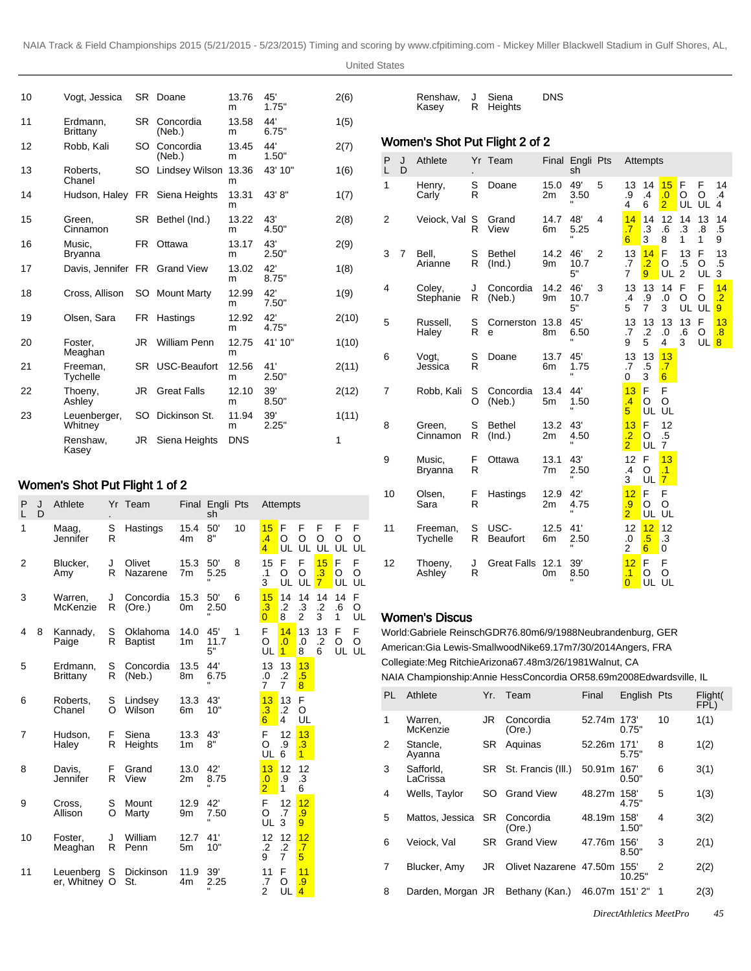United States

Renshaw, J Siena

| 10 | Vogt, Jessica                 |     | SR Doane            | 13.76<br>m | 45'<br>1.75" | 2(6)  |
|----|-------------------------------|-----|---------------------|------------|--------------|-------|
| 11 | Erdmann,<br>Brittany          | SR. | Concordia<br>(Neb.) | 13.58<br>m | 44'<br>6.75" | 1(5)  |
| 12 | Robb, Kali                    | SO  | Concordia<br>(Neb.) | 13.45<br>m | 44'<br>1.50" | 2(7)  |
| 13 | Roberts,<br>Chanel            | SO  | Lindsey Wilson      | 13.36<br>m | 43' 10"      | 1(6)  |
| 14 | Hudson, Haley                 |     | FR Siena Heights    | 13.31<br>m | 43' 8"       | 1(7)  |
| 15 | Green,<br>Cinnamon            |     | SR Bethel (Ind.)    | 13.22<br>m | 43'<br>4.50" | 2(8)  |
| 16 | Music.<br><b>Bryanna</b>      | FR. | Ottawa              | 13.17<br>m | 43'<br>2.50" | 2(9)  |
| 17 | Davis, Jennifer FR Grand View |     |                     | 13.02<br>m | 42'<br>8.75" | 1(8)  |
| 18 | Cross, Allison                |     | SO Mount Marty      | 12.99<br>m | 42'<br>7.50" | 1(9)  |
| 19 | Olsen, Sara                   | FR  | Hastings            | 12.92<br>m | 42'<br>4.75" | 2(10) |
| 20 | Foster,<br>Meaghan            | JR  | <b>William Penn</b> | 12.75<br>m | 41' 10"      | 1(10) |
| 21 | Freeman,<br>Tychelle          | SR. | USC-Beaufort        | 12.56<br>m | 41'<br>2.50" | 2(11) |
| 22 | Thoeny,<br>Ashley             | JR  | <b>Great Falls</b>  | 12.10<br>m | 39'<br>8.50" | 2(12) |
| 23 | Leuenberger,<br>Whitney       | SO  | Dickinson St.       | 11.94<br>m | 39'<br>2.25" | 1(11) |
|    | Renshaw,<br>Kasey             | JR  | Siena Heights       | <b>DNS</b> |              | 1     |

# Women's Shot Put Flight 1 of 2

| P<br>L         | J<br>D | Athlete                    |        | Yr Team                    |            | Final Engli Pts<br>sh         |    |                                        | Attempts                               |                                     |                                         |               |                 |
|----------------|--------|----------------------------|--------|----------------------------|------------|-------------------------------|----|----------------------------------------|----------------------------------------|-------------------------------------|-----------------------------------------|---------------|-----------------|
| 1              |        | Maag,<br>Jennifer          | S<br>R | Hastings                   | 15.4<br>4m | 50'<br>8"                     | 10 | 15<br>.4<br>$\overline{4}$             | F<br>O<br>UL                           | F<br>O<br>UL                        | F<br>O<br>UL                            | F<br>O<br>UL  | F<br>O<br>UL    |
| $\overline{2}$ |        | Blucker,<br>Amy            | J<br>R | Olivet<br>Nazarene         | 15.3<br>7m | 50'<br>5.25                   | 8  | 15<br>$\cdot$ 1<br>3                   | F<br>O<br>UL                           | F<br>O<br>UL                        | 15<br>$\overline{.3}$<br>$\overline{7}$ | F<br>O<br>UL  | F<br>O<br>UL    |
| 3              |        | Warren.<br>McKenzie        | J<br>R | Concordia<br>(Ore.)        | 15.3<br>0m | 50'<br>2.50                   | 6  | 15<br>$\cdot$ 3<br>$\overline{0}$      | 14<br>$\cdot$ .2<br>8                  | 14<br>$\cdot$ 3<br>$\overline{2}$   | 14<br>$\cdot$<br>3                      | 14<br>.6<br>1 | F<br>O<br>UL    |
| 4              | 8      | Kannady,<br>Paige          | S<br>R | Oklahoma<br><b>Baptist</b> | 14.0<br>1m | 45'<br>11.7<br>5"             | 1  | F<br>O<br>UL                           | 14<br>$\overline{0}$<br>$\overline{1}$ | 13<br>.0<br>8                       | 13<br>$\cdot$<br>6                      | F<br>O        | F<br>O<br>UL UL |
| 5              |        | Erdmann.<br>Brittany       | S<br>R | Concordia<br>(Neb.)        | 13.5<br>8m | 44'<br>6.75<br>$\blacksquare$ |    | 13<br>.0<br>$\overline{7}$             | 13<br>$\cdot$<br>$\overline{7}$        | 13<br>.5<br>$\overline{\mathbf{8}}$ |                                         |               |                 |
| 6              |        | Roberts.<br>Chanel         | S<br>O | Lindsey<br>Wilson          | 13.3<br>6m | 43'<br>10"                    |    | 13<br>$\cdot$ 3<br>$6\overline{6}$     | 13<br>$\cdot$<br>4                     | F<br>O<br>UL                        |                                         |               |                 |
| 7              |        | Hudson,<br>Haley           | F<br>R | Siena<br>Heights           | 13.3<br>1m | 43'<br>8"                     |    | F<br>O<br>UL                           | 12<br>.9<br>6                          | 13<br>$\cdot$ 3<br>$\mathbf{1}$     |                                         |               |                 |
| 8              |        | Davis.<br>Jennifer         | F<br>R | Grand<br>View              | 13.0<br>2m | 42'<br>8.75<br>$\blacksquare$ |    | 13<br>$\overline{0}$<br>$\overline{2}$ | 12<br>.9<br>$\mathbf{1}$               | 12<br>.3<br>6                       |                                         |               |                 |
| 9              |        | Cross,<br>Allison          | S<br>O | Mount<br>Marty             | 12.9<br>9m | 42'<br>7.50                   |    | F<br>O<br>UL                           | 12<br>.7<br>3                          | 12<br>.9<br>$\overline{9}$          |                                         |               |                 |
| 10             |        | Foster.<br>Meaghan         | J<br>R | William<br>Penn            | 12.7<br>5m | 41'<br>10"                    |    | 12<br>$\cdot$ .2<br>9                  | 12<br>.2<br>$\overline{7}$             | 12<br>$\overline{.7}$<br>5          |                                         |               |                 |
| 11             |        | Leuenberg<br>er, Whitney O | S      | Dickinson<br>St.           | 11.9<br>4m | 39'<br>2.25                   |    | 11<br>.7<br>$\overline{2}$             | F<br>O<br>UL                           | 11<br>.9<br>$\overline{4}$          |                                         |               |                 |

|        |        | Kasey                          | R      | Heights                 |            |                       |   |                                         |                                         |                                   |                                |                |                            |
|--------|--------|--------------------------------|--------|-------------------------|------------|-----------------------|---|-----------------------------------------|-----------------------------------------|-----------------------------------|--------------------------------|----------------|----------------------------|
|        |        | Women's Shot Put Flight 2 of 2 |        |                         |            |                       |   |                                         |                                         |                                   |                                |                |                            |
| P<br>L | J<br>D | Athlete                        |        | Yr Team                 |            | Final Engli Pts<br>sh |   |                                         | Attempts                                |                                   |                                |                |                            |
| 1      |        | Henry,<br>Carly                | S<br>R | Doane                   | 15.0<br>2m | 49'<br>3.50           | 5 | 13<br>.9<br>4                           | 14<br>.4<br>6                           | 15<br>.0<br>$\overline{2}$        | F<br>O<br>UL                   | F<br>O<br>UL   | 14<br>.4<br>4              |
| 2      |        | Veiock, Val S                  | R      | Grand<br>View           | 14.7<br>6m | 48'<br>5.25           | 4 | 14<br>$\overline{.7}$<br>6              | 14<br>.3<br>3                           | 12<br>.6<br>8                     | 14<br>.3<br>1                  | 13<br>.8<br>1  | 14<br>.5<br>9              |
| 3      | 7      | Bell.<br>Arianne               | S<br>R | <b>Bethel</b><br>(Ind.) | 14.2<br>9m | 46'<br>10.7<br>5"     | 2 | 13<br>.7<br>7                           | 14<br>$\overline{.2}$<br>9 <sup>°</sup> | F<br>O<br>UL                      | 13<br>$.5\,$<br>$\overline{2}$ | F<br>O<br>UL   | 13<br>.5<br>3              |
| 4      |        | Colev.<br>Stephanie            | J<br>R | Concordia<br>(Neb.)     | 14.2<br>9m | 46'<br>10.7<br>5"     | 3 | 13<br>.4<br>5                           | 13<br>.9<br>7                           | 14<br>.0<br>3                     | F<br>O<br>UL                   | F<br>O<br>UL   | 14<br>$\overline{.2}$<br>9 |
| 5      |        | Russell,<br>Haley              | S<br>R | Cornerston<br>e         | 13.8<br>8m | 45'<br>6.50           |   | 13<br>.7<br>9                           | 13<br>$\cdot$<br>5                      | 13<br>.0<br>4                     | 13<br>.6<br>3                  | F<br>O<br>UL 8 | 13<br>$\overline{.8}$      |
| 6      |        | Vogt,<br>Jessica               | S<br>R | Doane                   | 13.7<br>6m | 45'<br>1.75           |   | 13<br>.7<br>0                           | 13<br>$.5\,$<br>3                       | 13<br>.7<br>$6\overline{6}$       |                                |                |                            |
| 7      |        | Robb, Kali                     | S<br>O | Concordia<br>(Neb.)     | 13.4<br>5m | 44'<br>1.50           |   | 13<br>$\mathcal{A}$<br>5 <sup>1</sup>   | F<br>O<br>UL                            | F<br>O<br>UL                      |                                |                |                            |
| 8      |        | Green,<br>Cinnamon             | S<br>R | <b>Bethel</b><br>(Ind.) | 13.2<br>2m | 43'<br>4.50           |   | 13<br>$\overline{.2}$<br>$\overline{2}$ | F<br>O<br>UL                            | 12<br>.5<br>7                     |                                |                |                            |
| 9      |        | Music.<br>Bryanna              | F<br>R | Ottawa                  | 13.1<br>7m | 43'<br>2.50           |   | 12<br>.4<br>3                           | F<br>O<br>UL                            | 13<br>$\cdot$ 1<br>$\overline{7}$ |                                |                |                            |
| 10     |        | Olsen,<br>Sara                 | F<br>R | Hastings                | 12.9<br>2m | 42'<br>4.75           |   | 12<br>.9<br>$\overline{2}$              | F<br>O<br>UL                            | F<br>O<br>UL                      |                                |                |                            |
| 11     |        | Freeman,<br>Tychelle           | S<br>R | USC-<br><b>Beaufort</b> | 12.5<br>6m | 41'<br>2.50           |   | 12<br>.0<br>2                           | 12<br>.5<br>6                           | 12<br>$\cdot$ 3<br>0              |                                |                |                            |
| 12     |        | Thoeny,<br>Ashley              | J<br>R | <b>Great Falls</b>      | 12.1<br>0m | 39'<br>8.50           |   | 12<br>$\cdot$ 1<br>$\overline{0}$       | F<br>O<br>UL                            | F<br>O<br>UL                      |                                |                |                            |

DNS

# Women's Discus

World: Gabriele Reinsch GDR 76.80m 6/9/1988 Neubrandenburg, GER American: Gia Lewis-Smallwood Nike 69.17m 7/30/2014 Angers, FRA Collegiate: Meg Ritchie Arizona 67.48m 3/26/1981 Walnut, CA NAIA Championship: Annie Hess Concordia OR 58.69m 2008Edwardsville, IL

| PL             | Athlete               | Yr. | Team                   | Final  | English Pts    |    | Flight(<br>FPL) |
|----------------|-----------------------|-----|------------------------|--------|----------------|----|-----------------|
| 1              | Warren,<br>McKenzie   | JR  | Concordia<br>(Ore.)    | 52.74m | 173'<br>0.75"  | 10 | 1(1)            |
| 2              | Stancle,<br>Ayanna    | SR  | Aquinas                | 52.26m | 171'<br>5.75"  | 8  | 1(2)            |
| 3              | Safforld.<br>LaCrissa | SR. | St. Francis (III.)     | 50.91m | 167'<br>0.50"  | 6  | 3(1)            |
| 4              | Wells, Taylor         | SO  | <b>Grand View</b>      | 48.27m | 158'<br>4.75"  | 5  | 1(3)            |
| 5              | Mattos, Jessica       | SR. | Concordia<br>(Ore.)    | 48.19m | 158'<br>1.50"  | 4  | 3(2)            |
| 6              | Veiock, Val           | SR  | <b>Grand View</b>      | 47.76m | 156'<br>8.50"  | 3  | 2(1)            |
| $\overline{7}$ | Blucker, Amy          | JR  | Olivet Nazarene 47.50m |        | 155'<br>10.25" | 2  | 2(2)            |
| 8              | Darden, Morgan JR     |     | Bethany (Kan.)         | 46.07m | 151' 2"        | 1  | 2(3)            |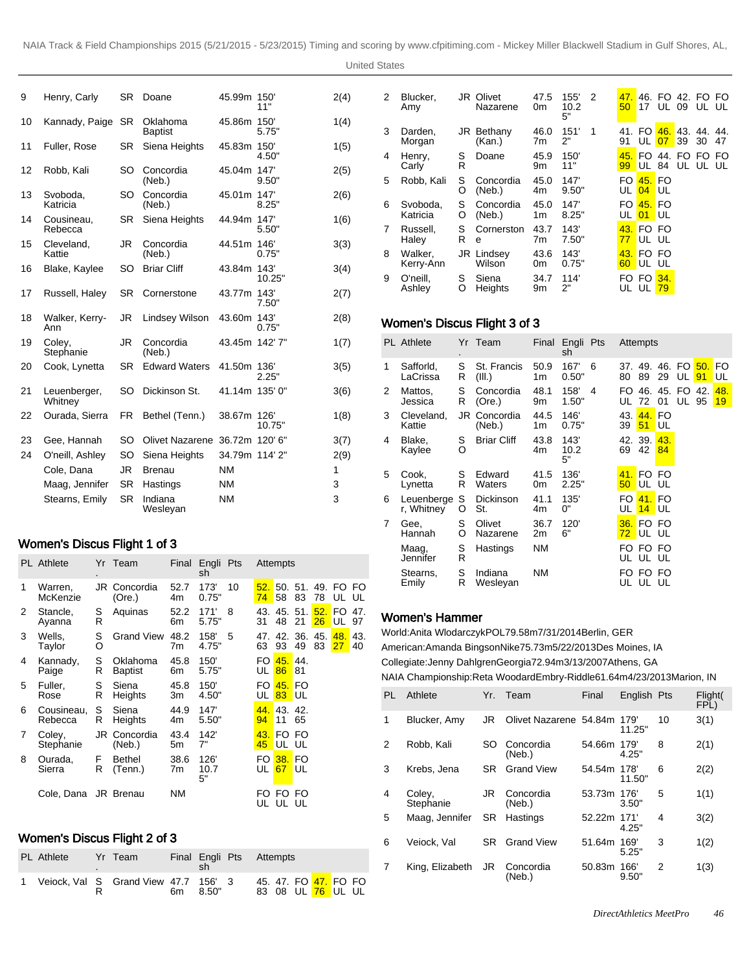United States

| 9  | Henry, Carly            | <b>SR</b> | Doane                      | 45.99m         | 150'<br>11"   | 2(4) |
|----|-------------------------|-----------|----------------------------|----------------|---------------|------|
| 10 | Kannady, Paige          | <b>SR</b> | Oklahoma<br><b>Baptist</b> | 45.86m 150     | 5.75"         | 1(4) |
| 11 | Fuller, Rose            | SR.       | Siena Heights              | 45.83m 150     | 4.50"         | 1(5) |
| 12 | Robb, Kali              | SO        | Concordia<br>(Neb.)        | 45.04m         | 147'<br>9.50" | 2(5) |
| 13 | Svoboda,<br>Katricia    | SO        | Concordia<br>(Neb.)        | 45.01m         | 147'<br>8.25" | 2(6) |
| 14 | Cousineau,<br>Rebecca   | SR.       | Siena Heights              | 44.94m 147'    | 5.50"         | 1(6) |
| 15 | Cleveland,<br>Kattie    | <b>JR</b> | Concordia<br>(Neb.)        | 44.51m 146'    | 0.75"         | 3(3) |
| 16 | Blake, Kaylee           | SO        | <b>Briar Cliff</b>         | 43.84m 143'    | 10.25"        | 3(4) |
| 17 | Russell, Haley          | SR        | Cornerstone                | 43.77m 143     | 7.50"         | 2(7) |
| 18 | Walker, Kerry-<br>Ann   | JR        | Lindsey Wilson             | 43.60m         | 143'<br>0.75" | 2(8) |
| 19 | Colev.<br>Stephanie     | JR        | Concordia<br>(Neb.)        | 43.45m 142'7"  |               | 1(7) |
| 20 | Cook, Lynetta           | <b>SR</b> | <b>Edward Waters</b>       | 41.50m         | 136'<br>2.25" | 3(5) |
| 21 | Leuenberger,<br>Whitney | SO        | Dickinson St.              | 41.14m 135' 0" |               | 3(6) |
| 22 | Ourada, Sierra          | FR.       | Bethel (Tenn.)             | 38.67m 126'    | 10.75"        | 1(8) |
| 23 | Gee, Hannah             | SO        | Olivet Nazarene            | 36.72m 120' 6" |               | 3(7) |
| 24 | O'neill, Ashley         | SO        | Siena Heights              | 34.79m 114' 2" |               | 2(9) |
|    | Cole, Dana              | JR.       | <b>Brenau</b>              | <b>NM</b>      |               | 1    |
|    | Maag, Jennifer          | <b>SR</b> | Hastings                   | <b>NM</b>      |               | 3    |
|    | Stearns, Emily          | <b>SR</b> | Indiana<br>Wesleyan        | <b>NM</b>      |               | 3    |

# Women's Discus Flight 1 of 3

|   | <b>PL</b> Athlete     |        | Yr Team                    |            | Final Engli Pts<br>sh |    |           | Attempts            |                 |           |                 |           |
|---|-----------------------|--------|----------------------------|------------|-----------------------|----|-----------|---------------------|-----------------|-----------|-----------------|-----------|
| 1 | Warren,<br>McKenzie   |        | JR Concordia<br>(Ore.)     | 52.7<br>4m | 173'<br>0.75"         | 10 | 52.<br>74 | 58                  | $50.51$ .<br>83 | 78        | 49. FO FO<br>UL | UL        |
| 2 | Stancle,<br>Ayanna    | S<br>R | Aquinas                    | 52.2<br>6m | 171'<br>5.75"         | 8  | 43.<br>31 | 45.<br>48           | 51.<br>21       | 52.<br>26 | FO.<br>UL       | 47.<br>97 |
| 3 | Wells,<br>Taylor      | S<br>O | <b>Grand View</b>          | 48.2<br>7m | 158'<br>4.75"         | 5  | 47.<br>63 | 42.<br>93           | 36.<br>49       | 45.<br>83 | 48.<br>27       | 43.<br>40 |
| 4 | Kannady,<br>Paige     | S<br>R | Oklahoma<br><b>Baptist</b> | 45.8<br>6m | 150'<br>5.75"         |    | UL        | FO 45, 44.<br>86    | 81              |           |                 |           |
| 5 | Fuller,<br>Rose       | S<br>R | Siena<br>Heights           | 45.8<br>3m | 150'<br>4.50"         |    | UL        | FO 45. FO<br>83 UL  |                 |           |                 |           |
| 6 | Cousineau,<br>Rebecca | S<br>R | Siena<br>Heights           | 44.9<br>4m | 147'<br>5.50"         |    | 44.<br>94 | 43. 42.<br>11       | 65              |           |                 |           |
| 7 | Coley,<br>Stephanie   | JR     | Concordia<br>(Neb.)        | 43.4<br>5m | 142'<br>7"            |    | 43.<br>45 | UL UL               | FO FO           |           |                 |           |
| 8 | Ourada,<br>Sierra     | F<br>R | <b>Bethel</b><br>(Tenn.)   | 38.6<br>7m | 126'<br>10.7<br>5"    |    | FO.<br>UL | <b>38. FO</b><br>67 | <b>UL</b>       |           |                 |           |
|   | Cole, Dana JR Brenau  |        |                            | <b>NM</b>  |                       |    | FO.       | FO.<br>UL UL UL     | FO              |           |                 |           |

# Women's Discus Flight 2 of 3

| <b>PL</b> Athlete<br>Yr Team |  |                                        |    |       | Final Engli Pts Attempts                               |  |
|------------------------------|--|----------------------------------------|----|-------|--------------------------------------------------------|--|
|                              |  | 1 Veiock, Val S Grand View 47.7 156' 3 | 6m | 8.50" | 45. 47. FO 47. FO FO<br>83 08 UL <mark>76 UL UL</mark> |  |

| 2 | Blucker.<br>Amy      |        | <b>JR Olivet</b><br>Nazarene | 47.5<br>0m  | 155'<br>10.2<br>5" | 2 | 47.<br>50 | 17                  | UL 09 |    | 46. FO 42. FO FO<br>UL UL |    |
|---|----------------------|--------|------------------------------|-------------|--------------------|---|-----------|---------------------|-------|----|---------------------------|----|
| 3 | Darden.<br>Morgan    |        | JR Bethany<br>(Kan.)         | 46.0<br>7m  | 151'<br>2"         | 1 | 41.<br>91 | FO.<br>UL 07        | 46.   | 39 | 43. 44. 44.<br>30         | 47 |
| 4 | Henry,<br>Carly      | S<br>R | Doane                        | 45.9<br>9m  | 150'<br>11"        |   | 45.<br>99 | FO.<br><b>UL 84</b> |       |    | 44. FO FO FO<br>UL UL UL  |    |
| 5 | Robb, Kali           | S<br>O | Concordia<br>(Neb.)          | 45.0<br>4m. | 147'<br>9.50"      |   | FO.<br>UL | 45. FO<br>$04$ UL   |       |    |                           |    |
| 6 | Svoboda,<br>Katricia | S<br>O | Concordia<br>(Neb.)          | 45.0<br>1m  | 147'<br>8.25"      |   | FO.<br>UL | 45. FO<br>$01$ UL   |       |    |                           |    |
| 7 | Russell.<br>Haley    | S<br>R | Cornerston<br>e              | 43.7<br>7m  | 143'<br>7.50"      |   | 77        | 43. FO FO<br>UL UL  |       |    |                           |    |
| 8 | Walker,<br>Kerry-Ann |        | JR Lindsey<br>Wilson         | 43.6<br>0m  | 143'<br>0.75"      |   | 43.<br>60 | FO FO<br>UL UL      |       |    |                           |    |
| 9 | O'neill,<br>Ashlev   | S<br>O | Siena<br>Heights             | 34.7<br>9m  | 114'<br>2"         |   | FO.<br>UL | FO 34.<br>UL 79     |       |    |                           |    |

# Women's Discus Flight 3 of 3

|                | <b>PL</b> Athlete        |        | Yr Team                 | Final      | Engli Pts<br>sh    |   |                 | Attempts                           |           |              |           |           |
|----------------|--------------------------|--------|-------------------------|------------|--------------------|---|-----------------|------------------------------------|-----------|--------------|-----------|-----------|
| 1              | Safforld,<br>LaCrissa    | S<br>R | St. Francis<br>(III.)   | 50.9<br>1m | 167'<br>0.50"      | 6 | 80              | 37. 49. 46. FO<br>89               | 29        | UL           | 50.<br>91 | FO.<br>UL |
| 2              | Mattos,<br>Jessica       | S<br>R | Concordia<br>(Ore.)     | 48.1<br>9m | 158'<br>1.50"      | 4 | UL 72           | FO 46, 45, FO 42.                  | 01        | <b>UL 95</b> |           | 48.<br>19 |
| 3              | Cleveland,<br>Kattie     |        | JR Concordia<br>(Neb.)  | 44.5<br>1m | 146'<br>0.75"      |   | 43.<br>39       | 44. FO<br>51                       | UL        |              |           |           |
| 4              | Blake,<br>Kaylee         | S<br>O | <b>Briar Cliff</b>      | 43.8<br>4m | 143'<br>10.2<br>5" |   | 69              | 42. 39.<br>42                      | 43.<br>84 |              |           |           |
| 5              | Cook.<br>Lynetta         | S<br>R | Edward<br>Waters        | 41.5<br>0m | 136'<br>2.25"      |   | 50 <sup>°</sup> | 41. FO FO<br>UL UL                 |           |              |           |           |
| 6              | Leuenberge<br>r, Whitney | S<br>O | <b>Dickinson</b><br>St. | 41.1<br>4m | 135'<br>0"         |   | FO.             | 41. FO<br>UL 14 UL                 |           |              |           |           |
| $\overline{7}$ | Gee.<br>Hannah           | S<br>O | Olivet<br>Nazarene      | 36.7<br>2m | 120'<br>6"         |   |                 | 36. FO FO<br><mark>72 UL UL</mark> |           |              |           |           |
|                | Maag,<br>Jennifer        | S<br>R | Hastings                | ΝM         |                    |   |                 | FO FO FO<br>UL UL UL               |           |              |           |           |
|                | Stearns,<br>Emily        | S<br>R | Indiana<br>Wesleyan     | ΝM         |                    |   | FO.             | FO FO<br>UL UL UL                  |           |              |           |           |

#### Women's Hammer

World: Anita Wlodarczyk POL 79.58m 7/31/2014 Berlin, GER American: Amanda Bingson Nike 75.73m 5/22/2013 Des Moines, IA Collegiate: Jenny Dahlgren Georgia 72.94m 3/13/2007 Athens, GA NAIA Championship: Reta Woodard Embry-Riddle 61.64m 4/23/2013 Marion, IN

| PL | Athlete             | Yr.       | Team                        | Final       | English Pts   |    | Flight(<br>FPL) |
|----|---------------------|-----------|-----------------------------|-------------|---------------|----|-----------------|
| 1  | Blucker, Amy        | JR        | Olivet Nazarene 54.84m 179' |             | 11.25"        | 10 | 3(1)            |
| 2  | Robb, Kali          | SO        | Concordia<br>(Neb.)         | 54.66m      | 179'<br>4.25" | 8  | 2(1)            |
| 3  | Krebs, Jena         | SR.       | <b>Grand View</b>           | 54.54m 178' | 11.50"        | 6  | 2(2)            |
| 4  | Coley,<br>Stephanie | JR        | Concordia<br>(Neb.)         | 53.73m      | 176'<br>3.50" | 5  | 1(1)            |
| 5  | Maag, Jennifer      | <b>SR</b> | Hastings                    | 52.22m 171' | 4.25"         | 4  | 3(2)            |
| 6  | Veiock. Val         | SR.       | <b>Grand View</b>           | 51.64m      | 169'<br>5.25" | 3  | 1(2)            |
| 7  | King, Elizabeth     | JR.       | Concordia<br>(Neb.)         | 50.83m      | 166'<br>9.50" | 2  | 1(3)            |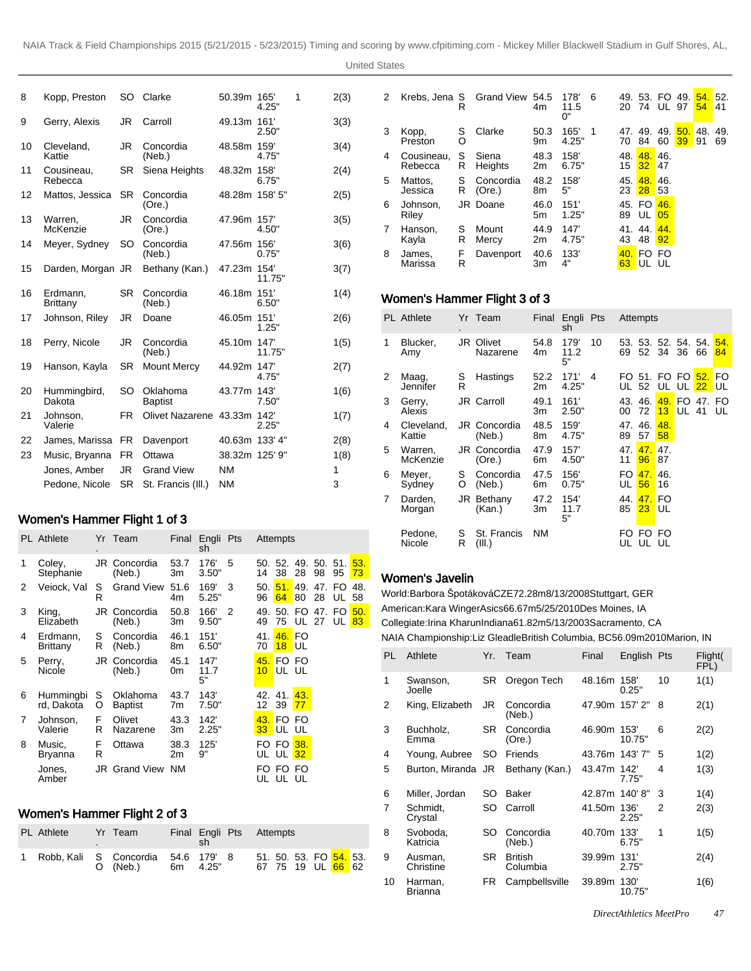| 8  | Kopp, Preston          |           | SO Clarke                  | 50.39m 165'    | 4.25"         | 1 | 2(3) |
|----|------------------------|-----------|----------------------------|----------------|---------------|---|------|
| 9  | Gerry, Alexis          | JR        | Carroll                    | 49.13m 161'    | 2.50"         |   | 3(3) |
| 10 | Cleveland,<br>Kattie   | <b>JR</b> | Concordia<br>(Neb.)        | 48.58m 159'    | 4.75"         |   | 3(4) |
| 11 | Cousineau.<br>Rebecca  | SR.       | Siena Heights              | 48.32m 158'    | 6.75"         |   | 2(4) |
| 12 | Mattos, Jessica        | SR.       | Concordia<br>(Ore.)        | 48.28m 158' 5" |               |   | 2(5) |
| 13 | Warren.<br>McKenzie    | JR        | Concordia<br>(Ore.)        | 47.96m 157     | 4.50"         |   | 3(5) |
| 14 | Meyer, Sydney          | SO        | Concordia<br>(Neb.)        | 47.56m 156'    | 0.75"         |   | 3(6) |
| 15 | Darden, Morgan JR      |           | Bethany (Kan.)             | 47.23m 154'    | 11.75"        |   | 3(7) |
| 16 | Erdmann,<br>Brittany   | <b>SR</b> | Concordia<br>(Neb.)        | 46.18m 151'    | 6.50"         |   | 1(4) |
| 17 | Johnson, Riley         | JR        | Doane                      | 46.05m 151     | 1.25"         |   | 2(6) |
| 18 | Perry, Nicole          | JR        | Concordia<br>(Neb.)        | 45.10m 147     | 11.75"        |   | 1(5) |
| 19 | Hanson, Kayla          | <b>SR</b> | Mount Mercy                | 44.92m 147     | 4.75"         |   | 2(7) |
| 20 | Hummingbird,<br>Dakota | SO        | Oklahoma<br><b>Baptist</b> | 43.77m 143'    | 7.50"         |   | 1(6) |
| 21 | Johnson,<br>Valerie    | FR.       | Olivet Nazarene 43.33m     |                | 142'<br>2.25" |   | 1(7) |
| 22 | James, Marissa         | FR.       | Davenport                  | 40.63m 133' 4" |               |   | 2(8) |
| 23 | Music, Bryanna         | <b>FR</b> | Ottawa                     | 38.32m 125' 9" |               |   | 1(8) |
|    | Jones, Amber           | JR.       | <b>Grand View</b>          | <b>NM</b>      |               |   | 1    |
|    | Pedone, Nicole         | <b>SR</b> | St. Francis (III.)         | <b>NM</b>      |               |   | 3    |

# Women's Hammer Flight 1 of 3

|   | <b>PL</b> Athlete       |        | Yr Team                    | Final      | Engli Pts<br>sh    |   |                        | Attempts          |              |               |              |           |
|---|-------------------------|--------|----------------------------|------------|--------------------|---|------------------------|-------------------|--------------|---------------|--------------|-----------|
| 1 | Coley,<br>Stephanie     |        | JR Concordia<br>(Neb.)     | 53.7<br>Зm | 176'<br>3.50"      | 5 | 14                     | 50. 52.<br>38     | 49.<br>28    | 50. 51.<br>98 | 95           | 53.<br>73 |
| 2 | Veiock, Val             | s<br>R | <b>Grand View</b>          | 51.6<br>4m | 169'<br>5.25"      | 3 | 50.<br>96              | 51.<br>64         | 49.<br>80    | 47.<br>28     | FO.<br>UL    | 48.<br>58 |
| 3 | King,<br>Elizabeth      |        | JR Concordia<br>(Neb.)     | 50.8<br>3m | 166'<br>9.50"      | 2 | 49.<br>49              | 75                | 50. FO<br>UL | 47.<br>27     | FO.<br>UL 83 | 50.       |
| 4 | Erdmann.<br>Brittany    | S<br>R | Concordia<br>(Neb.)        | 46.1<br>8m | 151'<br>6.50"      |   | 41.<br>70              | 46. FO<br>$18$ UL |              |               |              |           |
| 5 | Perry,<br>Nicole        |        | JR Concordia<br>(Neb.)     | 45.1<br>0m | 147'<br>11.7<br>5" |   | 45.<br>10 <sup>°</sup> | FO FO<br>UL UL    |              |               |              |           |
| 6 | Hummingbi<br>rd, Dakota | S<br>O | Oklahoma<br><b>Baptist</b> | 43.7<br>7m | 143'<br>7.50"      |   | 12                     | 42. 41.<br>39     | 43.<br>77    |               |              |           |
| 7 | Johnson,<br>Valerie     | F<br>R | Olivet<br>Nazarene         | 43.3<br>Зm | 142'<br>2.25"      |   | 43.                    | FO FO<br>33 UL UL |              |               |              |           |
| 8 | Music,<br>Bryanna       | F<br>R | Ottawa                     | 38.3<br>2m | 125'<br>9"         |   |                        | FO FO<br>UL UL    | 38.<br>32    |               |              |           |
|   | Jones.<br>Amber         |        | <b>JR Grand View NM</b>    |            |                    |   | FO.                    | FO.<br>UL UL UL   | FO           |               |              |           |

#### Women's Hammer Flight 2 of 3

| PL Athlete                           | Yr Team  |  | Final Engli Pts Attempts |  |                                                          |
|--------------------------------------|----------|--|--------------------------|--|----------------------------------------------------------|
| 1 Robb, Kali S Concordia 54.6 179' 8 | O (Neb.) |  | 6m  4.25"                |  | 51. 50. 53. FO <mark>54.</mark> 53.<br>67 75 19 UL 66 62 |

| 2 | Krebs, Jena S         | R      | Grand View          | 54.5<br>4m | 178'<br>11.5<br>0" | 6 | 49.<br>20 | 74           | 53. FO<br>UL. | 49.<br>97 | 54.<br>54 | 52.<br>41 |
|---|-----------------------|--------|---------------------|------------|--------------------|---|-----------|--------------|---------------|-----------|-----------|-----------|
| 3 | Kopp,<br>Preston      | S<br>O | Clarke              | 50.3<br>9m | 165'<br>4.25"      | 1 | 47.<br>70 | 49.<br>84    | 49.<br>60     | 50.<br>39 | 48.<br>91 | 49.<br>69 |
| 4 | Cousineau,<br>Rebecca | S<br>R | Siena<br>Heights    | 48.3<br>2m | 158'<br>6.75"      |   | 48.<br>15 | 48.<br>32    | 46.<br>47     |           |           |           |
| 5 | Mattos,<br>Jessica    | S<br>R | Concordia<br>(Ore.) | 48.2<br>8m | 158'<br>5"         |   | 45.<br>23 | 48.<br>28    | 46.<br>53     |           |           |           |
| 6 | Johnson.<br>Riley     |        | JR Doane            | 46.0<br>5m | 151'<br>1.25"      |   | 89        | 45. FO<br>UL | 46.<br>05     |           |           |           |
| 7 | Hanson.<br>Kayla      | S<br>R | Mount<br>Mercy      | 44.9<br>2m | 147'<br>4.75"      |   | 43        | 41.44.<br>48 | 44.<br>92     |           |           |           |
| 8 | James,<br>Marissa     | F<br>R | Davenport           | 40.6<br>3m | 133'<br>4"         |   | 40<br>63  | FO.<br>٠U١   | FO<br>UL      |           |           |           |
|   |                       |        |                     |            |                    |   |           |              |               |           |           |           |

# Women's Hammer Flight 3 of 3

|   | <b>PL</b> Athlete    |        | Yr Team                | Final      | Engli Pts<br>sh    |    |           |                       | Attempts   |                   |           |             |
|---|----------------------|--------|------------------------|------------|--------------------|----|-----------|-----------------------|------------|-------------------|-----------|-------------|
| 1 | Blucker,<br>Amy      |        | JR Olivet<br>Nazarene  | 54.8<br>4m | 179'<br>11.2<br>5" | 10 | 69        | 53. 53.<br>52         | 34         | 52. 54. 54.<br>36 | 66        | 54.<br>84   |
| 2 | Maag,<br>Jennifer    | S<br>R | Hastings               | 52.2<br>2m | 171'<br>4.25"      | 4  |           | FO 51. FO FO<br>UL 52 |            | UL UL             | 52.<br>22 | FO<br>LUL U |
| 3 | Gerry,<br>Alexis     |        | JR Carroll             | 49.1<br>3m | 161'<br>2.50"      |    | 00        | 43.46.<br>72          | 49.<br>13  | FO.<br>UL 41      | 47.       | FO<br>UL    |
| 4 | Cleveland.<br>Kattie |        | JR Concordia<br>(Neb.) | 48.5<br>8m | 159'<br>4.75"      |    | 89        | 47.46.<br>57          | 48.<br>58  |                   |           |             |
| 5 | Warren,<br>McKenzie  |        | JR Concordia<br>(Ore.) | 47.9<br>6m | 157'<br>4.50"      |    | 47.<br>11 | 47.<br>96             | 47.<br>87  |                   |           |             |
| 6 | Meyer,<br>Sydney     | S<br>O | Concordia<br>(Neb.)    | 47.5<br>6m | 156'<br>0.75"      |    | FO.<br>UL | 47.<br>56             | 46.<br>16  |                   |           |             |
| 7 | Darden,<br>Morgan    | JR     | Bethany<br>(Kan.)      | 47.2<br>3m | 154'<br>11.7<br>5" |    | 44.<br>85 | 47.<br>23             | FO<br>' UL |                   |           |             |
|   | Pedone.<br>Nicole    | S<br>R | St. Francis<br>(III.)  | NΜ         |                    |    | FO<br>UL  | FO                    | FO<br>UL   |                   |           |             |

### Women's Javelin

World: Barbora Špotáková CZE 72.28m 8/13/2008 Stuttgart, GER American: Kara Winger Asics 66.67m 5/25/2010 Des Moines, IA Collegiate: Irina Kharun Indiana 61.82m 5/13/2003 Sacramento, CA NAIA Championship: Liz Gleadle British Columbia, BC 56.09m 2010Marion, IN

| PL. | Athlete              | Yr.       | Team                       | Final          | English Pts    |    | Flight(<br>FPL) |
|-----|----------------------|-----------|----------------------------|----------------|----------------|----|-----------------|
| 1   | Swanson,<br>Joelle   | <b>SR</b> | Oregon Tech                | 48.16m 158'    | 0.25"          | 10 | 1(1)            |
| 2   | King, Elizabeth      | JR        | Concordia<br>(Neb.)        | 47.90m 157' 2" |                | 8  | 2(1)            |
| 3   | Buchholz,<br>Emma    | <b>SR</b> | Concordia<br>(Ore.)        | 46.90m 153'    | 10.75"         | 6  | 2(2)            |
| 4   | Young, Aubree        | SO.       | Friends                    | 43.76m 143'7"  |                | 5  | 1(2)            |
| 5   | Burton, Miranda JR   |           | Bethany (Kan.)             | 43.47m 142'    | 7.75"          | 4  | 1(3)            |
| 6   | Miller, Jordan       | SO        | Baker                      | 42.87m 140'8"  |                | 3  | 1(4)            |
| 7   | Schmidt,<br>Crystal  | SO        | Carroll                    | 41.50m 136'    | 2.25"          | 2  | 2(3)            |
| 8   | Svoboda,<br>Katricia | SO        | Concordia<br>(Neb.)        | 40.70m 133'    | 6.75"          | 1  | 1(5)            |
| 9   | Ausman,<br>Christine | SR.       | <b>British</b><br>Columbia | 39.99m 131'    | 2.75"          |    | 2(4)            |
| 10  | Harman,<br>Brianna   | FR.       | Campbellsville             | 39.89m         | 130'<br>10.75" |    | 1(6)            |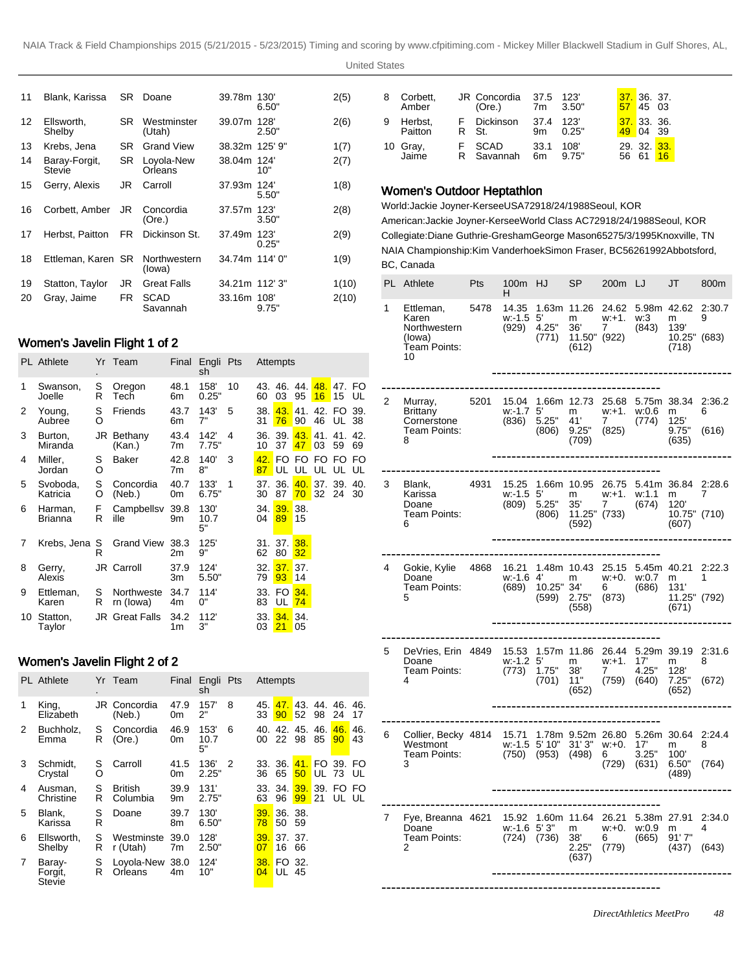| 11 | Blank, Karissa                 | SR I      | Doane                   | 39.78m         | 130'<br>6.50" | 2(5)  |
|----|--------------------------------|-----------|-------------------------|----------------|---------------|-------|
| 12 | Ellsworth.<br>Shelby           | <b>SR</b> | Westminster<br>(Utah)   | 39.07m         | 128'<br>2.50" | 2(6)  |
| 13 | Krebs, Jena                    | SR.       | <b>Grand View</b>       | 38.32m 125' 9" |               | 1(7)  |
| 14 | Baray-Forgit,<br><b>Stevie</b> | <b>SR</b> | Loyola-New<br>Orleans   | 38.04m 124     | 10"           | 2(7)  |
| 15 | Gerry, Alexis                  | JR        | Carroll                 | 37.93m         | 124'<br>5.50" | 1(8)  |
| 16 | Corbett, Amber                 | JR        | Concordia<br>(Ore.)     | 37.57m         | 123'<br>3.50" | 2(8)  |
| 17 | Herbst, Paitton                | FR.       | Dickinson St.           | 37.49m         | 123'<br>0.25" | 2(9)  |
| 18 | Ettleman, Karen SR             |           | Northwestern<br>(lowa)  | 34.74m 114' 0" |               | 1(9)  |
| 19 | Statton, Taylor                | JR        | <b>Great Falls</b>      | 34.21m 112' 3" |               | 1(10) |
| 20 | Gray, Jaime                    | FR.       | <b>SCAD</b><br>Savannah | 33.16m 108'    | 9.75"         | 2(10) |

# Women's Javelin Flight 1 of 2

|    | <b>PL</b> Athlete    |        | Yr Team                 | Final      | Engli<br>sh        | Pts |           | Attempts      |           |              |                |           |
|----|----------------------|--------|-------------------------|------------|--------------------|-----|-----------|---------------|-----------|--------------|----------------|-----------|
| 1  | Swanson,<br>Joelle   | S<br>R | Oregon<br>Tech          | 48.1<br>6m | 158'<br>0.25"      | 10  | 43.<br>60 | 46.<br>03     | 44.<br>95 | 48.<br>16    | 47.<br>15      | FO<br>UL  |
| 2  | Young,<br>Aubree     | S<br>O | Friends                 | 43.7<br>6m | 143'<br>7"         | 5   | 38.<br>31 | 43.<br>76     | 41.<br>90 | 42. FO<br>46 | UL 38          | 39.       |
| 3  | Burton,<br>Miranda   |        | JR Bethany<br>(Kan.)    | 43.4<br>7m | 142'<br>7.75"      | 4   | 10        | 36. 39.<br>37 | 43.<br>47 | 41.<br>03    | 41.<br>59      | 42.<br>69 |
| 4  | Miller,<br>Jordan    | S<br>O | Baker                   | 42.8<br>7m | 140'<br>8"         | 3   | 42.<br>87 | FO.<br>UL     | FO.<br>UL | FO.          | FO FO<br>UL UL | UL        |
| 5  | Svoboda,<br>Katricia | S<br>O | Concordia<br>(Neb.)     | 40.7<br>0m | 133'<br>6.75"      | 1   | 37.<br>30 | 36.<br>87     | 40.<br>70 | 37.<br>32    | 39.<br>24      | 40.<br>30 |
| 6  | Harman,<br>Brianna   | F<br>R | Campbellsv<br>ille      | 39.8<br>9m | 130'<br>10.7<br>5" |     | 34.<br>04 | 39.<br>89     | 38.<br>15 |              |                |           |
| 7  | Krebs, Jena S        | R      | <b>Grand View</b>       | 38.3<br>2m | 125'<br>9"         |     | 31.<br>62 | 37.<br>80     | 38.<br>32 |              |                |           |
| 8  | Gerry,<br>Alexis     |        | JR Carroll              | 37.9<br>3m | 124'<br>5.50"      |     | 32.<br>79 | 37.<br>93     | 37.<br>14 |              |                |           |
| 9  | Ettleman,<br>Karen   | S<br>R | Northweste<br>rn (lowa) | 34.7<br>4m | 114'<br>0"         |     | 33.<br>83 | FO.<br>UL     | 34.<br>74 |              |                |           |
| 10 | Statton,<br>Taylor   |        | JR Great Falls          | 34.2<br>1m | 112'<br>3"         |     | 33.<br>03 | 34.<br>21     | 34.<br>05 |              |                |           |

# Women's Javelin Flight 2 of 2

|   | <b>PL</b> Athlete                  |        | Yr Team                    | Final      | Engli Pts<br>sh    |   |           | Attempts               |               |              |                        |           |
|---|------------------------------------|--------|----------------------------|------------|--------------------|---|-----------|------------------------|---------------|--------------|------------------------|-----------|
| 1 | King,<br>Elizabeth                 |        | JR Concordia<br>(Neb.)     | 47.9<br>0m | 157'<br>2"         | 8 | 45.<br>33 | 47.<br>90              | 52            | 98           | 43. 44. 46.<br>24      | 46.<br>17 |
| 2 | Buchholz,<br>Emma                  | S<br>R | Concordia<br>(Ore.)        | 46.9<br>0m | 153'<br>10.7<br>5" | 6 | 40.<br>00 | 22                     | 42. 45.<br>98 | 46.<br>85    | 46.<br>90 <sub>°</sub> | 46.<br>43 |
| 3 | Schmidt,<br>Crystal                | S<br>O | Carroll                    | 41.5<br>0m | 136'<br>2.25"      | 2 | 36        | 33. 36.<br>65          | 50            | 41. FO<br>UL | 39. FO<br>73           | UL        |
| 4 | Ausman.<br>Christine               | S<br>R | <b>British</b><br>Columbia | 39.9<br>9m | 131'<br>2.75"      |   | 33.<br>63 | 34.<br>96              | 39.<br>99     | 39.<br>21    | FO FO<br>UL UL         |           |
| 5 | Blank.<br>Karissa                  | S<br>R | Doane                      | 39.7<br>8m | 130'<br>6.50"      |   | 39.<br>78 | 36. 38.<br>50          | 59            |              |                        |           |
| 6 | Ellsworth.<br>Shelby               | S<br>R | Westminste<br>r (Utah)     | 39.0<br>7m | 128'<br>2.50"      |   | 39.<br>07 | 37.37.<br>16           | 66            |              |                        |           |
| 7 | Baray-<br>Forgit,<br><b>Stevie</b> | S<br>R | Loyola-New<br>Orleans      | 38.0<br>4m | 124'<br>10"        |   | 38.<br>04 | FO 32.<br><b>UL 45</b> |               |              |                        |           |

| 8 | Corbett,<br>Amber  | JR Concordia<br>(Ore.) | 37.5                   | 123'<br>7m 3.50" |     | 37.36.37.<br>$57$ 45 03 |    |
|---|--------------------|------------------------|------------------------|------------------|-----|-------------------------|----|
|   | Herbst,<br>Paitton | F Dickinson<br>R St.   | 37.4<br>9m             | 123'<br>0.25"    |     | 37. 33. 36.<br>49 04 39 |    |
|   | 10 Gray,<br>Jaime  | SCAD<br>R Savannah     | 33.1<br>6 <sub>m</sub> | 108'<br>9.75"    | 56. | 29. 32. 33.<br>61       | 16 |

### Women's Outdoor Heptathlon

World: Jackie Joyner-Kersee USA 7291 8/24/1988 Seoul, KOR American: Jackie Joyner-Kersee World Class AC 7291 8/24/1988 Seoul, KOR Collegiate: Diane Guthrie-Gresham George Mason 6527 5/3/1995 Knoxville, TN NAIA Championship: Kim Vanderhoek Simon Fraser, BC 5626 1992Abbotsford, BC, Canada

|   | PL Athlete                                                         | Pts  | 100m<br>H                          | HJ                    | SP                                                                | 200 <sub>m</sub> LJ                       |                                                        | JT                                                | 800m                 |
|---|--------------------------------------------------------------------|------|------------------------------------|-----------------------|-------------------------------------------------------------------|-------------------------------------------|--------------------------------------------------------|---------------------------------------------------|----------------------|
| 1 | Ettleman,<br>Karen<br>Northwestern<br>(lowa)<br>Team Points:<br>10 | 5478 | 14.35<br>$w: -1.5$ 5<br>(929)      | 4.25"<br>(771)        | 1.63m 11.26 24.62<br>m<br>36'<br>11.50" (922)<br>(612)            | $w + 1$ .<br>7                            | 5.98m 42.62<br>w:3<br>(843)                            | m<br>139'<br>10.25"<br>(718)                      | 2:30.7<br>9<br>(683) |
| 2 | Murray,<br><b>Brittany</b><br>Cornerstone<br>Team Points:<br>8     | 5201 | 15.04<br>$w - 1.7$<br>(836)        | 5'<br>5.25"<br>(806)  | 1.66m 12.73<br>$m_{\tilde{L}}$<br>41'<br>9.25"<br>(709)           | 25.68<br>w:+1.<br>$\overline{7}$<br>(825) | 5.75m 38.34<br>w:0.6<br>(774)                          | m<br>125'<br>9.75"<br>(635)                       | 2:36.2<br>6<br>(616) |
| 3 | Blank.<br>Karissa<br>Doane<br>Team Points:<br>6                    | 4931 | 15.25<br>w:-1.5<br>(809)           | 5'<br>5.25"<br>(806)  | 1.66m 10.95<br>$m_{\tilde{a}}$<br>35'<br>$11.25$ " (733)<br>(592) | 26.75<br>w:+1.<br>$7^{\circ}$             | w: 1.1<br>(674)                                        | 5.41m 36.84<br>m<br>120'<br>10.75" (710)<br>(607) | 2:28.6<br>7          |
| 4 | Gokie, Kylie 4868<br>Doane<br>Team Points:<br>5                    |      | 16.21<br>w:-1.6<br>(689)           | 4'<br>10.25"<br>(599) | 1.48m 10.43<br>m<br>34'<br>2.75"<br>(558)                         | 25.15<br>$w + 0.$<br>6<br>(873)           | 5.45m 40.21<br>w:0.7<br>(686)                          | m<br>131'<br>11.25" (792)<br>(671)                | 2:22.3<br>1          |
| 5 | DeVries, Erin 4849<br>Doane<br>Team Points:<br>4                   |      | 15.53<br>$W - 1.2$ 5<br>(773)      | 1.75"<br>(701)        | 1.57m 11.86<br>m<br>38'<br>11"<br>(652)                           | 26.44<br>w.+1.<br>7<br>(759)              | 17'<br>4.25"<br>(640)                                  | 5.29m 39.19 2:31.6<br>m<br>128'<br>7.25"<br>(652) | 8<br>(672)           |
| 6 | Collier, Becky 4814<br>Westmont<br>Team Points:<br>3               |      | 15.71<br>$w: -1.5$ 5' 10"<br>(750) | (953)                 | 31'3"<br>(498)                                                    | w:+0.<br>6.<br>(729)                      | 1.78m 9.52m 26.80 5.26m 30.64<br>17'<br>3.25"<br>(631) | m<br>100'<br>6.50"<br>(489)                       | 2:24.4<br>8<br>(764) |
| 7 | Fye, Breanna 4621<br>Doane<br>Team Points:<br>2                    |      | 15.92<br>$w$ :-1.6 5'3"<br>(724)   | (736)                 | 1.60m 11.64 26.21<br>m<br>38'<br>2.25"<br>(637)                   | w:+0.<br>6 —<br>(779)                     | 5.38m 27.91<br>w:0.9<br>(665)                          | m<br>91'7''<br>(437)                              | 2:34.0<br>4<br>(643) |
|   |                                                                    |      |                                    |                       |                                                                   |                                           |                                                        |                                                   |                      |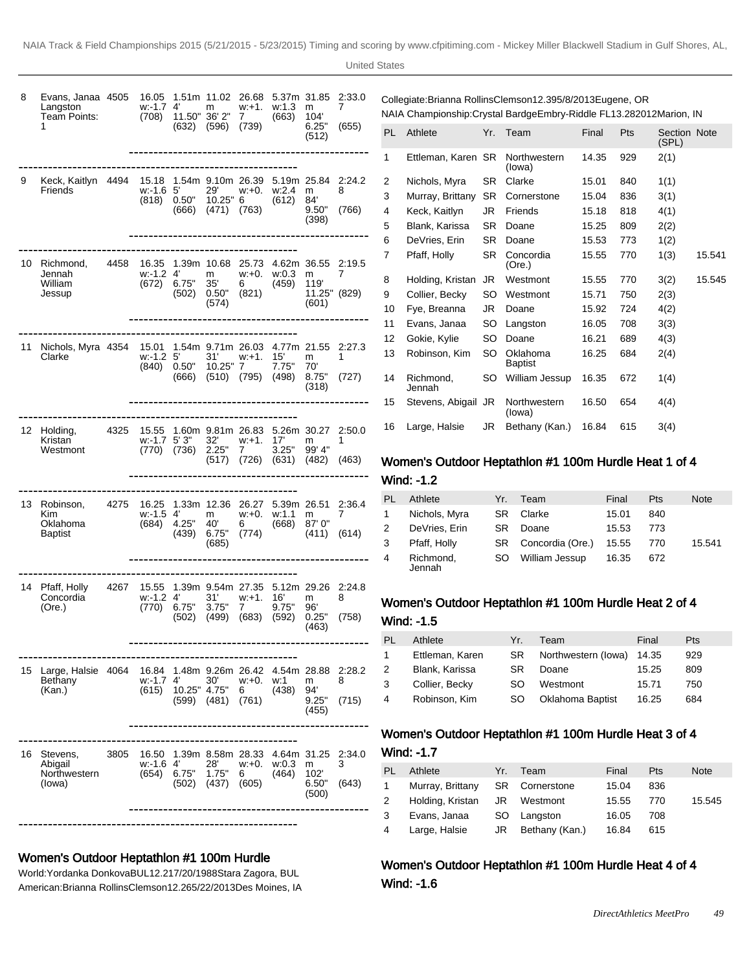| 8  | Evans, Janaa 4505<br>Langston<br>Team Points:<br>1 |      | 16.05<br>w: 1.7<br>(708)      | 4'<br>11.50" 36' 2"<br>(632)            | m<br>(596)                                 | w:+1.<br>7<br>(739)                  | w:1.3<br>(663)                                         | 5.37m 31.85<br>m<br>104'<br>6.25"<br>(512) | 2:33.0<br>7<br>(655) |
|----|----------------------------------------------------|------|-------------------------------|-----------------------------------------|--------------------------------------------|--------------------------------------|--------------------------------------------------------|--------------------------------------------|----------------------|
| 9  | Keck, Kaitlyn 4494<br>Friends                      |      | 15.18<br>$W: -1.6$ 5<br>(818) | 0.50"<br>(666)                          | 1.54m 9.10m 26.39<br>29'<br>(471)          | w:+0.<br>10.25" 6<br>(763)           | 5.19m 25.84<br>w:2.4<br>(612)                          | m<br>84'<br>9.50"<br>(398)                 | 2:24.2<br>8<br>(766) |
|    | 10 Richmond,<br>Jennah<br>William<br>Jessup        | 4458 | 16.35<br>$w - 1.24$<br>(672)  | 6.75"<br>(502)                          | m<br>35'<br>0.50"<br>(574)                 | w:+0.<br>6 —<br>(821)                | 1.39m 10.68 25.73 4.62m 36.55 2:19.5<br>w:0.3<br>(459) | m<br>119'<br>11.25" (829)<br>(601)         | 7                    |
| 11 | Nichols, Myra 4354<br>Clarke                       |      | 15.01<br>$w - 1.2$            | $5'$ $\cdots$<br>$(840)$ 0.50"<br>(666) | $10.25"$ 7                                 | 31' w:+1.<br>$(510)$ $(795)$ $(498)$ | 1.54m 9.71m 26.03 4.77m 21.55 2:27.3<br>15'<br>7.75"   | m<br>70'<br>8.75"<br>(318)                 | 1<br>(727)           |
|    | 12 Holding,<br>Kristan<br>Westmont                 | 4325 | 15.55<br>w: 1.7 5'3"<br>(770) | (736)                                   | 1.60m 9.81m 26.83<br>32'<br>2.25"<br>(517) | w:+1.<br>7<br>$(726)$ $(631)$        | 5.26m 30.27<br>17'<br>3.25"                            | m<br>99' 4"<br>(482)                       | 2:50.0<br>1<br>(463) |
| 13 | Robinson, 4275<br>Kim.<br>Oklahoma<br>Baptist      |      | 16.25<br>$w: -1.5$ 4<br>(684) | 4.25"<br>(439)                          | 1.33m 12.36<br>m<br>40'<br>6.75"<br>(685)  | 26.27<br>w:+0.<br>6 —<br>(774)       | 5.39m 26.51<br>w:1.1<br>(668)                          | m<br>87'0"<br>(411)                        | 2.36.4<br>7<br>(614) |
| 14 | Pfaff, Holly 4267<br>Concordia<br>(Ore.)           |      | 15.55<br>$w - 1.24$<br>(770)  | 6.75"<br>(502)                          | 31'<br>3.75"<br>(499)                      | w:+1.<br>7<br>(683)                  | 1.39m 9.54m 27.35 5.12m 29.26<br>16'<br>9.75"<br>(592) | m<br>96'<br>0.25"<br>(463)                 | 2:24.8<br>8<br>(758) |
| 15 | Large, Halsie 4064<br>Bethany<br>(Kan.)            |      | 16.84<br>w:-1.7<br>(615)      | 4'<br>10.25" 4.75"<br>(599)             | 1.48m 9.26m 26.42<br>30'<br>(481)          | w:+0.<br>6<br>(761)                  | 4.54m 28.88<br>w:1<br>(438)                            | m<br>94'<br>9.25"<br>(455)                 | 2:28.2<br>8<br>(715) |
| 16 | Stevens,<br>Abigail<br>Northwestern<br>(lowa)      | 3805 | 16.50<br>w:-1.6 4'<br>(654)   | 6.75"<br>(502)                          | 1.39m 8.58m 28.33<br>28'<br>1.75"<br>(437) | w:+0.<br>6<br>(605)                  | 4.64m<br>w:0.3<br>(464)                                | 31.25<br>m<br>102'<br>6.50"<br>(500)       | 2:34.0<br>3<br>(643) |

# Women's Outdoor Heptathlon #1 100m Hurdle

World: Yordanka Donkova BUL 12.21 7/20/1988 Stara Zagora, BUL American: Brianna Rollins Clemson 12.26 5/22/2013 Des Moines, IA

| Collegiate: Brianna Rollins Clemson 12.39 5/8/2013 Eugene, OR          |
|------------------------------------------------------------------------|
| NAIA Championship: Crystal Bardge Embry-Riddle FL 13.28 2012Marion, IN |

| PL | Athlete             | Yr.       | Team                       | Final | Pts | Section Note<br>(SPL) |        |
|----|---------------------|-----------|----------------------------|-------|-----|-----------------------|--------|
| 1  | Ettleman, Karen SR  |           | Northwestern<br>(lowa)     | 14.35 | 929 | 2(1)                  |        |
| 2  | Nichols, Myra       | SR.       | Clarke                     | 15.01 | 840 | 1(1)                  |        |
| 3  | Murray, Brittany    | <b>SR</b> | Cornerstone                | 15.04 | 836 | 3(1)                  |        |
| 4  | Keck, Kaitlyn       | JR        | Friends                    | 15.18 | 818 | 4(1)                  |        |
| 5  | Blank, Karissa      | <b>SR</b> | Doane                      | 15.25 | 809 | 2(2)                  |        |
| 6  | DeVries, Erin       | SR        | Doane                      | 15.53 | 773 | 1(2)                  |        |
| 7  | Pfaff, Holly        | SR        | Concordia<br>(Ore.)        | 15.55 | 770 | 1(3)                  | 15.541 |
| 8  | Holding, Kristan    | JR        | Westmont                   | 15.55 | 770 | 3(2)                  | 15.545 |
| 9  | Collier, Becky      | SO        | Westmont                   | 15.71 | 750 | 2(3)                  |        |
| 10 | Fye, Breanna        | JR        | Doane                      | 15.92 | 724 | 4(2)                  |        |
| 11 | Evans, Janaa        | SO        | Langston                   | 16.05 | 708 | 3(3)                  |        |
| 12 | Gokie, Kylie        | SO        | Doane                      | 16.21 | 689 | 4(3)                  |        |
| 13 | Robinson, Kim       | SO        | Oklahoma<br><b>Baptist</b> | 16.25 | 684 | 2(4)                  |        |
| 14 | Richmond,<br>Jennah | SO        | William Jessup             | 16.35 | 672 | 1(4)                  |        |
| 15 | Stevens, Abigail JR |           | Northwestern<br>(lowa)     | 16.50 | 654 | 4(4)                  |        |
| 16 | Large, Halsie       | JR        | Bethany (Kan.)             | 16.84 | 615 | 3(4)                  |        |
|    |                     |           |                            |       |     |                       |        |

# Women's Outdoor Heptathlon #1 100m Hurdle Heat 1 of 4

Wind: -1.2

| PL | Athlete             | Yr.  | Team                | Final | <b>Pts</b> | <b>Note</b> |
|----|---------------------|------|---------------------|-------|------------|-------------|
| 1. | Nichols, Myra       | SR I | Clarke              | 15.01 | 840        |             |
| 2  | DeVries, Erin       | SR.  | Doane               | 15.53 | 773        |             |
| 3  | Pfaff, Holly        |      | SR Concordia (Ore.) | 15.55 | 770        | 15.541      |
| 4  | Richmond,<br>Jennah | SO.  | William Jessup      | 16.35 | 672        |             |

# Women's Outdoor Heptathlon #1 100m Hurdle Heat 2 of 4 Wind: -1.5

| PL | Athlete         | Yr. | Team                    | Final | Pts |
|----|-----------------|-----|-------------------------|-------|-----|
| 1  | Ettleman, Karen | SR. | Northwestern (lowa)     | 14.35 | 929 |
| 2  | Blank, Karissa  | SR. | Doane                   | 15.25 | 809 |
| 3  | Collier, Becky  | SO. | Westmont                | 15.71 | 750 |
| 4  | Robinson, Kim   | SO. | <b>Oklahoma Baptist</b> | 16.25 | 684 |
|    |                 |     |                         |       |     |

#### Women's Outdoor Heptathlon #1 100m Hurdle Heat 3 of 4

# Wind: -1.7

| PL        | Athlete                      | Yr. 7 | Team              | Final | <b>Pts</b> | <b>Note</b> |
|-----------|------------------------------|-------|-------------------|-------|------------|-------------|
| $1 \quad$ | Murray, Brittany             |       | SR Cornerstone    | 15.04 | 836        |             |
| 2         | Holding, Kristan JR Westmont |       |                   | 15.55 | 770        | 15.545      |
| 3         | Evans, Janaa                 |       | SO Langston       | 16.05 | 708        |             |
| 4         | Large, Halsie                |       | JR Bethany (Kan.) | 16.84 | 615        |             |

Women's Outdoor Heptathlon #1 100m Hurdle Heat 4 of 4 Wind: -1.6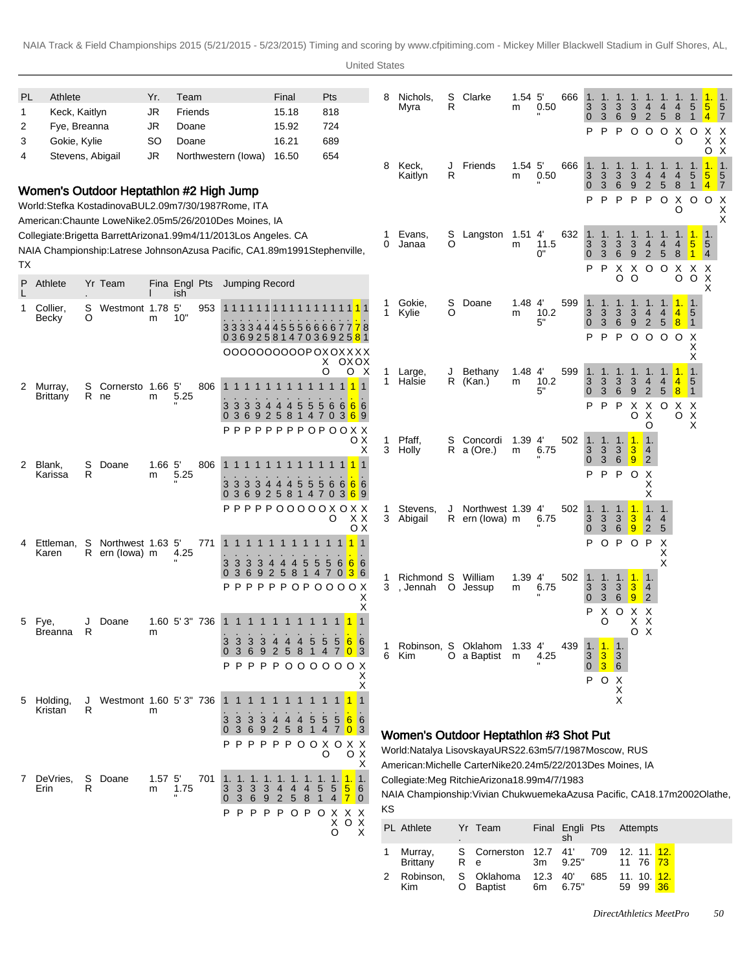United States

| S<br>Athlete<br>Yr.<br>Team<br>Pts<br>Clarke<br>$5^{\circ}$<br>666<br>PL<br>Final<br>8<br>Nichols,<br>1.54<br>1.<br>1.<br>1.<br>R<br>3<br>0.50<br>3<br>3<br>Myra<br>m<br>4                                                                                                                                        | $\sqrt{5}$<br>4<br>4<br>5<br>$5^{\circ}$                                   |
|-------------------------------------------------------------------------------------------------------------------------------------------------------------------------------------------------------------------------------------------------------------------------------------------------------------------|----------------------------------------------------------------------------|
|                                                                                                                                                                                                                                                                                                                   |                                                                            |
| $\frac{3}{6}$<br>Keck, Kaitlyn<br><b>JR</b><br>Friends<br>15.18<br>818<br>1<br>3<br>$\overline{0}$<br>9<br>2                                                                                                                                                                                                      | 5<br>8<br>$\overline{4}$<br>$\overline{7}$<br>1                            |
| Fye, Breanna<br><b>JR</b><br>Doane<br>15.92<br>724<br>2<br>P<br>P<br>P<br>$\circ$<br>$\circ$                                                                                                                                                                                                                      | $\circ$<br>X<br>$\circ$<br>X<br>X                                          |
| 689<br>Gokie, Kylie<br><b>SO</b><br>Doane<br>16.21<br>3<br>654<br>JR<br>16.50<br>4                                                                                                                                                                                                                                | X<br>O<br>X<br>$\times$<br>O                                               |
| Stevens, Abigail<br>Northwestern (lowa)<br>8<br>1.54 <sub>5</sub><br>666<br>Friends<br>Keck,<br>J<br>$\overline{1}$ .<br>1.<br>1.<br>$\overline{1}$ .<br>R<br>0.50<br>3<br>3<br>Kaitlyn<br>3<br>3<br>m<br>4                                                                                                       | $\vert$ 1.<br>5<br>5<br>4<br>4<br>5                                        |
| $\overline{0}$<br>3<br>6<br>9<br>$\overline{2}$<br>Women's Outdoor Heptathlon #2 High Jump                                                                                                                                                                                                                        | 5<br>8<br>$\overline{4}$<br>$\overline{7}$<br>1                            |
| P<br>P<br>P<br>Р<br>▫<br>World: Stefka Kostadinova BUL 2.09m 7/30/1987 Rome, ITA                                                                                                                                                                                                                                  | $\circ$<br>X<br>0 <sub>o</sub><br>X<br>O<br>Χ                              |
| American: Chaunte Lowe Nike 2.05m 5/26/2010 Des Moines, IA                                                                                                                                                                                                                                                        | X                                                                          |
| Evans,<br>S<br>Langston 1.51 4<br>632 1.<br>1<br>Collegiate: Brigetta Barrett Arizona 1.99m 4/11/2013 Los Angeles. CA<br>O<br>11.5<br>3<br>3<br>3<br>4<br>0<br>Janaa<br>m                                                                                                                                         | $\overline{\phantom{1}}$ 1.<br>1.1<br>1.<br>4<br>4<br>$5\phantom{.0}$<br>5 |
| $\frac{3}{0}$<br>NAIA Championship: Latrese Johnson Azusa Pacific, CA 1.89m 1991Stephenville,<br>3<br>6<br>9<br>2<br>0"                                                                                                                                                                                           | 5<br>8<br>$\overline{4}$                                                   |
| ТX<br>X O O<br>P<br>P<br>X                                                                                                                                                                                                                                                                                        | X X<br>X                                                                   |
| O<br>$\circ$<br>Athlete<br>Yr Team<br>Jumping Record<br>P<br>Fina Engl Pts<br>ish                                                                                                                                                                                                                                 | $\times$<br>$\circ$<br>O<br>X                                              |
| S<br>1.48<br>$4^{\prime}$<br>599<br>Gokie,<br>Doane<br>1.<br>1<br>1.<br>1.<br>1.<br>S<br>Westmont 1.78 5'<br>Collier,<br>953<br>1.<br>1111111<br>$\mathbf{1}$<br>3<br>O<br>10.2<br>3<br>$\frac{3}{6}$<br>Kylie<br>3<br>m<br>4<br>O<br>10"<br>Becky<br>m                                                           | 1.1.<br>$\overline{4}$<br>$\overline{\phantom{0}}$<br>4                    |
| 3<br>5"<br>$\overline{0}$<br>9<br>2<br>333344455566667778                                                                                                                                                                                                                                                         | 8<br>5<br>$\vert$ 1                                                        |
| P<br>P<br>P<br>0 <sub>o</sub><br>0369258147036925 <mark>8</mark> 1<br>0000000000P0X0XXX                                                                                                                                                                                                                           | $\circ$<br>$\circ$<br>X<br>X                                               |
| oxox<br>X.                                                                                                                                                                                                                                                                                                        | Х                                                                          |
| O<br>1.48<br>4'<br>599<br>o x<br>Bethany<br>1.<br>1<br>Large,<br>J<br>1.<br>1.<br>10.2<br>3<br>$\mathbf{1}$<br>Halsie<br>R<br>3<br>3<br>3<br>(Kan.)<br>m<br>4<br>S<br>Cornersto 1.66 5'<br>806<br>1 1 1 1 1 1 1 1 1 1<br>2<br>Murray.                                                                             | 1.11<br>$\vert$ 1.<br>5<br>$\overline{4}$<br>4                             |
| 5"<br>3<br>$\mathbf 0$<br>6<br>9<br>2<br>R ne<br>5.25<br>Brittany<br>m                                                                                                                                                                                                                                            | 5<br>8<br>$\vert$ 1                                                        |
| P<br>P<br>P<br>X<br>$\mathsf{X}$<br>3 3 3 4 4 4 5<br>$\overline{5}$<br>6<br>66<br>3<br>$5\overline{)}$<br>$6 \mid$<br>369258<br>O<br>X<br>7 0 3 6 9<br>$\mathbf{0}$<br>14                                                                                                                                         | $\circ$<br>X X<br>$\boldsymbol{\mathsf{X}}$<br>$\circ$                     |
| O<br><b>PPPPPPPPOPOOXX</b>                                                                                                                                                                                                                                                                                        | X                                                                          |
| Pfaff,<br>oх<br>Concordi<br>$1.39$ 4<br>502<br>1<br>S<br>$\overline{1}$ .<br>1.<br>1.11<br>l 1.<br>3<br>3<br>X<br>3<br>6.75<br>3<br>3<br>$R$ a (Ore.)<br>4<br>Holly<br>m                                                                                                                                          |                                                                            |
| $\mathbf{0}$<br>3<br>6<br>9<br>$\overline{2}$<br>S<br>Doane<br>$1.66$ 5<br>806<br>Blank,<br>2<br>$\mathbf{1}$                                                                                                                                                                                                     |                                                                            |
| R<br>P<br>P<br>P<br>$\circ$<br>5.25<br>Х<br>Karissa<br>m<br>X<br>3<br>5<br>5<br>3<br>5<br>6<br>6<br>3<br>3<br>4<br>4<br>4<br>6                                                                                                                                                                                    |                                                                            |
| 92581470<br>6<br>369<br>х<br>$\overline{0}$<br>3                                                                                                                                                                                                                                                                  |                                                                            |
| PPPOOOOOXOXX<br>502<br>$\ddot{\textbf{v}}$<br>P P<br>Stevens,<br>Northwest 1.39<br>4'<br>1.1.<br>1.1.<br>1<br>1.<br>3<br>$\bullet$<br>X X<br>3 Abigail<br>O<br>6.75<br>R ern (lowa) m<br>$\overline{4}$                                                                                                           | 4                                                                          |
| $\frac{3}{3}$<br>$\frac{3}{6}$<br><u> 9</u><br>оx<br>$\overline{0}$<br> 2                                                                                                                                                                                                                                         | $\overline{5}$                                                             |
| $\mathsf{P}$<br>O P<br>P<br>$\circ$<br>Ettleman, S<br>Northwest 1.63 5'<br>771<br>11<br>$1 \; 1$<br>4<br>R ern (lowa) m<br>4.25<br>Karen                                                                                                                                                                          | X<br>Х                                                                     |
| 55666<br>3<br>$\mathbf{3}$<br>3 4 4 4<br>5<br>3<br>3 6 9 2 5 8 1 4 7 0 <mark>3</mark> 6                                                                                                                                                                                                                           | X                                                                          |
| $\overline{0}$<br>William<br>1.39<br>502<br>1. 1. 1. <mark>1.</mark><br>Richmond S<br>4'<br>1<br>∏.<br>${\bf P} {\bf P} {\bf P} {\bf P} {\bf P} {\bf P} {\bf O} {\bf P} {\bf O} {\bf O} {\bf O} {\bf O} {\bf X}$<br>6.75<br>3<br>3 <sup>°</sup><br>3<br>3<br>3<br>, Jennah<br>O<br>Jessup<br>m<br>$\vert 4 \vert$ |                                                                            |
| 3<br>6<br>9<br>$\overline{0}$<br> 2 <br>Х                                                                                                                                                                                                                                                                         |                                                                            |
| Х<br>X O X X<br>P<br>1.60 5'3" 736 1 1 1 1 1 1 1 1 1 1 1 1 1<br>Doane<br>O<br>XX<br>Fye                                                                                                                                                                                                                           |                                                                            |
| O X<br>$\mathsf{R}$<br>Breanna<br>m                                                                                                                                                                                                                                                                               |                                                                            |
| 3<br>3<br>$5\,6$<br>3<br>3<br>$\sqrt{6}$<br>$\overline{5}$<br>5<br>4<br>-4<br>Robinson, S Oklahom 1.33 4'<br>439<br>1.1<br><u>1.</u> 1.<br>9<br>$\overline{2}$<br>5 8<br>6<br>7 0 3<br>3<br>-1<br>4                                                                                                               |                                                                            |
| 6<br>3<br>$\vert 3 \vert$<br>Kim<br>O a Baptist m<br>4.25<br>$\mathbf{3}$<br>$0$ 3 6<br>PPP000000X<br>P P                                                                                                                                                                                                         |                                                                            |
| х<br>P<br>$\circ$<br>$\times$<br>Х                                                                                                                                                                                                                                                                                |                                                                            |
| X<br>X<br>Westmont 1.60 5'3" 736<br>Holding,<br>J<br>5                                                                                                                                                                                                                                                            |                                                                            |
| R<br>Kristan<br>m<br>566<br>3<br>3<br>3<br>3<br>5<br>$5\overline{a}$<br>4                                                                                                                                                                                                                                         |                                                                            |
| 5<br>$\overline{4}$<br>703<br>9<br>$\overline{2}$<br>8<br>$\overline{1}$<br>3<br>6<br>0<br>Women's Outdoor Heptathlon #3 Shot Put                                                                                                                                                                                 |                                                                            |
| PPPPOOXOXX<br>P<br>World: Natalya Lisovskaya URS 22.63m 5/7/1987 Moscow, RUS<br>O<br>O X                                                                                                                                                                                                                          |                                                                            |
| Х<br>American: Michelle Carter Nike 20.24m 5/22/2013 Des Moines, IA                                                                                                                                                                                                                                               |                                                                            |
| S<br>DeVries,<br>Doane<br>1.57 <sub>5</sub><br>701<br>1.11.<br>7<br>$\mathbf{1}$ .<br>Collegiate: Meg Ritchie Arizona 18.99m 4/7/1983<br>1.                                                                                                                                                                       |                                                                            |
| R<br>1.75<br>56<br>Erin<br>3<br>3<br>3<br>5<br>$\sqrt{5}$<br>m<br>3<br>4<br>4<br>NAIA Championship: Vivian Chukwuemeka Azusa Pacific, CA 18.17m 2002Olathe,<br>$5\phantom{.0}$<br>8<br>3<br>2<br>70<br>$\mathbf 0$<br>6<br>$\mathbf{1}$<br>$\overline{4}$<br>-9                                                   |                                                                            |
| KS<br>P<br>OPO<br>P<br>P<br>P<br>P<br>$\begin{array}{c}\nX & X & X \\ X & O & X\n\end{array}$                                                                                                                                                                                                                     |                                                                            |
| PL Athlete<br>Yr Team<br>Final Engli Pts<br>Attempts<br>O<br>X<br>sh                                                                                                                                                                                                                                              |                                                                            |

1 Murray, Brittany

2 Robinson, Kim

S R

S O Cornerston

12.7

41'

| Oklahoma 12.3 40' 685 11.10. <mark>12.</mark><br>Baptist<br>6m 6.75"<br>59 99 36 | e | 3m 9.25" |  | 11 76 <mark>73</mark> |  |
|----------------------------------------------------------------------------------|---|----------|--|-----------------------|--|
|                                                                                  |   |          |  |                       |  |

709 12.

12.

11.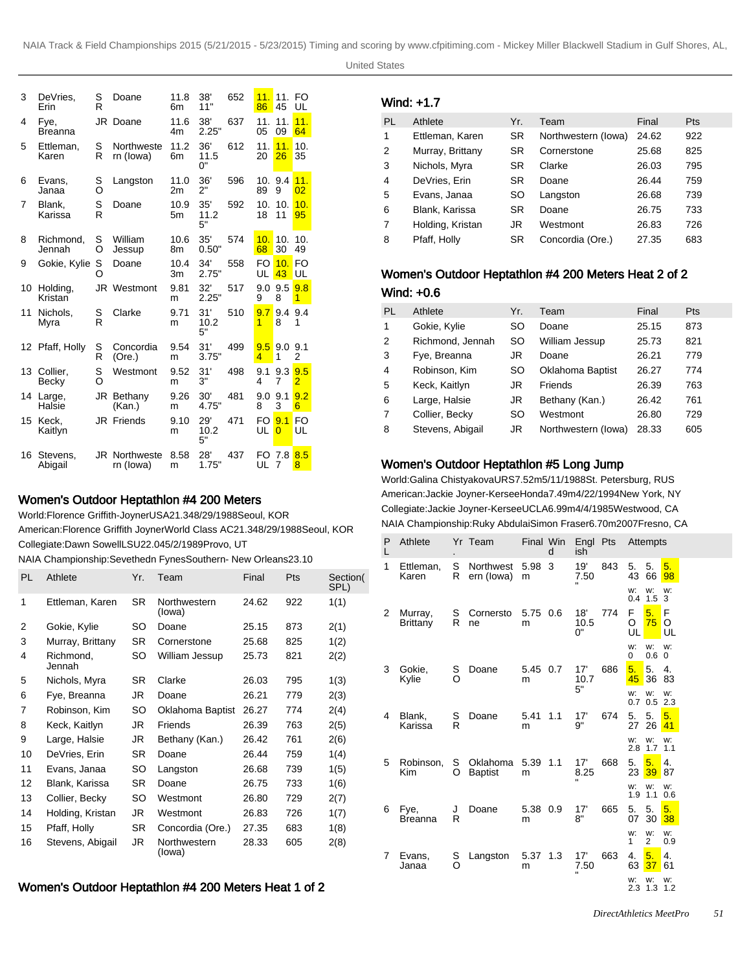| 3  | DeVries,<br>Erin    | S<br>R | Doane                             | 11.8<br>6m             | 38'<br>11"        | 652 | 11.<br>86 | 11.<br>45             | FO<br>UL              |
|----|---------------------|--------|-----------------------------------|------------------------|-------------------|-----|-----------|-----------------------|-----------------------|
| 4  | Fye,<br>Breanna     | JR     | Doane                             | 11.6<br>4m             | 38'<br>2.25"      | 637 | 11.<br>05 | 11.<br>09             | 11.<br>64             |
| 5  | Ettleman,<br>Karen  | S<br>R | Northweste<br>rn (lowa)           | 11.2<br>6m             | 36'<br>11.5<br>0" | 612 | 11.<br>20 | 11.<br>26             | 10.<br>35             |
| 6  | Evans,<br>Janaa     | S<br>O | Langston                          | 11.0<br>2m             | 36'<br>2"         | 596 | 10.<br>89 | 9.4<br>9              | 11.<br>0 <sup>2</sup> |
| 7  | Blank,<br>Karissa   | S<br>R | Doane                             | 10.9<br>5 <sub>m</sub> | 35'<br>11.2<br>5" | 592 | 10.<br>18 | 10.<br>11             | 10.<br>95             |
| 8  | Richmond,<br>Jennah | S<br>O | William<br>Jessup                 | 10.6<br>8m             | 35'<br>0.50"      | 574 | 10.<br>68 | 10.<br>30             | 10.<br>49             |
| 9  | Gokie, Kylie        | S<br>O | Doane                             | 10.4<br>3m             | 34'<br>2.75"      | 558 | FO<br>UL  | 10.<br>43             | FO<br>UL              |
| 10 | Holding,<br>Kristan |        | JR Westmont                       | 9.81<br>m              | 32'<br>2.25"      | 517 | 9.0<br>9  | 9.5<br>8              | 9.8<br>1              |
| 11 | Nichols.<br>Myra    | S<br>R | Clarke                            | 9.71<br>m              | 31'<br>10.2<br>5" | 510 | 9.7<br>1  | 9.4<br>8              | 9.4<br>1              |
| 12 | Pfaff, Holly        | S<br>R | Concordia<br>(Ore.)               | 9.54<br>m              | 31'<br>3.75"      | 499 | 9.5<br>4  | 9.0<br>1              | 9.1<br>2              |
| 13 | Collier.<br>Becky   | S<br>Ó | Westmont                          | 9.52<br>m              | 31'<br>3"         | 498 | 9.1<br>4  | 9.3<br>7              | 9.5<br>$\overline{2}$ |
| 14 | Large,<br>Halsie    |        | JR Bethany<br>(Kan.)              | 9.26<br>m              | 30'<br>4.75"      | 481 | 9.0<br>8  | 9.1<br>3              | 9.2<br>6              |
| 15 | Keck.<br>Kaitlyn    |        | <b>JR</b> Friends                 | 9.10<br>m              | 29'<br>10.2<br>5" | 471 | FO<br>UL  | 9.1<br>0              | F <sub>O</sub><br>UL  |
| 16 | Stevens,<br>Abigail |        | <b>JR Northweste</b><br>rn (lowa) | 8.58<br>m              | 28'<br>1.75"      | 437 | FO<br>UL  | 7.8<br>$\overline{7}$ | 8.5<br>8              |

### Women's Outdoor Heptathlon #4 200 Meters

World: Florence Griffith-Joyner USA 21.34 8/29/1988 Seoul, KOR American: Florence Griffith Joyner World Class AC 21.34 8/29/1988 Seoul, KOR Collegiate: Dawn Sowell LSU 22.04 5/2/1989 Provo, UT

NAIA Championship: Sevethedn Fynes Southern- New Orleans 23.10

| PL | Athlete             | Yr.       | Team                   | Final | Pts | Section(<br>SPL) |
|----|---------------------|-----------|------------------------|-------|-----|------------------|
| 1  | Ettleman, Karen     | SR.       | Northwestern<br>(lowa) | 24.62 | 922 | 1(1)             |
| 2  | Gokie, Kylie        | SO        | Doane                  | 25.15 | 873 | 2(1)             |
| 3  | Murray, Brittany    | <b>SR</b> | Cornerstone            | 25.68 | 825 | 1(2)             |
| 4  | Richmond,<br>Jennah | SO        | William Jessup         | 25.73 | 821 | 2(2)             |
| 5  | Nichols, Myra       | <b>SR</b> | Clarke                 | 26.03 | 795 | 1(3)             |
| 6  | Fye, Breanna        | JR        | Doane                  | 26.21 | 779 | 2(3)             |
| 7  | Robinson, Kim       | SO        | Oklahoma Baptist       | 26.27 | 774 | 2(4)             |
| 8  | Keck, Kaitlyn       | JR        | Friends                | 26.39 | 763 | 2(5)             |
| 9  | Large, Halsie       | JR        | Bethany (Kan.)         | 26.42 | 761 | 2(6)             |
| 10 | DeVries, Erin       | SR.       | Doane                  | 26.44 | 759 | 1(4)             |
| 11 | Evans, Janaa        | SO        | Langston               | 26.68 | 739 | 1(5)             |
| 12 | Blank, Karissa      | SR.       | Doane                  | 26.75 | 733 | 1(6)             |
| 13 | Collier, Becky      | SO        | Westmont               | 26.80 | 729 | 2(7)             |
| 14 | Holding, Kristan    | JR        | Westmont               | 26.83 | 726 | 1(7)             |
| 15 | Pfaff, Holly        | SR        | Concordia (Ore.)       | 27.35 | 683 | 1(8)             |
| 16 | Stevens, Abigail    | JR        | Northwestern<br>(lowa) | 28.33 | 605 | 2(8)             |

# Women's Outdoor Heptathlon #4 200 Meters Heat 1 of 2

| Wind: +1.7 |  |  |  |  |  |  |  |
|------------|--|--|--|--|--|--|--|
|------------|--|--|--|--|--|--|--|

| PL | Athlete          | Yr.       | Team                | Final | <b>Pts</b> |
|----|------------------|-----------|---------------------|-------|------------|
| 1  | Ettleman, Karen  | SR        | Northwestern (lowa) | 24.62 | 922        |
| 2  | Murray, Brittany | <b>SR</b> | Cornerstone         | 25.68 | 825        |
| 3  | Nichols, Myra    | <b>SR</b> | Clarke              | 26.03 | 795        |
| 4  | DeVries, Erin    | <b>SR</b> | Doane               | 26.44 | 759        |
| 5  | Evans, Janaa     | SO        | Langston            | 26.68 | 739        |
| 6  | Blank, Karissa   | <b>SR</b> | Doane               | 26.75 | 733        |
| 7  | Holding, Kristan | JR        | Westmont            | 26.83 | 726        |
| 8  | Pfaff, Holly     | SR        | Concordia (Ore.)    | 27.35 | 683        |

#### Women's Outdoor Heptathlon #4 200 Meters Heat 2 of 2

| Wind: +0.6 |  |
|------------|--|
|------------|--|

| PL             | Athlete          | Yr. | Team                | Final | <b>Pts</b> |
|----------------|------------------|-----|---------------------|-------|------------|
| 1              | Gokie, Kylie     | SO  | Doane               | 25.15 | 873        |
| 2              | Richmond, Jennah | SO  | William Jessup      | 25.73 | 821        |
| 3              | Fye, Breanna     | JR  | Doane               | 26.21 | 779        |
| $\overline{4}$ | Robinson, Kim    | SO  | Oklahoma Baptist    | 26.27 | 774        |
| 5              | Keck, Kaitlyn    | JR  | Friends             | 26.39 | 763        |
| 6              | Large, Halsie    | JR  | Bethany (Kan.)      | 26.42 | 761        |
| $\overline{7}$ | Collier, Becky   | SO  | Westmont            | 26.80 | 729        |
| 8              | Stevens, Abigail | JR  | Northwestern (lowa) | 28.33 | 605        |

#### Women's Outdoor Heptathlon #5 Long Jump

World: Galina Chistyakova URS 7.52m 5/11/1988 St. Petersburg, RUS American: Jackie Joyner-Kersee Honda 7.49m 4/22/1994 New York, NY Collegiate: Jackie Joyner-Kersee UCLA 6.99m 4/4/1985 Westwood, CA NAIA Championship: Ruky Abdulai Simon Fraser 6.70m 2007Fresno, CA

| Ρ<br>L | Athlete                    | ٠             | Yr Team                    | Final Win     | d   | ish                         | Engl Pts |              | Attempts             |              |
|--------|----------------------------|---------------|----------------------------|---------------|-----|-----------------------------|----------|--------------|----------------------|--------------|
| 1      | Ettleman,<br>Karen         | S<br>R        | Northwest<br>ern (lowa)    | 5.98<br>m     | 3   | 19'<br>7.50<br>Ħ            | 843      | 5.<br>43     | 5.<br>66             | 5.<br>98     |
|        |                            |               |                            |               |     |                             |          | w:<br>0.4    | w:<br>1.5            | w:<br>3      |
| 2      | Murray,<br><b>Brittany</b> | S<br>R        | Cornersto<br>ne            | 5.75<br>m     | 0.6 | 18'<br>10.5<br>0"           | 774      | F<br>O<br>UL | 5.<br>75             | F<br>O<br>UL |
|        |                            |               |                            |               |     |                             |          | w:<br>0      | W:<br>0.6            | w:<br>0      |
| 3      | Gokie,<br>Kylie            | S<br>$\Omega$ | Doane                      | 5.45<br>m     | 0.7 | 17'<br>10.7<br>5"           | 686      | 5.<br>45     | 5.<br>36             | 4.<br>83     |
|        |                            |               |                            |               |     |                             |          | w:           | W:<br>$0.7 \ 0.5$    | w:<br>2.3    |
| 4      | Blank,<br>Karissa          | S<br>R        | Doane                      | 5.41<br>m     | 1.1 | 17'<br>9"                   | 674      | 5.<br>27     | 5.<br>26             | 5.<br>41     |
|        |                            |               |                            |               |     |                             |          | w:<br>2.8    | W:<br>1.7            | w:<br>1.1    |
| 5      | Robinson,<br>Kim           | S<br>O        | Oklahoma<br><b>Baptist</b> | 5.39 1.1<br>m |     | 17'<br>8.25                 | 668      | 5.<br>23     | 5.<br>39             | 4.<br>87     |
|        |                            |               |                            |               |     |                             |          | w:<br>1.9    | w:<br>1.1            | w:<br>0.6    |
| 6      | Fye,<br><b>Breanna</b>     | J<br>R        | Doane                      | 5.38 0.9<br>m |     | 17'<br>8"                   | 665      | 5.<br>07     | 5.<br>30             | 5.<br>38     |
|        |                            |               |                            |               |     |                             |          | w:<br>1      | W:<br>$\overline{2}$ | w:<br>0.9    |
| 7      | Evans,<br>Janaa            | S<br>$\Omega$ | Langston                   | 5.37<br>m     | 1.3 | 17'<br>7.50<br>$\mathbf{u}$ | 663      | 4.<br>63     | 5.<br>37             | 4.<br>61     |
|        |                            |               |                            |               |     |                             |          | w:           | w:<br>2.3 1.3 1.2    | w:           |